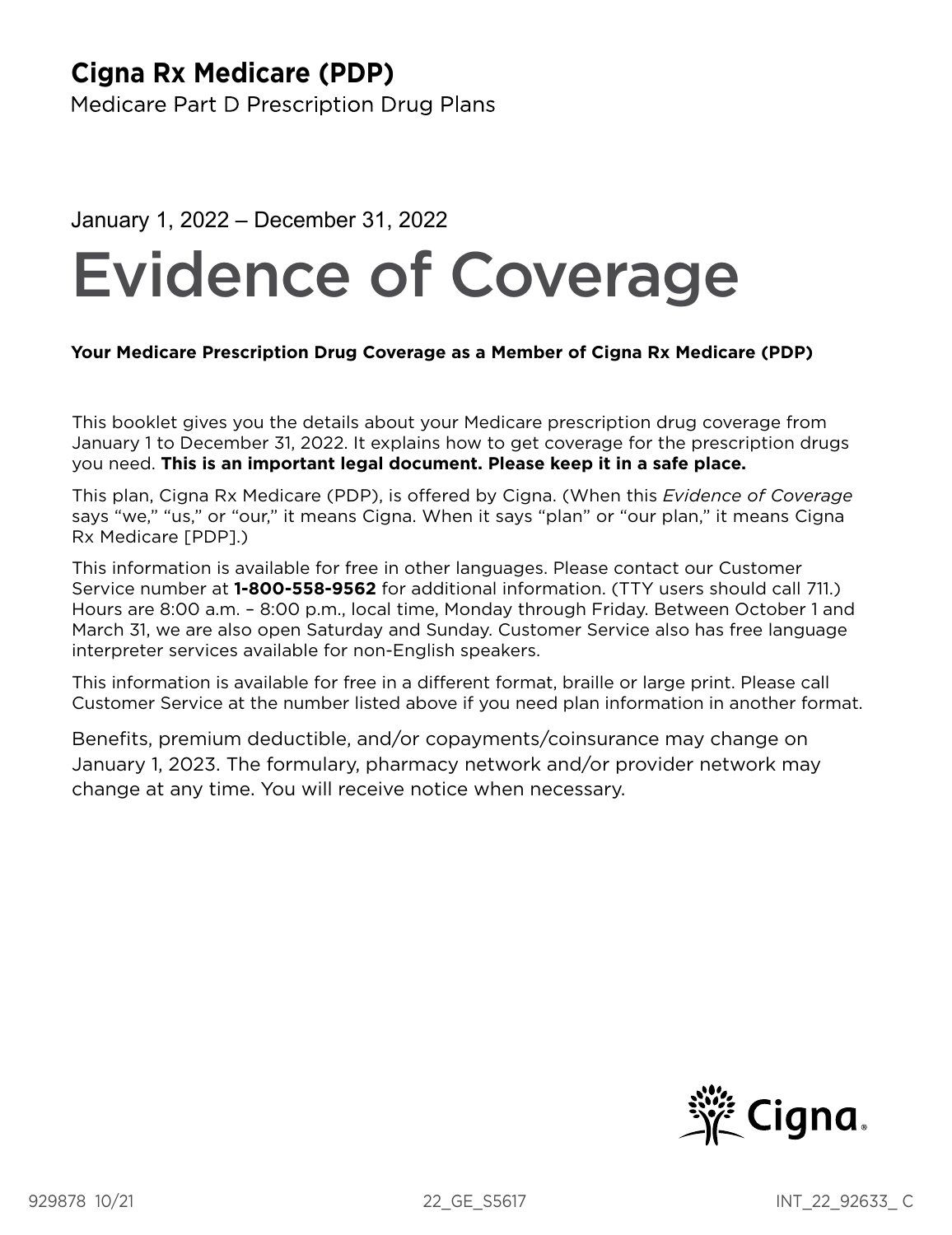## **Cigna Rx Medicare (PDP)**

Medicare Part D Prescription Drug Plans

## January 1, 2022 – December 31, 2022

# Evidence of Coverage

## **Your Medicare Prescription Drug Coverage as a Member of Cigna Rx Medicare (PDP)**

This booklet gives you the details about your Medicare prescription drug coverage from January 1 to December 31, 2022. It explains how to get coverage for the prescription drugs you need. **This is an important legal document. Please keep it in a safe place.** 

This plan, Cigna Rx Medicare (PDP), is offered by Cigna. (When this *Evidence of Coverage*  says "we," "us," or "our," it means Cigna. When it says "plan" or "our plan," it means Cigna Rx Medicare [PDP].)

This information is available for free in other languages. Please contact our Customer Service number at **1‑800‑558‑9562** for additional information. (TTY users should call 711.) Hours are 8:00 a.m. – 8:00 p.m., local time, Monday through Friday. Between October 1 and March 31, we are also open Saturday and Sunday. Customer Service also has free language interpreter services available for non-English speakers.

This information is available for free in a different format, braille or large print. Please call Customer Service at the number listed above if you need plan information in another format.

Benefts, premium deductible, and/or copayments/coinsurance may change on January 1, 2023. The formulary, pharmacy network and/or provider network may change at any time. You will receive notice when necessary.

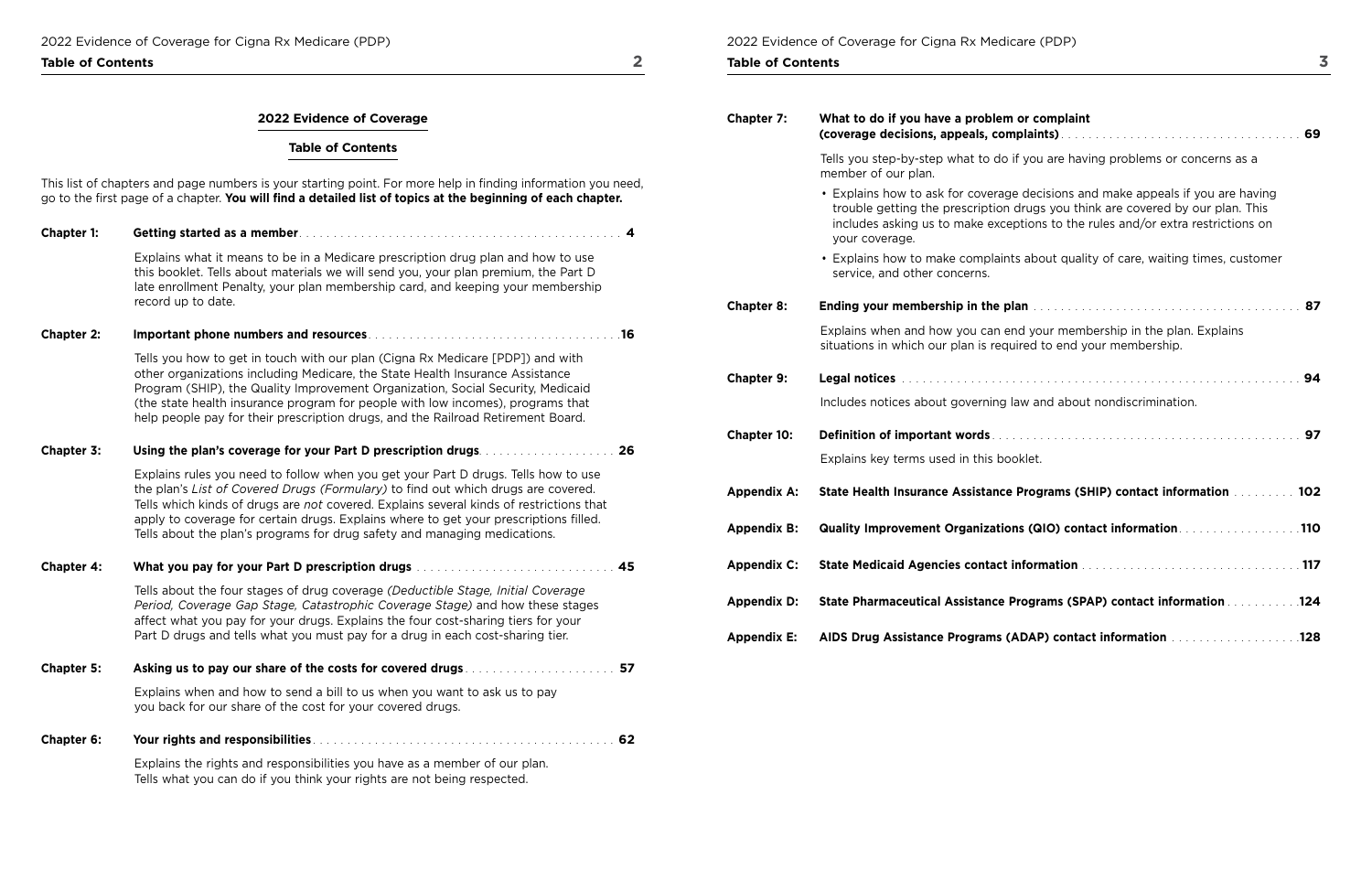**Table of Contents 2** 

## **2022 Evidence of Coverage**

## **Table of Contents**

This list of chapters and page numbers is your starting point. For more help in fnding information you need, go to the frst page of a chapter. **You will fnd a detailed list of topics at the beginning of each chapter.** 

| <b>Chapter 1:</b> | 4                                                                                                                                                                                                                                                                                                                                                                                                                                        |
|-------------------|------------------------------------------------------------------------------------------------------------------------------------------------------------------------------------------------------------------------------------------------------------------------------------------------------------------------------------------------------------------------------------------------------------------------------------------|
|                   | Explains what it means to be in a Medicare prescription drug plan and how to use<br>this booklet. Tells about materials we will send you, your plan premium, the Part D<br>late enrollment Penalty, your plan membership card, and keeping your membership<br>record up to date.                                                                                                                                                         |
| <b>Chapter 2:</b> | .16                                                                                                                                                                                                                                                                                                                                                                                                                                      |
|                   | Tells you how to get in touch with our plan (Cigna Rx Medicare [PDP]) and with<br>other organizations including Medicare, the State Health Insurance Assistance<br>Program (SHIP), the Quality Improvement Organization, Social Security, Medicaid<br>(the state health insurance program for people with low incomes), programs that<br>help people pay for their prescription drugs, and the Railroad Retirement Board.                |
| Chapter 3:        | 26                                                                                                                                                                                                                                                                                                                                                                                                                                       |
|                   | Explains rules you need to follow when you get your Part D drugs. Tells how to use<br>the plan's List of Covered Drugs (Formulary) to find out which drugs are covered.<br>Tells which kinds of drugs are not covered. Explains several kinds of restrictions that<br>apply to coverage for certain drugs. Explains where to get your prescriptions filled.<br>Tells about the plan's programs for drug safety and managing medications. |
| <b>Chapter 4:</b> | 45                                                                                                                                                                                                                                                                                                                                                                                                                                       |
|                   | Tells about the four stages of drug coverage (Deductible Stage, Initial Coverage<br>Period, Coverage Gap Stage, Catastrophic Coverage Stage) and how these stages<br>affect what you pay for your drugs. Explains the four cost-sharing tiers for your<br>Part D drugs and tells what you must pay for a drug in each cost-sharing tier.                                                                                                 |
| <b>Chapter 5:</b> | 57                                                                                                                                                                                                                                                                                                                                                                                                                                       |
|                   | Explains when and how to send a bill to us when you want to ask us to pay<br>you back for our share of the cost for your covered drugs.                                                                                                                                                                                                                                                                                                  |
| Chapter 6:        | 62                                                                                                                                                                                                                                                                                                                                                                                                                                       |
|                   | Explains the rights and responsibilities you have as a member of our plan.                                                                                                                                                                                                                                                                                                                                                               |

| <b>Chapter 7:</b>  | What to do if you have a problem or complaint<br>(coverage decisions, appeals, complaints) entertainment contracts and the set of the set of the set of the set of the set of the set of the set of the set of the set of the set of the set of the set of the set of the set o |
|--------------------|---------------------------------------------------------------------------------------------------------------------------------------------------------------------------------------------------------------------------------------------------------------------------------|
|                    | Tells you step-by-step what to do if you are having problems or concerns as a<br>member of our plan.                                                                                                                                                                            |
|                    | • Explains how to ask for coverage decisions and make appeals if you are having<br>trouble getting the prescription drugs you think are covered by our plan. This<br>includes asking us to make exceptions to the rules and/or extra restrictions on<br>your coverage.          |
|                    | • Explains how to make complaints about quality of care, waiting times, customer<br>service, and other concerns.                                                                                                                                                                |
| <b>Chapter 8:</b>  | <b>Ending your membership in the plan manufacture in the control of the state of the state of the state of the state of the state of the state of the state of the state of the state of the state of the state of the state of </b>                                            |
|                    | Explains when and how you can end your membership in the plan. Explains<br>situations in which our plan is required to end your membership.                                                                                                                                     |
| <b>Chapter 9:</b>  |                                                                                                                                                                                                                                                                                 |
|                    | Includes notices about governing law and about nondiscrimination.                                                                                                                                                                                                               |
| <b>Chapter 10:</b> |                                                                                                                                                                                                                                                                                 |
|                    | Explains key terms used in this booklet.                                                                                                                                                                                                                                        |
| <b>Appendix A:</b> | State Health Insurance Assistance Programs (SHIP) contact information www.com<br>102                                                                                                                                                                                            |
| <b>Appendix B:</b> | Quality Improvement Organizations (QIO) contact information. 110                                                                                                                                                                                                                |
| <b>Appendix C:</b> |                                                                                                                                                                                                                                                                                 |
| <b>Appendix D:</b> |                                                                                                                                                                                                                                                                                 |
| <b>Appendix E:</b> |                                                                                                                                                                                                                                                                                 |

Tells what you can do if you think your rights are not being respected.

2022 Evidence of Coverage for Cigna Rx Medicare (PDP)

**Table of Contents**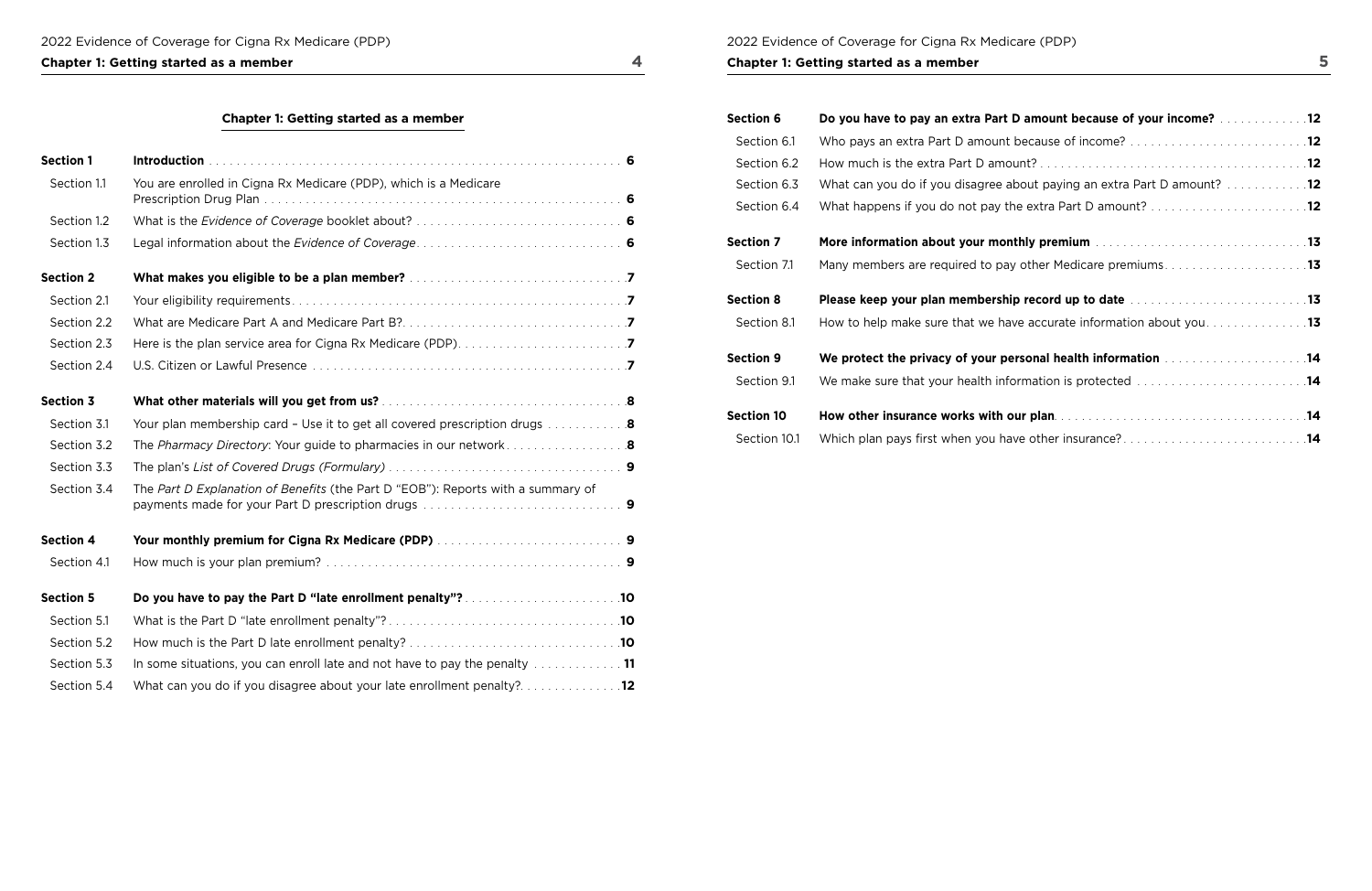## 2022 Evidence of Coverage for Cigna Rx Medicare (PDP)

## **Chapter 1: Getting started as a member 5 <b>5**

## **Chapter 1: Getting started as a member 4 and 200 km started 4 and 4 and 4 and 4 and 4 and 4 and 4 and 4 and 4 and 4 and 4 and 4 and 4 and 4 and 4 and 4 and 4 and 4 and 4 and 4 and 4 and 4 and 4 and 4 and 4 and 4 and 4 and**

| <b>Section 1</b> |                                                                                                        |
|------------------|--------------------------------------------------------------------------------------------------------|
| Section 1.1      | You are enrolled in Cigna Rx Medicare (PDP), which is a Medicare                                       |
| Section 1.2      |                                                                                                        |
| Section 1.3      |                                                                                                        |
| <b>Section 2</b> |                                                                                                        |
| Section 2.1      |                                                                                                        |
| Section 2.2      |                                                                                                        |
| Section 2.3      |                                                                                                        |
| Section 2.4      |                                                                                                        |
| <b>Section 3</b> |                                                                                                        |
| Section 3.1      | Your plan membership card - Use it to get all covered prescription drugs $\ldots \ldots \ldots \ldots$ |
| Section 3.2      | <b>The Pharmacy Directory: Your guide to pharmacies in our network8</b>                                |
| Section 3.3      |                                                                                                        |
| Section 3.4      | The Part D Explanation of Benefits (the Part D "EOB"): Reports with a summary of                       |
| <b>Section 4</b> |                                                                                                        |
| Section 4.1      |                                                                                                        |
| <b>Section 5</b> | Do you have to pay the Part D "late enrollment penalty"?10                                             |
| Section 5.1      |                                                                                                        |
| Section 5.2      |                                                                                                        |
| Section 5.3      | In some situations, you can enroll late and not have to pay the penalty $\ldots \ldots \ldots \ldots$  |
| Section 5.4      | What can you do if you disagree about your late enrollment penalty?12                                  |

| <b>Section 6</b>  | Do you have to pay an extra Part D amount because of your income?                                                                                                                                                             |
|-------------------|-------------------------------------------------------------------------------------------------------------------------------------------------------------------------------------------------------------------------------|
| Section 6.1       | Who pays an extra Part D amount because of income? 12                                                                                                                                                                         |
| Section 6.2       |                                                                                                                                                                                                                               |
| Section 6.3       | What can you do if you disagree about paying an extra Part D amount? 12                                                                                                                                                       |
| Section 6.4       |                                                                                                                                                                                                                               |
| <b>Section 7</b>  | More information about your monthly premium manuscript and contained a state of 13                                                                                                                                            |
| Section 7.1       | Many members are required to pay other Medicare premiums13                                                                                                                                                                    |
|                   |                                                                                                                                                                                                                               |
| <b>Section 8</b>  | Please keep your plan membership record up to date manuscripts and service and 13                                                                                                                                             |
| Section 8.1       | How to help make sure that we have accurate information about you13                                                                                                                                                           |
| <b>Section 9</b>  | We protect the privacy of your personal health information [11] We protect the privacy of your personal health information [11] We protect the privacy of your personal health information [11] We protect the protect of the |
| Section 9.1       | We make sure that your health information is protected 14                                                                                                                                                                     |
| <b>Section 10</b> |                                                                                                                                                                                                                               |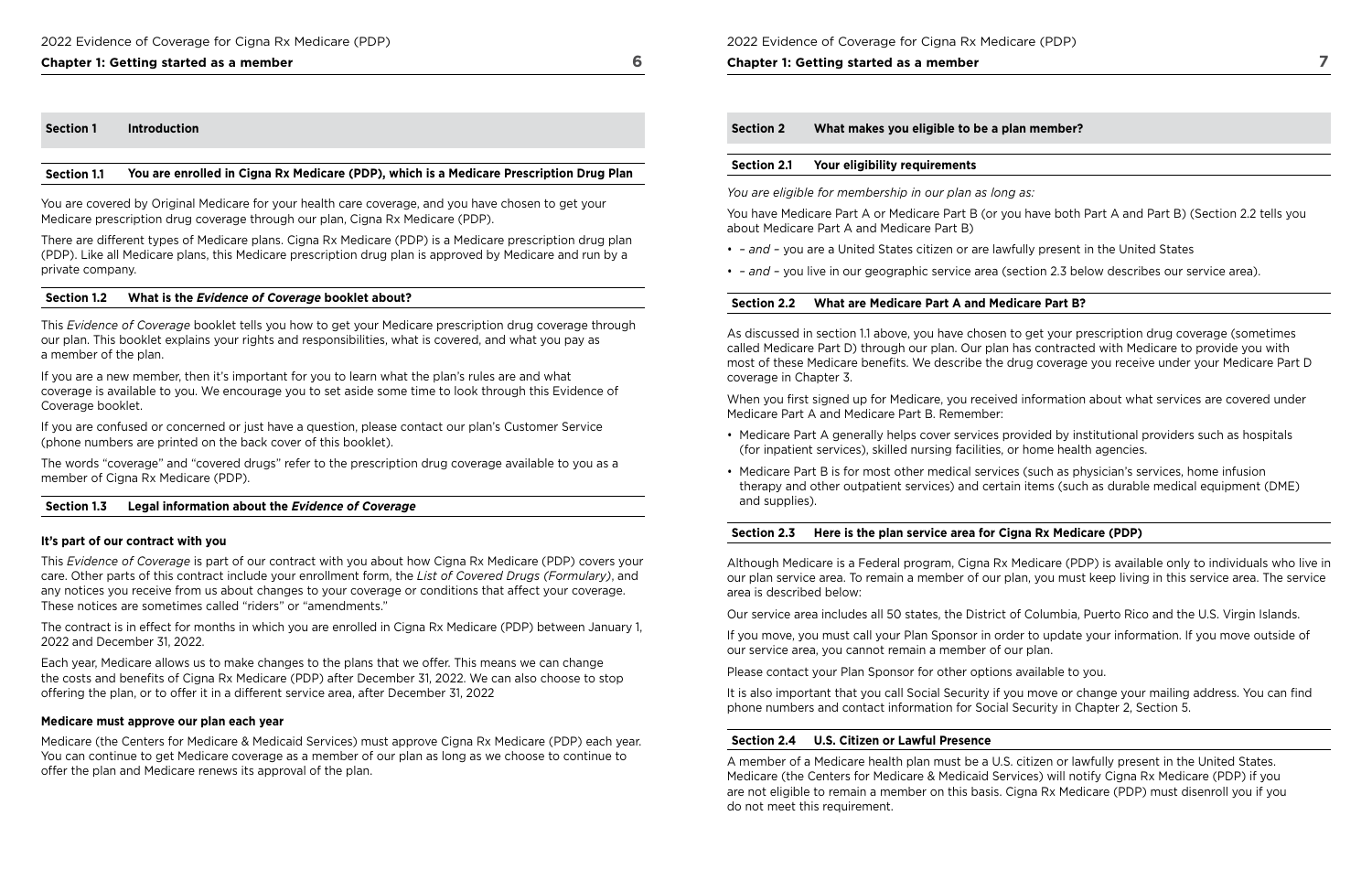### **Chapter 1: Getting started as a member 6**

#### **Section 1 Introduction**

#### **Section 1.1 You are enrolled in Cigna Rx Medicare (PDP), which is a Medicare Prescription Drug Plan**

You are covered by Original Medicare for your health care coverage, and you have chosen to get your Medicare prescription drug coverage through our plan, Cigna Rx Medicare (PDP).

There are different types of Medicare plans. Cigna Rx Medicare (PDP) is a Medicare prescription drug plan (PDP). Like all Medicare plans, this Medicare prescription drug plan is approved by Medicare and run by a private company.

#### **Section 1.2 What is the** *Evidence of Coverage* **booklet about?**

This *Evidence of Coverage* booklet tells you how to get your Medicare prescription drug coverage through our plan. This booklet explains your rights and responsibilities, what is covered, and what you pay as a member of the plan.

If you are a new member, then it's important for you to learn what the plan's rules are and what coverage is available to you. We encourage you to set aside some time to look through this Evidence of Coverage booklet.

If you are confused or concerned or just have a question, please contact our plan's Customer Service (phone numbers are printed on the back cover of this booklet).

The words "coverage" and "covered drugs" refer to the prescription drug coverage available to you as a member of Cigna Rx Medicare (PDP).

#### **Section 1.3 Legal information about the** *Evidence of Coverage*

#### **It's part of our contract with you**

This *Evidence of Coverage* is part of our contract with you about how Cigna Rx Medicare (PDP) covers your care. Other parts of this contract include your enrollment form, the *List of Covered Drugs (Formulary)*, and any notices you receive from us about changes to your coverage or conditions that affect your coverage. These notices are sometimes called "riders" or "amendments."

When you first signed up for Medicare, you received information about what services are covered under Medicare Part A and Medicare Part B. Remember:

The contract is in effect for months in which you are enrolled in Cigna Rx Medicare (PDP) between January 1, 2022 and December 31, 2022.

Each year, Medicare allows us to make changes to the plans that we offer. This means we can change the costs and benefits of Cigna Rx Medicare (PDP) after December 31, 2022. We can also choose to stop offering the plan, or to offer it in a different service area, after December 31, 2022

#### **Medicare must approve our plan each year**

Medicare (the Centers for Medicare & Medicaid Services) must approve Cigna Rx Medicare (PDP) each year. You can continue to get Medicare coverage as a member of our plan as long as we choose to continue to offer the plan and Medicare renews its approval of the plan.

2022 Evidence of Coverage for Cigna Rx Medicare (PDP)

#### **Chapter 1: Getting started as a member**

**Section 2 What makes you eligible to be a plan member?** 

#### **Section 2.1 Your eligibility requirements**

*You are eligible for membership in our plan as long as:* 

You have Medicare Part A or Medicare Part B (or you have both Part A and Part B) (Section 2.2 tells you about Medicare Part A and Medicare Part B)

- *and* you are a United States citizen or are lawfully present in the United States
- *and* you live in our geographic service area (section 2.3 below describes our service area).

#### **Section 2.2 What are Medicare Part A and Medicare Part B?**

As discussed in section 1.1 above, you have chosen to get your prescription drug coverage (sometimes called Medicare Part D) through our plan. Our plan has contracted with Medicare to provide you with most of these Medicare benefts. We describe the drug coverage you receive under your Medicare Part D coverage in Chapter 3.

- Medicare Part A generally helps cover services provided by institutional providers such as hospitals (for inpatient services), skilled nursing facilities, or home health agencies.
- Medicare Part B is for most other medical services (such as physician's services, home infusion therapy and other outpatient services) and certain items (such as durable medical equipment (DME) and supplies).

### **Section 2.3 Here is the plan service area for Cigna Rx Medicare (PDP)**

Although Medicare is a Federal program, Cigna Rx Medicare (PDP) is available only to individuals who live in our plan service area. To remain a member of our plan, you must keep living in this service area. The service area is described below:

Our service area includes all 50 states, the District of Columbia, Puerto Rico and the U.S. Virgin Islands.

If you move, you must call your Plan Sponsor in order to update your information. If you move outside of our service area, you cannot remain a member of our plan.

Please contact your Plan Sponsor for other options available to you.

 phone numbers and contact information for Social Security in Chapter 2, Section 5. It is also important that you call Social Security if you move or change your mailing address. You can find

#### **Section 2.4 U.S. Citizen or Lawful Presence**

A member of a Medicare health plan must be a U.S. citizen or lawfully present in the United States. Medicare (the Centers for Medicare & Medicaid Services) will notify Cigna Rx Medicare (PDP) if you are not eligible to remain a member on this basis. Cigna Rx Medicare (PDP) must disenroll you if you do not meet this requirement.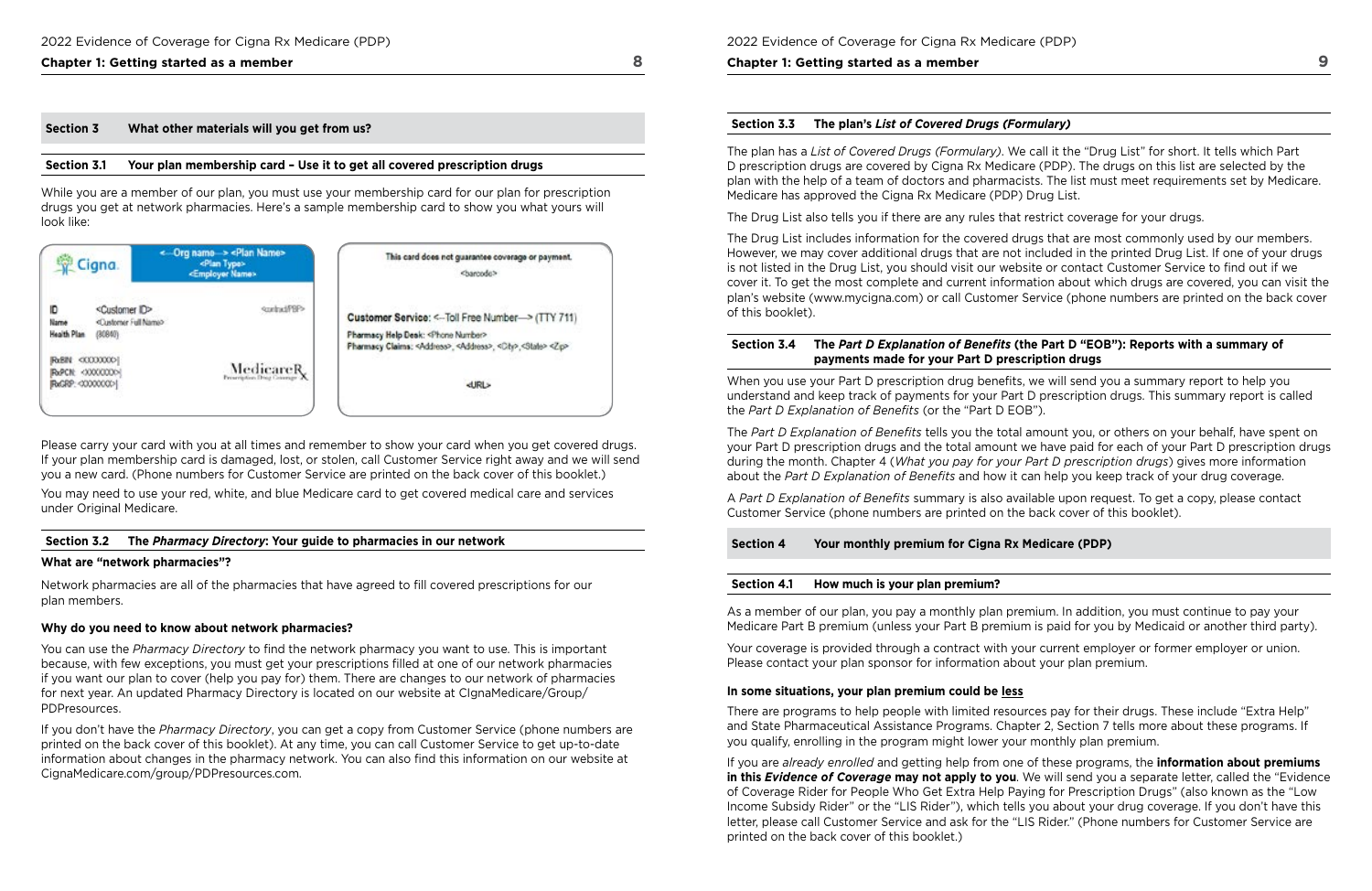## **Chapter 1: Getting started as a member 8 and 20 km started 8 and 3 and 3 and 3 and 3 and 3 and 3 and 3 and 3 and 4 and 4 and 4 and 4 and 4 and 4 and 4 and 4 and 4 and 4 and 4 and 4 and 4 and 4 and 4 and 4 and 4 and 4 and**

### **Section 3 What other materials will you get from us?**

#### **Section 3.1 Your plan membership card – Use it to get all covered prescription drugs**

While you are a member of our plan, you must use your membership card for our plan for prescription drugs you get at network pharmacies. Here's a sample membership card to show you what yours will look like:

| 堂 Cigna.                                                                                            | <- Org name > <plan name=""><br/><plan type=""><br/><employer name=""></employer></plan></plan> | This card does not guarantee coverage or payment.<br><br>charcodo>                                                                                                                                          |
|-----------------------------------------------------------------------------------------------------|-------------------------------------------------------------------------------------------------|-------------------------------------------------------------------------------------------------------------------------------------------------------------------------------------------------------------|
| <customer id=""><br/>«Customer Full Name&gt;<br/><b>Name</b><br/>Health Plan<br/>(30840)</customer> |                                                                                                 | Customer Service: <-- Toll Free Number--> (TTY 711)<br>Pharmacy Help Desk: <phone number=""><br/>Pharmacy Claims: <address>, <address>, <city>,<state> <zp></zp></state></city></address></address></phone> |
| RxPCN: <000000000<br>RxGRP: < XXXXXXXXXXX                                                           | MedicareR<br>Programme Dig Coincago 24                                                          | <b>dJRL&gt;</b>                                                                                                                                                                                             |

Please carry your card with you at all times and remember to show your card when you get covered drugs. If your plan membership card is damaged, lost, or stolen, call Customer Service right away and we will send you a new card. (Phone numbers for Customer Service are printed on the back cover of this booklet.)

You may need to use your red, white, and blue Medicare card to get covered medical care and services under Original Medicare.

#### **Section 3.2 The** *Pharmacy Directory***: Your guide to pharmacies in our network**

#### **What are "network pharmacies"?**

Network pharmacies are all of the pharmacies that have agreed to fll covered prescriptions for our plan members.

#### **Why do you need to know about network pharmacies?**

You can use the *Pharmacy Directory* to fnd the network pharmacy you want to use. This is important because, with few exceptions, you must get your prescriptions flled at one of our network pharmacies if you want our plan to cover (help you pay for) them. There are changes to our network of pharmacies for next year. An updated Pharmacy Directory is located on our website at CIgnaMedicare/Group/ PDPresources.

When you use your Part D prescription drug benefits, we will send you a summary report to help you understand and keep track of payments for your Part D prescription drugs. This summary report is called the *Part D Explanation of Benefts* (or the "Part D EOB").

If you don't have the *Pharmacy Directory*, you can get a copy from Customer Service (phone numbers are printed on the back cover of this booklet). At any time, you can call Customer Service to get up-to-date information about changes in the pharmacy network. You can also fnd this information on our website at [CignaMedicare.com/group/PDPresources.com.](www.CignaMedicare.com/group/PDPresources)

2022 Evidence of Coverage for Cigna Rx Medicare (PDP)

**Chapter 1: Getting started as a member** 

## **Section 3.3 The plan's** *List of Covered Drugs (Formulary)*

The plan has a *List of Covered Drugs (Formulary)*. We call it the "Drug List" for short. It tells which Part D prescription drugs are covered by Cigna Rx Medicare (PDP). The drugs on this list are selected by the plan with the help of a team of doctors and pharmacists. The list must meet requirements set by Medicare. Medicare has approved the Cigna Rx Medicare (PDP) Drug List.

 and State Pharmaceutical Assistance Programs. Chapter 2, Section 7 tells more about these programs. If There are programs to help people with limited resources pay for their drugs. These include "Extra Help" you qualify, enrolling in the program might lower your monthly plan premium.

The Drug List also tells you if there are any rules that restrict coverage for your drugs.

The Drug List includes information for the covered drugs that are most commonly used by our members. However, we may cover additional drugs that are not included in the printed Drug List. If one of your drugs is not listed in the Drug List, you should visit our website or contact Customer Service to fnd out if we cover it. To get the most complete and current information about which drugs are covered, you can visit the plan's website [\(www.mycigna.com](www.mycigna.com)) or call Customer Service (phone numbers are printed on the back cover of this booklet).

### **Section 3.4 The** *Part D Explanation of Benefts* **(the Part D "EOB"): Reports with a summary of payments made for your Part D prescription drugs**

The *Part D Explanation of Benefts* tells you the total amount you, or others on your behalf, have spent on your Part D prescription drugs and the total amount we have paid for each of your Part D prescription drugs during the month. Chapter 4 (*What you pay for your Part D prescription drugs*) gives more information about the *Part D Explanation of Benefts* and how it can help you keep track of your drug coverage.

A *Part D Explanation of Benefts* summary is also available upon request. To get a copy, please contact Customer Service (phone numbers are printed on the back cover of this booklet).

### **Section 4 Your monthly premium for Cigna Rx Medicare (PDP)**

#### **Section 4.1 How much is your plan premium?**

As a member of our plan, you pay a monthly plan premium. In addition, you must continue to pay your Medicare Part B premium (unless your Part B premium is paid for you by Medicaid or another third party).

Your coverage is provided through a contract with your current employer or former employer or union. Please contact your plan sponsor for information about your plan premium.

#### **In some situations, your plan premium could be less**

If you are *already enrolled* and getting help from one of these programs, the **information about premiums in this** *Evidence of Coverage* **may not apply to you**. We will send you a separate letter, called the "Evidence of Coverage Rider for People Who Get Extra Help Paying for Prescription Drugs" (also known as the "Low Income Subsidy Rider" or the "LIS Rider"), which tells you about your drug coverage. If you don't have this letter, please call Customer Service and ask for the "LIS Rider." (Phone numbers for Customer Service are printed on the back cover of this booklet.)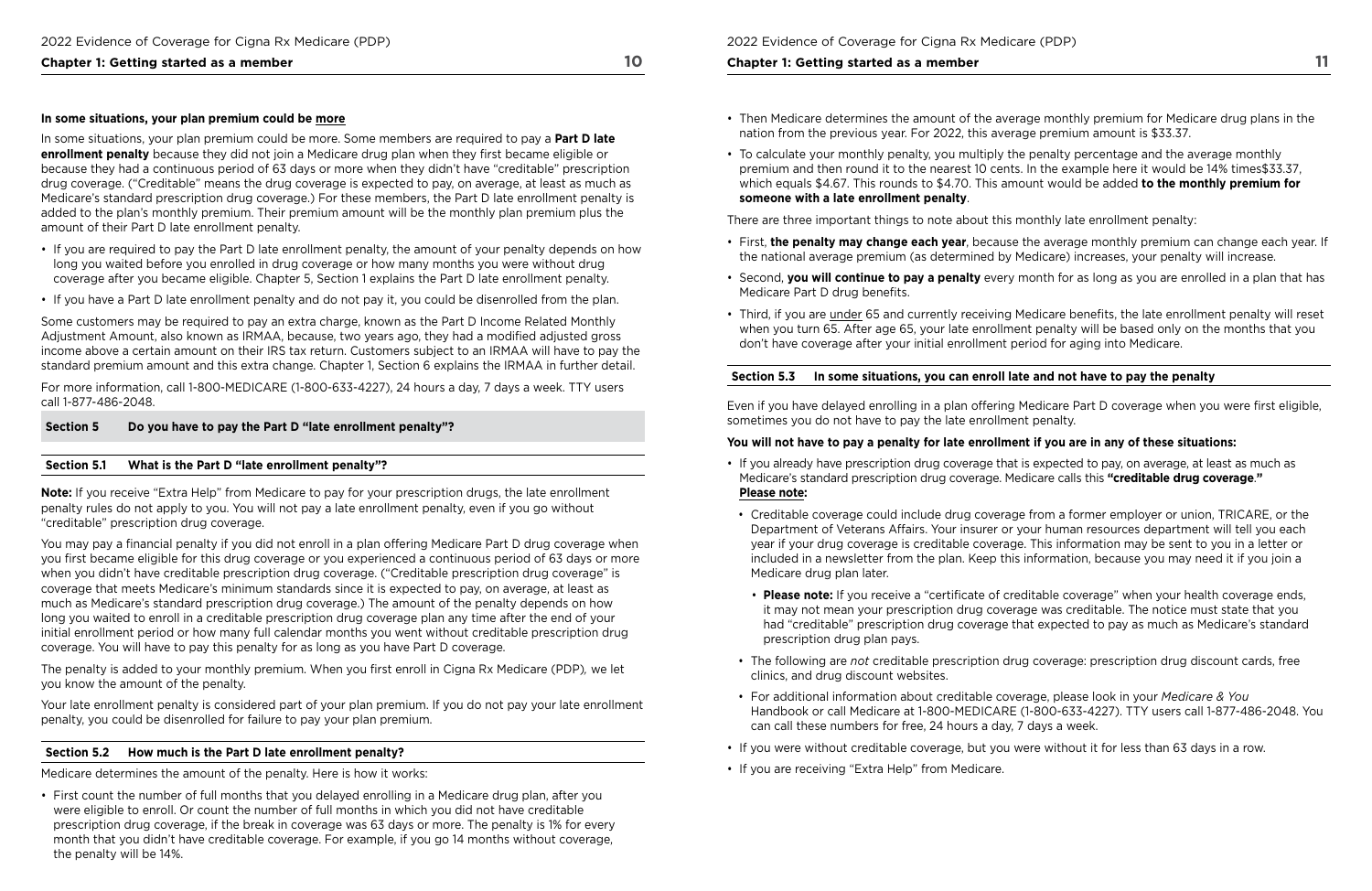### **Chapter 1: Getting started as a member 10 and 10 and 10 and 10 and 10 and 10 and 10 and 10 and 10 and 10 and 10 and 10 and 10 and 10 and 10 and 10 and 10 and 10 and 10 and 10 and 10 and 10 and 10 and 10 and 10 and 10 and**

#### **In some situations, your plan premium could be more**

In some situations, your plan premium could be more. Some members are required to pay a **Part D late enrollment penalty** because they did not join a Medicare drug plan when they first became eligible or because they had a continuous period of 63 days or more when they didn't have "creditable" prescription drug coverage. ("Creditable" means the drug coverage is expected to pay, on average, at least as much as Medicare's standard prescription drug coverage.) For these members, the Part D late enrollment penalty is added to the plan's monthly premium. Their premium amount will be the monthly plan premium plus the amount of their Part D late enrollment penalty.

- If you are required to pay the Part D late enrollment penalty, the amount of your penalty depends on how long you waited before you enrolled in drug coverage or how many months you were without drug coverage after you became eligible. Chapter 5, Section 1 explains the Part D late enrollment penalty.
- If you have a Part D late enrollment penalty and do not pay it, you could be disenrolled from the plan.

Some customers may be required to pay an extra charge, known as the Part D Income Related Monthly Adjustment Amount, also known as IRMAA, because, two years ago, they had a modifed adjusted gross income above a certain amount on their IRS tax return. Customers subject to an IRMAA will have to pay the standard premium amount and this extra change. Chapter 1, Section 6 explains the IRMAA in further detail.

 you know the amount of the penalty. The penalty is added to your monthly premium. When you frst enroll in Cigna Rx Medicare (PDP)*,* we let

For more information, call 1-800-MEDICARE (1-800-633-4227), 24 hours a day, 7 days a week. TTY users call 1-877-486-2048.

#### **Section 5 Do you have to pay the Part D "late enrollment penalty"?**

#### **Section 5.1 What is the Part D "late enrollment penalty"?**

**Note:** If you receive "Extra Help" from Medicare to pay for your prescription drugs, the late enrollment penalty rules do not apply to you. You will not pay a late enrollment penalty, even if you go without "creditable" prescription drug coverage.

You may pay a fnancial penalty if you did not enroll in a plan offering Medicare Part D drug coverage when you first became eligible for this drug coverage or you experienced a continuous period of 63 days or more when you didn't have creditable prescription drug coverage. ("Creditable prescription drug coverage" is coverage that meets Medicare's minimum standards since it is expected to pay, on average, at least as much as Medicare's standard prescription drug coverage.) The amount of the penalty depends on how long you waited to enroll in a creditable prescription drug coverage plan any time after the end of your initial enrollment period or how many full calendar months you went without creditable prescription drug coverage. You will have to pay this penalty for as long as you have Part D coverage.

Your late enrollment penalty is considered part of your plan premium. If you do not pay your late enrollment penalty, you could be disenrolled for failure to pay your plan premium.

• **Please note:** If you receive a "certificate of creditable coverage" when your health coverage ends, it may not mean your prescription drug coverage was creditable. The notice must state that you had "creditable" prescription drug coverage that expected to pay as much as Medicare's standard

#### **Section 5.2 How much is the Part D late enrollment penalty?**

Medicare determines the amount of the penalty. Here is how it works:

• First count the number of full months that you delayed enrolling in a Medicare drug plan, after you were eligible to enroll. Or count the number of full months in which you did not have creditable prescription drug coverage, if the break in coverage was 63 days or more. The penalty is 1% for every month that you didn't have creditable coverage. For example, if you go 14 months without coverage, the penalty will be 14%.

#### **Chapter 1: Getting started as a member**

- Then Medicare determines the amount of the average monthly premium for Medicare drug plans in the nation from the previous year. For 2022, this average premium amount is \$33.37.
- To calculate your monthly penalty, you multiply the penalty percentage and the average monthly premium and then round it to the nearest 10 cents. In the example here it would be 14% [times\\$3](https://times$33.37)3.37, which equals \$4.67. This rounds to \$4.70. This amount would be added **to the monthly premium for someone with a late enrollment penalty**.

There are three important things to note about this monthly late enrollment penalty:

• First, **the penalty may change each year**, because the average monthly premium can change each year. If

• Second, **you will continue to pay a penalty** every month for as long as you are enrolled in a plan that has

- the national average premium (as determined by Medicare) increases, your penalty will increase.
- Medicare Part D drug benefits.
- don't have coverage after your initial enrollment period for aging into Medicare.

• Third, if you are under 65 and currently receiving Medicare benefts, the late enrollment penalty will reset when you turn 65. After age 65, your late enrollment penalty will be based only on the months that you

## **Section 5.3 In some situations, you can enroll late and not have to pay the penalty**

Even if you have delayed enrolling in a plan offering Medicare Part D coverage when you were frst eligible, sometimes you do not have to pay the late enrollment penalty.

### **You will not have to pay a penalty for late enrollment if you are in any of these situations:**

Department of Veterans Affairs. Your insurer or your human resources department will tell you each year if your drug coverage is creditable coverage. This information may be sent to you in a letter or included in a newsletter from the plan. Keep this information, because you may need it if you join a

- If you already have prescription drug coverage that is expected to pay, on average, at least as much as Medicare's standard prescription drug coverage. Medicare calls this **"creditable drug coverage**.**" Please note:**
- Creditable coverage could include drug coverage from a former employer or union, TRICARE, or the Medicare drug plan later.
- prescription drug plan pays.
- The following are *not* creditable prescription drug coverage: prescription drug discount cards, free clinics, and drug discount websites.
- For additional information about creditable coverage, please look in your *Medicare & You*  can call these numbers for free, 24 hours a day, 7 days a week.
- If you were without creditable coverage, but you were without it for less than 63 days in a row.
- If you are receiving "Extra Help" from Medicare.

Handbook or call Medicare at 1-800-MEDICARE (1-800-633-4227). TTY users call 1-877-486-2048. You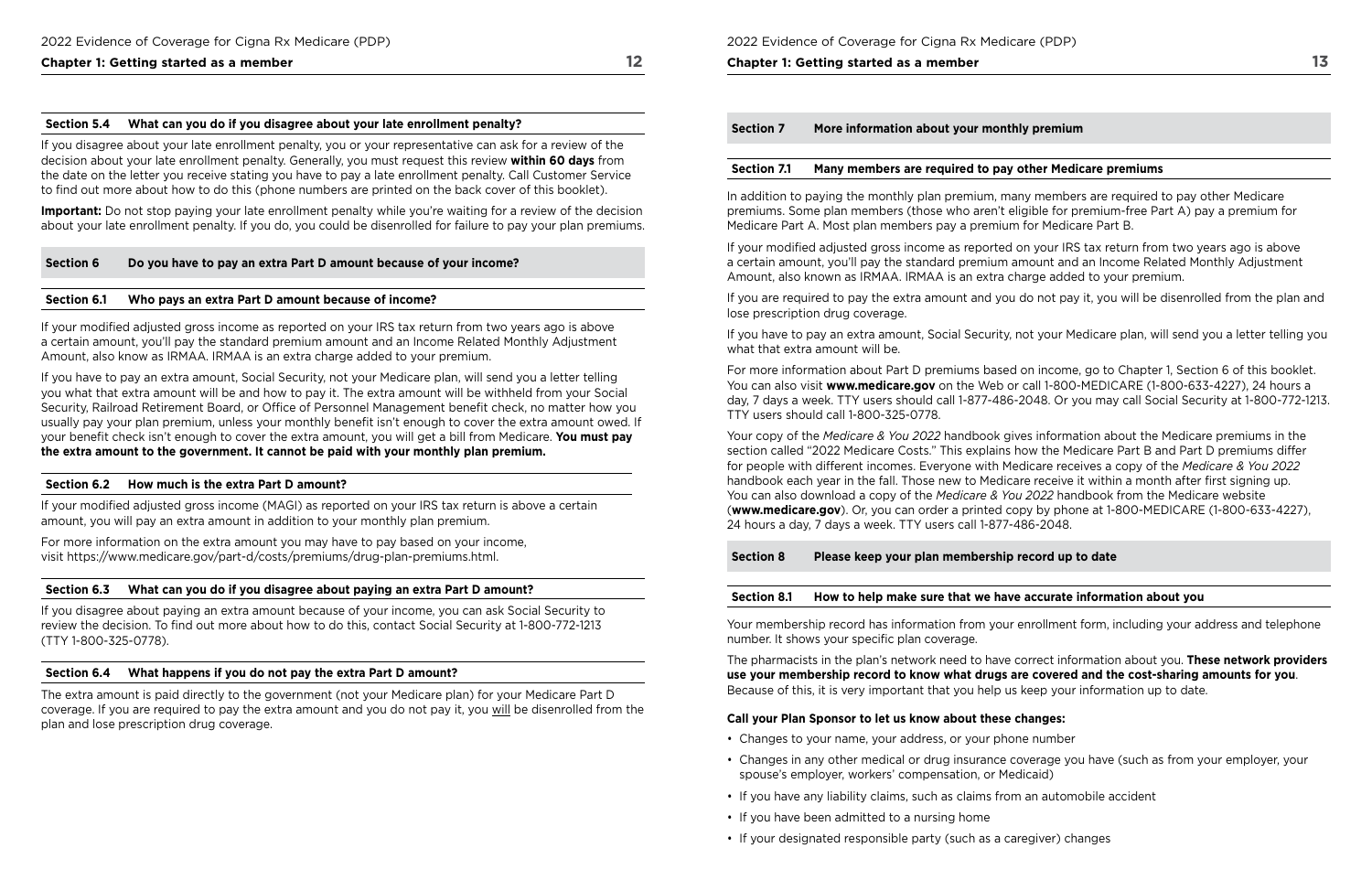## **Chapter 1: Getting started as a member 12 and 12 and 12 and 12 and 12 and 12 and 12 and 12 and 12 and 12 and 12 and 12 and 12 and 12 and 12 and 12 and 12 and 12 and 12 and 12 and 12 and 12 and 12 and 12 and 12 and 12 and**

#### **Section 5.4 What can you do if you disagree about your late enrollment penalty?**

If you disagree about your late enrollment penalty, you or your representative can ask for a review of the decision about your late enrollment penalty. Generally, you must request this review **within 60 days** from the date on the letter you receive stating you have to pay a late enrollment penalty. Call Customer Service to fnd out more about how to do this (phone numbers are printed on the back cover of this booklet).

**Important:** Do not stop paying your late enrollment penalty while you're waiting for a review of the decision about your late enrollment penalty. If you do, you could be disenrolled for failure to pay your plan premiums.

#### **Section 6 Do you have to pay an extra Part D amount because of your income?**

#### **Section 6.1 Who pays an extra Part D amount because of income?**

If your modifed adjusted gross income as reported on your IRS tax return from two years ago is above a certain amount, you'll pay the standard premium amount and an Income Related Monthly Adjustment Amount, also know as IRMAA. IRMAA is an extra charge added to your premium.

If you have to pay an extra amount, Social Security, not your Medicare plan, will send you a letter telling you what that extra amount will be and how to pay it. The extra amount will be withheld from your Social Security, Railroad Retirement Board, or Office of Personnel Management benefit check, no matter how you usually pay your plan premium, unless your monthly benefit isn't enough to cover the extra amount owed. If your benefit check isn't enough to cover the extra amount, you will get a bill from Medicare. You must pay **the extra amount to the government. It cannot be paid with your monthly plan premium.** 

#### **Section 6.2 How much is the extra Part D amount?**

If your modifed adjusted gross income (MAGI) as reported on your IRS tax return is above a certain amount, you will pay an extra amount in addition to your monthly plan premium.

For more information on the extra amount you may have to pay based on your income, visit <https://www.medicare.gov/part-d/costs/premiums/drug-plan-premiums.html>.

#### **Section 6.3 What can you do if you disagree about paying an extra Part D amount?**

If you disagree about paying an extra amount because of your income, you can ask Social Security to review the decision. To find out more about how to do this, contact Social Security at 1-800-772-1213 (TTY 1-800-325-0778).

#### **Section 6.4 What happens if you do not pay the extra Part D amount?**

The extra amount is paid directly to the government (not your Medicare plan) for your Medicare Part D coverage. If you are required to pay the extra amount and you do not pay it, you will be disenrolled from the plan and lose prescription drug coverage.

| More information about your monthl<br>ection 7 |  |
|------------------------------------------------|--|
|------------------------------------------------|--|

#### **Chapter 1: Getting started as a member**

#### **Section 7.1 Many members are required to pay other Medicare premiums**

In addition to paying the monthly plan premium, many members are required to pay other Medicare premiums. Some plan members (those who aren't eligible for premium-free Part A) pay a premium for Medicare Part A. Most plan members pay a premium for Medicare Part B.

If your modifed adjusted gross income as reported on your IRS tax return from two years ago is above a certain amount, you'll pay the standard premium amount and an Income Related Monthly Adjustment Amount, also known as IRMAA. IRMAA is an extra charge added to your premium.

If you are required to pay the extra amount and you do not pay it, you will be disenrolled from the plan and lose prescription drug coverage.

If you have to pay an extra amount, Social Security, not your Medicare plan, will send you a letter telling you what that extra amount will be.

For more information about Part D premiums based on income, go to Chapter 1, Section 6 of this booklet. You can also visit **[www.medicare.gov](http://www.medicare.gov)** on the Web or call 1-800-MEDICARE (1-800-633-4227), 24 hours a day, 7 days a week. TTY users should call 1-877-486-2048. Or you may call Social Security at 1-800-772-1213. TTY users should call 1-800-325-0778.

Your copy of the *Medicare & You 2022* handbook gives information about the Medicare premiums in the section called "2022 Medicare Costs." This explains how the Medicare Part B and Part D premiums differ for people with different incomes. Everyone with Medicare receives a copy of the *Medicare & You 2022*  handbook each year in the fall. Those new to Medicare receive it within a month after frst signing up. You can also download a copy of the *Medicare & You 2022* handbook from the Medicare website (**[www.medicare.gov](http://www.medicare.gov)**). Or, you can order a printed copy by phone at 1-800-MEDICARE (1-800-633-4227), 24 hours a day, 7 days a week. TTY users call 1-877-486-2048.

**Section 8 Please keep your plan membership record up to date** 

## **Section 8.1 How to help make sure that we have accurate information about you**

 Your membership record has information from your enrollment form, including your address and telephone number. It shows your specific plan coverage.

The pharmacists in the plan's network need to have correct information about you. **These network providers use your membership record to know what drugs are covered and the cost‑sharing amounts for you**. Because of this, it is very important that you help us keep your information up to date.

## **Call your Plan Sponsor to let us know about these changes:**

- Changes to your name, your address, or your phone number
- Changes in any other medical or drug insurance coverage you have (such as from your employer, your spouse's employer, workers' compensation, or Medicaid)
- If you have any liability claims, such as claims from an automobile accident
- If you have been admitted to a nursing home
- If your designated responsible party (such as a caregiver) changes

## **Iy premium**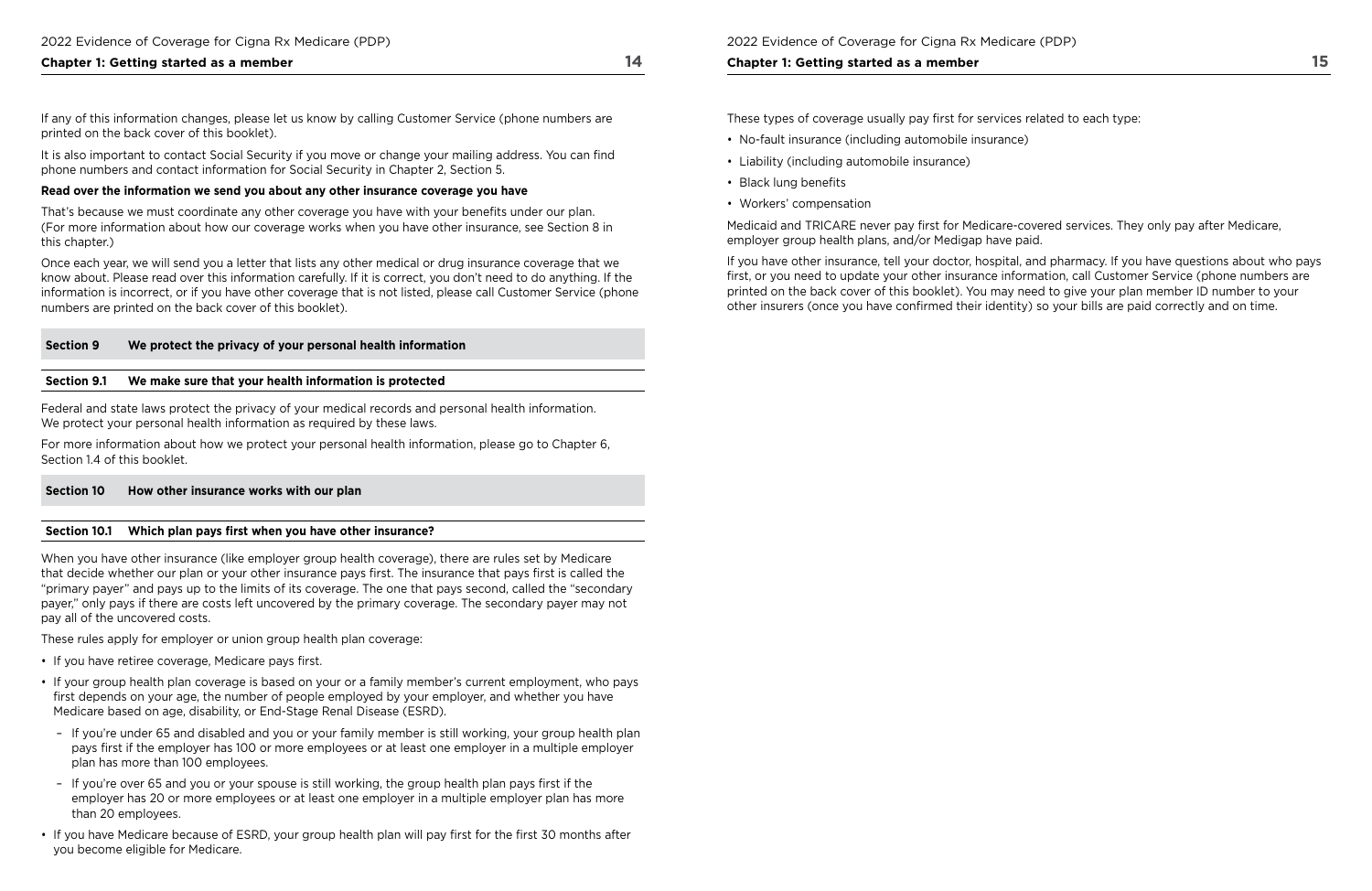### **Chapter 1: Getting started as a member 14 and 14 and 14 and 14 and 14 and 14 and 14 and 14 and 14 and 14 and 14 and 14 and 14 and 14 and 14 and 14 and 14 and 14 and 14 and 14 and 14 and 14 and 14 and 14 and 14 and 14 and**

 phone numbers and contact information for Social Security in Chapter 2, Section 5. It is also important to contact Social Security if you move or change your mailing address. You can fnd

If any of this information changes, please let us know by calling Customer Service (phone numbers are printed on the back cover of this booklet).

That's because we must coordinate any other coverage you have with your benefits under our plan. (For more information about how our coverage works when you have other insurance, see Section 8 in this chapter.)

### **Read over the information we send you about any other insurance coverage you have**

Federal and state laws protect the privacy of your medical records and personal health information. We protect your personal health information as required by these laws.

Once each year, we will send you a letter that lists any other medical or drug insurance coverage that we know about. Please read over this information carefully. If it is correct, you don't need to do anything. If the information is incorrect, or if you have other coverage that is not listed, please call Customer Service (phone numbers are printed on the back cover of this booklet).

## **Section 9 We protect the privacy of your personal health information**

#### **Section 9.1 We make sure that your health information is protected**

For more information about how we protect your personal health information, please go to Chapter 6, Section 1.4 of this booklet.

- If you have retiree coverage, Medicare pays first.
- If your group health plan coverage is based on your or a family member's current employment, who pays frst depends on your age, the number of people employed by your employer, and whether you have Medicare based on age, disability, or End-Stage Renal Disease (ESRD).
- If you're under 65 and disabled and you or your family member is still working, your group health plan pays frst if the employer has 100 or more employees or at least one employer in a multiple employer plan has more than 100 employees.
- If you're over 65 and you or your spouse is still working, the group health plan pays frst if the employer has 20 or more employees or at least one employer in a multiple employer plan has more than 20 employees.
- If you have Medicare because of ESRD, your group health plan will pay frst for the frst 30 months after you become eligible for Medicare.

### **Section 10 How other insurance works with our plan**

### Section 10.1 Which plan pays first when you have other insurance?

When you have other insurance (like employer group health coverage), there are rules set by Medicare that decide whether our plan or your other insurance pays frst. The insurance that pays frst is called the "primary payer" and pays up to the limits of its coverage. The one that pays second, called the "secondary payer," only pays if there are costs left uncovered by the primary coverage. The secondary payer may not pay all of the uncovered costs.

These rules apply for employer or union group health plan coverage:

2022 Evidence of Coverage for Cigna Rx Medicare (PDP)

#### **Chapter 1: Getting started as a member**

These types of coverage usually pay frst for services related to each type:

- No-fault insurance (including automobile insurance)
- Liability (including automobile insurance)
- Black lung benefits
- Workers' compensation

Medicaid and TRICARE never pay frst for Medicare-covered services. They only pay after Medicare, employer group health plans, and/or Medigap have paid.

If you have other insurance, tell your doctor, hospital, and pharmacy. If you have questions about who pays frst, or you need to update your other insurance information, call Customer Service (phone numbers are printed on the back cover of this booklet). You may need to give your plan member ID number to your other insurers (once you have confrmed their identity) so your bills are paid correctly and on time.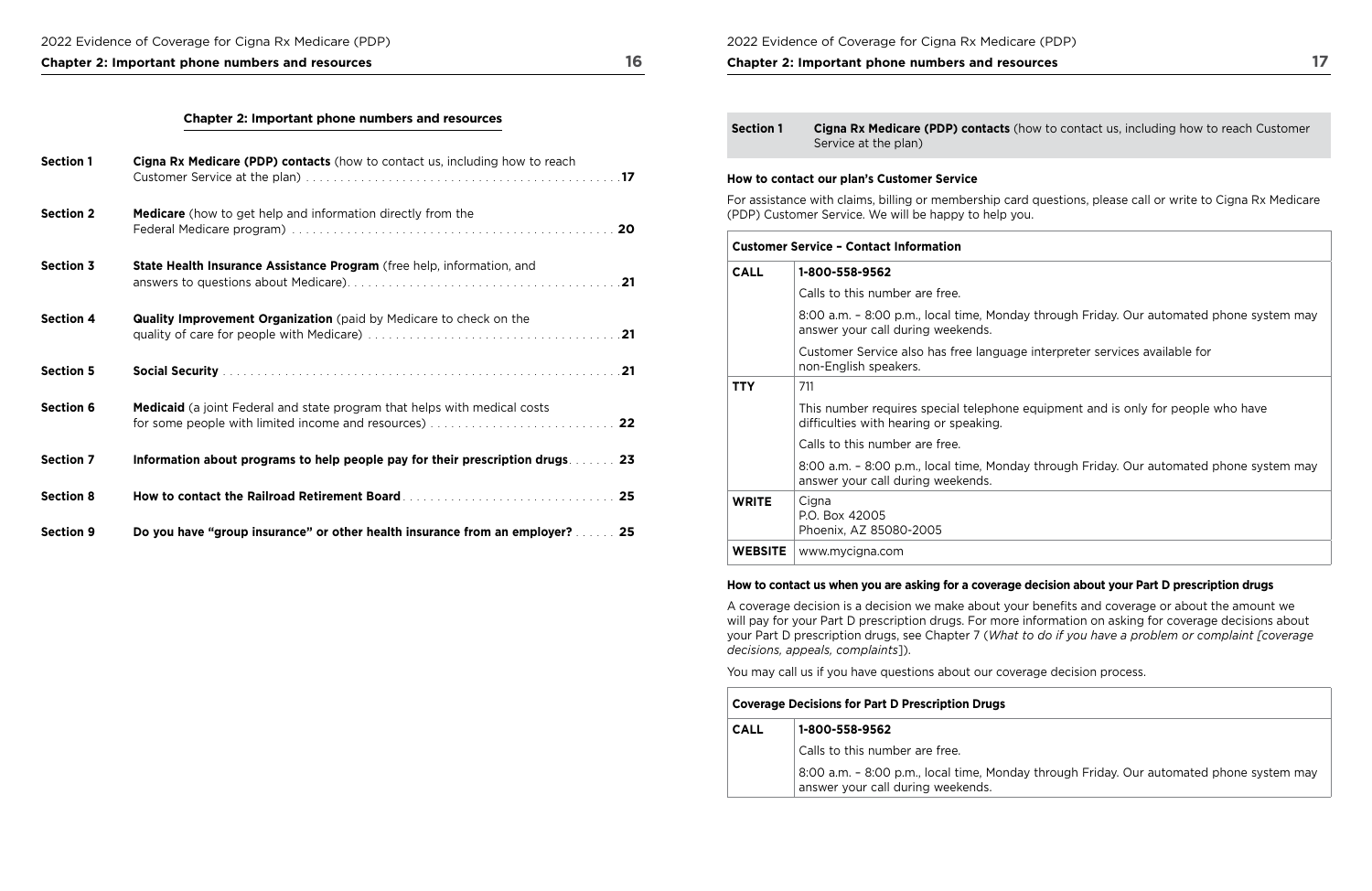#### 2022 Evidence of Coverage for Cigna Rx Medicare (PDP)

## **Chapter 2: Important phone numbers and resources 17**

## **Chapter 2: Important phone numbers and resources 16**

| <b>Section 1</b> | Cigna Rx Medicare (PDP) contacts (how to contact us, including how to reach      |  |
|------------------|----------------------------------------------------------------------------------|--|
| <b>Section 2</b> | <b>Medicare</b> (how to get help and information directly from the               |  |
| <b>Section 3</b> | State Health Insurance Assistance Program (free help, information, and           |  |
| <b>Section 4</b> | <b>Quality Improvement Organization</b> (paid by Medicare to check on the        |  |
| <b>Section 5</b> |                                                                                  |  |
| <b>Section 6</b> | <b>Medicaid</b> (a joint Federal and state program that helps with medical costs |  |
| <b>Section 7</b> | Information about programs to help people pay for their prescription drugs 23    |  |
| <b>Section 8</b> | How to contact the Railroad Retirement Board Marting Marshall (1995) 25          |  |
| <b>Section 9</b> | Do you have "group insurance" or other health insurance from an employer?  25    |  |

|              | Service at the plan)                                                                                                                                             |
|--------------|------------------------------------------------------------------------------------------------------------------------------------------------------------------|
|              | How to contact our plan's Customer Service<br>For assistance with claims, billing or membership card on<br>(PDP) Customer Service. We will be happy to help you. |
|              | <b>Customer Service - Contact Information</b>                                                                                                                    |
| <b>CALL</b>  | 1-800-558-9562                                                                                                                                                   |
|              | Calls to this number are free.                                                                                                                                   |
|              | 8:00 a.m. - 8:00 p.m., local time, Monday t<br>answer your call during weekends.                                                                                 |
|              | Customer Service also has free language ir<br>non-English speakers.                                                                                              |
| <b>TTY</b>   | 711                                                                                                                                                              |
|              | This number requires special telephone eq<br>difficulties with hearing or speaking.                                                                              |
|              | Calls to this number are free.                                                                                                                                   |
|              | 8:00 a.m. - 8:00 p.m., local time, Monday t<br>answer your call during weekends.                                                                                 |
| <b>WRITE</b> | Cigna<br>P.O. Box 42005<br>Phoenix, AZ 85080-2005                                                                                                                |

**WEBSITE** www.mycigna.com

### **How to contact us when you are asking for a coverage decision about your Part D prescription drugs**

By through Friday. Our automated phone system may

A coverage decision is a decision we make about your benefts and coverage or about the amount we

will pay for your Part D prescription drugs. For more information on asking for coverage decisions about your Part D prescription drugs, see Chapter 7 (*What to do if you have a problem or complaint [coverage decisions, appeals, complaints*]).

You may call us if you have questions about our coverage decision process.

| <b>Coverage Decisions for Part D Prescription Drugs</b> |                                                                               |
|---------------------------------------------------------|-------------------------------------------------------------------------------|
| <b>CALL</b>                                             | 1-800-558-9562                                                                |
|                                                         | Calls to this number are free.                                                |
|                                                         | 8:00 a.m. - 8:00 p.m., local time, Monda<br>answer your call during weekends. |

**Section 1 Cigna Rx Medicare (PDP) contacts** (how to contact us, including how to reach Customer

I questions, please call or write to Cigna Rx Medicare

through Friday. Our automated phone system may

interpreter services available for

equipment and is only for people who have

through Friday. Our automated phone system may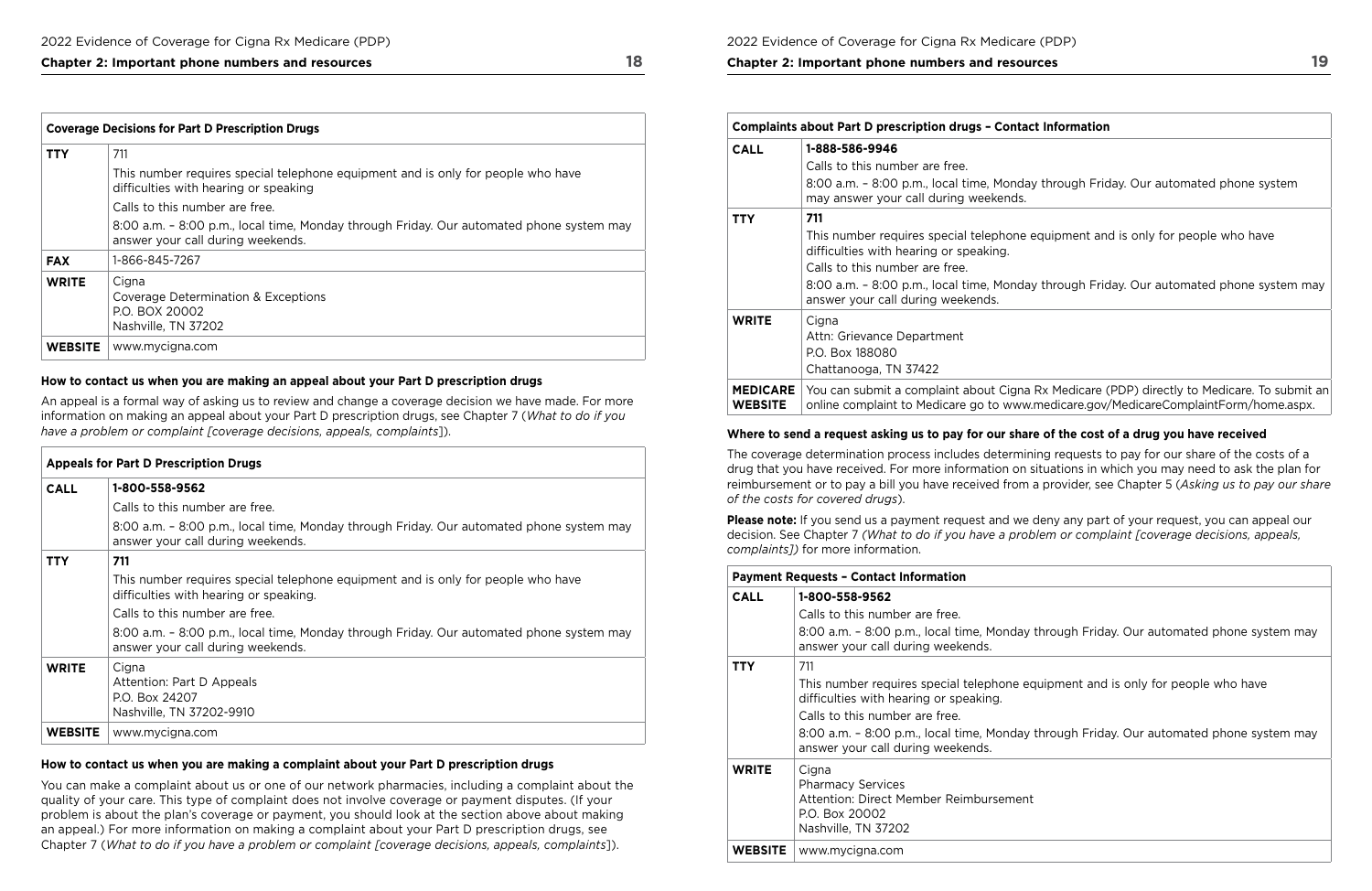| <b>Coverage Decisions for Part D Prescription Drugs</b> |                                                                                                                               |
|---------------------------------------------------------|-------------------------------------------------------------------------------------------------------------------------------|
| <b>TTY</b>                                              | 711                                                                                                                           |
|                                                         | This number requires special telephone equipment and is only for people who have<br>difficulties with hearing or speaking     |
|                                                         | Calls to this number are free.                                                                                                |
|                                                         | 8:00 a.m. - 8:00 p.m., local time, Monday through Friday. Our automated phone system may<br>answer your call during weekends. |
| <b>FAX</b>                                              | 1-866-845-7267                                                                                                                |
| <b>WRITE</b>                                            | Cigna<br>Coverage Determination & Exceptions<br>P.O. BOX 20002<br>Nashville, TN 37202                                         |
| <b>WEBSITE</b>                                          | www.mycigna.com                                                                                                               |

#### **How to contact us when you are making an appeal about your Part D prescription drugs**

An appeal is a formal way of asking us to review and change a coverage decision we have made. For more information on making an appeal about your Part D prescription drugs, see Chapter 7 (*What to do if you have a problem or complaint [coverage decisions, appeals, complaints*]).

| <b>Appeals for Part D Prescription Drugs</b> |                                                                                                                               |
|----------------------------------------------|-------------------------------------------------------------------------------------------------------------------------------|
| <b>CALL</b>                                  | 1-800-558-9562                                                                                                                |
|                                              | Calls to this number are free.                                                                                                |
|                                              | 8:00 a.m. - 8:00 p.m., local time, Monday through Friday. Our automated phone system may<br>answer your call during weekends. |
| <b>TTY</b>                                   | 711                                                                                                                           |
|                                              | This number requires special telephone equipment and is only for people who have<br>difficulties with hearing or speaking.    |
|                                              | Calls to this number are free.                                                                                                |
|                                              | 8:00 a.m. - 8:00 p.m., local time, Monday through Friday. Our automated phone system may<br>answer your call during weekends. |
| <b>WRITE</b>                                 | Cigna<br>Attention: Part D Appeals<br>P.O. Box 24207<br>Nashville, TN 37202-9910                                              |
| <b>WEBSITE</b>                               | www.mycigna.com                                                                                                               |

### **How to contact us when you are making a complaint about your Part D prescription drugs**

**Please note:** If you send us a payment request and we deny any part of your request, you can appeal our decision. See Chapter 7 *(What to do if you have a problem or complaint [coverage decisions, appeals, complaints])* for more information.

You can make a complaint about us or one of our network pharmacies, including a complaint about the quality of your care. This type of complaint does not involve coverage or payment disputes. (If your problem is about the plan's coverage or payment, you should look at the section above about making an appeal.) For more information on making a complaint about your Part D prescription drugs, see Chapter 7 (*What to do if you have a problem or complaint [coverage decisions, appeals, complaints*]).

#### **Complaint B and The Part D preserve**

lay through Friday. Our automated phone system

e equipment and is only for people who have

lay through Friday. Our automated phone system may

 $\alpha$  Rx Medicare (PDP) directly to Medicare. To submit an w.medicare.gov/MedicareComplaintForm/home.aspx.

Iy through Friday. Our automated phone system may

equipment and is only for people who have

Iy through Friday. Our automated phone system may

### **Chapter 2: Important phone numbers and resources**

| <b>Complaints about Part D prescription drugs - Conta</b> |                                                                                                                                                                                                            |
|-----------------------------------------------------------|------------------------------------------------------------------------------------------------------------------------------------------------------------------------------------------------------------|
| <b>CALL</b>                                               | 1-888-586-9946<br>Calls to this number are free.<br>8:00 a.m. - 8:00 p.m., local time, Monda<br>may answer your call during weekends.                                                                      |
| TTY                                                       | 711<br>This number requires special telephone<br>difficulties with hearing or speaking.<br>Calls to this number are free.<br>8:00 a.m. - 8:00 p.m., local time, Monda<br>answer your call during weekends. |
| <b>WRITE</b>                                              | Cigna<br>Attn: Grievance Department<br>P.O. Box 188080<br>Chattanooga, TN 37422                                                                                                                            |
| <b>MEDICARE</b><br><b>WEBSITE</b>                         | You can submit a complaint about Cigna<br>online complaint to Medicare go to www                                                                                                                           |

### **Where to send a request asking us to pay for our share of the cost of a drug you have received**

The coverage determination process includes determining requests to pay for our share of the costs of a drug that you have received. For more information on situations in which you may need to ask the plan for reimbursement or to pay a bill you have received from a provider, see Chapter 5 (*Asking us to pay our share of the costs for covered drugs*).

| <b>Payment Requests - Contact Information</b> |                                                                                                                                                                                                                  |  |
|-----------------------------------------------|------------------------------------------------------------------------------------------------------------------------------------------------------------------------------------------------------------------|--|
| <b>CALL</b>                                   | 1-800-558-9562<br>Calls to this number are free.<br>8:00 a.m. - 8:00 p.m., local time, Monday t<br>answer your call during weekends.                                                                             |  |
| <b>TTY</b>                                    | 711<br>This number requires special telephone eq<br>difficulties with hearing or speaking.<br>Calls to this number are free.<br>8:00 a.m. - 8:00 p.m., local time, Monday t<br>answer your call during weekends. |  |
| <b>WRITE</b>                                  | Cigna<br><b>Pharmacy Services</b><br>Attention: Direct Member Reimbursement<br>P.O. Box 20002<br>Nashville, TN 37202                                                                                             |  |
| <b>WEBSITE</b>                                | www.mycigna.com                                                                                                                                                                                                  |  |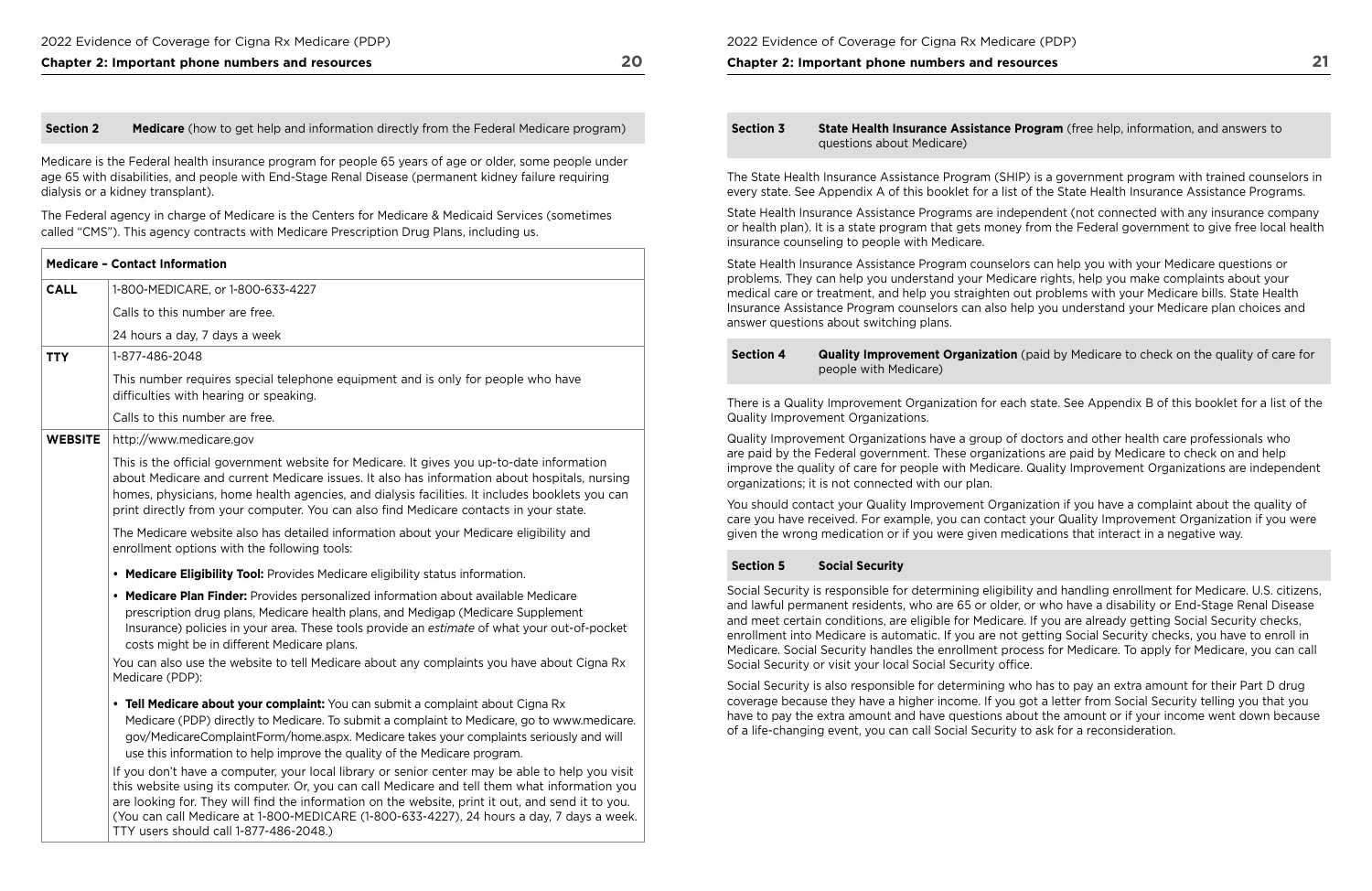Medicare is the Federal health insurance program for people 65 years of age or older, some people under age 65 with disabilities, and people with End-Stage Renal Disease (permanent kidney failure requiring dialysis or a kidney transplant).

The Federal agency in charge of Medicare is the Centers for Medicare & Medicaid Services (sometimes called "CMS"). This agency contracts with Medicare Prescription Drug Plans, including us.

#### **Section 3 State Health Insurance Assistance Program** (free help, information, and answers to questions about Medicare)

|                | <b>Medicare - Contact Information</b>                                                                                                                                                                                                                                                                                                                                                                                                                                                                                                                     |
|----------------|-----------------------------------------------------------------------------------------------------------------------------------------------------------------------------------------------------------------------------------------------------------------------------------------------------------------------------------------------------------------------------------------------------------------------------------------------------------------------------------------------------------------------------------------------------------|
| <b>CALL</b>    | 1-800-MEDICARE, or 1-800-633-4227                                                                                                                                                                                                                                                                                                                                                                                                                                                                                                                         |
|                | Calls to this number are free.                                                                                                                                                                                                                                                                                                                                                                                                                                                                                                                            |
|                | 24 hours a day, 7 days a week                                                                                                                                                                                                                                                                                                                                                                                                                                                                                                                             |
| <b>TTY</b>     | 1-877-486-2048                                                                                                                                                                                                                                                                                                                                                                                                                                                                                                                                            |
|                | This number requires special telephone equipment and is only for people who have<br>difficulties with hearing or speaking.                                                                                                                                                                                                                                                                                                                                                                                                                                |
|                | Calls to this number are free.                                                                                                                                                                                                                                                                                                                                                                                                                                                                                                                            |
| <b>WEBSITE</b> | http://www.medicare.gov                                                                                                                                                                                                                                                                                                                                                                                                                                                                                                                                   |
|                | This is the official government website for Medicare. It gives you up-to-date information<br>about Medicare and current Medicare issues. It also has information about hospitals, nursing<br>homes, physicians, home health agencies, and dialysis facilities. It includes booklets you can<br>print directly from your computer. You can also find Medicare contacts in your state.                                                                                                                                                                      |
|                | The Medicare website also has detailed information about your Medicare eligibility and<br>enrollment options with the following tools:                                                                                                                                                                                                                                                                                                                                                                                                                    |
|                | • Medicare Eligibility Tool: Provides Medicare eligibility status information.                                                                                                                                                                                                                                                                                                                                                                                                                                                                            |
|                | • Medicare Plan Finder: Provides personalized information about available Medicare<br>prescription drug plans, Medicare health plans, and Medigap (Medicare Supplement<br>Insurance) policies in your area. These tools provide an estimate of what your out-of-pocket<br>costs might be in different Medicare plans.                                                                                                                                                                                                                                     |
|                | You can also use the website to tell Medicare about any complaints you have about Cigna Rx<br>Medicare (PDP):                                                                                                                                                                                                                                                                                                                                                                                                                                             |
|                | • Tell Medicare about your complaint: You can submit a complaint about Cigna Rx<br>Medicare (PDP) directly to Medicare. To submit a complaint to Medicare, go to www.medicare.<br>gov/MedicareComplaintForm/home.aspx. Medicare takes your complaints seriously and will<br>use this information to help improve the quality of the Medicare program.<br>If you don't have a computer, your local library or senior center may be able to help you visit<br>this website using its computer. Or, you can call Medicare and tell them what information you |
|                | are looking for. They will find the information on the website, print it out, and send it to you.<br>(You can call Medicare at 1-800-MEDICARE (1-800-633-4227), 24 hours a day, 7 days a week.                                                                                                                                                                                                                                                                                                                                                            |

#### **Section 4 Quality Improvement Organization** (paid by Medicare to check on the quality of care for people with Medicare)

Social Security is responsible for determining eligibility and handling enrollment for Medicare. U.S. citizens, and lawful permanent residents, who are 65 or older, or who have a disability or End-Stage Renal Disease and meet certain conditions, are eligible for Medicare. If you are already getting Social Security checks, enrollment into Medicare is automatic. If you are not getting Social Security checks, you have to enroll in Medicare. Social Security handles the enrollment process for Medicare. To apply for Medicare, you can call Social Security or visit your local Social Security office.

TTY users should call 1-877-486-2048.)

2022 Evidence of Coverage for Cigna Rx Medicare (PDP)

**Chapter 2: Important phone numbers and resources** 

The State Health Insurance Assistance Program (SHIP) is a government program with trained counselors in every state. See Appendix A of this booklet for a list of the State Health Insurance Assistance Programs.

State Health Insurance Assistance Programs are independent (not connected with any insurance company or health plan). It is a state program that gets money from the Federal government to give free local health insurance counseling to people with Medicare.

State Health Insurance Assistance Program counselors can help you with your Medicare questions or problems. They can help you understand your Medicare rights, help you make complaints about your medical care or treatment, and help you straighten out problems with your Medicare bills. State Health Insurance Assistance Program counselors can also help you understand your Medicare plan choices and answer questions about switching plans.

There is a Quality Improvement Organization for each state. See Appendix B of this booklet for a list of the Quality Improvement Organizations.

Quality Improvement Organizations have a group of doctors and other health care professionals who are paid by the Federal government. These organizations are paid by Medicare to check on and help improve the quality of care for people with Medicare. Quality Improvement Organizations are independent organizations; it is not connected with our plan.

You should contact your Quality Improvement Organization if you have a complaint about the quality of care you have received. For example, you can contact your Quality Improvement Organization if you were given the wrong medication or if you were given medications that interact in a negative way.

#### **Section 5 Social Security**

Social Security is also responsible for determining who has to pay an extra amount for their Part D drug coverage because they have a higher income. If you got a letter from Social Security telling you that you have to pay the extra amount and have questions about the amount or if your income went down because of a life-changing event, you can call Social Security to ask for a reconsideration.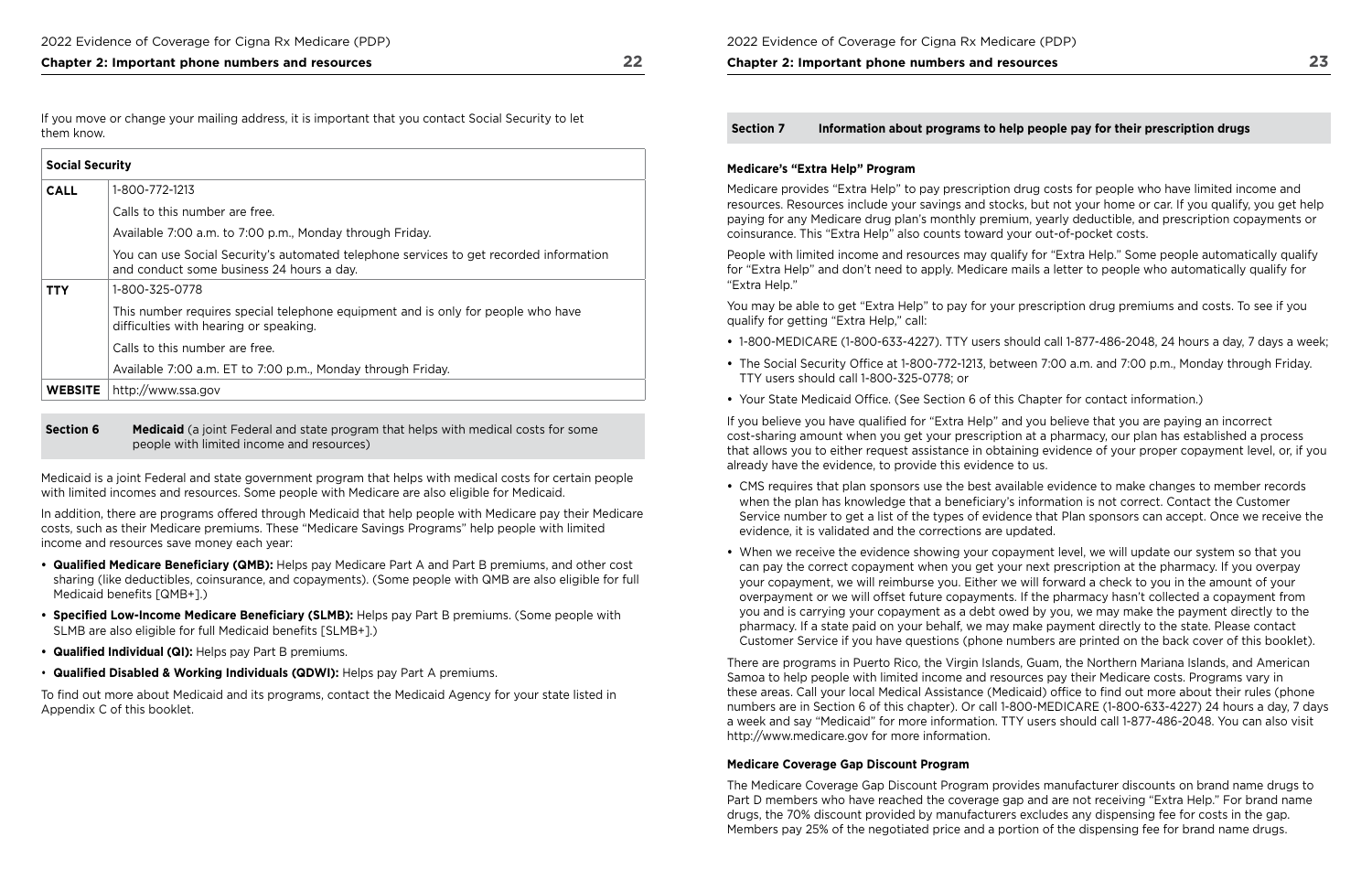If you move or change your mailing address, it is important that you contact Social Security to let them know.

**Section 6 Medicaid** (a joint Federal and state program that helps with medical costs for some people with limited income and resources)

| <b>Social Security</b> |                                                                                                                                     |
|------------------------|-------------------------------------------------------------------------------------------------------------------------------------|
| <b>CALL</b>            | 1-800-772-1213                                                                                                                      |
|                        | Calls to this number are free.                                                                                                      |
|                        | Available 7:00 a.m. to 7:00 p.m., Monday through Friday.                                                                            |
|                        | You can use Social Security's automated telephone services to get recorded information<br>and conduct some business 24 hours a day. |
| TTY                    | 1-800-325-0778                                                                                                                      |
|                        | This number requires special telephone equipment and is only for people who have<br>difficulties with hearing or speaking.          |
|                        | Calls to this number are free.                                                                                                      |
|                        | Available 7:00 a.m. ET to 7:00 p.m., Monday through Friday.                                                                         |
| <b>WEBSITE</b>         | http://www.ssa.gov                                                                                                                  |

- Qualified Medicare Beneficiary (QMB): Helps pay Medicare Part A and Part B premiums, and other cost sharing (like deductibles, coinsurance, and copayments). (Some people with QMB are also eligible for full Medicaid benefits [QMB+].)
- **Specified Low-Income Medicare Beneficiary (SLMB):** Helps pay Part B premiums. (Some people with SLMB are also eligible for full Medicaid benefits [SLMB+].)
- **Qualifed Individual (QI):** Helps pay Part B premiums.
- **Qualifed Disabled & Working Individuals (QDWI):** Helps pay Part A premiums.

Medicaid is a joint Federal and state government program that helps with medical costs for certain people with limited incomes and resources. Some people with Medicare are also eligible for Medicaid.

In addition, there are programs offered through Medicaid that help people with Medicare pay their Medicare costs, such as their Medicare premiums. These "Medicare Savings Programs" help people with limited income and resources save money each year:

 already have the evidence, to provide this evidence to us. If you believe you have qualifed for "Extra Help" and you believe that you are paying an incorrect cost-sharing amount when you get your prescription at a pharmacy, our plan has established a process that allows you to either request assistance in obtaining evidence of your proper copayment level, or, if you

To fnd out more about Medicaid and its programs, contact the Medicaid Agency for your state listed in Appendix C of this booklet.

### **Chapter 2: Important phone numbers and resources**

**Section 7 Information about programs to help people pay for their prescription drugs** 

#### **Medicare's "Extra Help" Program**

Medicare provides "Extra Help" to pay prescription drug costs for people who have limited income and resources. Resources include your savings and stocks, but not your home or car. If you qualify, you get help paying for any Medicare drug plan's monthly premium, yearly deductible, and prescription copayments or coinsurance. This "Extra Help" also counts toward your out-of-pocket costs.

People with limited income and resources may qualify for "Extra Help." Some people automatically qualify for "Extra Help" and don't need to apply. Medicare mails a letter to people who automatically qualify for "Extra Help."

You may be able to get "Extra Help" to pay for your prescription drug premiums and costs. To see if you qualify for getting "Extra Help," call:

- 
- The Social Security Office at 1-800-772-1213, between 7:00 a.m. and 7:00 p.m., Monday through Friday. TTY users should call 1-800-325-0778; or
- Your State Medicaid Office. (See Section 6 of this Chapter for contact information.)

**•** 1-800-MEDICARE (1-800-633-4227). TTY users should call 1-877-486-2048, 24 hours a day, 7 days a week;

Service number to get a list of the types of evidence that Plan sponsors can accept. Once we receive the

- CMS requires that plan sponsors use the best available evidence to make changes to member records when the plan has knowledge that a beneficiary's information is not correct. Contact the Customer evidence, it is validated and the corrections are updated.
- When we receive the evidence showing your copayment level, we will update our system so that you can pay the correct copayment when you get your next prescription at the pharmacy. If you overpay your copayment, we will reimburse you. Either we will forward a check to you in the amount of your overpayment or we will offset future copayments. If the pharmacy hasn't collected a copayment from you and is carrying your copayment as a debt owed by you, we may make the payment directly to the pharmacy. If a state paid on your behalf, we may make payment directly to the state. Please contact

Customer Service if you have questions (phone numbers are printed on the back cover of this booklet).

There are programs in Puerto Rico, the Virgin Islands, Guam, the Northern Mariana Islands, and American Samoa to help people with limited income and resources pay their Medicare costs. Programs vary in these areas. Call your local Medical Assistance (Medicaid) office to find out more about their rules (phone numbers are in Section 6 of this chapter). Or call 1-800-MEDICARE (1-800-633-4227) 24 hours a day, 7 days a week and say "Medicaid" for more information. TTY users should call 1-877-486-2048. You can also visit <http://www.medicare.gov> for more information.

### **Medicare Coverage Gap Discount Program**

The Medicare Coverage Gap Discount Program provides manufacturer discounts on brand name drugs to Part D members who have reached the coverage gap and are not receiving "Extra Help." For brand name drugs, the 70% discount provided by manufacturers excludes any dispensing fee for costs in the gap. Members pay 25% of the negotiated price and a portion of the dispensing fee for brand name drugs.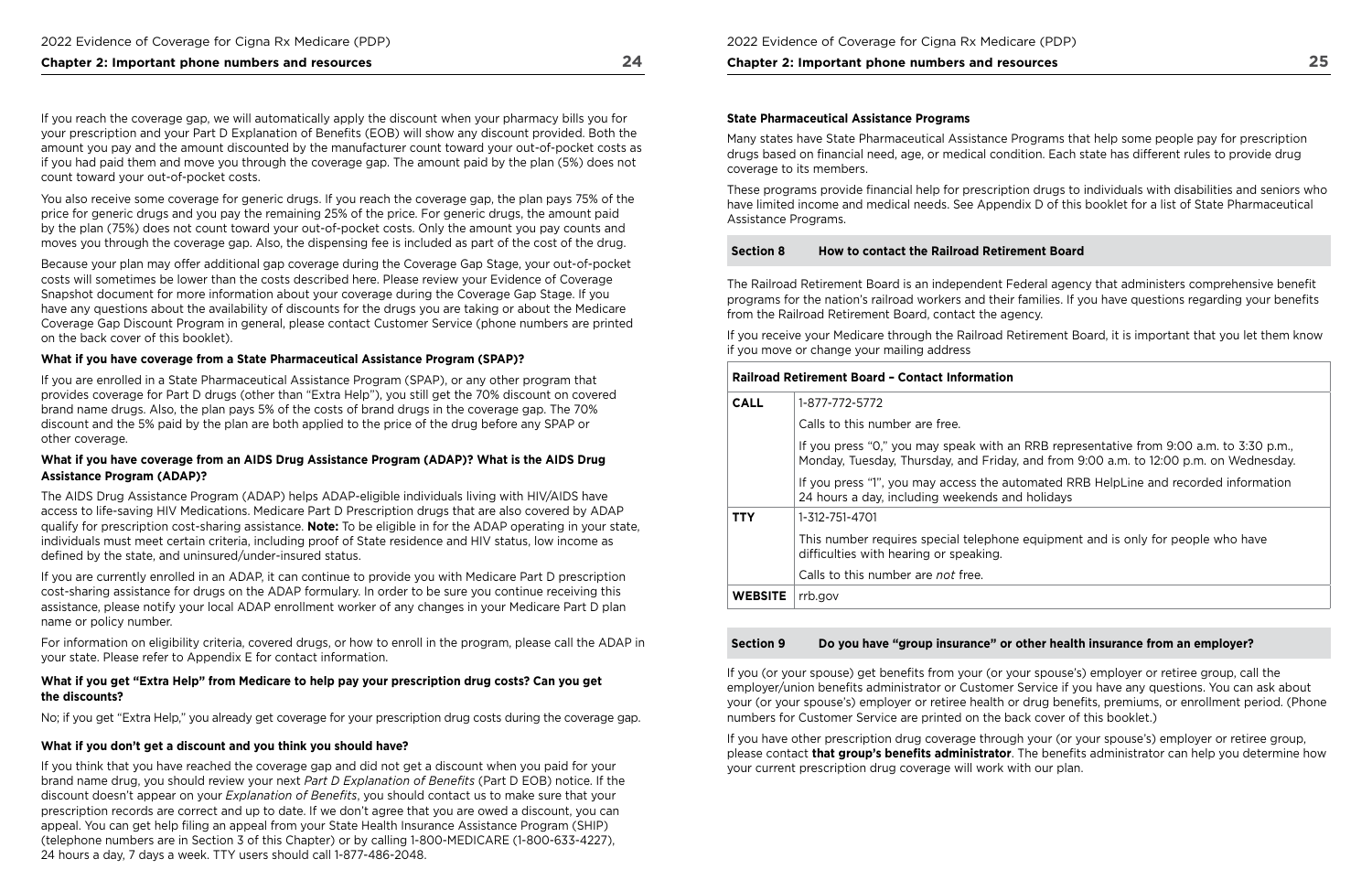If you reach the coverage gap, we will automatically apply the discount when your pharmacy bills you for your prescription and your Part D Explanation of Benefts (EOB) will show any discount provided. Both the amount you pay and the amount discounted by the manufacturer count toward your out-of-pocket costs as if you had paid them and move you through the coverage gap. The amount paid by the plan (5%) does not count toward your out-of-pocket costs.

You also receive some coverage for generic drugs. If you reach the coverage gap, the plan pays 75% of the price for generic drugs and you pay the remaining 25% of the price. For generic drugs, the amount paid by the plan (75%) does not count toward your out-of-pocket costs. Only the amount you pay counts and moves you through the coverage gap. Also, the dispensing fee is included as part of the cost of the drug.

Because your plan may offer additional gap coverage during the Coverage Gap Stage, your out-of-pocket costs will sometimes be lower than the costs described here. Please review your Evidence of Coverage Snapshot document for more information about your coverage during the Coverage Gap Stage. If you have any questions about the availability of discounts for the drugs you are taking or about the Medicare Coverage Gap Discount Program in general, please contact Customer Service (phone numbers are printed on the back cover of this booklet).

#### **What if you have coverage from a State Pharmaceutical Assistance Program (SPAP)?**

If you are enrolled in a State Pharmaceutical Assistance Program (SPAP), or any other program that provides coverage for Part D drugs (other than "Extra Help"), you still get the 70% discount on covered brand name drugs. Also, the plan pays 5% of the costs of brand drugs in the coverage gap. The 70% discount and the 5% paid by the plan are both applied to the price of the drug before any SPAP or other coverage.

 brand name drug, you should review your next *Part D Explanation of Benefts* (Part D EOB) notice. If the 24 hours a day, 7 days a week. TTY users should call 1-877-486-2048. If you think that you have reached the coverage gap and did not get a discount when you paid for your discount doesn't appear on your *Explanation of Benefts*, you should contact us to make sure that your prescription records are correct and up to date. If we don't agree that you are owed a discount, you can appeal. You can get help fling an appeal from your State Health Insurance Assistance Program (SHIP) (telephone numbers are in Section 3 of this Chapter) or by calling 1-800-MEDICARE (1-800-633-4227),

### **What if you have coverage from an AIDS Drug Assistance Program (ADAP)? What is the AIDS Drug Assistance Program (ADAP)?**

The AIDS Drug Assistance Program (ADAP) helps ADAP-eligible individuals living with HIV/AIDS have access to life-saving HIV Medications. Medicare Part D Prescription drugs that are also covered by ADAP qualify for prescription cost-sharing assistance. **Note:** To be eligible in for the ADAP operating in your state, individuals must meet certain criteria, including proof of State residence and HIV status, low income as defned by the state, and uninsured/under-insured status.

If you are currently enrolled in an ADAP, it can continue to provide you with Medicare Part D prescription cost-sharing assistance for drugs on the ADAP formulary. In order to be sure you continue receiving this assistance, please notify your local ADAP enrollment worker of any changes in your Medicare Part D plan name or policy number.

For information on eligibility criteria, covered drugs, or how to enroll in the program, please call the ADAP in your state. Please refer to Appendix E for contact information.

### **What if you get "Extra Help" from Medicare to help pay your prescription drug costs? Can you get the discounts?**

No; if you get "Extra Help," you already get coverage for your prescription drug costs during the coverage gap.

### **What if you don't get a discount and you think you should have?**

#### **Chapter 2: Important phone numbers and resources**

#### **State Pharmaceutical Assistance Programs**

Many states have State Pharmaceutical Assistance Programs that help some people pay for prescription drugs based on fnancial need, age, or medical condition. Each state has different rules to provide drug coverage to its members.

These programs provide fnancial help for prescription drugs to individuals with disabilities and seniors who have limited income and medical needs. See Appendix D of this booklet for a list of State Pharmaceutical Assistance Programs.

#### **Section 8 How to contact the Railroad Retirement Board**

The Railroad Retirement Board is an independent Federal agency that administers comprehensive beneft programs for the nation's railroad workers and their families. If you have questions regarding your benefts from the Railroad Retirement Board, contact the agency.

If you receive your Medicare through the Railroad Retirement Board, it is important that you let them know if you move or change your mailing address

#### **Railroad Retirement Board – Contact Information**

| <b>CALL</b>    | 1-877-772-5772                                                                      |
|----------------|-------------------------------------------------------------------------------------|
|                | Calls to this number are free.                                                      |
|                | If you press "0," you may speak with an<br>Monday, Tuesday, Thursday, and Friday,   |
|                | If you press "1", you may access the auto<br>24 hours a day, including weekends and |
| TTY            | 1-312-751-4701                                                                      |
|                | This number requires special telephone<br>difficulties with hearing or speaking.    |
|                | Calls to this number are not free.                                                  |
| <b>WEBSITE</b> | rrb.gov                                                                             |
|                |                                                                                     |

### **Section 9 Do you have "group insurance" or other health insurance from an employer?**

If you (or your spouse) get benefts from your (or your spouse's) employer or retiree group, call the employer/union benefts administrator or Customer Service if you have any questions. You can ask about your (or your spouse's) employer or retiree health or drug benefits, premiums, or enrollment period. (Phone numbers for Customer Service are printed on the back cover of this booklet.)

If you have other prescription drug coverage through your (or your spouse's) employer or retiree group, please contact **that group's benefts administrator**. The benefts administrator can help you determine how your current prescription drug coverage will work with our plan.

RRB representative from 9:00 a.m. to 3:30 p.m., and from 9:00 a.m. to 12:00 p.m. on Wednesday.

omated RRB HelpLine and recorded information holidays

equipment and is only for people who have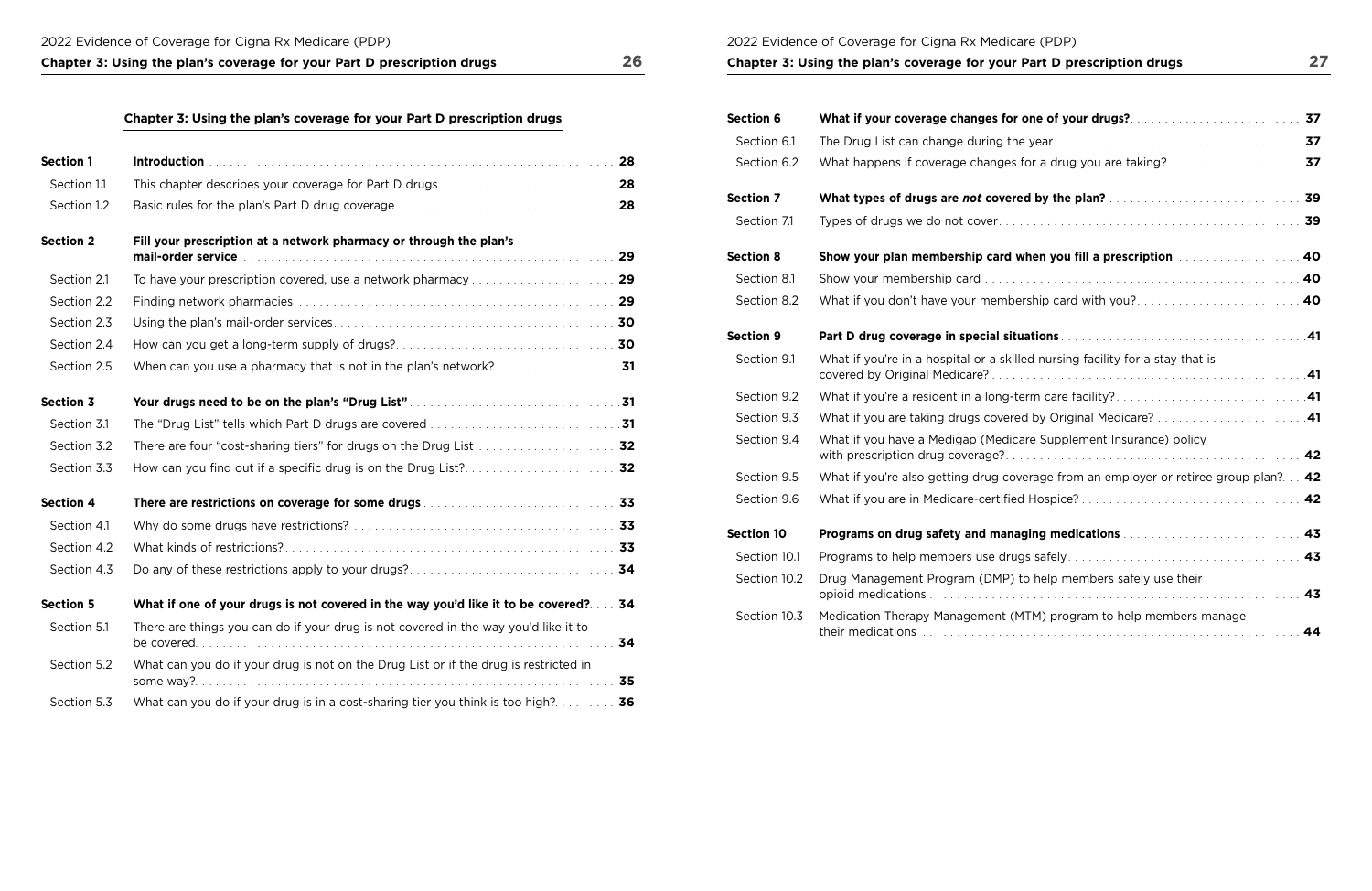2022 Evidence of Coverage for Cigna Rx Medicare (PDP) **Chapter 3: Using the plan's coverage for your Part D prescription drugs 27** 

| <b>Section 1</b> |                                                                                                                                                                                          |    |
|------------------|------------------------------------------------------------------------------------------------------------------------------------------------------------------------------------------|----|
| Section 1.1      |                                                                                                                                                                                          |    |
| Section 1.2      |                                                                                                                                                                                          |    |
| <b>Section 2</b> | Fill your prescription at a network pharmacy or through the plan's<br>mail-order service with a subsequently service in the service of the service of the service of the service of $29$ |    |
| Section 2.1      |                                                                                                                                                                                          |    |
|                  |                                                                                                                                                                                          |    |
| Section 2.2      |                                                                                                                                                                                          |    |
| Section 2.3      |                                                                                                                                                                                          |    |
| Section 2.4      |                                                                                                                                                                                          |    |
| Section 2.5      |                                                                                                                                                                                          |    |
| <b>Section 3</b> |                                                                                                                                                                                          |    |
| Section 3.1      |                                                                                                                                                                                          |    |
| Section 3.2      | There are four "cost-sharing tiers" for drugs on the Drug List  32                                                                                                                       |    |
| Section 3.3      |                                                                                                                                                                                          |    |
| <b>Section 4</b> |                                                                                                                                                                                          |    |
| Section 4.1      |                                                                                                                                                                                          |    |
| Section 4.2      |                                                                                                                                                                                          |    |
| Section 4.3      |                                                                                                                                                                                          |    |
| <b>Section 5</b> | What if one of your drugs is not covered in the way you'd like it to be covered? 34                                                                                                      |    |
| Section 5.1      | There are things you can do if your drug is not covered in the way you'd like it to                                                                                                      | 34 |
| Section 5.2      | What can you do if your drug is not on the Drug List or if the drug is restricted in                                                                                                     | 35 |
| Section 5.3      | What can you do if your drug is in a cost-sharing tier you think is too high? 36                                                                                                         |    |

| <b>Section 6</b>  | What if your coverage changes for one of your drugs?                          |
|-------------------|-------------------------------------------------------------------------------|
| Section 6.1       |                                                                               |
| Section 6.2       | What happens if coverage changes for a drug you are taking?                   |
| <b>Section 7</b>  | What types of drugs are not covered by the plan?                              |
| Section 7.1       |                                                                               |
| <b>Section 8</b>  | Show your plan membership card when you fill a prescription Alleman           |
| Section 8.1       |                                                                               |
| Section 8.2       | What if you don't have your membership card with you?                         |
| <b>Section 9</b>  |                                                                               |
| Section 9.1       | What if you're in a hospital or a skilled nursing facility for a stay that is |
| Section 9.2       | What if you're a resident in a long-term care facility?                       |
| Section 9.3       | What if you are taking drugs covered by Original Medicare?                    |
| Section 9.4       | What if you have a Medigap (Medicare Supplement Insurance) policy             |
| Section 9.5       | What if you're also getting drug coverage from an employer or retiree         |
| Section 9.6       |                                                                               |
| <b>Section 10</b> | Programs on drug safety and managing medications [1] [1]                      |
| Section 10.1      |                                                                               |
| Section 10.2      | Drug Management Program (DMP) to help members safely use their                |
| Section 10.3      | Medication Therapy Management (MTM) program to help members ma                |

| What if your coverage changes for one of your drugs? And an american service 37            |
|--------------------------------------------------------------------------------------------|
|                                                                                            |
| What happens if coverage changes for a drug you are taking?  37                            |
|                                                                                            |
|                                                                                            |
| Show your plan membership card when you fill a prescription with the state of 40           |
|                                                                                            |
| What if you don't have your membership card with you? 40                                   |
|                                                                                            |
| What if you're in a hospital or a skilled nursing facility for a stay that is              |
|                                                                                            |
| What if you are taking drugs covered by Original Medicare? 41                              |
| What if you have a Medigap (Medicare Supplement Insurance) policy                          |
| What if you're also getting drug coverage from an employer or retiree group plan? 42       |
|                                                                                            |
| Programs on drug safety and managing medications <b>Constitutions</b> and construct the 43 |
|                                                                                            |
| Drug Management Program (DMP) to help members safely use their<br>43                       |
| Medication Therapy Management (MTM) program to help members manage<br>44                   |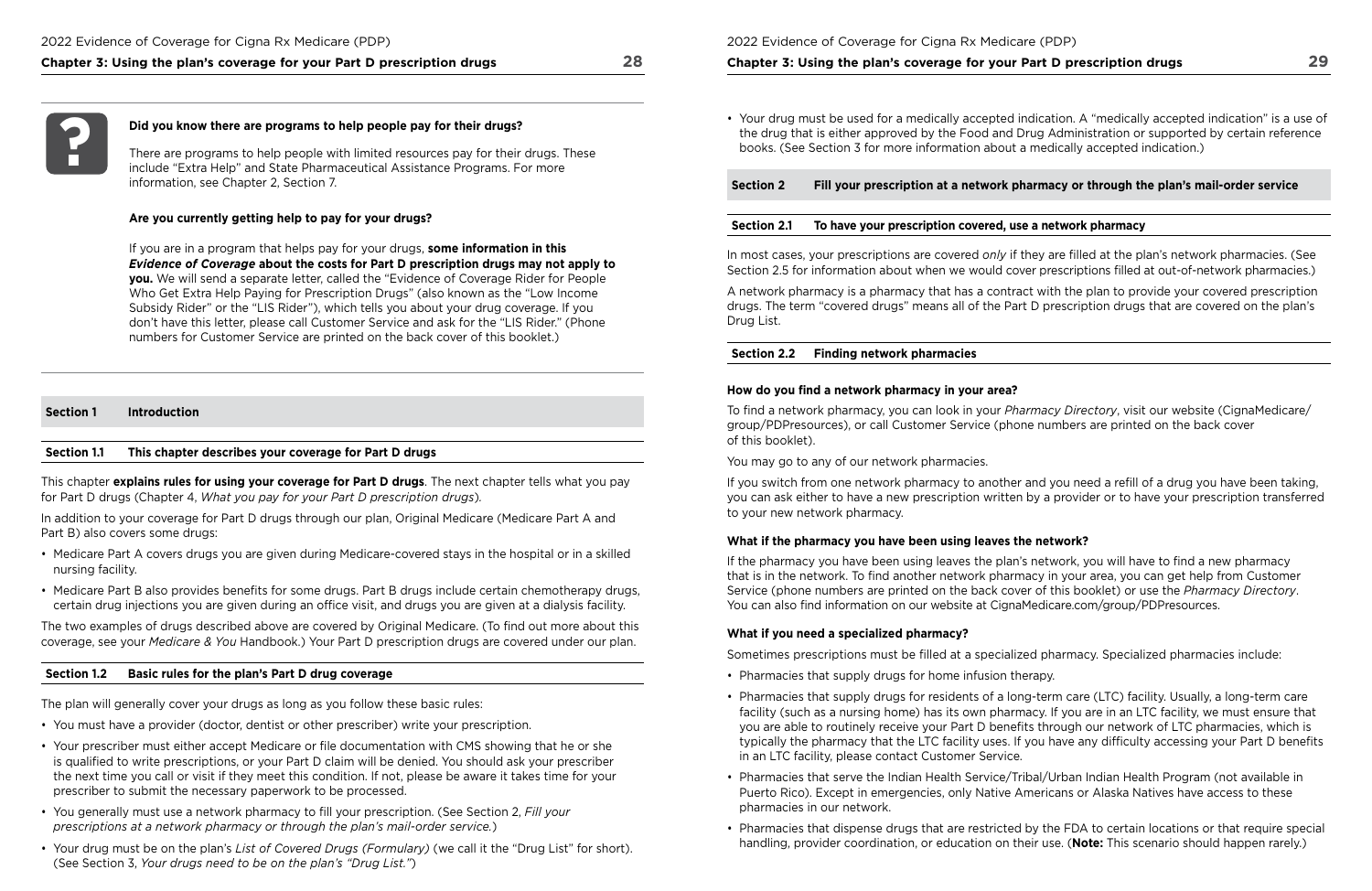#### **Did you know there are programs to help people pay for their drugs?**

 information, see Chapter 2, Section 7. There are programs to help people with limited resources pay for their drugs. These include "Extra Help" and State Pharmaceutical Assistance Programs. For more

#### **Are you currently getting help to pay for your drugs?**

- Medicare Part A covers drugs you are given during Medicare-covered stays in the hospital or in a skilled nursing facility.
- Medicare Part B also provides benefits for some drugs. Part B drugs include certain chemotherapy drugs, certain drug injections you are given during an office visit, and drugs you are given at a dialysis facility.

If you are in a program that helps pay for your drugs, **some information in this**  *Evidence of Coverage* **about the costs for Part D prescription drugs may not apply to you.** We will send a separate letter, called the "Evidence of Coverage Rider for People Who Get Extra Help Paying for Prescription Drugs" (also known as the "Low Income Subsidy Rider" or the "LIS Rider"), which tells you about your drug coverage. If you don't have this letter, please call Customer Service and ask for the "LIS Rider." (Phone numbers for Customer Service are printed on the back cover of this booklet.)

The two examples of drugs described above are covered by Original Medicare. (To find out more about this coverage, see your *Medicare & You* Handbook.) Your Part D prescription drugs are covered under our plan.

### **Section 1 Introduction**

#### **Section 1.1 This chapter describes your coverage for Part D drugs**

This chapter **explains rules for using your coverage for Part D drugs**. The next chapter tells what you pay for Part D drugs (Chapter 4, *What you pay for your Part D prescription drugs*)*.* 

In addition to your coverage for Part D drugs through our plan, Original Medicare (Medicare Part A and Part B) also covers some drugs:

 Section 2.5 for information about when we would cover prescriptions flled at out-of-network pharmacies.) In most cases, your prescriptions are covered *only* if they are flled at the plan's network pharmacies. (See

#### **Section 1.2 Basic rules for the plan's Part D drug coverage**

The plan will generally cover your drugs as long as you follow these basic rules:

 of this booklet). To fnd a network pharmacy, you can look in your *Pharmacy Directory*, visit our website (CignaMedicare/ group/PDPresources), or call Customer Service (phone numbers are printed on the back cover

 You can also fnd information on our website at [CignaMedicare.com/group/PDPresources.](www.CignaMedicare.com/group/PDPresources)  If the pharmacy you have been using leaves the plan's network, you will have to fnd a new pharmacy that is in the network. To find another network pharmacy in your area, you can get help from Customer Service (phone numbers are printed on the back cover of this booklet) or use the *Pharmacy Directory*.

- You must have a provider (doctor, dentist or other prescriber) write your prescription.
- Your prescriber must either accept Medicare or fle documentation with CMS showing that he or she is qualifed to write prescriptions, or your Part D claim will be denied. You should ask your prescriber the next time you call or visit if they meet this condition. If not, please be aware it takes time for your prescriber to submit the necessary paperwork to be processed.
- You generally must use a network pharmacy to fll your prescription. (See Section 2, *Fill your prescriptions at a network pharmacy or through the plan's mail‑order service.*)
- (See Section 3, *Your drugs need to be on the plan's "Drug List."*) • Your drug must be on the plan's *List of Covered Drugs (Formulary)* (we call it the "Drug List" for short).

facility (such as a nursing home) has its own pharmacy. If you are in an LTC facility, we must ensure that you are able to routinely receive your Part D benefts through our network of LTC pharmacies, which is typically the pharmacy that the LTC facility uses. If you have any difficulty accessing your Part D benefits

2022 Evidence of Coverage for Cigna Rx Medicare (PDP)

#### **Chapter 3: Using the plan's coverage for your Part D prescription drugs**

• Your drug must be used for a medically accepted indication. A "medically accepted indication" is a use of the drug that is either approved by the Food and Drug Administration or supported by certain reference

books. (See Section 3 for more information about a medically accepted indication.)

**Section 2 Fill your prescription at a network pharmacy or through the plan's mail‑order service** 

### **Section 2.1 To have your prescription covered, use a network pharmacy**

A network pharmacy is a pharmacy that has a contract with the plan to provide your covered prescription drugs. The term "covered drugs" means all of the Part D prescription drugs that are covered on the plan's Drug List.

#### **Section 2.2 Finding network pharmacies**

#### How do you find a network pharmacy in your area?

You may go to any of our network pharmacies.

If you switch from one network pharmacy to another and you need a refll of a drug you have been taking, you can ask either to have a new prescription written by a provider or to have your prescription transferred to your new network pharmacy.

### **What if the pharmacy you have been using leaves the network?**

#### **What if you need a specialized pharmacy?**

Sometimes prescriptions must be flled at a specialized pharmacy. Specialized pharmacies include:

- Pharmacies that supply drugs for home infusion therapy.
- Pharmacies that supply drugs for residents of a long-term care (LTC) facility. Usually, a long-term care in an LTC facility, please contact Customer Service.
- Pharmacies that serve the Indian Health Service/Tribal/Urban Indian Health Program (not available in Puerto Rico). Except in emergencies, only Native Americans or Alaska Natives have access to these pharmacies in our network.
- handling, provider coordination, or education on their use. (**Note:** This scenario should happen rarely.)

• Pharmacies that dispense drugs that are restricted by the FDA to certain locations or that require special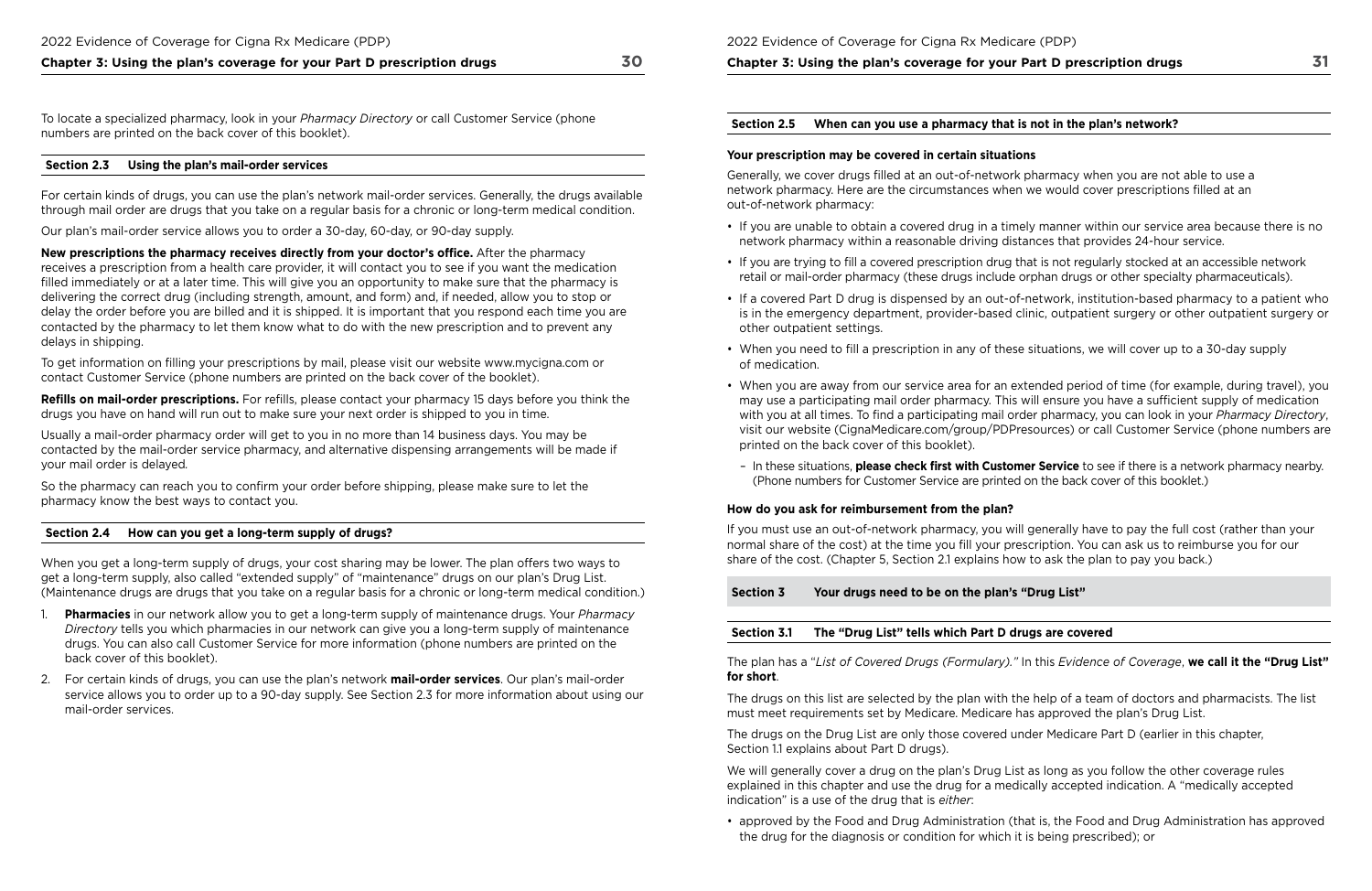share of the cost. (Chapter 5, Section 2.1 explains how to ask the plan to pay you back.) If you must use an out-of-network pharmacy, you will generally have to pay the full cost (rather than your normal share of the cost) at the time you fill your prescription. You can ask us to reimburse you for our

**Chapter 3: Using the plan's coverage for your Part D prescription drugs 30** 

 numbers are printed on the back cover of this booklet). To locate a specialized pharmacy, look in your *Pharmacy Directory* or call Customer Service (phone

#### **Section 2.3 Using the plan's mail‑order services**

For certain kinds of drugs, you can use the plan's network mail-order services. Generally, the drugs available through mail order are drugs that you take on a regular basis for a chronic or long-term medical condition.

Our plan's mail-order service allows you to order a 30-day, 60-day, or 90-day supply.

**New prescriptions the pharmacy receives directly from your doctor's office.** After the pharmacy receives a prescription from a health care provider, it will contact you to see if you want the medication flled immediately or at a later time. This will give you an opportunity to make sure that the pharmacy is delivering the correct drug (including strength, amount, and form) and, if needed, allow you to stop or delay the order before you are billed and it is shipped. It is important that you respond each time you are contacted by the pharmacy to let them know what to do with the new prescription and to prevent any delays in shipping.

Refills on mail-order prescriptions. For refills, please contact your pharmacy 15 days before you think the drugs you have on hand will run out to make sure your next order is shipped to you in time.

To get information on flling your prescriptions by mail, please visit our website <www.mycigna.com>or contact Customer Service (phone numbers are printed on the back cover of the booklet).

Usually a mail-order pharmacy order will get to you in no more than 14 business days. You may be contacted by the mail-order service pharmacy, and alternative dispensing arrangements will be made if your mail order is delayed*.* 

So the pharmacy can reach you to confrm your order before shipping, please make sure to let the pharmacy know the best ways to contact you.

### **Section 2.4 How can you get a long‑term supply of drugs?**

When you get a long-term supply of drugs, your cost sharing may be lower. The plan offers two ways to get a long-term supply, also called "extended supply" of "maintenance" drugs on our plan's Drug List. (Maintenance drugs are drugs that you take on a regular basis for a chronic or long-term medical condition.)

- 1. **Pharmacies** in our network allow you to get a long-term supply of maintenance drugs. Your *Pharmacy Directory* tells you which pharmacies in our network can give you a long-term supply of maintenance drugs. You can also call Customer Service for more information (phone numbers are printed on the back cover of this booklet).
- 2. For certain kinds of drugs, you can use the plan's network **mail‑order services**. Our plan's mail-order service allows you to order up to a 90-day supply. See Section 2.3 for more information about using our mail-order services.

 The plan has a "*List of Covered Drugs (Formulary)."* In this *Evidence of Coverage*, **we call it the "Drug List" for short**.

#### 2022 Evidence of Coverage for Cigna Rx Medicare (PDP)

**Chapter 3: Using the plan's coverage for your Part D prescription drugs** 

#### **Section 2.5 When can you use a pharmacy that is not in the plan's network?**

## **Your prescription may be covered in certain situations**

Generally, we cover drugs flled at an out-of-network pharmacy when you are not able to use a network pharmacy. Here are the circumstances when we would cover prescriptions flled at an out-of-network pharmacy:

• If you are unable to obtain a covered drug in a timely manner within our service area because there is no

• If a covered Part D drug is dispensed by an out-of-network, institution-based pharmacy to a patient who is in the emergency department, provider-based clinic, outpatient surgery or other outpatient surgery or

- network pharmacy within a reasonable driving distances that provides 24-hour service.
- If you are trying to fll a covered prescription drug that is not regularly stocked at an accessible network retail or mail-order pharmacy (these drugs include orphan drugs or other specialty pharmaceuticals).
- other outpatient settings.
- When you need to fll a prescription in any of these situations, we will cover up to a 30-day supply of medication.
- printed on the back cover of this booklet).
- (Phone numbers for Customer Service are printed on the back cover of this booklet.)

• When you are away from our service area for an extended period of time (for example, during travel), you may use a participating mail order pharmacy. This will ensure you have a suffcient supply of medication with you at all times. To fnd a participating mail order pharmacy, you can look in your *Pharmacy Directory*, visit our website [\(CignaMedicare.com/group/PDPresources\)](www.CignaMedicare.com/group/PDPresources) or call Customer Service (phone numbers are

– In these situations, **please check frst with Customer Service** to see if there is a network pharmacy nearby.

### **How do you ask for reimbursement from the plan?**

## **Section 3 Your drugs need to be on the plan's "Drug List"**

### **Section 3.1 The "Drug List" tells which Part D drugs are covered**

The drugs on this list are selected by the plan with the help of a team of doctors and pharmacists. The list must meet requirements set by Medicare. Medicare has approved the plan's Drug List.

The drugs on the Drug List are only those covered under Medicare Part D (earlier in this chapter, Section 1.1 explains about Part D drugs).

We will generally cover a drug on the plan's Drug List as long as you follow the other coverage rules explained in this chapter and use the drug for a medically accepted indication. A "medically accepted indication" is a use of the drug that is *either*:

• approved by the Food and Drug Administration (that is, the Food and Drug Administration has approved

the drug for the diagnosis or condition for which it is being prescribed); or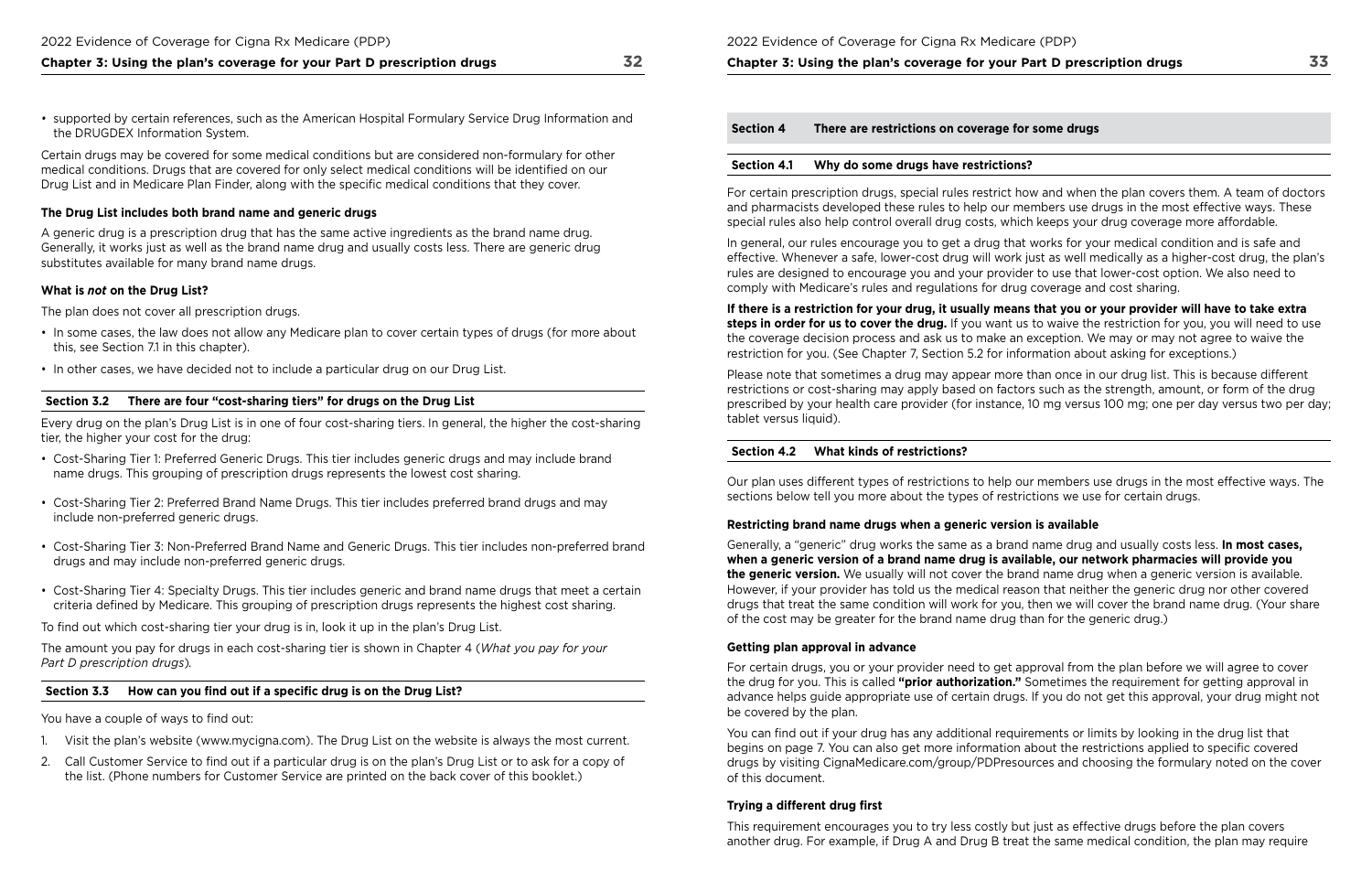Certain drugs may be covered for some medical conditions but are considered non-formulary for other medical conditions. Drugs that are covered for only select medical conditions will be identifed on our Drug List and in Medicare Plan Finder, along with the specifc medical conditions that they cover.

- this, see Section 7.1 in this chapter). • In some cases, the law does not allow any Medicare plan to cover certain types of drugs (for more about
- In other cases, we have decided not to include a particular drug on our Drug List.

### **The Drug List includes both brand name and generic drugs**

A generic drug is a prescription drug that has the same active ingredients as the brand name drug. Generally, it works just as well as the brand name drug and usually costs less. There are generic drug substitutes available for many brand name drugs.

### **What is** *not* **on the Drug List?**

The plan does not cover all prescription drugs.

#### **Section 3.2 There are four "cost‑sharing tiers" for drugs on the Drug List**

Every drug on the plan's Drug List is in one of four cost-sharing tiers. In general, the higher the cost-sharing tier, the higher your cost for the drug:

- Cost-Sharing Tier 1: Preferred Generic Drugs. This tier includes generic drugs and may include brand name drugs. This grouping of prescription drugs represents the lowest cost sharing.
- Cost-Sharing Tier 2: Preferred Brand Name Drugs. This tier includes preferred brand drugs and may include non-preferred generic drugs.
- Cost-Sharing Tier 3: Non-Preferred Brand Name and Generic Drugs. This tier includes non-preferred brand drugs and may include non-preferred generic drugs.
- Cost-Sharing Tier 4: Specialty Drugs. This tier includes generic and brand name drugs that meet a certain criteria defned by Medicare. This grouping of prescription drugs represents the highest cost sharing.

To fnd out which cost-sharing tier your drug is in, look it up in the plan's Drug List.

The amount you pay for drugs in each cost-sharing tier is shown in Chapter 4 (*What you pay for your Part D prescription drugs*)*.* 

### **Section 3.3 How can you fnd out if a specifc drug is on the Drug List?**

You have a couple of ways to find out:

- 1. Visit the plan's website ([www.mycigna.com\)](www.mycigna.com). The Drug List on the website is always the most current.
- 2. Call Customer Service to fnd out if a particular drug is on the plan's Drug List or to ask for a copy of the list. (Phone numbers for Customer Service are printed on the back cover of this booklet.)

2022 Evidence of Coverage for Cigna Rx Medicare (PDP)

**Chapter 3: Using the plan's coverage for your Part D prescription drugs** 

**Section 4 There are restrictions on coverage for some drugs Section 4.1 Why do some drugs have restrictions?** 

You can find out if your drug has any additional requirements or limits by looking in the drug list that begins on page 7. You can also get more information about the restrictions applied to specifc covered drugs by visiting [CignaMedicare.com/group/PDPresources a](www.CignaMedicare.com/group/PDPresources)nd choosing the formulary noted on the cover of this document.

### **Trying a different drug first**

For certain prescription drugs, special rules restrict how and when the plan covers them. A team of doctors and pharmacists developed these rules to help our members use drugs in the most effective ways. These special rules also help control overall drug costs, which keeps your drug coverage more affordable.

In general, our rules encourage you to get a drug that works for your medical condition and is safe and effective. Whenever a safe, lower-cost drug will work just as well medically as a higher-cost drug, the plan's rules are designed to encourage you and your provider to use that lower-cost option. We also need to comply with Medicare's rules and regulations for drug coverage and cost sharing.

**If there is a restriction for your drug, it usually means that you or your provider will have to take extra steps in order for us to cover the drug.** If you want us to waive the restriction for you, you will need to use the coverage decision process and ask us to make an exception. We may or may not agree to waive the restriction for you. (See Chapter 7, Section 5.2 for information about asking for exceptions.)

Please note that sometimes a drug may appear more than once in our drug list. This is because different restrictions or cost-sharing may apply based on factors such as the strength, amount, or form of the drug prescribed by your health care provider (for instance, 10 mg versus 100 mg; one per day versus two per day; tablet versus liquid).

#### **Section 4.2 What kinds of restrictions?**

Our plan uses different types of restrictions to help our members use drugs in the most effective ways. The sections below tell you more about the types of restrictions we use for certain drugs.

## **Restricting brand name drugs when a generic version is available**

Generally, a "generic" drug works the same as a brand name drug and usually costs less. **In most cases, when a generic version of a brand name drug is available, our network pharmacies will provide you the generic version.** We usually will not cover the brand name drug when a generic version is available. However, if your provider has told us the medical reason that neither the generic drug nor other covered drugs that treat the same condition will work for you, then we will cover the brand name drug. (Your share of the cost may be greater for the brand name drug than for the generic drug.)

### **Getting plan approval in advance**

For certain drugs, you or your provider need to get approval from the plan before we will agree to cover the drug for you. This is called **"prior authorization."** Sometimes the requirement for getting approval in advance helps guide appropriate use of certain drugs. If you do not get this approval, your drug might not be covered by the plan.

This requirement encourages you to try less costly but just as effective drugs before the plan covers another drug. For example, if Drug A and Drug B treat the same medical condition, the plan may require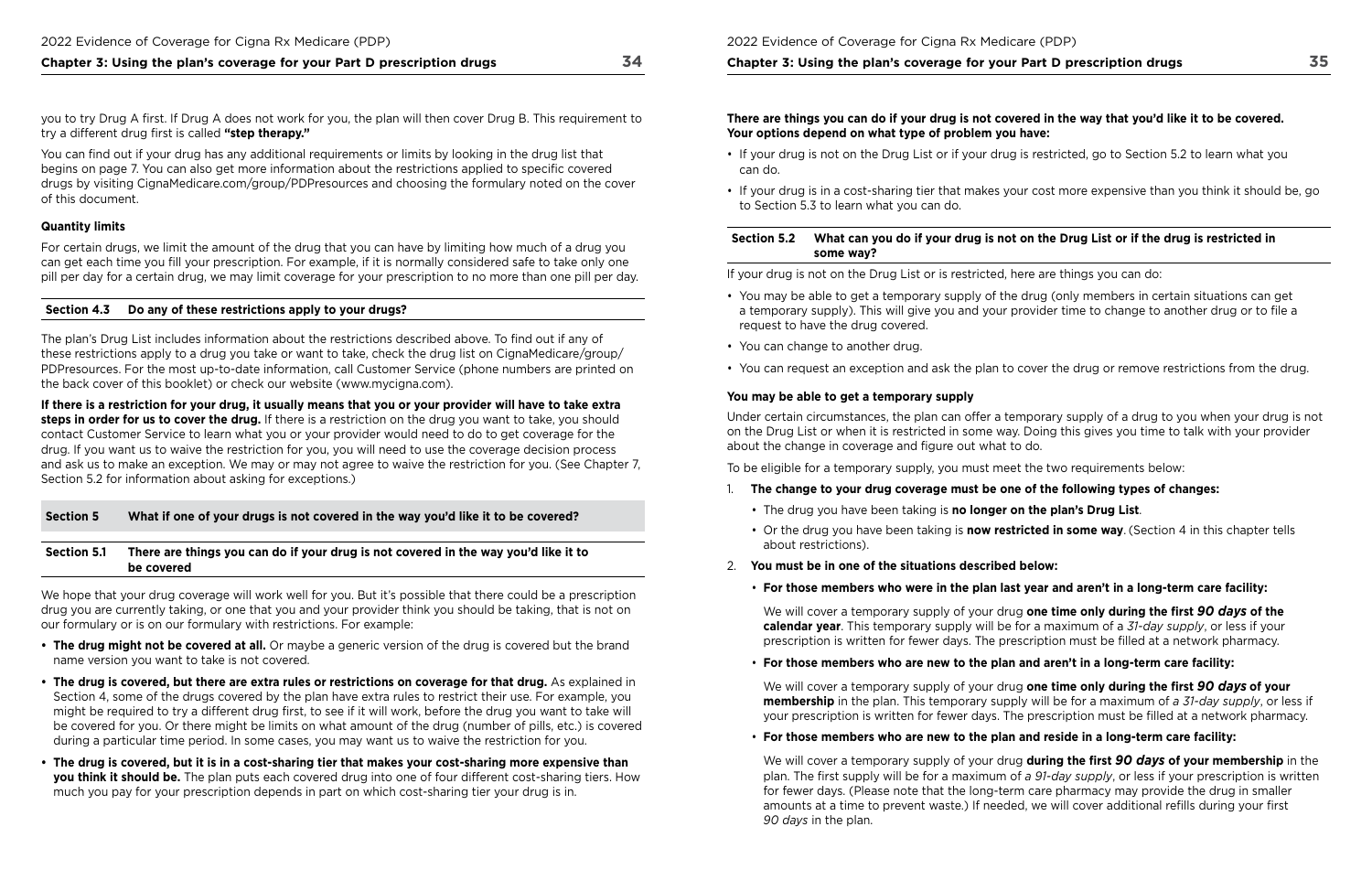you to try Drug A frst. If Drug A does not work for you, the plan will then cover Drug B. This requirement to try a different drug first is called "step therapy."

You can find out if your drug has any additional requirements or limits by looking in the drug list that begins on page 7. You can also get more information about the restrictions applied to specifc covered drugs by visiting [CignaMedicare.com/group/PDPresources a](www.CignaMedicare.com/group/PDPresources)nd choosing the formulary noted on the cover of this document.

### **Quantity limits**

The plan's Drug List includes information about the restrictions described above. To find out if any of these restrictions apply to a drug you take or want to take, check the drug list on CignaMedicare/group/ PDPresources. For the most up-to-date information, call Customer Service (phone numbers are printed on the back cover of this booklet) or check our website ([www.mycigna.com\)](www.mycigna.com).

For certain drugs, we limit the amount of the drug that you can have by limiting how much of a drug you can get each time you fll your prescription. For example, if it is normally considered safe to take only one pill per day for a certain drug, we may limit coverage for your prescription to no more than one pill per day.

#### **Section 4.3 Do any of these restrictions apply to your drugs?**

We hope that your drug coverage will work well for you. But it's possible that there could be a prescription drug you are currently taking, or one that you and your provider think you should be taking, that is not on our formulary or is on our formulary with restrictions. For example:

**If there is a restriction for your drug, it usually means that you or your provider will have to take extra steps in order for us to cover the drug.** If there is a restriction on the drug you want to take, you should contact Customer Service to learn what you or your provider would need to do to get coverage for the drug. If you want us to waive the restriction for you, you will need to use the coverage decision process and ask us to make an exception. We may or may not agree to waive the restriction for you. (See Chapter 7, Section 5.2 for information about asking for exceptions.)

### **Section 5 What if one of your drugs is not covered in the way you'd like it to be covered?**

#### **Section 5.1 There are things you can do if your drug is not covered in the way you'd like it to be covered**

Under certain circumstances, the plan can offer a temporary supply of a drug to you when your drug is not on the Drug List or when it is restricted in some way. Doing this gives you time to talk with your provider about the change in coverage and figure out what to do.

We will cover a temporary supply of your drug one time only during the first 90 days of the **calendar year**. This temporary supply will be for a maximum of a *31‑day supply*, or less if your prescription is written for fewer days. The prescription must be flled at a network pharmacy.

- **The drug might not be covered at all.** Or maybe a generic version of the drug is covered but the brand name version you want to take is not covered.
- **The drug is covered, but there are extra rules or restrictions on coverage for that drug.** As explained in Section 4, some of the drugs covered by the plan have extra rules to restrict their use. For example, you might be required to try a different drug frst, to see if it will work, before the drug you want to take will be covered for you. Or there might be limits on what amount of the drug (number of pills, etc.) is covered during a particular time period. In some cases, you may want us to waive the restriction for you.
- **The drug is covered, but it is in a cost‑sharing tier that makes your cost‑sharing more expensive than you think it should be.** The plan puts each covered drug into one of four different cost-sharing tiers. How much you pay for your prescription depends in part on which cost-sharing tier your drug is in.

### **There are things you can do if your drug is not covered in the way that you'd like it to be covered. Your options depend on what type of problem you have:**

- If your drug is not on the Drug List or if your drug is restricted, go to Section 5.2 to learn what you can do.
- If your drug is in a cost-sharing tier that makes your cost more expensive than you think it should be, go to Section 5.3 to learn what you can do.

### **Section 5.2 What can you do if your drug is not on the Drug List or if the drug is restricted in some way?**

If your drug is not on the Drug List or is restricted, here are things you can do:

- You may be able to get a temporary supply of the drug (only members in certain situations can get a temporary supply). This will give you and your provider time to change to another drug or to fle a request to have the drug covered.
- You can change to another drug.
- You can request an exception and ask the plan to cover the drug or remove restrictions from the drug.

### **You may be able to get a temporary supply**

To be eligible for a temporary supply, you must meet the two requirements below:

• Or the drug you have been taking is **now restricted in some way**. (Section 4 in this chapter tells

- 1. **The change to your drug coverage must be one of the following types of changes:** 
	- The drug you have been taking is **no longer on the plan's Drug List**.
	- about restrictions).
- 2. **You must be in one of the situations described below:** 
	- **For those members who were in the plan last year and aren't in a long‑term care facility:**

• **For those members who are new to the plan and aren't in a long‑term care facility:** 

We will cover a temporary supply of your drug **one time only during the frst** *90 days* **of your membership** in the plan. This temporary supply will be for a maximum of *a 31‑day supply*, or less if your prescription is written for fewer days. The prescription must be flled at a network pharmacy.

• **For those members who are new to the plan and reside in a long‑term care facility:** 

We will cover a temporary supply of your drug **during the frst** *90 days* **of your membership** in the plan. The frst supply will be for a maximum of *a 91‑day supply*, or less if your prescription is written for fewer days. (Please note that the long-term care pharmacy may provide the drug in smaller amounts at a time to prevent waste.) If needed, we will cover additional reflls during your frst *90 days* in the plan.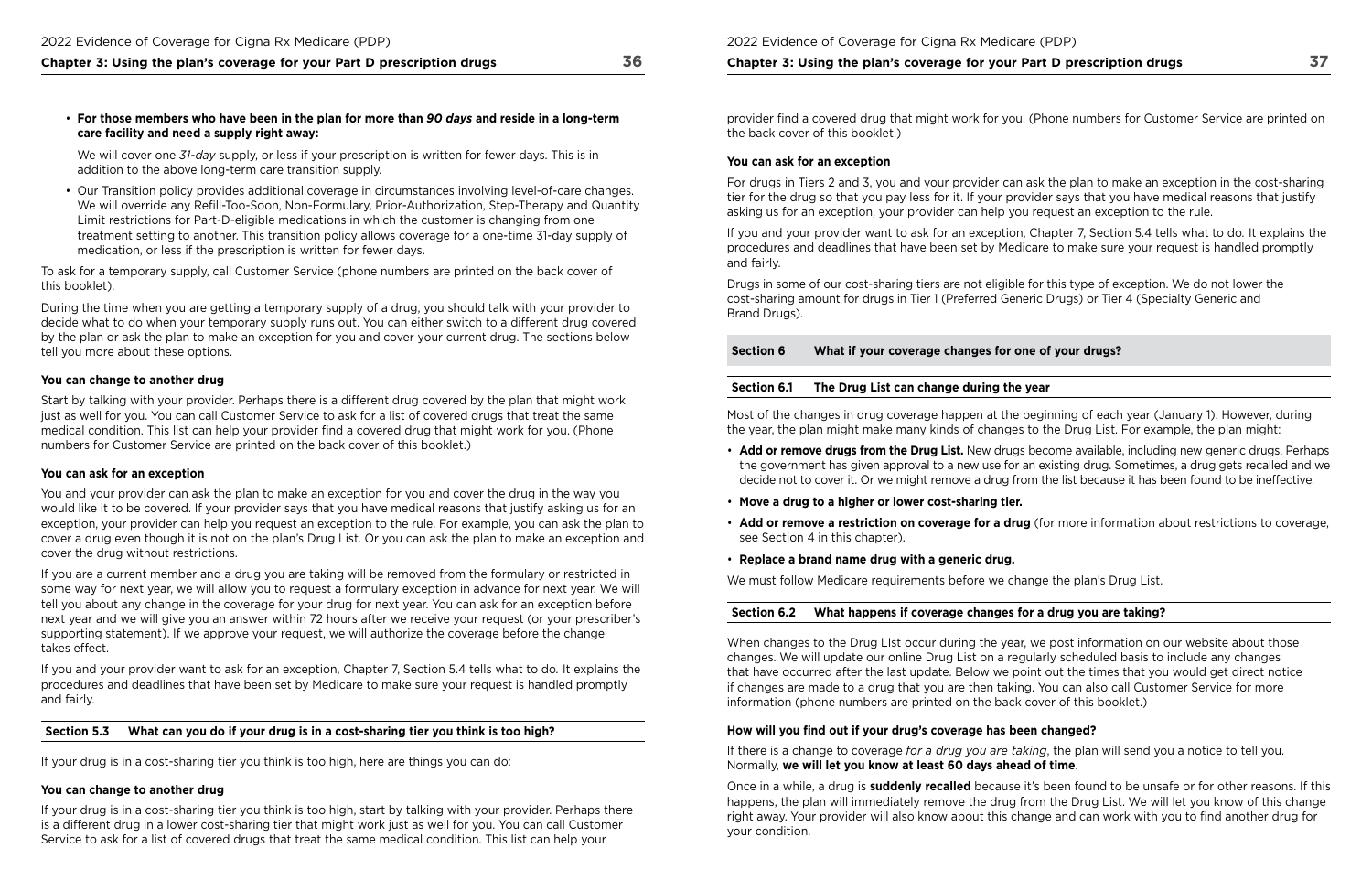• **For those members who have been in the plan for more than** *90 days* **and reside in a long‑term care facility and need a supply right away:** 

We will cover one *31‑day* supply, or less if your prescription is written for fewer days. This is in addition to the above long-term care transition supply.

• Our Transition policy provides additional coverage in circumstances involving level-of-care changes. We will override any Refll-Too-Soon, Non-Formulary, Prior-Authorization, Step-Therapy and Quantity Limit restrictions for Part-D-eligible medications in which the customer is changing from one treatment setting to another. This transition policy allows coverage for a one-time 31-day supply of medication, or less if the prescription is written for fewer days.

To ask for a temporary supply, call Customer Service (phone numbers are printed on the back cover of this booklet).

During the time when you are getting a temporary supply of a drug, you should talk with your provider to decide what to do when your temporary supply runs out. You can either switch to a different drug covered by the plan or ask the plan to make an exception for you and cover your current drug. The sections below tell you more about these options.

### **You can change to another drug**

 If you and your provider want to ask for an exception, Chapter 7, Section 5.4 tells what to do*.* It explains the procedures and deadlines that have been set by Medicare to make sure your request is handled promptly and fairly.

Start by talking with your provider. Perhaps there is a different drug covered by the plan that might work just as well for you. You can call Customer Service to ask for a list of covered drugs that treat the same medical condition. This list can help your provider find a covered drug that might work for you. (Phone numbers for Customer Service are printed on the back cover of this booklet.)

#### **You can ask for an exception**

 asking us for an exception, your provider can help you request an exception to the rule. For drugs in Tiers 2 and 3, you and your provider can ask the plan to make an exception in the cost-sharing tier for the drug so that you pay less for it. If your provider says that you have medical reasons that justify

You and your provider can ask the plan to make an exception for you and cover the drug in the way you would like it to be covered. If your provider says that you have medical reasons that justify asking us for an exception, your provider can help you request an exception to the rule. For example, you can ask the plan to cover a drug even though it is not on the plan's Drug List. Or you can ask the plan to make an exception and cover the drug without restrictions.

 If you and your provider want to ask for an exception, Chapter 7, Section 5.4 tells what to do*.* It explains the procedures and deadlines that have been set by Medicare to make sure your request is handled promptly and fairly.

If you are a current member and a drug you are taking will be removed from the formulary or restricted in some way for next year, we will allow you to request a formulary exception in advance for next year. We will tell you about any change in the coverage for your drug for next year. You can ask for an exception before next year and we will give you an answer within 72 hours after we receive your request (or your prescriber's supporting statement). If we approve your request, we will authorize the coverage before the change takes effect.

## **Section 5.3 What can you do if your drug is in a cost‑sharing tier you think is too high?**

 Normally, **we will let you know at least 60 days ahead of time**. If there is a change to coverage *for a drug you are taking*, the plan will send you a notice to tell you.

If your drug is in a cost-sharing tier you think is too high, here are things you can do:

## **You can change to another drug**

If your drug is in a cost-sharing tier you think is too high, start by talking with your provider. Perhaps there is a different drug in a lower cost-sharing tier that might work just as well for you. You can call Customer Service to ask for a list of covered drugs that treat the same medical condition. This list can help your

provider fnd a covered drug that might work for you. (Phone numbers for Customer Service are printed on the back cover of this booklet.)

## **You can ask for an exception**

Drugs in some of our cost-sharing tiers are not eligible for this type of exception. We do not lower the cost-sharing amount for drugs in Tier 1 (Preferred Generic Drugs) or Tier 4 (Specialty Generic and Brand Drugs).

**Section 6 What if your coverage changes for one of your drugs?** 

## **Section 6.1 The Drug List can change during the year**

Most of the changes in drug coverage happen at the beginning of each year (January 1). However, during the year, the plan might make many kinds of changes to the Drug List. For example, the plan might:

• **Add or remove drugs from the Drug List.** New drugs become available, including new generic drugs. Perhaps the government has given approval to a new use for an existing drug. Sometimes, a drug gets recalled and we decide not to cover it. Or we might remove a drug from the list because it has been found to be ineffective.

• **Add or remove a restriction on coverage for a drug** (for more information about restrictions to coverage,

- 
- **Move a drug to a higher or lower cost‑sharing tier.**
- see Section 4 in this chapter).
- **Replace a brand name drug with a generic drug.**

We must follow Medicare requirements before we change the plan's Drug List.

## **Section 6.2 What happens if coverage changes for a drug you are taking?**

When changes to the Drug LIst occur during the year, we post information on our website about those changes. We will update our online Drug List on a regularly scheduled basis to include any changes that have occurred after the last update. Below we point out the times that you would get direct notice if changes are made to a drug that you are then taking. You can also call Customer Service for more information (phone numbers are printed on the back cover of this booklet.)

## How will you find out if your drug's coverage has been changed?

Once in a while, a drug is **suddenly recalled** because it's been found to be unsafe or for other reasons. If this happens, the plan will immediately remove the drug from the Drug List. We will let you know of this change right away. Your provider will also know about this change and can work with you to fnd another drug for your condition.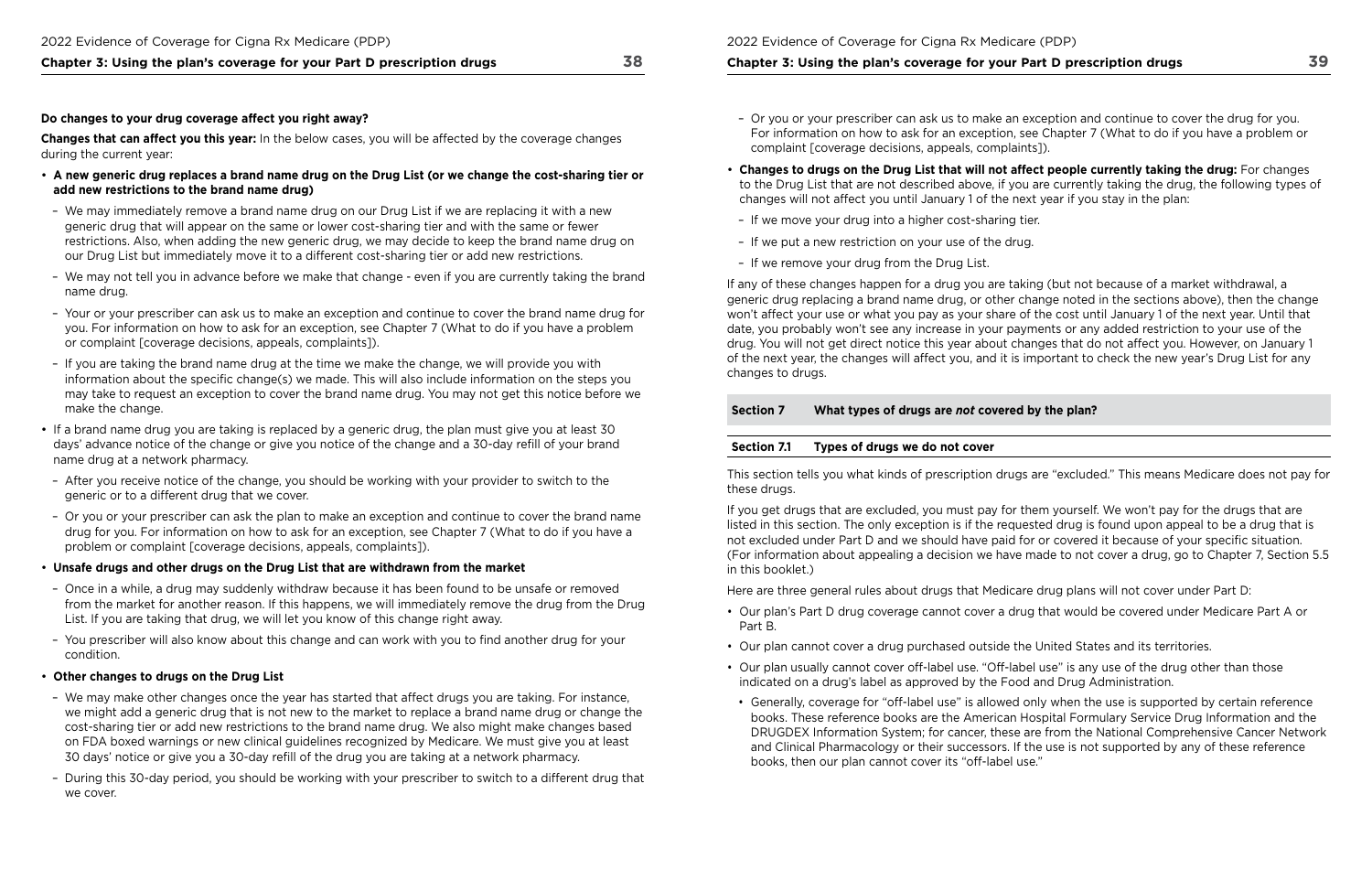#### **Do changes to your drug coverage affect you right away?**

**Changes that can affect you this year:** In the below cases, you will be affected by the coverage changes during the current year:

- **A new generic drug replaces a brand name drug on the Drug List (or we change the cost‑sharing tier or add new restrictions to the brand name drug)**
- We may immediately remove a brand name drug on our Drug List if we are replacing it with a new generic drug that will appear on the same or lower cost-sharing tier and with the same or fewer restrictions. Also, when adding the new generic drug, we may decide to keep the brand name drug on our Drug List but immediately move it to a different cost-sharing tier or add new restrictions.
- We may not tell you in advance before we make that change even if you are currently taking the brand name drug.
- Your or your prescriber can ask us to make an exception and continue to cover the brand name drug for you. For information on how to ask for an exception, see Chapter 7 (What to do if you have a problem or complaint [coverage decisions, appeals, complaints]).
- If you are taking the brand name drug at the time we make the change, we will provide you with information about the specific change(s) we made. This will also include information on the steps you may take to request an exception to cover the brand name drug. You may not get this notice before we make the change.
- If a brand name drug you are taking is replaced by a generic drug, the plan must give you at least 30 days' advance notice of the change or give you notice of the change and a 30-day refll of your brand name drug at a network pharmacy.
- After you receive notice of the change, you should be working with your provider to switch to the generic or to a different drug that we cover.
- Or you or your prescriber can ask the plan to make an exception and continue to cover the brand name drug for you. For information on how to ask for an exception, see Chapter 7 (What to do if you have a problem or complaint [coverage decisions, appeals, complaints]).
- **Unsafe drugs and other drugs on the Drug List that are withdrawn from the market**
- Once in a while, a drug may suddenly withdraw because it has been found to be unsafe or removed from the market for another reason. If this happens, we will immediately remove the drug from the Drug List. If you are taking that drug, we will let you know of this change right away.
- You prescriber will also know about this change and can work with you to fnd another drug for your condition.

#### • **Other changes to drugs on the Drug List**

 (For information about appealing a decision we have made to not cover a drug, go to Chapter 7, Section 5.5 If you get drugs that are excluded, you must pay for them yourself. We won't pay for the drugs that are listed in this section. The only exception is if the requested drug is found upon appeal to be a drug that is not excluded under Part D and we should have paid for or covered it because of your specifc situation. in this booklet.)

- We may make other changes once the year has started that affect drugs you are taking. For instance, we might add a generic drug that is not new to the market to replace a brand name drug or change the cost-sharing tier or add new restrictions to the brand name drug. We also might make changes based on FDA boxed warnings or new clinical guidelines recognized by Medicare. We must give you at least 30 days' notice or give you a 30-day refll of the drug you are taking at a network pharmacy.
- During this 30-day period, you should be working with your prescriber to switch to a different drug that we cover.

For information on how to ask for an exception, see Chapter 7 (What to do if you have a problem or

- Or you or your prescriber can ask us to make an exception and continue to cover the drug for you. complaint [coverage decisions, appeals, complaints]).
- **Changes to drugs on the Drug List that will not affect people currently taking the drug:** For changes changes will not affect you until January 1 of the next year if you stay in the plan:
- If we move your drug into a higher cost-sharing tier.
- If we put a new restriction on your use of the drug.
- If we remove your drug from the Drug List.

to the Drug List that are not described above, if you are currently taking the drug, the following types of

### by the plan?

If any of these changes happen for a drug you are taking (but not because of a market withdrawal, a generic drug replacing a brand name drug, or other change noted in the sections above), then the change won't affect your use or what you pay as your share of the cost until January 1 of the next year. Until that date, you probably won't see any increase in your payments or any added restriction to your use of the drug. You will not get direct notice this year about changes that do not affect you. However, on January 1 of the next year, the changes will affect you, and it is important to check the new year's Drug List for any changes to drugs.

| <b>Section 7</b> | What types of drugs are not covered |
|------------------|-------------------------------------|
|                  |                                     |
| Section 7.1      | Types of drugs we do not cover      |

This section tells you what kinds of prescription drugs are "excluded." This means Medicare does not pay for these drugs.

Here are three general rules about drugs that Medicare drug plans will not cover under Part D:

- Our plan's Part D drug coverage cannot cover a drug that would be covered under Medicare Part A or Part B.
- Our plan cannot cover a drug purchased outside the United States and its territories.
- • Our plan usually cannot cover off-label use. "Off-label use" is any use of the drug other than those indicated on a drug's label as approved by the Food and Drug Administration.
- books, then our plan cannot cover its "off-label use."

• Generally, coverage for "off-label use" is allowed only when the use is supported by certain reference books. These reference books are the American Hospital Formulary Service Drug Information and the DRUGDEX Information System; for cancer, these are from the National Comprehensive Cancer Network and Clinical Pharmacology or their successors. If the use is not supported by any of these reference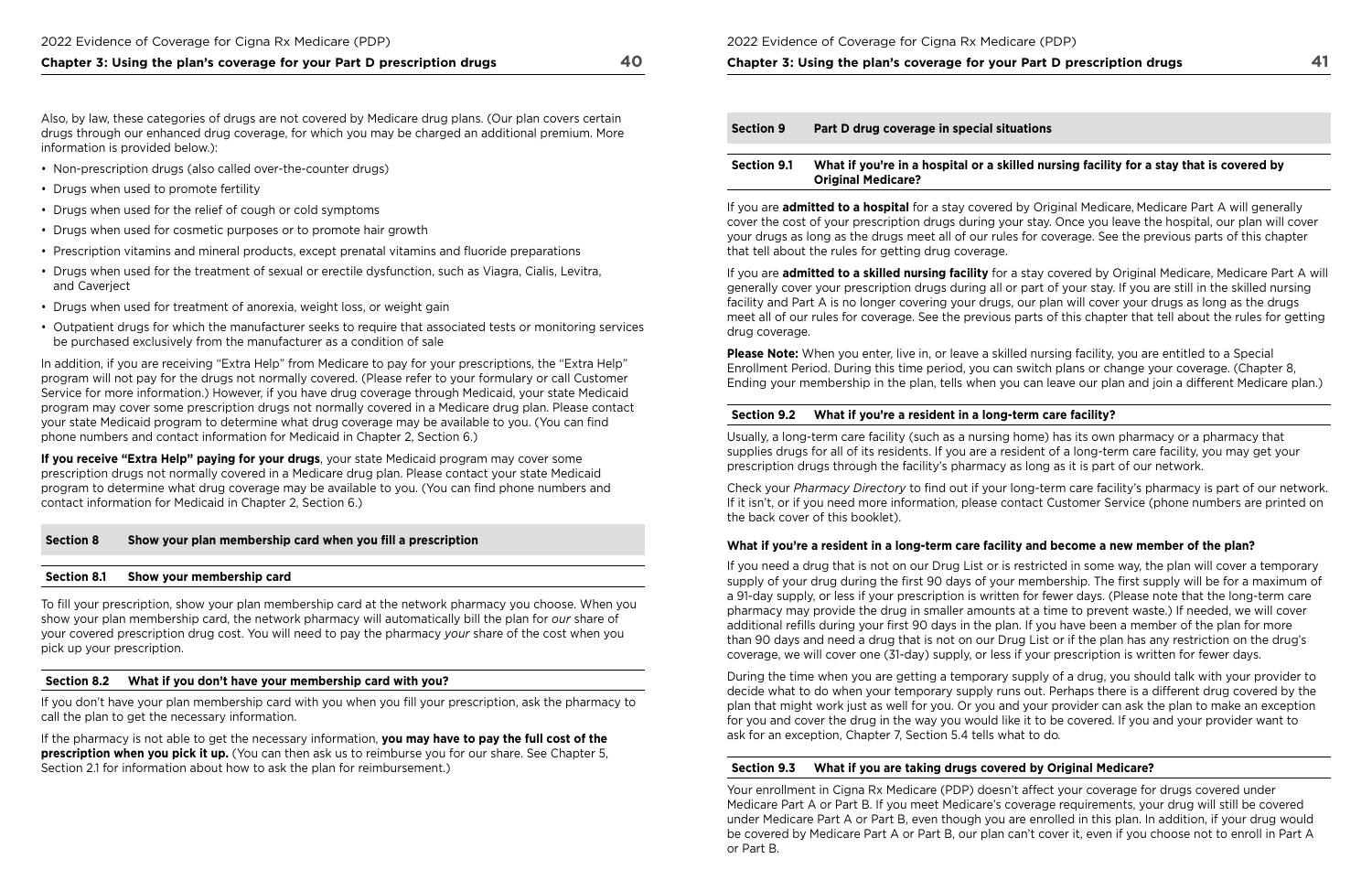Also, by law, these categories of drugs are not covered by Medicare drug plans. (Our plan covers certain drugs through our enhanced drug coverage, for which you may be charged an additional premium. More information is provided below.):

- Non-prescription drugs (also called over-the-counter drugs)
- Drugs when used to promote fertility
- Drugs when used for the relief of cough or cold symptoms
- Drugs when used for cosmetic purposes or to promote hair growth
- Prescription vitamins and mineral products, except prenatal vitamins and fuoride preparations
- Drugs when used for the treatment of sexual or erectile dysfunction, such as Viagra, Cialis, Levitra, and Caverject
- Drugs when used for treatment of anorexia, weight loss, or weight gain
- Outpatient drugs for which the manufacturer seeks to require that associated tests or monitoring services be purchased exclusively from the manufacturer as a condition of sale

In addition, if you are receiving "Extra Help" from Medicare to pay for your prescriptions, the "Extra Help" program will not pay for the drugs not normally covered. (Please refer to your formulary or call Customer Service for more information.) However, if you have drug coverage through Medicaid, your state Medicaid program may cover some prescription drugs not normally covered in a Medicare drug plan. Please contact your state Medicaid program to determine what drug coverage may be available to you. (You can fnd phone numbers and contact information for Medicaid in Chapter 2, Section 6.)

 contact information for Medicaid in Chapter 2, Section 6.) **If you receive "Extra Help" paying for your drugs**, your state Medicaid program may cover some prescription drugs not normally covered in a Medicare drug plan. Please contact your state Medicaid program to determine what drug coverage may be available to you. (You can find phone numbers and

#### **Section 8 Show your plan membership card when you fll a prescription**

#### **Section 8.1 Show your membership card**

 Ending your membership in the plan, tells when you can leave our plan and join a different Medicare plan.) **Please Note:** When you enter, live in, or leave a skilled nursing facility, you are entitled to a Special Enrollment Period. During this time period, you can switch plans or change your coverage. (Chapter 8,

To fll your prescription, show your plan membership card at the network pharmacy you choose. When you show your plan membership card, the network pharmacy will automatically bill the plan for *our* share of your covered prescription drug cost. You will need to pay the pharmacy *your* share of the cost when you pick up your prescription.

#### **Section 8.2 What if you don't have your membership card with you?**

If you don't have your plan membership card with you when you fll your prescription, ask the pharmacy to call the plan to get the necessary information.

If the pharmacy is not able to get the necessary information, **you may have to pay the full cost of the prescription when you pick it up.** (You can then ask us to reimburse you for our share. See Chapter 5, Section 2.1 for information about how to ask the plan for reimbursement.)

2022 Evidence of Coverage for Cigna Rx Medicare (PDP)

**Chapter 3: Using the plan's coverage for your Part D prescription drugs** 

 ask for an exception, Chapter 7, Section 5.4 tells what to do*.*  During the time when you are getting a temporary supply of a drug, you should talk with your provider to decide what to do when your temporary supply runs out. Perhaps there is a different drug covered by the plan that might work just as well for you. Or you and your provider can ask the plan to make an exception for you and cover the drug in the way you would like it to be covered. If you and your provider want to

| <b>Section 9</b>   | Part D drug coverage in special situations                                 |
|--------------------|----------------------------------------------------------------------------|
| <b>Section 9.1</b> | What if you're in a hospital or a skilled nur<br><b>Original Medicare?</b> |

 or Part B. Your enrollment in Cigna Rx Medicare (PDP) doesn't affect your coverage for drugs covered under Medicare Part A or Part B. If you meet Medicare's coverage requirements, your drug will still be covered under Medicare Part A or Part B, even though you are enrolled in this plan. In addition, if your drug would be covered by Medicare Part A or Part B, our plan can't cover it, even if you choose not to enroll in Part A

### **Suate: 3.1 What is set in that is covered by and nursing facility for a stay that is covered by**

If you are **admitted to a hospital** for a stay covered by Original Medicare, Medicare Part A will generally cover the cost of your prescription drugs during your stay. Once you leave the hospital, our plan will cover your drugs as long as the drugs meet all of our rules for coverage. See the previous parts of this chapter that tell about the rules for getting drug coverage.

If you are **admitted to a skilled nursing facility** for a stay covered by Original Medicare, Medicare Part A will generally cover your prescription drugs during all or part of your stay. If you are still in the skilled nursing facility and Part A is no longer covering your drugs, our plan will cover your drugs as long as the drugs meet all of our rules for coverage. See the previous parts of this chapter that tell about the rules for getting drug coverage.

### **Section 9.2 What if you're a resident in a long‑term care facility?**

Usually, a long-term care facility (such as a nursing home) has its own pharmacy or a pharmacy that supplies drugs for all of its residents. If you are a resident of a long-term care facility, you may get your prescription drugs through the facility's pharmacy as long as it is part of our network.

Check your *Pharmacy Directory* to fnd out if your long-term care facility's pharmacy is part of our network. If it isn't, or if you need more information, please contact Customer Service (phone numbers are printed on the back cover of this booklet).

### **What if you're a resident in a long‑term care facility and become a new member of the plan?**

If you need a drug that is not on our Drug List or is restricted in some way, the plan will cover a temporary supply of your drug during the first 90 days of your membership. The first supply will be for a maximum of a 91-day supply, or less if your prescription is written for fewer days. (Please note that the long-term care pharmacy may provide the drug in smaller amounts at a time to prevent waste.) If needed, we will cover additional refills during your first 90 days in the plan. If you have been a member of the plan for more than 90 days and need a drug that is not on our Drug List or if the plan has any restriction on the drug's coverage, we will cover one (31-day) supply, or less if your prescription is written for fewer days.

### **Section 9.3 What if you are taking drugs covered by Original Medicare?**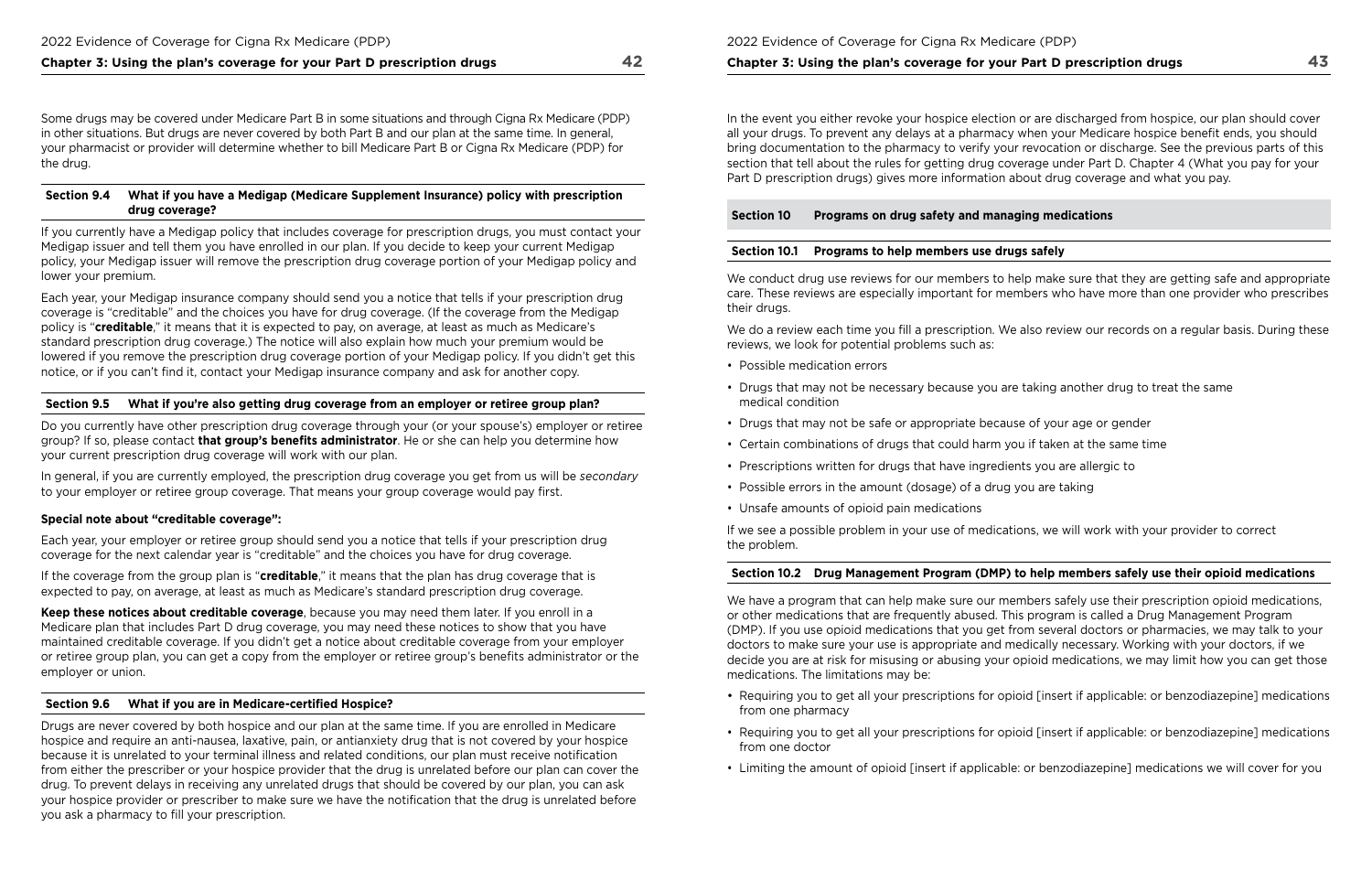Some drugs may be covered under Medicare Part B in some situations and through Cigna Rx Medicare (PDP) in other situations. But drugs are never covered by both Part B and our plan at the same time. In general, your pharmacist or provider will determine whether to bill Medicare Part B or Cigna Rx Medicare (PDP) for the drug.

### **Section 9.4 What if you have a Medigap (Medicare Supplement Insurance) policy with prescription drug coverage?**

If you currently have a Medigap policy that includes coverage for prescription drugs, you must contact your Medigap issuer and tell them you have enrolled in our plan. If you decide to keep your current Medigap policy, your Medigap issuer will remove the prescription drug coverage portion of your Medigap policy and lower your premium.

Each year, your Medigap insurance company should send you a notice that tells if your prescription drug coverage is "creditable" and the choices you have for drug coverage. (If the coverage from the Medigap policy is "**creditable**," it means that it is expected to pay, on average, at least as much as Medicare's standard prescription drug coverage.) The notice will also explain how much your premium would be lowered if you remove the prescription drug coverage portion of your Medigap policy. If you didn't get this notice, or if you can't fnd it, contact your Medigap insurance company and ask for another copy.

Drugs are never covered by both hospice and our plan at the same time. If you are enrolled in Medicare hospice and require an anti-nausea, laxative, pain, or antianxiety drug that is not covered by your hospice because it is unrelated to your terminal illness and related conditions, our plan must receive notifcation from either the prescriber or your hospice provider that the drug is unrelated before our plan can cover the drug. To prevent delays in receiving any unrelated drugs that should be covered by our plan, you can ask your hospice provider or prescriber to make sure we have the notifcation that the drug is unrelated before you ask a pharmacy to fill your prescription.

### **Section 9.5 What if you're also getting drug coverage from an employer or retiree group plan?**

Do you currently have other prescription drug coverage through your (or your spouse's) employer or retiree group? If so, please contact **that group's benefts administrator**. He or she can help you determine how your current prescription drug coverage will work with our plan.

In general, if you are currently employed, the prescription drug coverage you get from us will be *secondary*  to your employer or retiree group coverage. That means your group coverage would pay frst.

### **Special note about "creditable coverage":**

Each year, your employer or retiree group should send you a notice that tells if your prescription drug coverage for the next calendar year is "creditable" and the choices you have for drug coverage.

We do a review each time you fill a prescription. We also review our records on a regular basis. During these reviews, we look for potential problems such as:

If the coverage from the group plan is "**creditable**," it means that the plan has drug coverage that is expected to pay, on average, at least as much as Medicare's standard prescription drug coverage.

**Keep these notices about creditable coverage**, because you may need them later. If you enroll in a Medicare plan that includes Part D drug coverage, you may need these notices to show that you have maintained creditable coverage. If you didn't get a notice about creditable coverage from your employer or retiree group plan, you can get a copy from the employer or retiree group's benefts administrator or the employer or union.

## **Section 9.6 What if you are in Medicare‑certifed Hospice?**

We have a program that can help make sure our members safely use their prescription opioid medications, or other medications that are frequently abused. This program is called a Drug Management Program (DMP). If you use opioid medications that you get from several doctors or pharmacies, we may talk to your doctors to make sure your use is appropriate and medically necessary. Working with your doctors, if we decide you are at risk for misusing or abusing your opioid medications, we may limit how you can get those medications. The limitations may be:

### **Chapter 3: Using the plan's coverage for your Part D prescription drugs**

In the event you either revoke your hospice election or are discharged from hospice, our plan should cover all your drugs. To prevent any delays at a pharmacy when your Medicare hospice beneft ends, you should bring documentation to the pharmacy to verify your revocation or discharge. See the previous parts of this section that tell about the rules for getting drug coverage under Part D. Chapter 4 (What you pay for your Part D prescription drugs) gives more information about drug coverage and what you pay.

**Section 10 Programs on drug safety and managing medications** 

## **Section 10.1 Programs to help members use drugs safely**

We conduct drug use reviews for our members to help make sure that they are getting safe and appropriate care. These reviews are especially important for members who have more than one provider who prescribes their drugs.

- Possible medication errors
- Drugs that may not be necessary because you are taking another drug to treat the same medical condition
- Drugs that may not be safe or appropriate because of your age or gender
- Certain combinations of drugs that could harm you if taken at the same time
- Prescriptions written for drugs that have ingredients you are allergic to
- Possible errors in the amount (dosage) of a drug you are taking
- Unsafe amounts of opioid pain medications

If we see a possible problem in your use of medications, we will work with your provider to correct the problem.

## **Section 10.2 Drug Management Program (DMP) to help members safely use their opioid medications**

• Requiring you to get all your prescriptions for opioid [insert if applicable: or benzodiazepine] medications

• Requiring you to get all your prescriptions for opioid [insert if applicable: or benzodiazepine] medications

- from one pharmacy
- from one doctor
- Limiting the amount of opioid [insert if applicable: or benzodiazepine] medications we will cover for you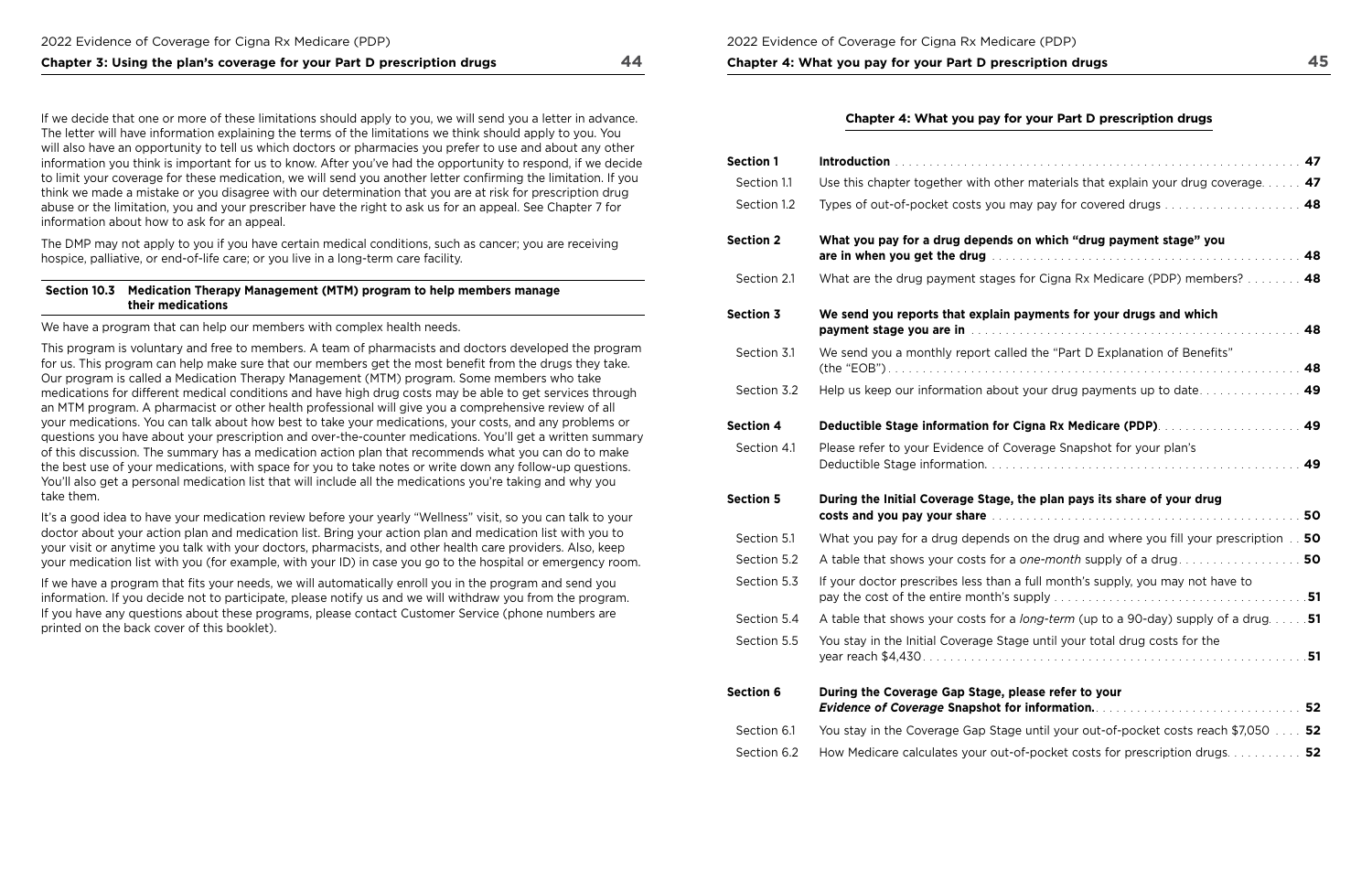## **Chapter 3: Using the plan's coverage for your Part D prescription drugs 44**

If we decide that one or more of these limitations should apply to you, we will send you a letter in advance. The letter will have information explaining the terms of the limitations we think should apply to you. You will also have an opportunity to tell us which doctors or pharmacies you prefer to use and about any other information you think is important for us to know. After you've had the opportunity to respond, if we decide to limit your coverage for these medication, we will send you another letter confrming the limitation. If you think we made a mistake or you disagree with our determination that you are at risk for prescription drug abuse or the limitation, you and your prescriber have the right to ask us for an appeal. See Chapter 7 for information about how to ask for an appeal.

The DMP may not apply to you if you have certain medical conditions, such as cancer; you are receiving hospice, palliative, or end-of-life care; or you live in a long-term care facility.

### **Section 10.3 Medication Therapy Management (MTM) program to help members manage their medications**

We have a program that can help our members with complex health needs.

If we have a program that fits your needs, we will automatically enroll you in the program and send you information. If you decide not to participate, please notify us and we will withdraw you from the program. If you have any questions about these programs, please contact Customer Service (phone numbers are printed on the back cover of this booklet).

## **Chapter 4: What you pay for your Part D prescription drugs**

This program is voluntary and free to members. A team of pharmacists and doctors developed the program for us. This program can help make sure that our members get the most beneft from the drugs they take. Our program is called a Medication Therapy Management (MTM) program. Some members who take medications for different medical conditions and have high drug costs may be able to get services through an MTM program. A pharmacist or other health professional will give you a comprehensive review of all your medications. You can talk about how best to take your medications, your costs, and any problems or questions you have about your prescription and over-the-counter medications. You'll get a written summary of this discussion. The summary has a medication action plan that recommends what you can do to make the best use of your medications, with space for you to take notes or write down any follow-up questions. You'll also get a personal medication list that will include all the medications you're taking and why you take them.

It's a good idea to have your medication review before your yearly "Wellness" visit, so you can talk to your doctor about your action plan and medication list. Bring your action plan and medication list with you to your visit or anytime you talk with your doctors, pharmacists, and other health care providers. Also, keep your medication list with you (for example, with your ID) in case you go to the hospital or emergency room.

| Use this chapter together with other materials that explain your drug coverage $\ldots$ . 47                                                                             |
|--------------------------------------------------------------------------------------------------------------------------------------------------------------------------|
| Types of out-of-pocket costs you may pay for covered drugs  48                                                                                                           |
| What you pay for a drug depends on which "drug payment stage" you                                                                                                        |
| 48                                                                                                                                                                       |
| What are the drug payment stages for Cigna Rx Medicare (PDP) members?  48                                                                                                |
| We send you reports that explain payments for your drugs and which                                                                                                       |
| 48                                                                                                                                                                       |
| We send you a monthly report called the "Part D Explanation of Benefits"                                                                                                 |
| 48                                                                                                                                                                       |
| Help us keep our information about your drug payments up to date<br>49                                                                                                   |
| Deductible Stage information for Cigna Rx Medicare (PDP).  49                                                                                                            |
| Please refer to your Evidence of Coverage Snapshot for your plan's<br>49                                                                                                 |
| During the Initial Coverage Stage, the plan pays its share of your drug<br>costs and you pay your share excessional example of the costs and you pay your share example. |
| What you pay for a drug depends on the drug and where you fill your prescription 50                                                                                      |
|                                                                                                                                                                          |
| If your doctor prescribes less than a full month's supply, you may not have to                                                                                           |
|                                                                                                                                                                          |
| A table that shows your costs for a <i>long-term</i> (up to a 90-day) supply of a drug 51                                                                                |
| You stay in the Initial Coverage Stage until your total drug costs for the                                                                                               |
|                                                                                                                                                                          |
| During the Coverage Gap Stage, please refer to your                                                                                                                      |
| You stay in the Coverage Gap Stage until your out-of-pocket costs reach \$7,050 52                                                                                       |
| How Medicare calculates your out-of-pocket costs for prescription drugs 52                                                                                               |
|                                                                                                                                                                          |

| Section 1        |                                                                                                                                                                                                       |
|------------------|-------------------------------------------------------------------------------------------------------------------------------------------------------------------------------------------------------|
| Section 1.1      | Use this chapter together with other materials that explain your drug coverage 47                                                                                                                     |
| Section 1.2      | Types of out-of-pocket costs you may pay for covered drugs 48                                                                                                                                         |
| <b>Section 2</b> | What you pay for a drug depends on which "drug payment stage" you<br>48                                                                                                                               |
| Section 2.1      | What are the drug payment stages for Cigna Rx Medicare (PDP) members? 48                                                                                                                              |
| <b>Section 3</b> | We send you reports that explain payments for your drugs and which<br>48<br>payment stage you are in was also assessed to the contract of the state of the state of the state of the state of         |
| Section 3.1      | We send you a monthly report called the "Part D Explanation of Benefits"<br>48                                                                                                                        |
| Section 3.2      | Help us keep our information about your drug payments up to date<br>49                                                                                                                                |
| <b>Section 4</b> | Deductible Stage information for Cigna Rx Medicare (PDP).  49                                                                                                                                         |
| Section 4.1      | Please refer to your Evidence of Coverage Snapshot for your plan's<br>49                                                                                                                              |
| <b>Section 5</b> | During the Initial Coverage Stage, the plan pays its share of your drug<br>50<br>costs and you pay your share contained and the contained and you pay your share and the contained and the containing |
| Section 5.1      | What you pay for a drug depends on the drug and where you fill your prescription 50                                                                                                                   |
| Section 5.2      |                                                                                                                                                                                                       |
| Section 5.3      | If your doctor prescribes less than a full month's supply, you may not have to                                                                                                                        |
| Section 5.4      | A table that shows your costs for a <i>long-term</i> (up to a 90-day) supply of a drug 51                                                                                                             |
| Section 5.5      | You stay in the Initial Coverage Stage until your total drug costs for the                                                                                                                            |
| <b>Section 6</b> | During the Coverage Gap Stage, please refer to your<br>52                                                                                                                                             |
| Section 6.1      | You stay in the Coverage Gap Stage until your out-of-pocket costs reach \$7,050 52                                                                                                                    |
| Section 6.2      | How Medicare calculates your out-of-pocket costs for prescription drugs 52                                                                                                                            |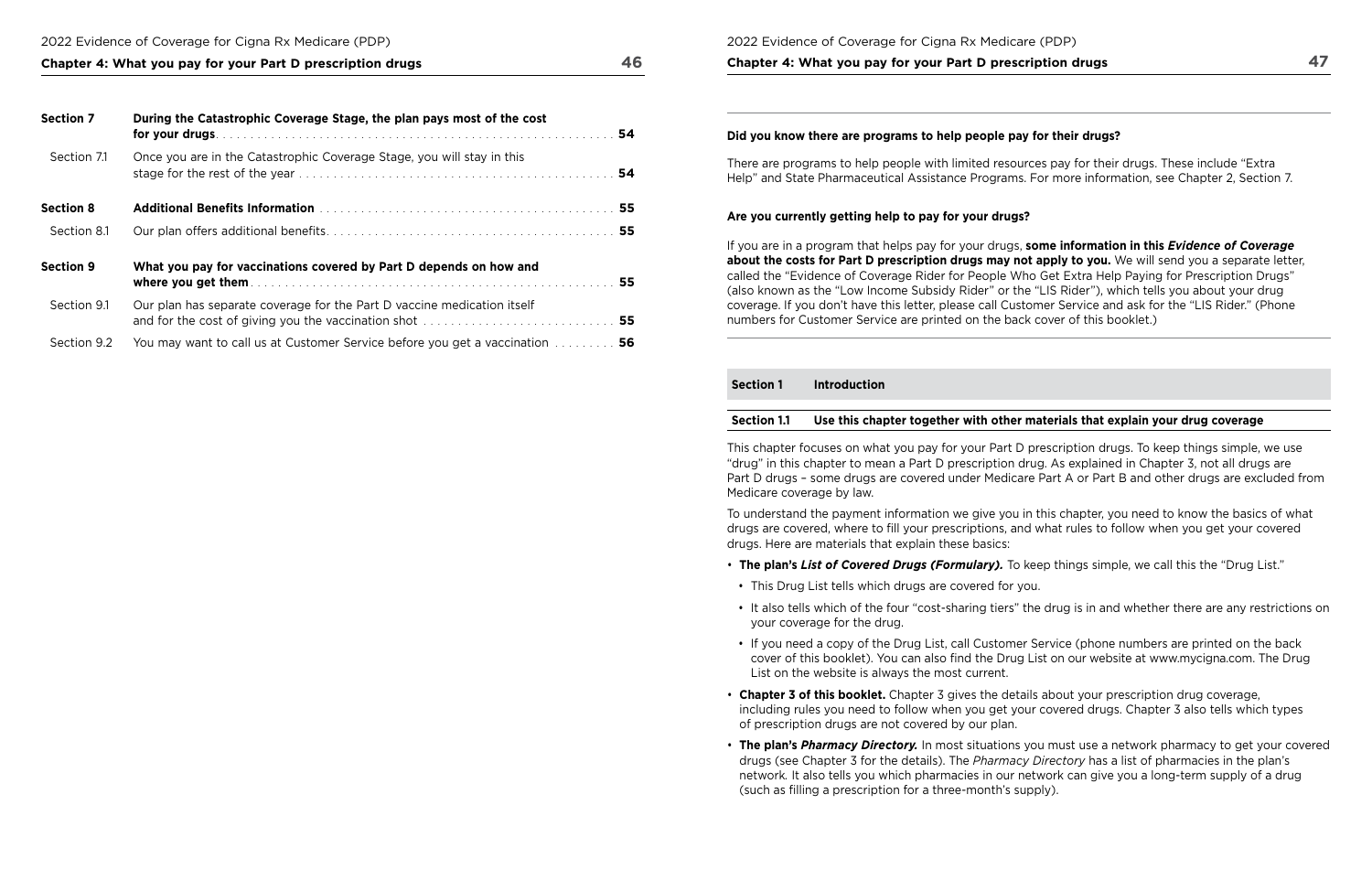### 2022 Evidence of Coverage for Cigna Rx Medicare (PDP)

### **Chapter 4: What you pay for your Part D prescription drugs 47**

#### 2022 Evidence of Coverage for Cigna Rx Medicare (PDP)

**Chapter 4: What you pay for your Part D prescription drugs 46** 

| <b>Section 7</b> | During the Catastrophic Coverage Stage, the plan pays most of the cost      |  |
|------------------|-----------------------------------------------------------------------------|--|
| Section 7.1      | Once you are in the Catastrophic Coverage Stage, you will stay in this      |  |
| <b>Section 8</b> |                                                                             |  |
| Section 8.1      |                                                                             |  |
| <b>Section 9</b> | What you pay for vaccinations covered by Part D depends on how and          |  |
| Section 9.1      | Our plan has separate coverage for the Part D vaccine medication itself     |  |
| Section 9.2      | You may want to call us at Customer Service before you get a vaccination 56 |  |

 Help" and State Pharmaceutical Assistance Programs. For more information, see Chapter 2, Section 7. There are programs to help people with limited resources pay for their drugs. These include "Extra

## **Did you know there are programs to help people pay for their drugs?**

#### **Are you currently getting help to pay for your drugs?**

cover of this booklet). You can also fnd the Drug List on our website at [www.mycigna.com.](www.mycigna.com) The Drug

If you are in a program that helps pay for your drugs, **some information in this** *Evidence of Coverage*  **about the costs for Part D prescription drugs may not apply to you.** We will send you a separate letter, called the "Evidence of Coverage Rider for People Who Get Extra Help Paying for Prescription Drugs" (also known as the "Low Income Subsidy Rider" or the "LIS Rider"), which tells you about your drug coverage. If you don't have this letter, please call Customer Service and ask for the "LIS Rider." (Phone numbers for Customer Service are printed on the back cover of this booklet.)

#### **Section 1 Introduction**

## **Section 1.1 Use this chapter together with other materials that explain your drug coverage**

This chapter focuses on what you pay for your Part D prescription drugs. To keep things simple, we use "drug" in this chapter to mean a Part D prescription drug. As explained in Chapter 3, not all drugs are Part D drugs – some drugs are covered under Medicare Part A or Part B and other drugs are excluded from Medicare coverage by law.

To understand the payment information we give you in this chapter, you need to know the basics of what drugs are covered, where to fll your prescriptions, and what rules to follow when you get your covered drugs. Here are materials that explain these basics:

• It also tells which of the four "cost-sharing tiers" the drug is in and whether there are any restrictions on

- **The plan's** *List of Covered Drugs (Formulary).* To keep things simple, we call this the "Drug List."
- This Drug List tells which drugs are covered for you.
- your coverage for the drug.
- If you need a copy of the Drug List, call Customer Service (phone numbers are printed on the back List on the website is always the most current.
- **Chapter 3 of this booklet.** Chapter 3 gives the details about your prescription drug coverage, including rules you need to follow when you get your covered drugs. Chapter 3 also tells which types of prescription drugs are not covered by our plan.
- drugs (see Chapter 3 for the details). The *Pharmacy Directory* has a list of pharmacies in the plan's network*.* It also tells you which pharmacies in our network can give you a long-term supply of a drug (such as flling a prescription for a three-month's supply).

• **The plan's** *Pharmacy Directory.* In most situations you must use a network pharmacy to get your covered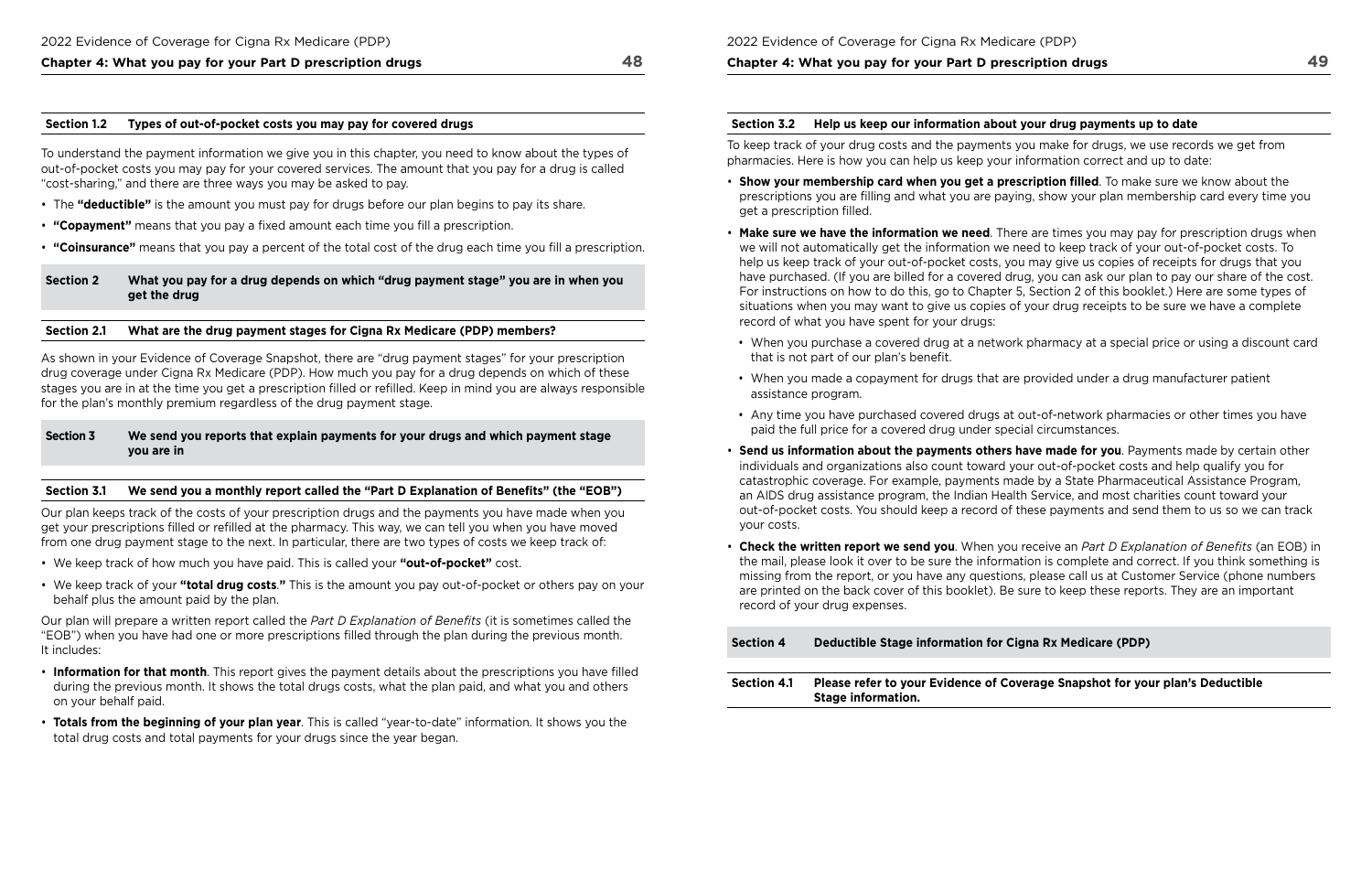#### **Section 1.2 Types of out‑of‑pocket costs you may pay for covered drugs**

To understand the payment information we give you in this chapter, you need to know about the types of out-of-pocket costs you may pay for your covered services. The amount that you pay for a drug is called "cost-sharing," and there are three ways you may be asked to pay.

- The **"deductible"** is the amount you must pay for drugs before our plan begins to pay its share.
- **"Copayment"** means that you pay a fixed amount each time you fill a prescription.
- **"Coinsurance"** means that you pay a percent of the total cost of the drug each time you fll a prescription.

#### **Section 2 What you pay for a drug depends on which "drug payment stage" you are in when you get the drug**

#### **Section 2.1 What are the drug payment stages for Cigna Rx Medicare (PDP) members?**

As shown in your Evidence of Coverage Snapshot, there are "drug payment stages" for your prescription drug coverage under Cigna Rx Medicare (PDP). How much you pay for a drug depends on which of these stages you are in at the time you get a prescription flled or reflled. Keep in mind you are always responsible for the plan's monthly premium regardless of the drug payment stage.

#### **Section 3 We send you reports that explain payments for your drugs and which payment stage you are in**

#### **Section 3.1 We send you a monthly report called the "Part D Explanation of Benefts" (the "EOB")**

Our plan keeps track of the costs of your prescription drugs and the payments you have made when you get your prescriptions flled or reflled at the pharmacy. This way, we can tell you when you have moved from one drug payment stage to the next. In particular, there are two types of costs we keep track of:

 For instructions on how to do this, go to Chapter 5, Section 2 of this booklet.) Here are some types of • **Make sure we have the information we need**. There are times you may pay for prescription drugs when have purchased. (If you are billed for a covered drug, you can ask our plan to pay our share of the cost.

- We keep track of how much you have paid. This is called your **"out‑of‑pocket"** cost.
- We keep track of your **"total drug costs**.**"** This is the amount you pay out-of-pocket or others pay on your behalf plus the amount paid by the plan.

Our plan will prepare a written report called the *Part D Explanation of Benefts* (it is sometimes called the "EOB") when you have had one or more prescriptions flled through the plan during the previous month. It includes:

- **Information for that month**. This report gives the payment details about the prescriptions you have flled during the previous month. It shows the total drugs costs, what the plan paid, and what you and others on your behalf paid.
- **Totals from the beginning of your plan year**. This is called "year-to-date" information. It shows you the total drug costs and total payments for your drugs since the year began.

#### **Chapter 4: What you pay for your Part D prescription drugs**

#### **Section 3.2 Help us keep our information about your drug payments up to date**

To keep track of your drug costs and the payments you make for drugs, we use records we get from pharmacies. Here is how you can help us keep your information correct and up to date:

• When you purchase a covered drug at a network pharmacy at a special price or using a discount card

- **Show your membership card when you get a prescription flled**. To make sure we know about the prescriptions you are flling and what you are paying, show your plan membership card every time you get a prescription filled.
- we will not automatically get the information we need to keep track of your out-of-pocket costs. To help us keep track of your out-of-pocket costs, you may give us copies of receipts for drugs that you situations when you may want to give us copies of your drug receipts to be sure we have a complete record of what you have spent for your drugs:
	- that is not part of our plan's benefit.
- When you made a copayment for drugs that are provided under a drug manufacturer patient assistance program.
- Any time you have purchased covered drugs at out-of-network pharmacies or other times you have paid the full price for a covered drug under special circumstances.
- **Send us information about the payments others have made for you**. Payments made by certain other individuals and organizations also count toward your out-of-pocket costs and help qualify you for catastrophic coverage. For example, payments made by a State Pharmaceutical Assistance Program, an AIDS drug assistance program, the Indian Health Service, and most charities count toward your your costs.
- are printed on the back cover of this booklet). Be sure to keep these reports. They are an important record of your drug expenses.

out-of-pocket costs. You should keep a record of these payments and send them to us so we can track

• **Check the written report we send you**. When you receive an *Part D Explanation of Benefts* (an EOB) in the mail, please look it over to be sure the information is complete and correct. If you think something is missing from the report, or you have any questions, please call us at Customer Service (phone numbers

### **Section A Rx Medicare (PDP)**

#### **Beauber 2.1 Please Snapshot for your plan's Deductible**

| Section 4          | Deductible Stage information for Cig                               |
|--------------------|--------------------------------------------------------------------|
|                    |                                                                    |
| <b>Section 4.1</b> | Please refer to your Evidence of Cove<br><b>Stage information.</b> |
|                    |                                                                    |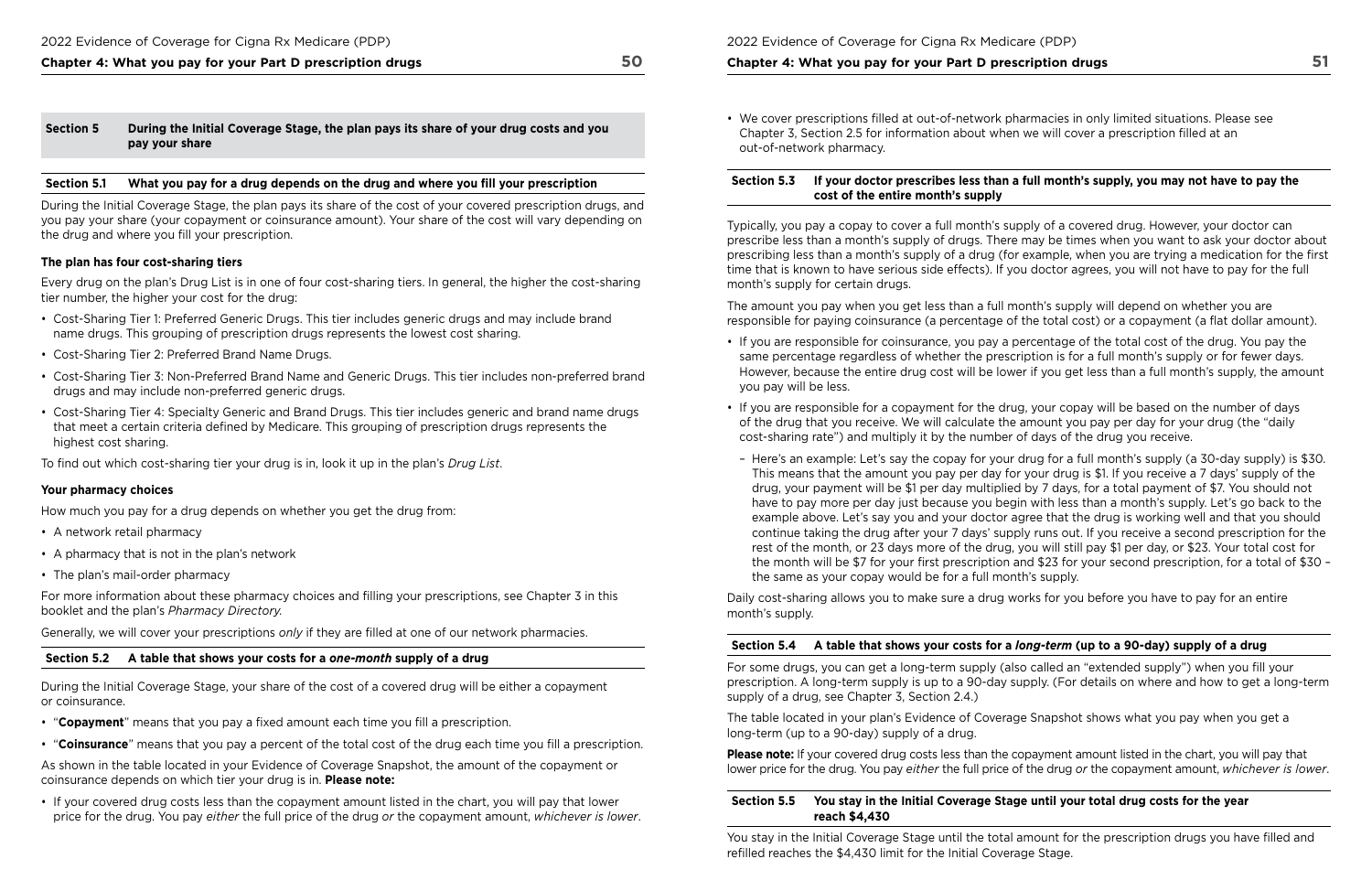During the Initial Coverage Stage, the plan pays its share of the cost of your covered prescription drugs, and you pay your share (your copayment or coinsurance amount). Your share of the cost will vary depending on the drug and where you fill your prescription.

### **Section 5 During the Initial Coverage Stage, the plan pays its share of your drug costs and you pay your share**

#### **Section 5.1 What you pay for a drug depends on the drug and where you fll your prescription**

#### **The plan has four cost‑sharing tiers**

Every drug on the plan's Drug List is in one of four cost-sharing tiers. In general, the higher the cost-sharing tier number, the higher your cost for the drug:

- Cost-Sharing Tier 1: Preferred Generic Drugs. This tier includes generic drugs and may include brand name drugs. This grouping of prescription drugs represents the lowest cost sharing.
- Cost-Sharing Tier 2: Preferred Brand Name Drugs.
- Cost-Sharing Tier 3: Non-Preferred Brand Name and Generic Drugs. This tier includes non-preferred brand drugs and may include non-preferred generic drugs.
- Cost-Sharing Tier 4: Specialty Generic and Brand Drugs. This tier includes generic and brand name drugs that meet a certain criteria defned by Medicare. This grouping of prescription drugs represents the highest cost sharing.

To find out which cost-sharing tier your drug is in, look it up in the plan's *Drug List*.

- "**Copayment**" means that you pay a fixed amount each time you fill a prescription.
- "**Coinsurance**" means that you pay a percent of the total cost of the drug each time you fll a prescription.

#### **Your pharmacy choices**

 Chapter 3, Section 2.5 for information about when we will cover a prescription flled at an • We cover prescriptions flled at out-of-network pharmacies in only limited situations. Please see out-of-network pharmacy.

How much you pay for a drug depends on whether you get the drug from:

- A network retail pharmacy
- A pharmacy that is not in the plan's network
- The plan's mail-order pharmacy

For more information about these pharmacy choices and flling your prescriptions, see Chapter 3 in this booklet and the plan's *Pharmacy Directory.* 

Generally, we will cover your prescriptions *only* if they are flled at one of our network pharmacies.

#### **Section 5.2 A table that shows your costs for a** *one-month* **supply of a drug**

During the Initial Coverage Stage, your share of the cost of a covered drug will be either a copayment or coinsurance.

– Here's an example: Let's say the copay for your drug for a full month's supply (a 30-day supply) is \$30. This means that the amount you pay per day for your drug is \$1. If you receive a 7 days' supply of the drug, your payment will be \$1 per day multiplied by 7 days, for a total payment of \$7. You should not have to pay more per day just because you begin with less than a month's supply. Let's go back to the example above. Let's say you and your doctor agree that the drug is working well and that you should continue taking the drug after your 7 days' supply runs out. If you receive a second prescription for the rest of the month, or 23 days more of the drug, you will still pay \$1 per day, or \$23. Your total cost for the month will be \$7 for your first prescription and \$23 for your second prescription, for a total of \$30 -

As shown in the table located in your Evidence of Coverage Snapshot, the amount of the copayment or coinsurance depends on which tier your drug is in. **Please note:** 

• If your covered drug costs less than the copayment amount listed in the chart, you will pay that lower price for the drug. You pay *either* the full price of the drug *or* the copayment amount, *whichever is lower*. 2022 Evidence of Coverage for Cigna Rx Medicare (PDP)

#### **Chapter 4: What you pay for your Part D prescription drugs**

 supply of a drug, see Chapter 3, Section 2.4.) For some drugs, you can get a long-term supply (also called an "extended supply") when you fll your prescription. A long-term supply is up to a 90-day supply. (For details on where and how to get a long-term

### **Section 5.3 If your doctor prescribes less than a full month's supply, you may not have to pay the cost of the entire month's supply**

Typically, you pay a copay to cover a full month's supply of a covered drug. However, your doctor can prescribe less than a month's supply of drugs. There may be times when you want to ask your doctor about prescribing less than a month's supply of a drug (for example, when you are trying a medication for the frst time that is known to have serious side effects). If you doctor agrees, you will not have to pay for the full month's supply for certain drugs.

The amount you pay when you get less than a full month's supply will depend on whether you are responsible for paying coinsurance (a percentage of the total cost) or a copayment (a fat dollar amount).

However, because the entire drug cost will be lower if you get less than a full month's supply, the amount

- If you are responsible for coinsurance, you pay a percentage of the total cost of the drug. You pay the same percentage regardless of whether the prescription is for a full month's supply or for fewer days. you pay will be less.
- If you are responsible for a copayment for the drug, your copay will be based on the number of days of the drug that you receive. We will calculate the amount you pay per day for your drug (the "daily cost-sharing rate") and multiply it by the number of days of the drug you receive.
- the same as your copay would be for a full month's supply.

Daily cost-sharing allows you to make sure a drug works for you before you have to pay for an entire month's supply.

## **Section 5.4 A table that shows your costs for a** *long-term* **(up to a 90‑day) supply of a drug**

The table located in your plan's Evidence of Coverage Snapshot shows what you pay when you get a long-term (up to a 90-day) supply of a drug.

**Please note:** If your covered drug costs less than the copayment amount listed in the chart, you will pay that lower price for the drug. You pay *either* the full price of the drug *or* the copayment amount, *whichever is lower*.

### **Section 5.5 You stay in the Initial Coverage Stage until your total drug costs for the year reach \$4,430**

You stay in the Initial Coverage Stage until the total amount for the prescription drugs you have filled and refilled reaches the \$4,430 limit for the Initial Coverage Stage.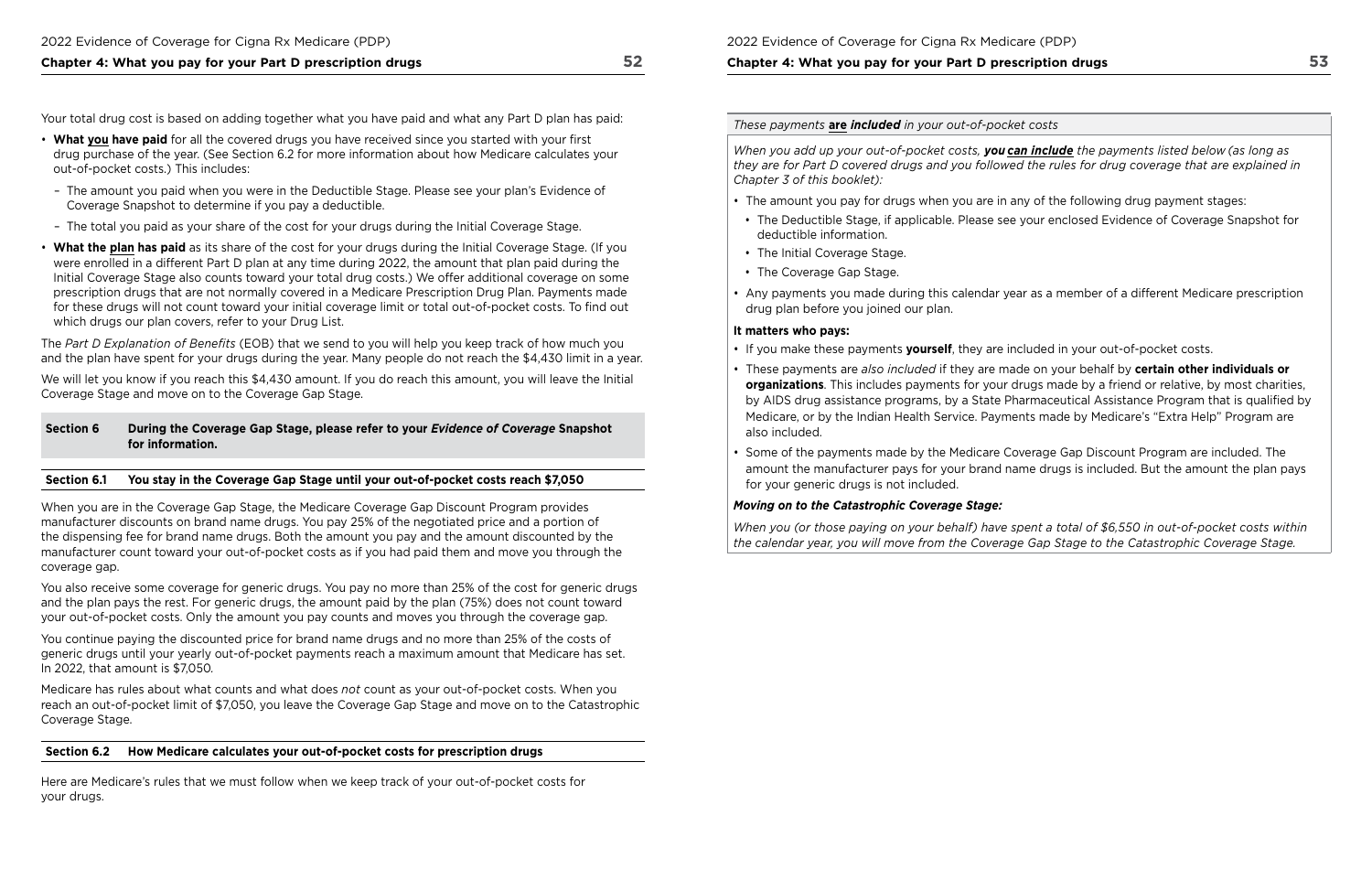Your total drug cost is based on adding together what you have paid and what any Part D plan has paid:

- • **What you have paid** for all the covered drugs you have received since you started with your frst drug purchase of the year. (See Section 6.2 for more information about how Medicare calculates your out-of-pocket costs.) This includes:
- The amount you paid when you were in the Deductible Stage. Please see your plan's Evidence of Coverage Snapshot to determine if you pay a deductible.
- The total you paid as your share of the cost for your drugs during the Initial Coverage Stage.
- **What the plan has paid** as its share of the cost for your drugs during the Initial Coverage Stage. (If you were enrolled in a different Part D plan at any time during 2022, the amount that plan paid during the Initial Coverage Stage also counts toward your total drug costs.) We offer additional coverage on some prescription drugs that are not normally covered in a Medicare Prescription Drug Plan. Payments made for these drugs will not count toward your initial coverage limit or total out-of-pocket costs. To fnd out which drugs our plan covers, refer to your Drug List.

We will let you know if you reach this \$4,430 amount. If you do reach this amount, you will leave the Initial Coverage Stage and move on to the Coverage Gap Stage.

coverage gap. When you are in the Coverage Gap Stage, the Medicare Coverage Gap Discount Program provides manufacturer discounts on brand name drugs. You pay 25% of the negotiated price and a portion of the dispensing fee for brand name drugs. Both the amount you pay and the amount discounted by the manufacturer count toward your out-of-pocket costs as if you had paid them and move you through the

You also receive some coverage for generic drugs. You pay no more than 25% of the cost for generic drugs and the plan pays the rest. For generic drugs, the amount paid by the plan (75%) does not count toward your out-of-pocket costs. Only the amount you pay counts and moves you through the coverage gap.

The *Part D Explanation of Benefts* (EOB) that we send to you will help you keep track of how much you and the plan have spent for your drugs during the year. Many people do not reach the \$4,430 limit in a year.

#### **Section 6 During the Coverage Gap Stage, please refer to your** *Evidence of Coverage* **Snapshot for information.**

### **Section 6.1 You stay in the Coverage Gap Stage until your out‑of‑pocket costs reach \$7,050**

You continue paying the discounted price for brand name drugs and no more than 25% of the costs of generic drugs until your yearly out-of-pocket payments reach a maximum amount that Medicare has set. In 2022, that amount is \$7,050*.* 

Medicare has rules about what counts and what does *not* count as your out-of-pocket costs. When you reach an out-of-pocket limit of \$7,050, you leave the Coverage Gap Stage and move on to the Catastrophic Coverage Stage.

### **Section 6.2 How Medicare calculates your out‑of‑pocket costs for prescription drugs**

Here are Medicare's rules that we must follow when we keep track of your out-of-pocket costs for your drugs.

### 2022 Evidence of Coverage for Cigna Rx Medicare (PDP)

## **Chapter 4: What you pay for your Part D prescription drugs**

*These payments* **are** *included in your out‑of‑pocket costs* 

*When you add up your out‑of‑pocket costs, you can include the payments listed below (as long as they are for Part D covered drugs and you followed the rules for drug coverage that are explained in Chapter 3 of this booklet):* 

- The amount you pay for drugs when you are in any of the following drug payment stages:
- The Deductible Stage, if applicable. Please see your enclosed Evidence of Coverage Snapshot for deductible information.
- The Initial Coverage Stage.
- The Coverage Gap Stage.
- Any payments you made during this calendar year as a member of a different Medicare prescription drug plan before you joined our plan.

### **It matters who pays:**

**organizations**. This includes payments for your drugs made by a friend or relative, by most charities, by AIDS drug assistance programs, by a State Pharmaceutical Assistance Program that is qualifed by

- If you make these payments **yourself**, they are included in your out-of-pocket costs.
- These payments are *also included* if they are made on your behalf by **certain other individuals or**  Medicare, or by the Indian Health Service. Payments made by Medicare's "Extra Help" Program are also included.
- Some of the payments made by the Medicare Coverage Gap Discount Program are included. The for your generic drugs is not included.

amount the manufacturer pays for your brand name drugs is included. But the amount the plan pays

### *Moving on to the Catastrophic Coverage Stage:*

*When you (or those paying on your behalf) have spent a total of \$6,550 in out‑of‑pocket costs within the calendar year, you will move from the Coverage Gap Stage to the Catastrophic Coverage Stage.*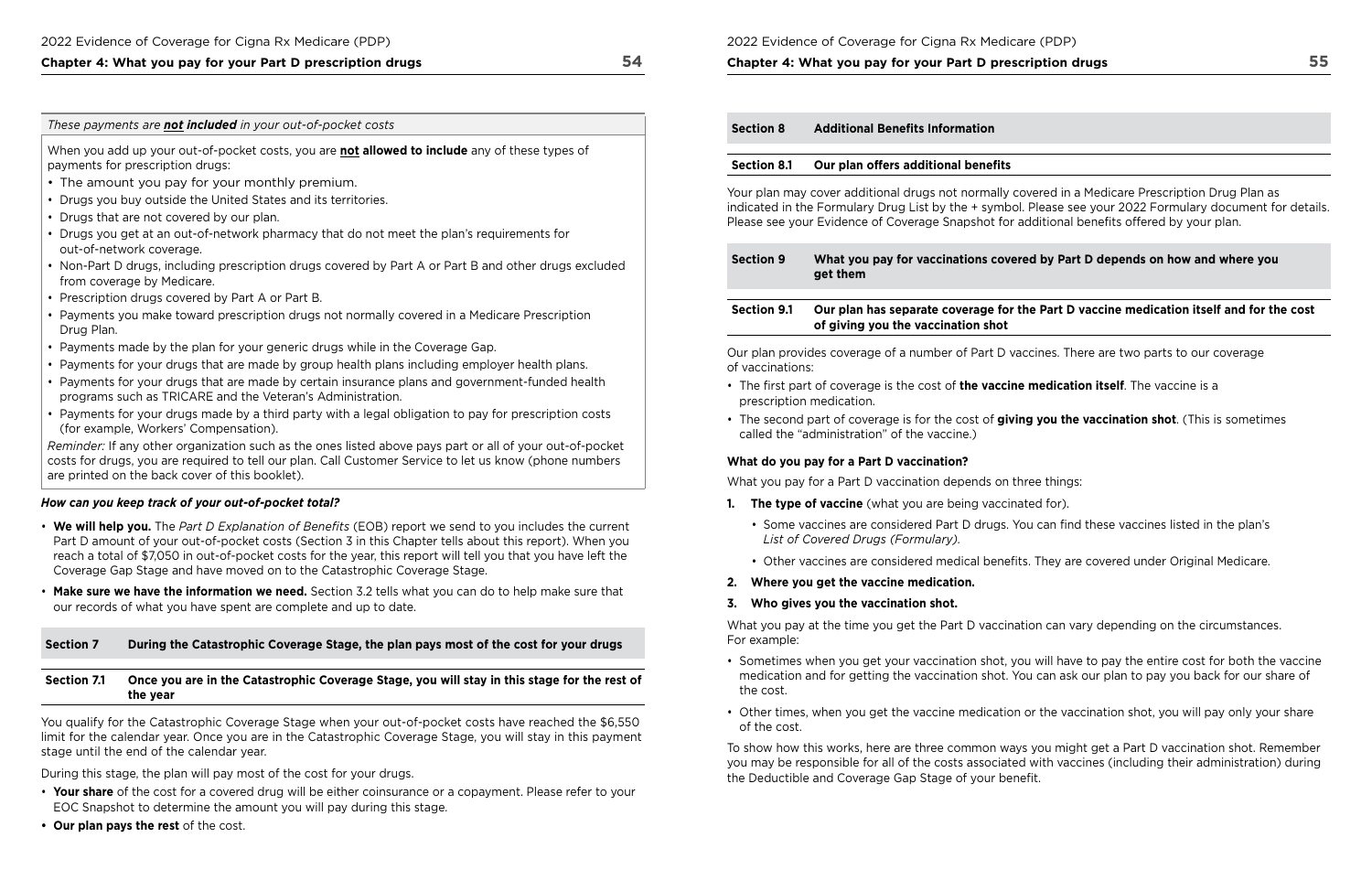#### *These payments are not included in your out‑of‑pocket costs*

When you add up your out-of-pocket costs, you are **not allowed to include** any of payments for prescription drugs:

*Reminder:* If any other organization such as the ones listed above pays part or all of costs for drugs, you are required to tell our plan. Call Customer Service to let us know are printed on the back cover of this booklet).

- The amount you pay for your monthly premium.
- Drugs you buy outside the United States and its territories.
- Drugs that are not covered by our plan.
- Drugs you get at an out-of-network pharmacy that do not meet the plan's require out-of-network coverage.
- Non-Part D drugs, including prescription drugs covered by Part A or Part B and o from coverage by Medicare.
- Prescription drugs covered by Part A or Part B.
- Payments you make toward prescription drugs not normally covered in a Medicare Drug Plan.
- Payments made by the plan for your generic drugs while in the Coverage Gap.
- Payments for your drugs that are made by group health plans including employer
- Payments for your drugs that are made by certain insurance plans and governme programs such as TRICARE and the Veteran's Administration.
- Payments for your drugs made by a third party with a legal obligation to pay for (for example, Workers' Compensation).

- We will help you. The *Part D Explanation of Benefits* (EOB) report we send to you Part D amount of your out-of-pocket costs (Section 3 in this Chapter tells about the reach a total of \$7,050 in out-of-pocket costs for the year, this report will tell you Coverage Gap Stage and have moved on to the Catastrophic Coverage Stage.
- Make sure we have the information we need. Section 3.2 tells what you can do to our records of what you have spent are complete and up to date.

### **Section 7** During the Catastrophic Coverage Stage, the plan pays most of the

### Section 7.1 Once you are in the Catastrophic Coverage Stage, you will stay in the **the year**

You qualify for the Catastrophic Coverage Stage when your out-of-pocket costs have limit for the calendar year. Once you are in the Catastrophic Coverage Stage, you v stage until the end of the calendar year.

### *How can you keep track of your out-of-pocket total?*

During this stage, the plan will pay most of the cost for your drugs.

- **Your share** of the cost for a covered drug will be either coinsurance or a copayment. Please refer to your EOC Snapshot to determine the amount you will pay during this stage.
- **Our plan pays the rest** of the cost.

Medicare Prescription Drug Plan as e your 2022 Formulary document for details. enefits offered by your plan.

## **D** depends on how and where you

### **Section 8.1 Our plane in text** is also contained medication itself and for the cost  $\boldsymbol{\epsilon}$

re are two parts to our coverage

**n itself**. The vaccine is a

**vaccination shot.** (This is sometimes

these vaccines listed in the plan's

covered under Original Medicare.

ry depending on the circumstances.

to pay the entire cost for both the vaccine our plan to pay you back for our share of

cination shot, you will pay only your share

It get a Part D vaccination shot. Remember ines (including their administration) during

### **Chapter 4: What you pay for your Part D prescription drugs**

|                                                 | <b>Section 8</b>                                                  | <b>Additional Benefits Information</b>                                                                                                                                                               |
|-------------------------------------------------|-------------------------------------------------------------------|------------------------------------------------------------------------------------------------------------------------------------------------------------------------------------------------------|
| these types of                                  | <b>Section 8.1</b>                                                | Our plan offers additional benefits                                                                                                                                                                  |
|                                                 |                                                                   | Your plan may cover additional drugs not normally covered in a<br>indicated in the Formulary Drug List by the + symbol. Please see<br>Please see your Evidence of Coverage Snapshot for additional b |
| ements for                                      |                                                                   |                                                                                                                                                                                                      |
| other drugs excluded                            | <b>Section 9</b>                                                  | What you pay for vaccinations covered by Part<br>get them                                                                                                                                            |
| re Prescription                                 | <b>Section 9.1</b>                                                | Our plan has separate coverage for the Part D v<br>of giving you the vaccination shot                                                                                                                |
| r health plans.                                 | of vaccinations:                                                  | Our plan provides coverage of a number of Part D vaccines. The                                                                                                                                       |
| ent-funded health                               |                                                                   | • The first part of coverage is the cost of the vaccine medicatio<br>prescription medication.                                                                                                        |
| prescription costs                              | • The second part of coverage is for the cost of giving you the v |                                                                                                                                                                                                      |
| of your out-of-pocket                           |                                                                   | called the "administration" of the vaccine.)                                                                                                                                                         |
| ow (phone numbers                               |                                                                   | What do you pay for a Part D vaccination?                                                                                                                                                            |
|                                                 |                                                                   | What you pay for a Part D vaccination depends on three things:                                                                                                                                       |
|                                                 | 1.                                                                | <b>The type of vaccine</b> (what you are being vaccinated for).                                                                                                                                      |
| u includes the current<br>his report). When you |                                                                   | • Some vaccines are considered Part D drugs. You can find<br>List of Covered Drugs (Formulary).                                                                                                      |
| that you have left the                          |                                                                   | • Other vaccines are considered medical benefits. They are                                                                                                                                           |
|                                                 |                                                                   | 2. Where you get the vaccine medication.                                                                                                                                                             |
| help make sure that                             |                                                                   | 3. Who gives you the vaccination shot.                                                                                                                                                               |
| cost for your drugs                             | For example:                                                      | What you pay at the time you get the Part D vaccination can var                                                                                                                                      |
|                                                 |                                                                   | • Sometimes when you get your vaccination shot, you will have                                                                                                                                        |
| his stage for the rest of                       | the cost.                                                         | medication and for getting the vaccination shot. You can ask o                                                                                                                                       |
| ave reached the \$6,550                         | of the cost.                                                      | • Other times, when you get the vaccine medication or the vacc                                                                                                                                       |
| will stay in this payment                       |                                                                   | To show how this works, here are three common ways you might<br>you may be responsible for all of the costs associated with vacci<br>the Deductible and Coverage Gap Stage of your benefit.          |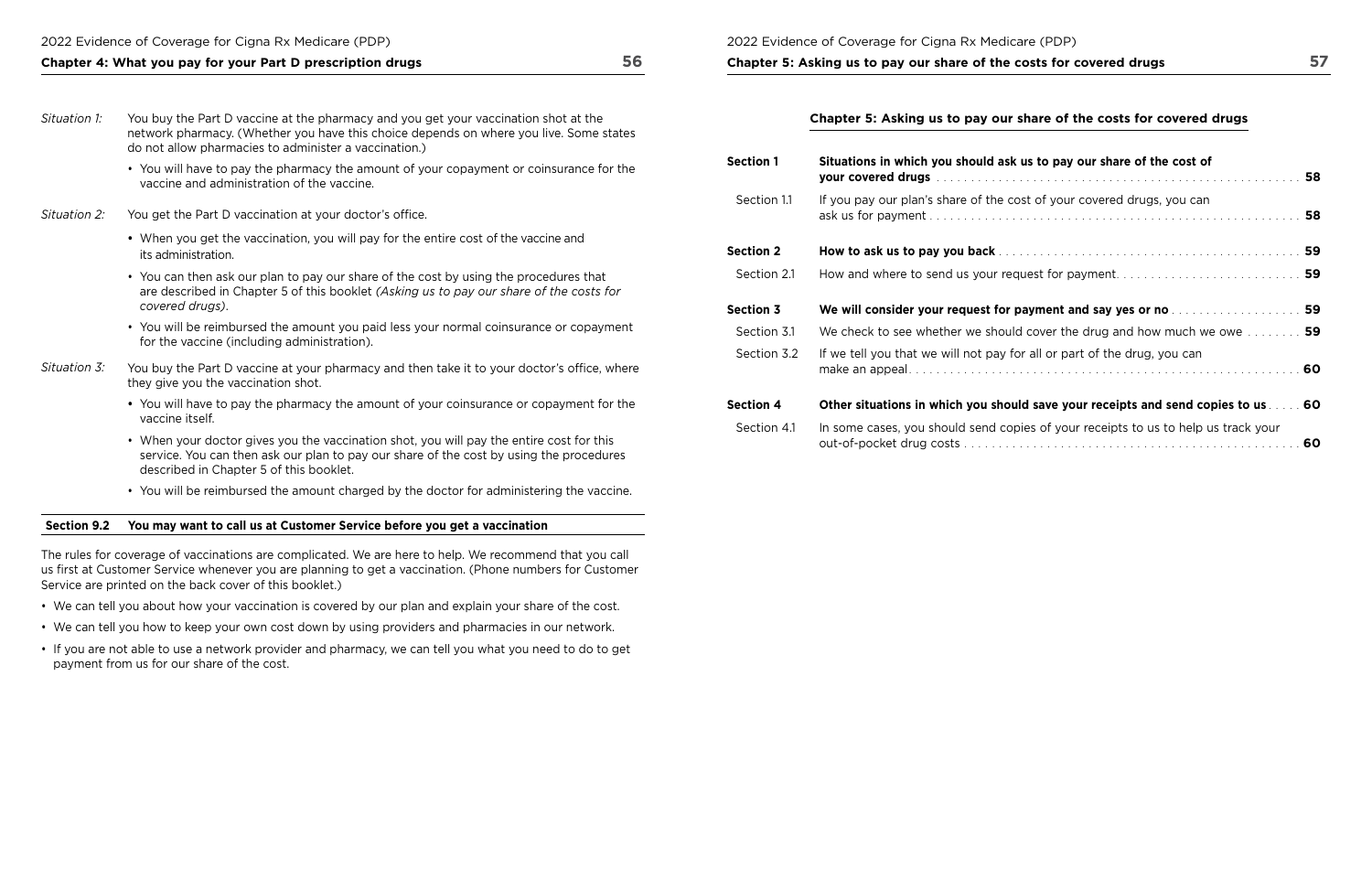- You will have to pay the pharmacy the amount of your copayment or coinsurance for the vaccine and administration of the vaccine.
- *Situation 2:* You get the Part D vaccination at your doctor's office.
	- When you get the vaccination, you will pay for the entire cost of the vaccine and its administration.
	- You can then ask our plan to pay our share of the cost by using the procedures that are described in Chapter 5 of this booklet *(Asking us to pay our share of the costs for covered drugs)*.
	- You will be reimbursed the amount you paid less your normal coinsurance or copayment for the vaccine (including administration).
- *Situation 3:* You buy the Part D vaccine at your pharmacy and then take it to your doctor's office, where they give you the vaccination shot.
	- You will have to pay the pharmacy the amount of your coinsurance or copayment for the vaccine itself.
	- described in Chapter 5 of this booklet. • When your doctor gives you the vaccination shot, you will pay the entire cost for this service. You can then ask our plan to pay our share of the cost by using the procedures
	- You will be reimbursed the amount charged by the doctor for administering the vaccine.

## **Chapter 5: Asking us to pay our share of the costs for covered drugs**

### **Section 9.2 You may want to call us at Customer Service before you get a vaccination**

The rules for coverage of vaccinations are complicated. We are here to help. We recommend that you call us frst at Customer Service whenever you are planning to get a vaccination. (Phone numbers for Customer Service are printed on the back cover of this booklet.)

- We can tell you about how your vaccination is covered by our plan and explain your share of the cost.
- We can tell you how to keep your own cost down by using providers and pharmacies in our network.
- If you are not able to use a network provider and pharmacy, we can tell you what you need to do to get payment from us for our share of the cost.

## **Chapter 5: Asking us to pay our share of the costs for covered drugs**

| Situations in which you should ask us to pay our share of the cost of                   |  |
|-----------------------------------------------------------------------------------------|--|
| If you pay our plan's share of the cost of your covered drugs, you can                  |  |
|                                                                                         |  |
| How and where to send us your request for payment 59                                    |  |
| We will consider your request for payment and say yes or no measure the series of 59    |  |
| We check to see whether we should cover the drug and how much we owe $\ldots \ldots$ 59 |  |
| If we tell you that we will not pay for all or part of the drug, you can                |  |
| Other situations in which you should save your receipts and send copies to us  60       |  |
| In some cases, you should send copies of your receipts to us to help us track your      |  |

| <b>Section 1</b> | Situations in which you should ask us to pay our share of the cost of    |
|------------------|--------------------------------------------------------------------------|
| Section 1.1      | If you pay our plan's share of the cost of your covered drugs, you can   |
| <b>Section 2</b> |                                                                          |
| Section 2.1      | How and where to send us your request for payment                        |
| <b>Section 3</b> | We will consider your request for payment and say yes or no merges       |
| Section 3.1      | We check to see whether we should cover the drug and how much we         |
| Section 3.2      | If we tell you that we will not pay for all or part of the drug, you can |
| <b>Section 4</b> | Other situations in which you should save your receipts and send cop     |
| Section 4.1      | In some cases, you should send copies of your receipts to us to help us  |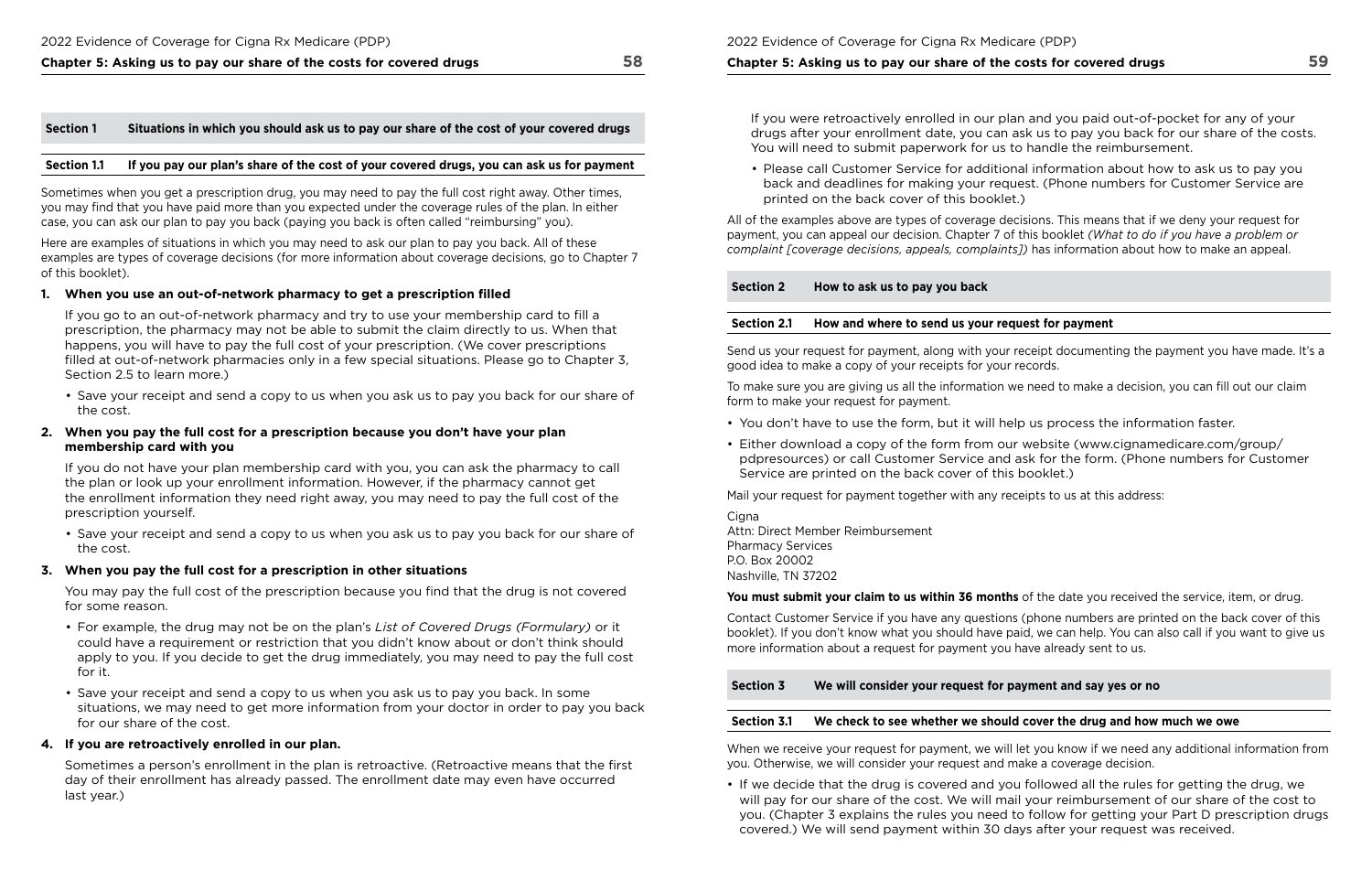## **Chapter 5: Asking us to pay our share of the costs for covered drugs 58**

#### **Section 1 Situations in which you should ask us to pay our share of the cost of your covered drugs**

#### **Section 1.1 If you pay our plan's share of the cost of your covered drugs, you can ask us for payment**

Sometimes when you get a prescription drug, you may need to pay the full cost right away. Other times, you may fnd that you have paid more than you expected under the coverage rules of the plan. In either case, you can ask our plan to pay you back (paying you back is often called "reimbursing" you).

Here are examples of situations in which you may need to ask our plan to pay you back. All of these examples are types of coverage decisions (for more information about coverage decisions, go to Chapter 7 of this booklet).

#### **1. When you use an out‑of‑network pharmacy to get a prescription flled**

You may pay the full cost of the prescription because you find that the drug is not covered for some reason.

If you go to an out-of-network pharmacy and try to use your membership card to fll a prescription, the pharmacy may not be able to submit the claim directly to us. When that happens, you will have to pay the full cost of your prescription. (We cover prescriptions flled at out-of-network pharmacies only in a few special situations. Please go to Chapter 3, Section 2.5 to learn more.)

• Save your receipt and send a copy to us when you ask us to pay you back for our share of the cost.

#### **2. When you pay the full cost for a prescription because you don't have your plan membership card with you**

If you do not have your plan membership card with you, you can ask the pharmacy to call the plan or look up your enrollment information. However, if the pharmacy cannot get the enrollment information they need right away, you may need to pay the full cost of the prescription yourself.

• Save your receipt and send a copy to us when you ask us to pay you back for our share of the cost.

#### **3. When you pay the full cost for a prescription in other situations**

Cigna Attn: Direct Member Reimbursement Pharmacy Services P.O. Box 20002 Nashville, TN 37202

- For example, the drug may not be on the plan's *List of Covered Drugs (Formulary)* or it could have a requirement or restriction that you didn't know about or don't think should apply to you. If you decide to get the drug immediately, you may need to pay the full cost for it.
- Save your receipt and send a copy to us when you ask us to pay you back. In some situations, we may need to get more information from your doctor in order to pay you back for our share of the cost.

#### **4. If you are retroactively enrolled in our plan.**

Sometimes a person's enrollment in the plan is retroactive. (Retroactive means that the frst day of their enrollment has already passed. The enrollment date may even have occurred last year.)

### **Chapter 5: Asking us to pay our share of the costs for covered drugs**

If you were retroactively enrolled in our plan and you paid out-of-pocket for any of your drugs after your enrollment date, you can ask us to pay you back for our share of the costs. You will need to submit paperwork for us to handle the reimbursement.

• Please call Customer Service for additional information about how to ask us to pay you back and deadlines for making your request. (Phone numbers for Customer Service are

printed on the back cover of this booklet.)

All of the examples above are types of coverage decisions. This means that if we deny your request for payment, you can appeal our decision. Chapter 7 of this booklet *(What to do if you have a problem or complaint [coverage decisions, appeals, complaints])* has information about how to make an appeal.

### **Section 2 How to ask us to pay you back**

### **Section 2.1 How and where to send us your request for payment**

Send us your request for payment, along with your receipt documenting the payment you have made. It's a good idea to make a copy of your receipts for your records.

To make sure you are giving us all the information we need to make a decision, you can fll out our claim form to make your request for payment.

- You don't have to use the form, but it will help us process the information faster.
- Either download a copy of the form from our website ([www.cignamedicare.com/group/](http://www.cignamedicare.com/group/pdpresources)  [pdpresources](http://www.cignamedicare.com/group/pdpresources)) or call Customer Service and ask for the form. (Phone numbers for Customer Service are printed on the back cover of this booklet.)

Mail your request for payment together with any receipts to us at this address:

#### **You must submit your claim to us within 36 months** of the date you received the service, item, or drug.

Contact Customer Service if you have any questions (phone numbers are printed on the back cover of this booklet). If you don't know what you should have paid, we can help. You can also call if you want to give us more information about a request for payment you have already sent to us.

**Section 3 We will consider your request for payment and say yes or no** 

#### **Section 3.1 We check to see whether we should cover the drug and how much we owe**

When we receive your request for payment, we will let you know if we need any additional information from you. Otherwise, we will consider your request and make a coverage decision.

• If we decide that the drug is covered and you followed all the rules for getting the drug, we covered.) We will send payment within 30 days after your request was received.

will pay for our share of the cost. We will mail your reimbursement of our share of the cost to you. (Chapter 3 explains the rules you need to follow for getting your Part D prescription drugs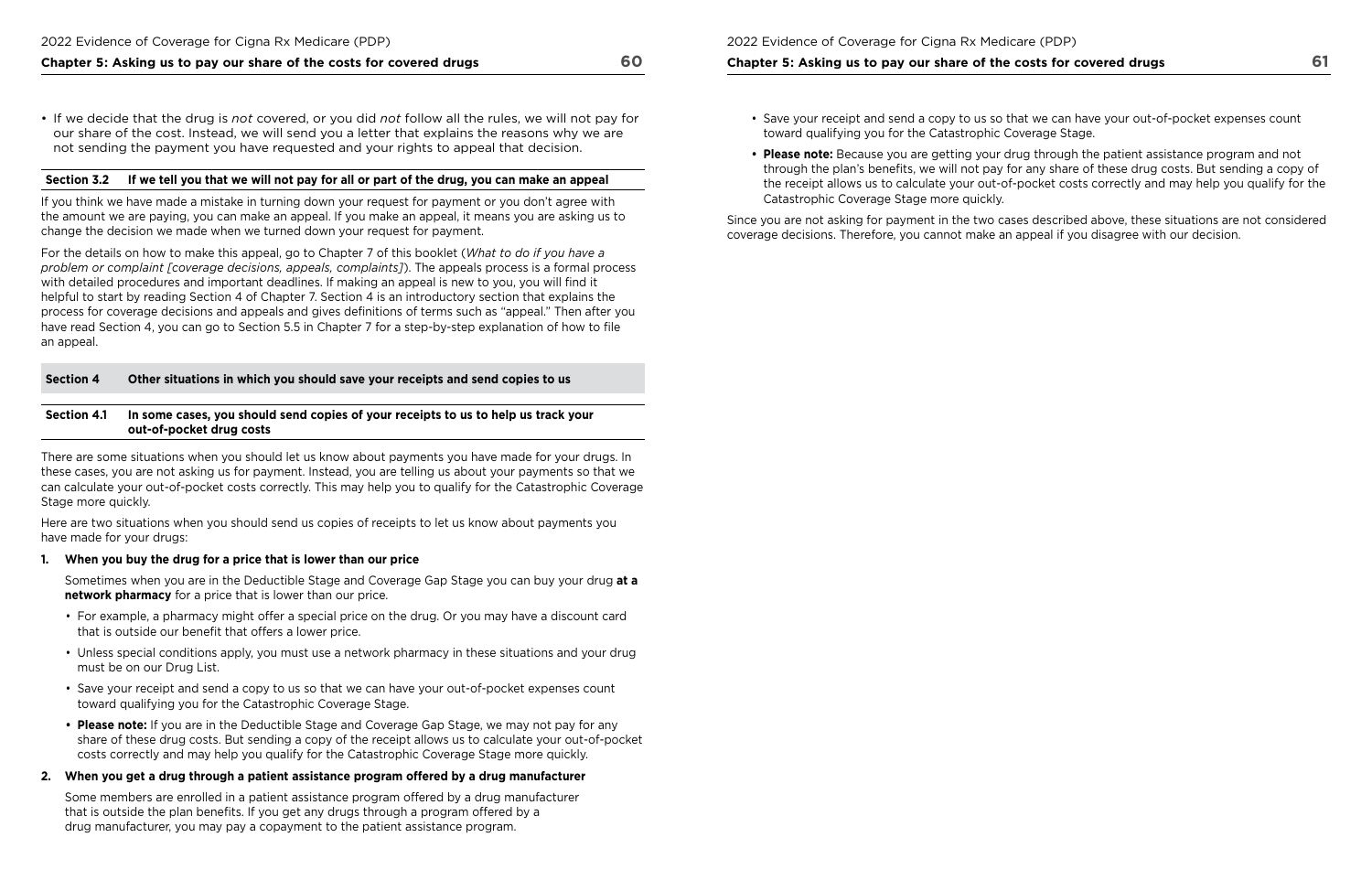## **Chapter 5: Asking us to pay our share of the costs for covered drugs 60**

• If we decide that the drug is *not* covered, or you did *not* follow all the rules, we will not pay for our share of the cost. Instead, we will send you a letter that explains the reasons why we are not sending the payment you have requested and your rights to appeal that decision.

#### **Section 3.2 If we tell you that we will not pay for all or part of the drug, you can make an appeal**

If you think we have made a mistake in turning down your request for payment or you don't agree with the amount we are paying, you can make an appeal. If you make an appeal, it means you are asking us to change the decision we made when we turned down your request for payment.

 helpful to start by reading Section 4 of Chapter 7. Section 4 is an introductory section that explains the have read Section 4, you can go to Section 5.5 in Chapter 7 for a step-by-step explanation of how to fle For the details on how to make this appeal, go to Chapter 7 of this booklet (*What to do if you have a problem or complaint [coverage decisions, appeals, complaints]*). The appeals process is a formal process with detailed procedures and important deadlines. If making an appeal is new to you, you will fnd it process for coverage decisions and appeals and gives defnitions of terms such as "appeal." Then after you an appeal.

### **1. When you buy the drug for a price that is lower than our price**

#### **Section 4 Other situations in which you should save your receipts and send copies to us**

### **2. When you get a drug through a patient assistance program offered by a drug manufacturer**

#### **Section 4.1 In some cases, you should send copies of your receipts to us to help us track your out‑of‑pocket drug costs**

There are some situations when you should let us know about payments you have made for your drugs. In these cases, you are not asking us for payment. Instead, you are telling us about your payments so that we can calculate your out-of-pocket costs correctly. This may help you to qualify for the Catastrophic Coverage Stage more quickly.

Here are two situations when you should send us copies of receipts to let us know about payments you have made for your drugs:

Sometimes when you are in the Deductible Stage and Coverage Gap Stage you can buy your drug **at a network pharmacy** for a price that is lower than our price.

- For example, a pharmacy might offer a special price on the drug. Or you may have a discount card that is outside our benefit that offers a lower price.
- Unless special conditions apply, you must use a network pharmacy in these situations and your drug must be on our Drug List.
- Save your receipt and send a copy to us so that we can have your out-of-pocket expenses count toward qualifying you for the Catastrophic Coverage Stage.
- **Please note:** If you are in the Deductible Stage and Coverage Gap Stage, we may not pay for any share of these drug costs. But sending a copy of the receipt allows us to calculate your out-of-pocket costs correctly and may help you qualify for the Catastrophic Coverage Stage more quickly.

Some members are enrolled in a patient assistance program offered by a drug manufacturer that is outside the plan benefts. If you get any drugs through a program offered by a drug manufacturer, you may pay a copayment to the patient assistance program.

2022 Evidence of Coverage for Cigna Rx Medicare (PDP)

#### **Chapter 5: Asking us to pay our share of the costs for covered drugs**

• Save your receipt and send a copy to us so that we can have your out-of-pocket expenses count

- toward qualifying you for the Catastrophic Coverage Stage.
- Catastrophic Coverage Stage more quickly.

**• Please note:** Because you are getting your drug through the patient assistance program and not through the plan's benefits, we will not pay for any share of these drug costs. But sending a copy of the receipt allows us to calculate your out-of-pocket costs correctly and may help you qualify for the

Since you are not asking for payment in the two cases described above, these situations are not considered coverage decisions. Therefore, you cannot make an appeal if you disagree with our decision.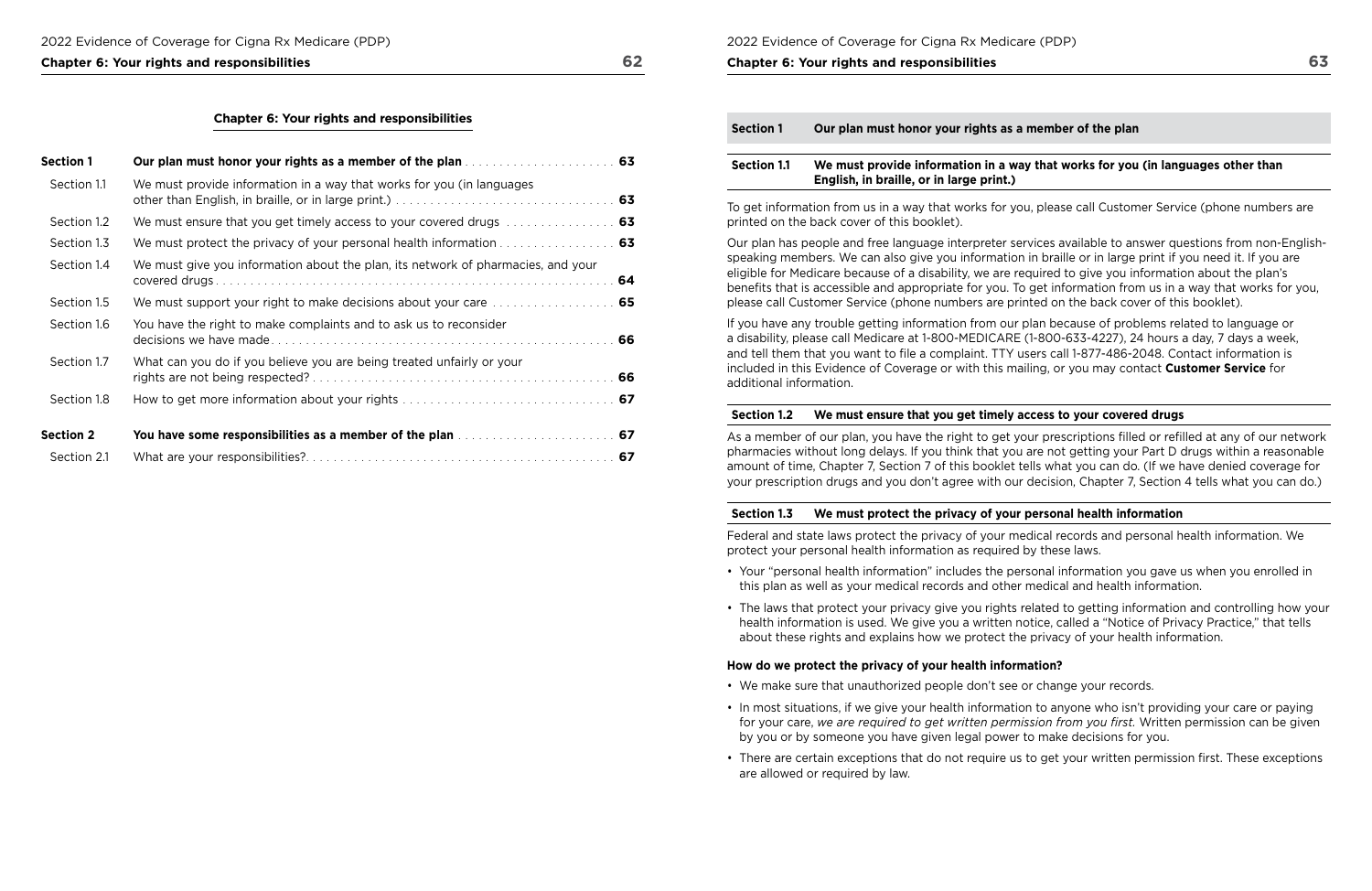#### **Chapter 6: Your rights and responsibilities 62**

| <b>Section 1</b> |                                                                                           |  |
|------------------|-------------------------------------------------------------------------------------------|--|
| Section 1.1      | We must provide information in a way that works for you (in languages                     |  |
| Section 1.2      | We must ensure that you get timely access to your covered drugs  63                       |  |
| Section 1.3      |                                                                                           |  |
| Section 1.4      | We must give you information about the plan, its network of pharmacies, and your          |  |
| Section 1.5      | We must support your right to make decisions about your care  65                          |  |
| Section 1.6      | You have the right to make complaints and to ask us to reconsider                         |  |
| Section 1.7      | What can you do if you believe you are being treated unfairly or your                     |  |
| Section 1.8      |                                                                                           |  |
| <b>Section 2</b> | You have some responsibilities as a member of the plan manuscript and some solutions of 7 |  |
| Section 2.1      |                                                                                           |  |

#### **Section 1.2 We must ensure that you get timely access to your covered drugs**

 amount of time, Chapter 7, Section 7 of this booklet tells what you can do. (If we have denied coverage for your prescription drugs and you don't agree with our decision, Chapter 7, Section 4 tells what you can do.) As a member of our plan, you have the right to get your prescriptions flled or reflled at any of our network pharmacies without long delays. If you think that you are not getting your Part D drugs within a reasonable

2022 Evidence of Coverage for Cigna Rx Medicare (PDP)

#### **Chapter 6: Your rights and responsibilities**

| <b>Section 1.1</b> | We must provide information in a way     |
|--------------------|------------------------------------------|
|                    | English, in braille, or in large print.) |

To get information from us in a way that works for you, please call Customer Service (phone numbers are printed on the back cover of this booklet).

Our plan has people and free language interpreter services available to answer questions from non-Englishspeaking members. We can also give you information in braille or in large print if you need it. If you are eligible for Medicare because of a disability, we are required to give you information about the plan's benefts that is accessible and appropriate for you. To get information from us in a way that works for you, please call Customer Service (phone numbers are printed on the back cover of this booklet).

If you have any trouble getting information from our plan because of problems related to language or a disability, please call Medicare at 1-800-MEDICARE (1-800-633-4227), 24 hours a day, 7 days a week, and tell them that you want to fle a complaint. TTY users call 1-877-486-2048. Contact information is included in this Evidence of Coverage or with this mailing, or you may contact **Customer Service** for additional information.

### **Section 1.3 We must protect the privacy of your personal health information**

Federal and state laws protect the privacy of your medical records and personal health information. We protect your personal health information as required by these laws.

• The laws that protect your privacy give you rights related to getting information and controlling how your

- Your "personal health information" includes the personal information you gave us when you enrolled in this plan as well as your medical records and other medical and health information.
- health information is used. We give you a written notice, called a "Notice of Privacy Practice," that tells about these rights and explains how we protect the privacy of your health information.

### **How do we protect the privacy of your health information?**

• In most situations, if we give your health information to anyone who isn't providing your care or paying for your care, *we are required to get written permission from you frst.* Written permission can be given

• There are certain exceptions that do not require us to get your written permission first. These exceptions

- We make sure that unauthorized people don't see or change your records.
- by you or by someone you have given legal power to make decisions for you.
- are allowed or required by law.

### member of the plan

### **Superide 1.1 We must provid in the set in a way that works for you (in languages other than**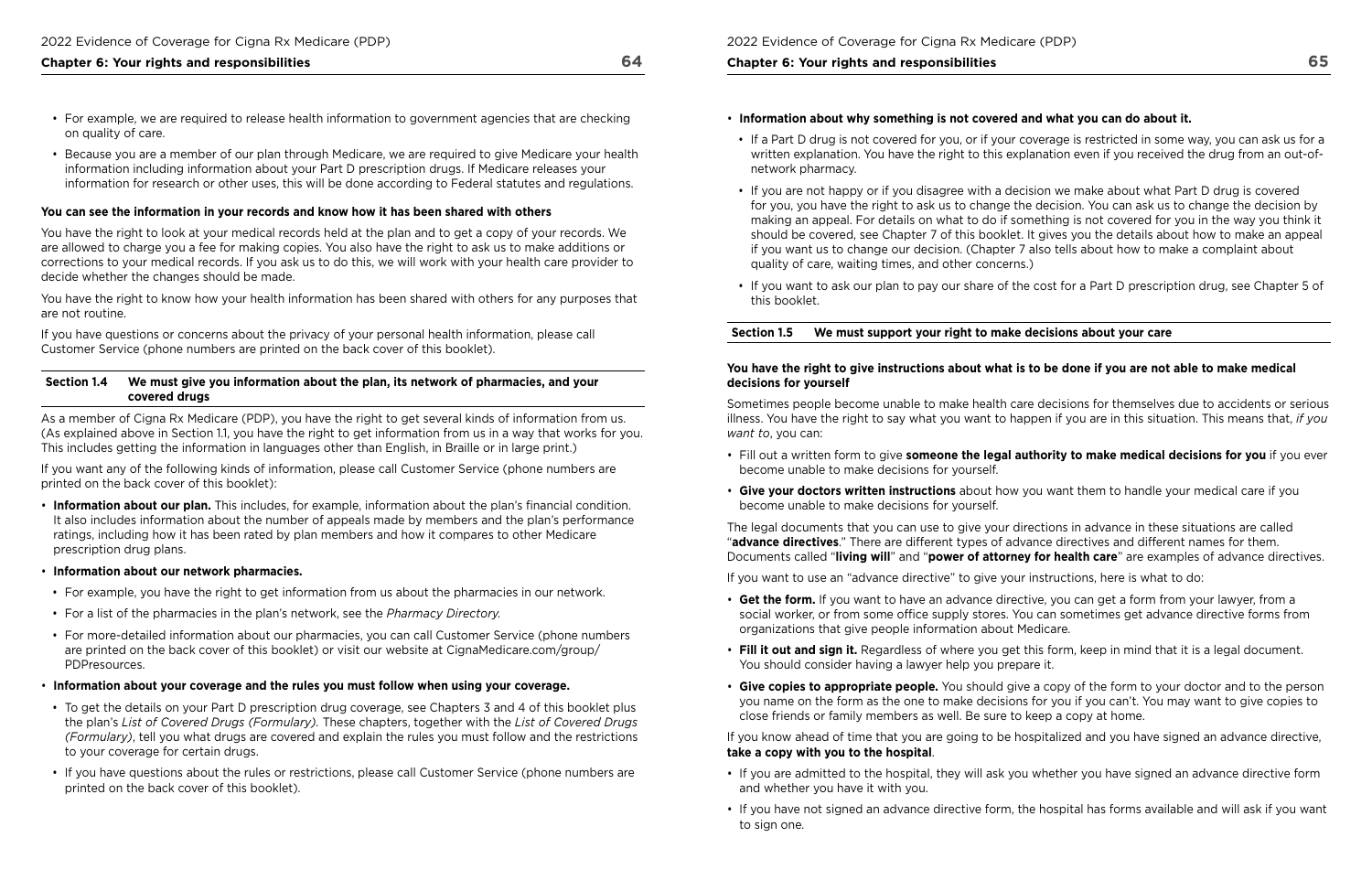- 
- For example, we are required to release health information to government agencies that are checking on quality of care.
- Because you are a member of our plan through Medicare, we are required to give Medicare your health information including information about your Part D prescription drugs. If Medicare releases your information for research or other uses, this will be done according to Federal statutes and regulations.

#### **You can see the information in your records and know how it has been shared with others**

You have the right to look at your medical records held at the plan and to get a copy of your records. We are allowed to charge you a fee for making copies. You also have the right to ask us to make additions or corrections to your medical records. If you ask us to do this, we will work with your health care provider to decide whether the changes should be made.

You have the right to know how your health information has been shared with others for any purposes that are not routine.

If you have questions or concerns about the privacy of your personal health information, please call Customer Service (phone numbers are printed on the back cover of this booklet).

#### **Section 1.4 We must give you information about the plan, its network of pharmacies, and your covered drugs**

As a member of Cigna Rx Medicare (PDP), you have the right to get several kinds of information from us. (As explained above in Section 1.1, you have the right to get information from us in a way that works for you. This includes getting the information in languages other than English, in Braille or in large print.)

If you want any of the following kinds of information, please call Customer Service (phone numbers are printed on the back cover of this booklet):

- **Information about our plan.** This includes, for example, information about the plan's fnancial condition. It also includes information about the number of appeals made by members and the plan's performance ratings, including how it has been rated by plan members and how it compares to other Medicare prescription drug plans.
- **Information about our network pharmacies.**
- For example, you have the right to get information from us about the pharmacies in our network.
- For a list of the pharmacies in the plan's network, see the *Pharmacy Directory.*
- For more-detailed information about our pharmacies, you can call Customer Service (phone numbers [are printed on the back cover of this booklet\) or visit our website at CignaMedicare.com/group/](www.CignaMedicare.com/group/PDPresources)  PDPresources.
- **Information about your coverage and the rules you must follow when using your coverage.**
- To get the details on your Part D prescription drug coverage, see Chapters 3 and 4 of this booklet plus the plan's *List of Covered Drugs (Formulary).* These chapters, together with the *List of Covered Drugs (Formulary)*, tell you what drugs are covered and explain the rules you must follow and the restrictions to your coverage for certain drugs.
- If you have questions about the rules or restrictions, please call Customer Service (phone numbers are printed on the back cover of this booklet).

#### **Chapter 6: Your rights and responsibilities**

• If a Part D drug is not covered for you, or if your coverage is restricted in some way, you can ask us for a written explanation. You have the right to this explanation even if you received the drug from an out-of-

- **Information about why something is not covered and what you can do about it.**
- network pharmacy.
- If you are not happy or if you disagree with a decision we make about what Part D drug is covered quality of care, waiting times, and other concerns.)
- this booklet.

for you, you have the right to ask us to change the decision. You can ask us to change the decision by making an appeal. For details on what to do if something is not covered for you in the way you think it should be covered, see Chapter 7 of this booklet. It gives you the details about how to make an appeal if you want us to change our decision. (Chapter 7 also tells about how to make a complaint about

• If you want to ask our plan to pay our share of the cost for a Part D prescription drug, see Chapter 5 of

## **Section 1.5 We must support your right to make decisions about your care**

#### **You have the right to give instructions about what is to be done if you are not able to make medical decisions for yourself**

Sometimes people become unable to make health care decisions for themselves due to accidents or serious illness. You have the right to say what you want to happen if you are in this situation. This means that, *if you want to*, you can:

### • Fill out a written form to give **someone the legal authority to make medical decisions for you** if you ever

- become unable to make decisions for yourself.
- **Give your doctors written instructions** about how you want them to handle your medical care if you become unable to make decisions for yourself.

The legal documents that you can use to give your directions in advance in these situations are called "**advance directives**." There are different types of advance directives and different names for them. Documents called "**living will**" and "**power of attorney for health care**" are examples of advance directives.

If you want to use an "advance directive" to give your instructions, here is what to do:

- **Get the form.** If you want to have an advance directive, you can get a form from your lawyer, from a social worker, or from some office supply stores. You can sometimes get advance directive forms from organizations that give people information about Medicare.
- **Fill it out and sign it.** Regardless of where you get this form, keep in mind that it is a legal document. You should consider having a lawyer help you prepare it.
- close friends or family members as well. Be sure to keep a copy at home.

• **Give copies to appropriate people.** You should give a copy of the form to your doctor and to the person you name on the form as the one to make decisions for you if you can't. You may want to give copies to

If you know ahead of time that you are going to be hospitalized and you have signed an advance directive, **take a copy with you to the hospital**.

- If you are admitted to the hospital, they will ask you whether you have signed an advance directive form and whether you have it with you.
- to sign one.

• If you have not signed an advance directive form, the hospital has forms available and will ask if you want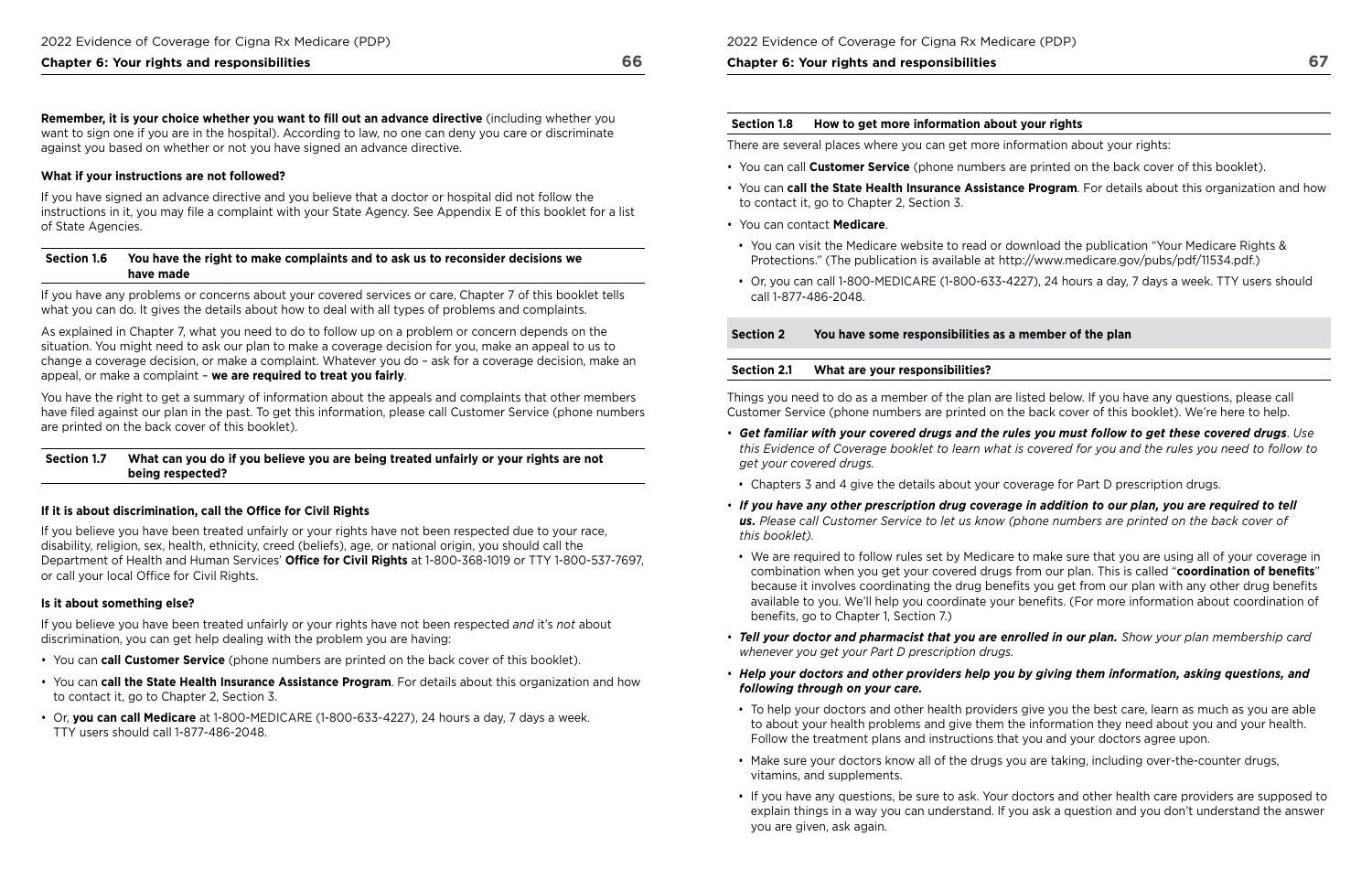**Remember, it is your choice whether you want to fll out an advance directive** (including whether you want to sign one if you are in the hospital). According to law, no one can deny you care or discriminate against you based on whether or not you have signed an advance directive.

#### **What if your instructions are not followed?**

If you have signed an advance directive and you believe that a doctor or hospital did not follow the instructions in it, you may fle a complaint with your State Agency. See Appendix E of this booklet for a list of State Agencies.

#### **Section 1.6 You have the right to make complaints and to ask us to reconsider decisions we have made**

If you have any problems or concerns about your covered services or care, Chapter 7 of this booklet tells what you can do. It gives the details about how to deal with all types of problems and complaints.

If you believe you have been treated unfairly or your rights have not been respected due to your race, disability, religion, sex, health, ethnicity, creed (beliefs), age, or national origin, you should call the Department of Health and Human Services' Office for Civil Rights at 1-800-368-1019 or TTY 1-800-537-7697, or call your local Office for Civil Rights.

As explained in Chapter 7, what you need to do to follow up on a problem or concern depends on the situation. You might need to ask our plan to make a coverage decision for you, make an appeal to us to change a coverage decision, or make a complaint. Whatever you do – ask for a coverage decision, make an appeal, or make a complaint – **we are required to treat you fairly**.

You have the right to get a summary of information about the appeals and complaints that other members have fled against our plan in the past. To get this information, please call Customer Service (phone numbers are printed on the back cover of this booklet).

#### **Section 1.7 What can you do if you believe you are being treated unfairly or your rights are not being respected?**

#### **If it is about discrimination, call the Office for Civil Rights**

• Or, you can call 1-800-MEDICARE (1-800-633-4227), 24 hours a day, 7 days a week. TTY users should

#### **Is it about something else?**

If you believe you have been treated unfairly or your rights have not been respected *and* it's *not* about discrimination, you can get help dealing with the problem you are having:

- You can **call Customer Service** (phone numbers are printed on the back cover of this booklet).
- to contact it, go to Chapter 2, Section 3. • You can **call the State Health Insurance Assistance Program**. For details about this organization and how
- Or, **you can call Medicare** at 1-800-MEDICARE (1-800-633-4227), 24 hours a day, 7 days a week. TTY users should call 1-877-486-2048.

## **Chapter 6: Your rights and responsibilities**

## **Section 1.8 How to get more information about your rights**

There are several places where you can get more information about your rights:

• You can **call the State Health Insurance Assistance Program**. For details about this organization and how

- You can call **Customer Service** (phone numbers are printed on the back cover of this booklet).
- to contact it, go to Chapter 2, Section 3.
- You can contact **Medicare**.
- You can visit the Medicare website to read or download the publication "Your Medicare Rights & Protections." (The publication is available at [http://www.medicare.gov/pubs/pdf/11534.pdf.](http://www.medicare.gov/pubs/pdf/11534.pdf))
- call 1-877-486-2048.

## **Section 2 You have some responsibilities as a member of the plan**

### **Section 2.1 What are your responsibilities?**

Things you need to do as a member of the plan are listed below. If you have any questions, please call Customer Service (phone numbers are printed on the back cover of this booklet). We're here to help.

*this Evidence of Coverage booklet to learn what is covered for you and the rules you need to follow to* 

• We are required to follow rules set by Medicare to make sure that you are using all of your coverage in combination when you get your covered drugs from our plan. This is called "**coordination of benefts**" because it involves coordinating the drug benefits you get from our plan with any other drug benefits available to you. We'll help you coordinate your benefts. (For more information about coordination of

- *Get familiar with your covered drugs and the rules you must follow to get these covered drugs*. *Use get your covered drugs.*
- Chapters 3 and 4 give the details about your coverage for Part D prescription drugs.
- *this booklet).*  • *If you have any other prescription drug coverage in addition to our plan, you are required to tell us. Please call Customer Service to let us know (phone numbers are printed on the back cover of*
- benefits, go to Chapter 1, Section 7.)
- *Tell your doctor and pharmacist that you are enrolled in our plan. Show your plan membership card whenever you get your Part D prescription drugs.*
- *Help your doctors and other providers help you by giving them information, asking questions, and following through on your care.*
- Follow the treatment plans and instructions that you and your doctors agree upon.
- Make sure your doctors know all of the drugs you are taking, including over-the-counter drugs, vitamins, and supplements.
- you are given, ask again.

• To help your doctors and other health providers give you the best care, learn as much as you are able to about your health problems and give them the information they need about you and your health.

• If you have any questions, be sure to ask. Your doctors and other health care providers are supposed to explain things in a way you can understand. If you ask a question and you don't understand the answer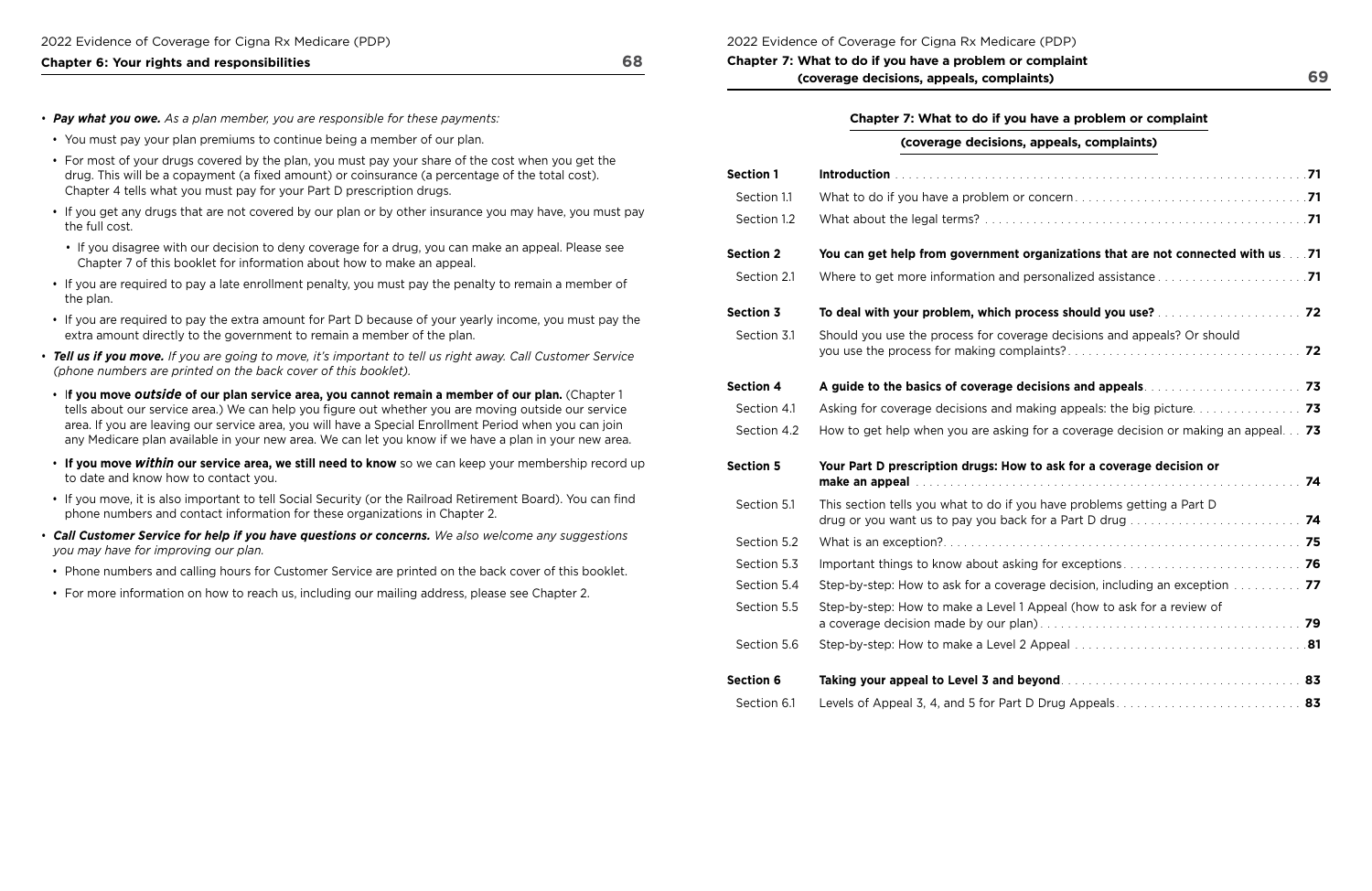- *Pay what you owe. As a plan member, you are responsible for these payments:*
- You must pay your plan premiums to continue being a member of our plan.
- For most of your drugs covered by the plan, you must pay your share of the cost when you get the drug. This will be a copayment (a fixed amount) or coinsurance (a percentage of the total cost). Chapter 4 tells what you must pay for your Part D prescription drugs.
- If you get any drugs that are not covered by our plan or by other insurance you may have, you must pay the full cost.
- If you disagree with our decision to deny coverage for a drug, you can make an appeal. Please see Chapter 7 of this booklet for information about how to make an appeal.
- If you are required to pay a late enrollment penalty, you must pay the penalty to remain a member of the plan.
- If you are required to pay the extra amount for Part D because of your yearly income, you must pay the extra amount directly to the government to remain a member of the plan.
- *(phone numbers are printed on the back cover of this booklet).*  • *Tell us if you move. If you are going to move, it's important to tell us right away. Call Customer Service*
- I**f you move** *outside* **of our plan service area, you cannot remain a member of our plan.** (Chapter 1 tells about our service area.) We can help you figure out whether you are moving outside our service area. If you are leaving our service area, you will have a Special Enrollment Period when you can join any Medicare plan available in your new area. We can let you know if we have a plan in your new area.
- **If you move** *within* **our service area, we still need to know** so we can keep your membership record up to date and know how to contact you.
- If you move, it is also important to tell Social Security (or the Railroad Retirement Board). You can find phone numbers and contact information for these organizations in Chapter 2.
- *Call Customer Service for help if you have questions or concerns. We also welcome any suggestions you may have for improving our plan.*
- Phone numbers and calling hours for Customer Service are printed on the back cover of this booklet.
- For more information on how to reach us, including our mailing address, please see Chapter 2.

 **Chapter 7: What to do if you have a problem or complaint (coverage decisions, appeals, complaints)** 

## **Chapter 7: What to do if you have a problem or complaint**

### 2022 Evidence of Coverage for Cigna Rx Medicare (PDP)

## **(coverage decisions, appeals, complaints)**

| <b>Section 1</b> |                                                                                                                                                                                         |  |
|------------------|-----------------------------------------------------------------------------------------------------------------------------------------------------------------------------------------|--|
| Section 1.1      |                                                                                                                                                                                         |  |
| Section 1.2      |                                                                                                                                                                                         |  |
| <b>Section 2</b> | You can get help from government organizations that are not connected with us 71                                                                                                        |  |
| Section 2.1      |                                                                                                                                                                                         |  |
| <b>Section 3</b> |                                                                                                                                                                                         |  |
| Section 3.1      | Should you use the process for coverage decisions and appeals? Or should                                                                                                                |  |
| <b>Section 4</b> |                                                                                                                                                                                         |  |
| Section 4.1      |                                                                                                                                                                                         |  |
| Section 4.2      | How to get help when you are asking for a coverage decision or making an appeal 73                                                                                                      |  |
| <b>Section 5</b> | Your Part D prescription drugs: How to ask for a coverage decision or<br>make an appeal with continuous continuous continuous contractors and the continuous continuous contractors and |  |
| Section 5.1      | This section tells you what to do if you have problems getting a Part D                                                                                                                 |  |
| Section 5.2      |                                                                                                                                                                                         |  |
| Section 5.3      |                                                                                                                                                                                         |  |
| Section 5.4      | Step-by-step: How to ask for a coverage decision, including an exception 77                                                                                                             |  |
| Section 5.5      | Step-by-step: How to make a Level 1 Appeal (how to ask for a review of                                                                                                                  |  |
| Section 5.6      |                                                                                                                                                                                         |  |
|                  |                                                                                                                                                                                         |  |
| <b>Section 6</b> |                                                                                                                                                                                         |  |
| Section 6.1      | Levels of Appeal 3, 4, and 5 for Part D Drug Appeals 83                                                                                                                                 |  |

| <b>Section 1</b> |                                                                                                                                                                                         |
|------------------|-----------------------------------------------------------------------------------------------------------------------------------------------------------------------------------------|
| Section 1.1      |                                                                                                                                                                                         |
| Section 1.2      |                                                                                                                                                                                         |
| <b>Section 2</b> | You can get help from government organizations that are not connected                                                                                                                   |
| Section 2.1      | Where to get more information and personalized assistance                                                                                                                               |
| <b>Section 3</b> | To deal with your problem, which process should you use?                                                                                                                                |
| Section 3.1      | Should you use the process for coverage decisions and appeals? Or should                                                                                                                |
| <b>Section 4</b> | A guide to the basics of coverage decisions and appeals.                                                                                                                                |
| Section 4.1      | Asking for coverage decisions and making appeals: the big picture                                                                                                                       |
| Section 4.2      | How to get help when you are asking for a coverage decision or making an                                                                                                                |
| <b>Section 5</b> | Your Part D prescription drugs: How to ask for a coverage decision or<br>make an appeal construction of the contract of the construction of the construction of the construction of the |
| Section 5.1      | This section tells you what to do if you have problems getting a Part D<br>drug or you want us to pay you back for a Part D drug                                                        |
| Section 5.2      |                                                                                                                                                                                         |
| Section 5.3      | Important things to know about asking for exceptions                                                                                                                                    |
| Section 5.4      | Step-by-step: How to ask for a coverage decision, including an exception                                                                                                                |
| Section 5.5      | Step-by-step: How to make a Level 1 Appeal (how to ask for a review of                                                                                                                  |
| Section 5.6      |                                                                                                                                                                                         |
| <b>Section 6</b> |                                                                                                                                                                                         |
| Section 6.1      | Levels of Appeal 3, 4, and 5 for Part D Drug Appeals                                                                                                                                    |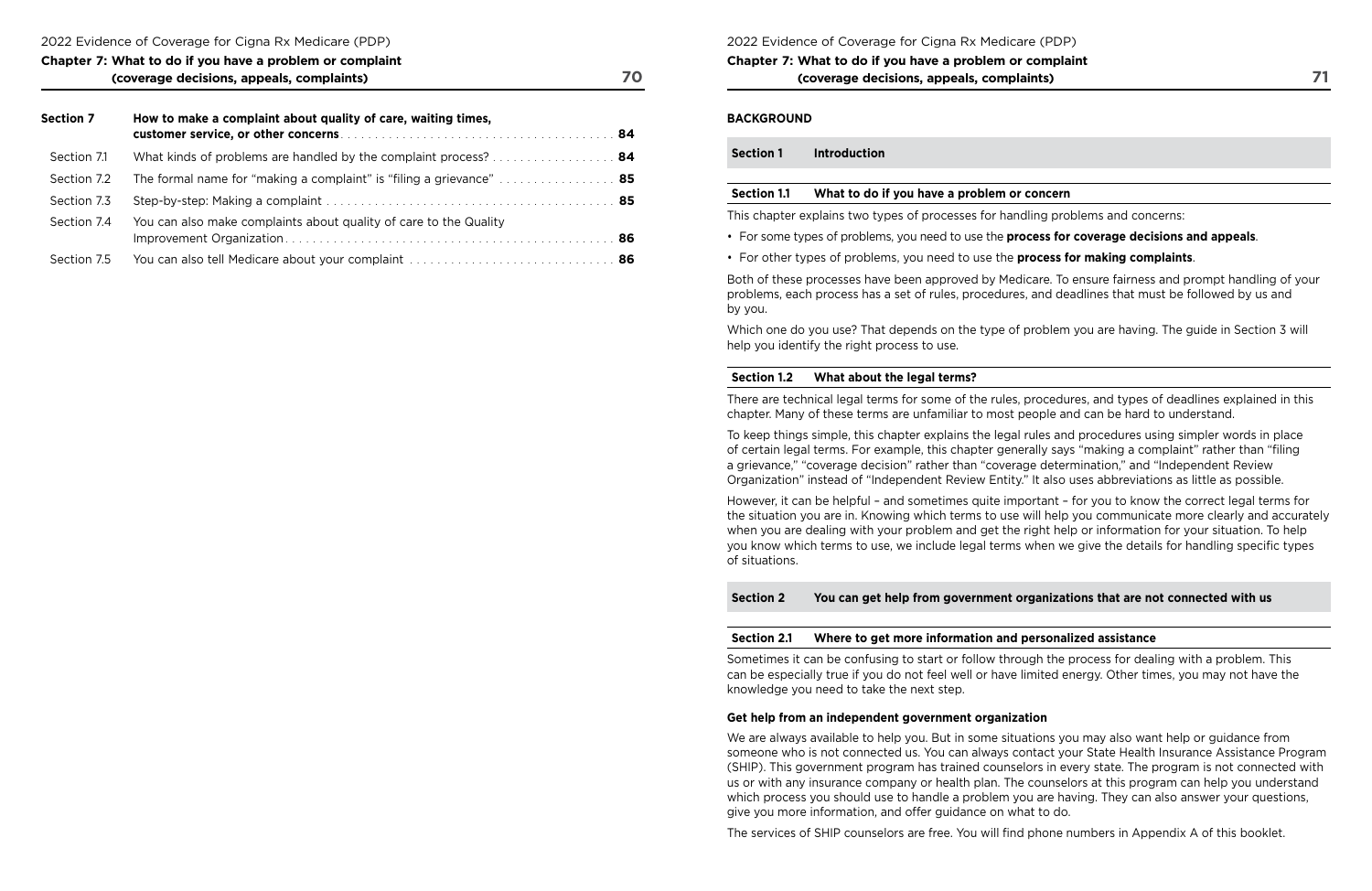| Chapter 7: What to do if you have a problem or complaint |  |
|----------------------------------------------------------|--|
| (coverage decisions, appeals, complaints)                |  |

 **customer service, or other concerns** . . . . . . . . . . . . . . . . . . . . . . . . . . . . . . . . . . . . . . . . **84**  Improvement Organization . . . . . . . . . . . . . . . . . . . . . . . . . . . . . . . . . . . . . . . . . . . . . . . . **86 Section 7 How to make a complaint about quality of care, waiting times,**  Section 7.1 What kinds of problems are handled by the complaint process? . . . . . . . . . . . . . . . . . . **84**  Section 7.2 The formal name for "making a complaint" is "filing a grievance" . . . . . . . . . . . . . . . . . **85**  Section 7.3 Step-by-step: Making a complaint . . . . . . . . . . . . . . . . . . . . . . . . . . . . . . . . . . . . . . . . . . **85**  Section 7.4 You can also make complaints about quality of care to the Quality Section 7.5 You can also tell Medicare about your complaint . . . . . . . . . . . . . . . . . . . . . . . . . . . . . . **86** 

2022 Evidence of Coverage for Cigna Rx Medicare (PDP)

## **Chapter 7: What to do if you have a problem or complaint (coverage decisions, appeals, complaints)**

## **BACKGROUND**

**Section 1 Introduction** 

## **Section 1.1 What to do if you have a problem or concern**

This chapter explains two types of processes for handling problems and concerns:

- For some types of problems, you need to use the **process for coverage decisions and appeals**.
- For other types of problems, you need to use the **process for making complaints**.

Both of these processes have been approved by Medicare. To ensure fairness and prompt handling of your problems, each process has a set of rules, procedures, and deadlines that must be followed by us and by you.

Which one do you use? That depends on the type of problem you are having. The guide in Section 3 will help you identify the right process to use.

## **Section 1.2 What about the legal terms?**

There are technical legal terms for some of the rules, procedures, and types of deadlines explained in this chapter. Many of these terms are unfamiliar to most people and can be hard to understand.

To keep things simple, this chapter explains the legal rules and procedures using simpler words in place of certain legal terms. For example, this chapter generally says "making a complaint" rather than "fling a grievance," "coverage decision" rather than "coverage determination," and "Independent Review Organization" instead of "Independent Review Entity." It also uses abbreviations as little as possible.

However, it can be helpful – and sometimes quite important – for you to know the correct legal terms for the situation you are in. Knowing which terms to use will help you communicate more clearly and accurately when you are dealing with your problem and get the right help or information for your situation. To help you know which terms to use, we include legal terms when we give the details for handling specifc types of situations.

**Section 2 You can get help from government organizations that are not connected with us** 

## **Section 2.1 Where to get more information and personalized assistance**

Sometimes it can be confusing to start or follow through the process for dealing with a problem. This can be especially true if you do not feel well or have limited energy. Other times, you may not have the knowledge you need to take the next step.

## **Get help from an independent government organization**

We are always available to help you. But in some situations you may also want help or guidance from someone who is not connected us. You can always contact your State Health Insurance Assistance Program (SHIP). This government program has trained counselors in every state. The program is not connected with us or with any insurance company or health plan. The counselors at this program can help you understand which process you should use to handle a problem you are having. They can also answer your questions, give you more information, and offer guidance on what to do.

The services of SHIP counselors are free. You will fnd phone numbers in Appendix A of this booklet.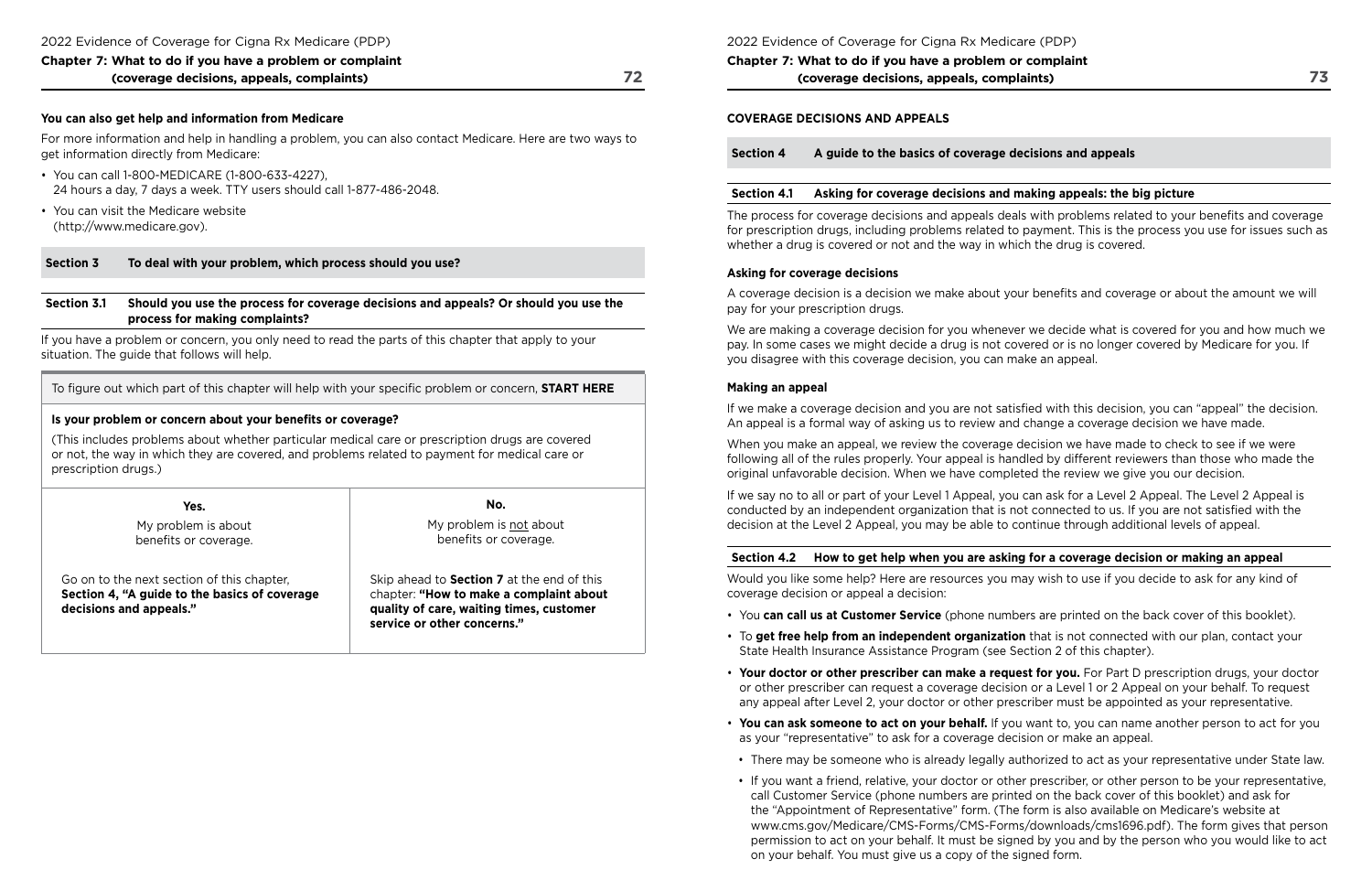For more information and help in handling a problem, you can also contact Medicare. Here are two ways to get information directly from Medicare:

## **You can also get help and information from Medicare**

- You can call 1-800-MEDICARE (1-800-633-4227), 24 hours a day, 7 days a week. TTY users should call 1-877-486-2048.
- You can visit the Medicare website [\(http://www.medicare.gov\)](http://www.medicare.gov).

### **Section 3 To deal with your problem, which process should you use?**

#### **Section 3.1 Should you use the process for coverage decisions and appeals? Or should you use the process for making complaints?**

If you have a problem or concern, you only need to read the parts of this chapter that apply to your situation. The guide that follows will help.

To fgure out which part of this chapter will help with your specifc problem or concern, **START HERE** 

### **Is your problem or concern about your benefts or coverage?**

(This includes problems about whether particular medical care or prescription drugs are covered or not, the way in which they are covered, and problems related to payment for medical care or prescription drugs.)

| Yes.                                                                                                                   | No.                                                                                                                                                                     |
|------------------------------------------------------------------------------------------------------------------------|-------------------------------------------------------------------------------------------------------------------------------------------------------------------------|
| My problem is about<br>benefits or coverage.                                                                           | My problem is not about<br>benefits or coverage.                                                                                                                        |
| Go on to the next section of this chapter,<br>Section 4, "A guide to the basics of coverage<br>decisions and appeals." | Skip ahead to <b>Section 7</b> at the end of this<br>chapter: "How to make a complaint about<br>quality of care, waiting times, customer<br>service or other concerns." |

### 2022 Evidence of Coverage for Cigna Rx Medicare (PDP)

**Chapter 7: What to do if you have a problem or complaint (coverage decisions, appeals, complaints)** 

 conducted by an independent organization that is not connected to us. If you are not satisfed with the If we say no to all or part of your Level 1 Appeal, you can ask for a Level 2 Appeal. The Level 2 Appeal is decision at the Level 2 Appeal, you may be able to continue through additional levels of appeal.

### **COVERAGE DECISIONS AND APPEALS**

**Section 4 A guide to the basics of coverage decisions and appeals** 

## **Section 4.1 Asking for coverage decisions and making appeals: the big picture**

The process for coverage decisions and appeals deals with problems related to your benefts and coverage for prescription drugs, including problems related to payment. This is the process you use for issues such as whether a drug is covered or not and the way in which the drug is covered.

### **Asking for coverage decisions**

A coverage decision is a decision we make about your benefts and coverage or about the amount we will pay for your prescription drugs.

We are making a coverage decision for you whenever we decide what is covered for you and how much we pay. In some cases we might decide a drug is not covered or is no longer covered by Medicare for you. If you disagree with this coverage decision, you can make an appeal.

- You **can call us at Customer Service** (phone numbers are printed on the back cover of this booklet).
- • To **get free help from an independent organization** that is not connected with our plan, contact your State Health Insurance Assistance Program (see Section 2 of this chapter).
- **Your doctor or other prescriber can make a request for you.** For Part D prescription drugs, your doctor any appeal after Level 2, your doctor or other prescriber must be appointed as your representative.
- **You can ask someone to act on your behalf.** If you want to, you can name another person to act for you as your "representative" to ask for a coverage decision or make an appeal.
- 
- call Customer Service (phone numbers are printed on the back cover of this booklet) and ask for the "Appointment of Representative" form. (The form is also available on Medicare's website at on your behalf. You must give us a copy of the signed form.

### **Making an appeal**

If we make a coverage decision and you are not satisfed with this decision, you can "appeal" the decision. An appeal is a formal way of asking us to review and change a coverage decision we have made.

When you make an appeal, we review the coverage decision we have made to check to see if we were following all of the rules properly. Your appeal is handled by different reviewers than those who made the original unfavorable decision. When we have completed the review we give you our decision.

## **Section 4.2 How to get help when you are asking for a coverage decision or making an appeal**

Would you like some help? Here are resources you may wish to use if you decide to ask for any kind of coverage decision or appeal a decision:

or other prescriber can request a coverage decision or a Level 1 or 2 Appeal on your behalf. To request

• There may be someone who is already legally authorized to act as your representative under State law.

• If you want a friend, relative, your doctor or other prescriber, or other person to be your representative,

<www.cms.gov/Medicare/CMS-Forms/CMS-Forms/downloads/cms1696.pdf>). The form gives that person permission to act on your behalf. It must be signed by you and by the person who you would like to act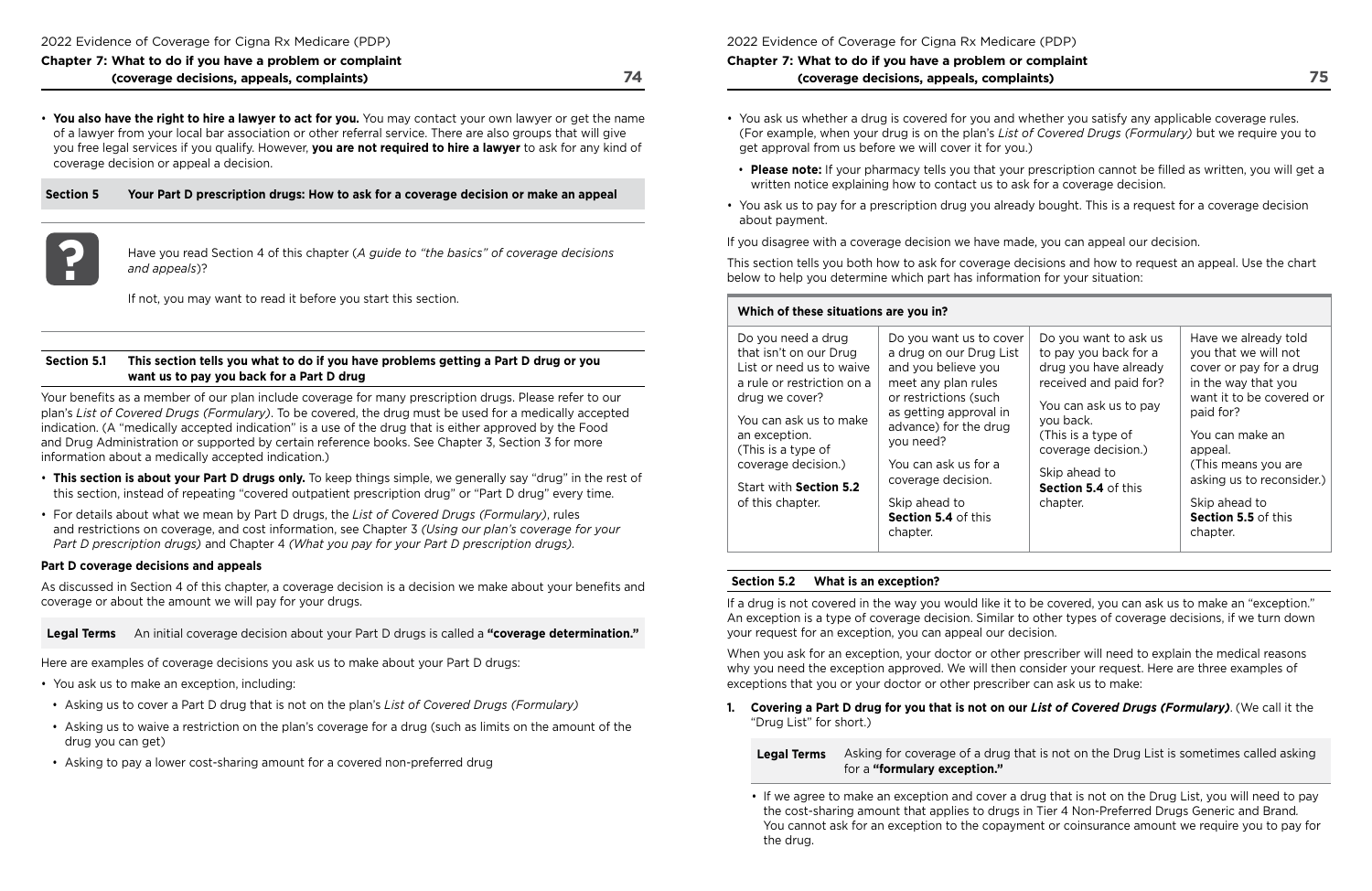• **You also have the right to hire a lawyer to act for you.** You may contact your own lawyer or get the name of a lawyer from your local bar association or other referral service. There are also groups that will give you free legal services if you qualify. However, **you are not required to hire a lawyer** to ask for any kind of coverage decision or appeal a decision.

**Part 2** Have you read Section 4 of this chapter (*A guide to "the basics" of coverage decisions* and appeals)? *and appeals*)?

**Section 5 Your Part D prescription drugs: How to ask for a coverage decision or make an appeal** 



 and Drug Administration or supported by certain reference books. See Chapter 3, Section 3 for more Your benefts as a member of our plan include coverage for many prescription drugs. Please refer to our plan's *List of Covered Drugs (Formulary)*. To be covered, the drug must be used for a medically accepted indication. (A "medically accepted indication" is a use of the drug that is either approved by the Food information about a medically accepted indication.)

If not, you may want to read it before you start this section.

### **Section 5.1 This section tells you what to do if you have problems getting a Part D drug or you want us to pay you back for a Part D drug**

- **This section is about your Part D drugs only.** To keep things simple, we generally say "drug" in the rest of this section, instead of repeating "covered outpatient prescription drug" or "Part D drug" every time.
- For details about what we mean by Part D drugs, the *List of Covered Drugs (Formulary)*, rules and restrictions on coverage, and cost information, see Chapter 3 *(Using our plan's coverage for your Part D prescription drugs)* and Chapter 4 *(What you pay for your Part D prescription drugs).*

### **Part D coverage decisions and appeals**

As discussed in Section 4 of this chapter, a coverage decision is a decision we make about your benefts and coverage or about the amount we will pay for your drugs.

**Legal Terms** An initial coverage decision about your Part D drugs is called a **"coverage determination."** 

Here are examples of coverage decisions you ask us to make about your Part D drugs:

- You ask us to make an exception, including:
- Asking us to cover a Part D drug that is not on the plan's *List of Covered Drugs (Formulary)*
- Asking us to waive a restriction on the plan's coverage for a drug (such as limits on the amount of the drug you can get)
- Asking to pay a lower cost-sharing amount for a covered non-preferred drug

2022 Evidence of Coverage for Cigna Rx Medicare (PDP)

## **Chapter 7: What to do if you have a problem or complaint (coverage decisions, appeals, complaints)**

(For example, when your drug is on the plan's *List of Covered Drugs (Formulary)* but we require you to

- You ask us whether a drug is covered for you and whether you satisfy any applicable coverage rules. get approval from us before we will cover it for you.)
- written notice explaining how to contact us to ask for a coverage decision.
- You ask us to pay for a prescription drug you already bought. This is a request for a coverage decision about payment.

• **Please note:** If your pharmacy tells you that your prescription cannot be flled as written, you will get a

If you disagree with a coverage decision we have made, you can appeal our decision.

This section tells you both how to ask for coverage decisions and how to request an appeal. Use the chart below to help you determine which part has information for your situation:

## **Which of these situations are you in?**

| Do you need a drug<br>that isn't on our Drug<br>List or need us to waive<br>a rule or restriction on a<br>drug we cover?<br>You can ask us to make<br>an exception.<br>(This is a type of<br>coverage decision.)<br>Start with Section 5.2<br>of this chapter. | Do you want us to cover<br>a drug on our Drug List<br>and you believe you<br>meet any plan rules<br>or restrictions (such<br>as getting approval in<br>advance) for the drug<br>you need?<br>You can ask us for a<br>coverage decision.<br>Skip ahead to<br>Section 5.4 of this<br>chapter. | Do you want to ask us<br>to pay you back for a<br>drug you have already<br>received and paid for?<br>You can ask us to pay<br>you back.<br>(This is a type of<br>coverage decision.)<br>Skip ahead to<br>Section 5.4 of this<br>chapter. | Have we already told<br>you that we will not<br>cover or pay for a drug<br>in the way that you<br>want it to be covered or<br>paid for?<br>You can make an<br>appeal.<br>(This means you are<br>asking us to reconsider.)<br>Skip ahead to<br>Section 5.5 of this<br>chapter. |
|----------------------------------------------------------------------------------------------------------------------------------------------------------------------------------------------------------------------------------------------------------------|---------------------------------------------------------------------------------------------------------------------------------------------------------------------------------------------------------------------------------------------------------------------------------------------|------------------------------------------------------------------------------------------------------------------------------------------------------------------------------------------------------------------------------------------|-------------------------------------------------------------------------------------------------------------------------------------------------------------------------------------------------------------------------------------------------------------------------------|
|                                                                                                                                                                                                                                                                |                                                                                                                                                                                                                                                                                             |                                                                                                                                                                                                                                          |                                                                                                                                                                                                                                                                               |

## **Section 5.2 What is an exception?**

If a drug is not covered in the way you would like it to be covered, you can ask us to make an "exception." An exception is a type of coverage decision. Similar to other types of coverage decisions, if we turn down your request for an exception, you can appeal our decision.

When you ask for an exception, your doctor or other prescriber will need to explain the medical reasons why you need the exception approved. We will then consider your request. Here are three examples of exceptions that you or your doctor or other prescriber can ask us to make:

**1. Covering a Part D drug for you that is not on our** *List of Covered Drugs (Formulary)*. (We call it the "Drug List" for short.)

**Legal Terms** Asking for coverage of a drug that is not on the Drug List is sometimes called asking

# for a **"formulary exception."**

• If we agree to make an exception and cover a drug that is not on the Drug List, you will need to pay the cost-sharing amount that applies to drugs in Tier 4 Non-Preferred Drugs Generic and Brand*.*  You cannot ask for an exception to the copayment or coinsurance amount we require you to pay for

the drug.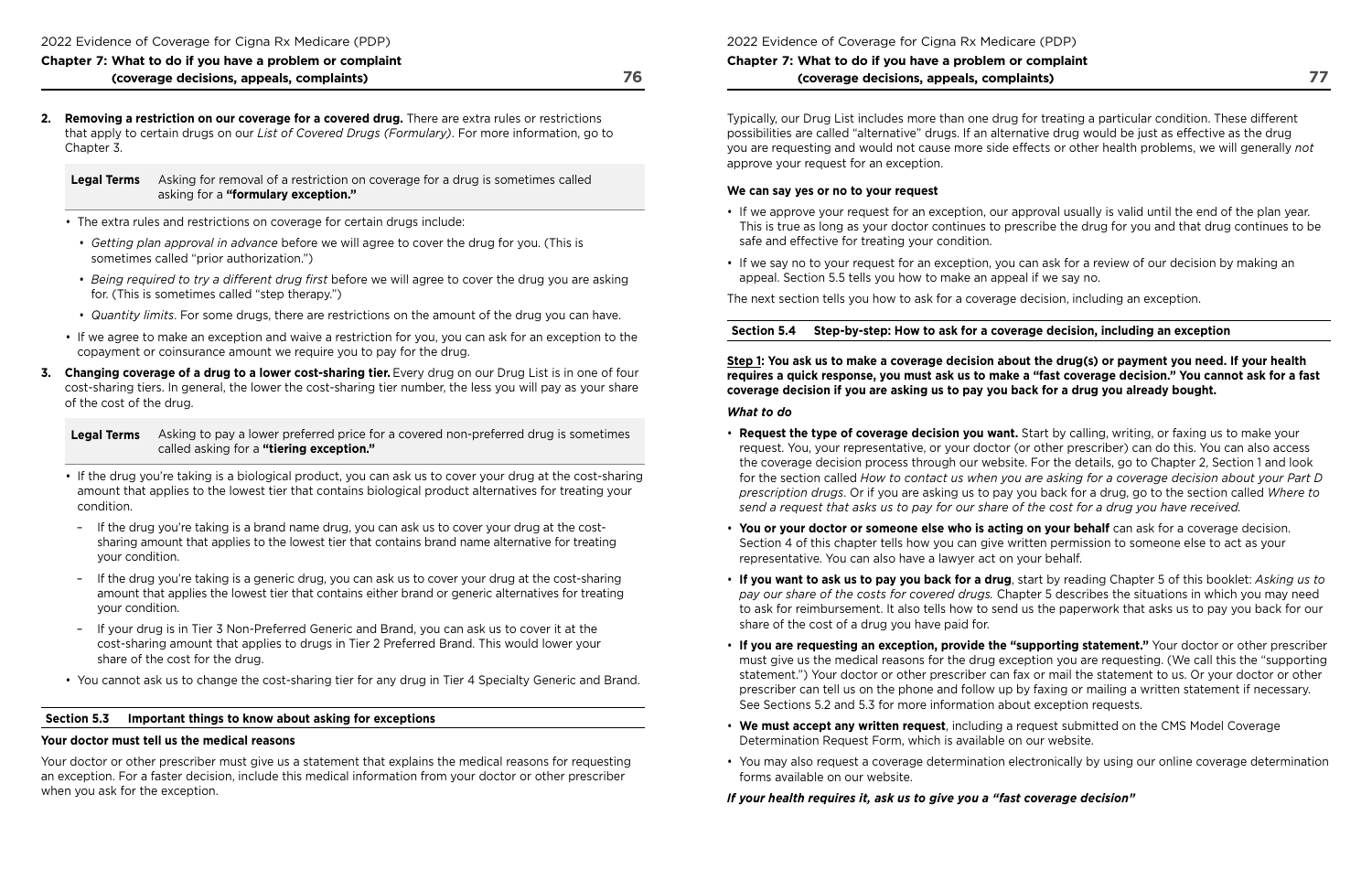**2. Removing a restriction on our coverage for a covered drug.** There are extra rules or restrictions that apply to certain drugs on our *List of Covered Drugs (Formulary)*. For more information, go to Chapter 3.

**Legal Terms** Asking for removal of a restriction on coverage for a drug is sometimes called asking for a **"formulary exception."** 

- The extra rules and restrictions on coverage for certain drugs include:
- *Getting plan approval in advance* before we will agree to cover the drug for you. (This is sometimes called "prior authorization.")
- *Being required to try a diferent drug frst* before we will agree to cover the drug you are asking for. (This is sometimes called "step therapy.")
- *Quantity limits*. For some drugs, there are restrictions on the amount of the drug you can have.
- If we agree to make an exception and waive a restriction for you, you can ask for an exception to the copayment or coinsurance amount we require you to pay for the drug.
- **3. Changing coverage of a drug to a lower cost-sharing tier.** Every drug on our Drug List is in one of four cost-sharing tiers. In general, the lower the cost-sharing tier number, the less you will pay as your share of the cost of the drug.

- If the drug you're taking is a biological product, you can ask us to cover your drug at the cost-sharing amount that applies to the lowest tier that contains biological product alternatives for treating your condition.
- If the drug you're taking is a brand name drug, you can ask us to cover your drug at the costsharing amount that applies to the lowest tier that contains brand name alternative for treating your condition.
- If the drug you're taking is a generic drug, you can ask us to cover your drug at the cost-sharing amount that applies the lowest tier that contains either brand or generic alternatives for treating your condition.
- If your drug is in Tier 3 Non-Preferred Generic and Brand, you can ask us to cover it at the cost-sharing amount that applies to drugs in Tier 2 Preferred Brand. This would lower your share of the cost for the drug.
- You cannot ask us to change the cost-sharing tier for any drug in Tier 4 Specialty Generic and Brand.

 the coverage decision process through our website. For the details, go to Chapter 2, Section 1 and look  for the section called *How to contact us when you are asking for a coverage decision about your Part D*  request. You, your representative, or your doctor (or other prescriber) can do this. You can also access *prescription drugs*. Or if you are asking us to pay you back for a drug, go to the section called *Where to* 

### **Section 5.3 Important things to know about asking for exceptions**

### **Your doctor must tell us the medical reasons**

Your doctor or other prescriber must give us a statement that explains the medical reasons for requesting an exception. For a faster decision, include this medical information from your doctor or other prescriber when you ask for the exception.

2022 Evidence of Coverage for Cigna Rx Medicare (PDP)

## **Chapter 7: What to do if you have a problem or complaint (coverage decisions, appeals, complaints)**

Typically, our Drug List includes more than one drug for treating a particular condition. These different possibilities are called "alternative" drugs. If an alternative drug would be just as effective as the drug you are requesting and would not cause more side effects or other health problems, we will generally *not*  approve your request for an exception.

#### **We can say yes or no to your request**

This is true as long as your doctor continues to prescribe the drug for you and that drug continues to be

- If we approve your request for an exception, our approval usually is valid until the end of the plan year. safe and effective for treating your condition.
- If we say no to your request for an exception, you can ask for a review of our decision by making an appeal. Section 5.5 tells you how to make an appeal if we say no.

The next section tells you how to ask for a coverage decision, including an exception.

**Section 5.4 Step‑by‑step: How to ask for a coverage decision, including an exception** 

**Step 1: You ask us to make a coverage decision about the drug(s) or payment you need. If your health requires a quick response, you must ask us to make a "fast coverage decision." You cannot ask for a fast coverage decision if you are asking us to pay you back for a drug you already bought.** 

#### *What to do*

- **Request the type of coverage decision you want.** Start by calling, writing, or faxing us to make your *send a request that asks us to pay for our share of the cost for a drug you have received.*
- **You or your doctor or someone else who is acting on your behalf** can ask for a coverage decision. Section 4 of this chapter tells how you can give written permission to someone else to act as your representative. You can also have a lawyer act on your behalf.
- share of the cost of a drug you have paid for.
- See Sections 5.2 and 5.3 for more information about exception requests.
- **We must accept any written request**, including a request submitted on the CMS Model Coverage Determination Request Form, which is available on our website.
- forms available on our website.

• **If you want to ask us to pay you back for a drug**, start by reading Chapter 5 of this booklet: *Asking us to pay our share of the costs for covered drugs.* Chapter 5 describes the situations in which you may need to ask for reimbursement. It also tells how to send us the paperwork that asks us to pay you back for our

• **If you are requesting an exception, provide the "supporting statement."** Your doctor or other prescriber must give us the medical reasons for the drug exception you are requesting. (We call this the "supporting statement.") Your doctor or other prescriber can fax or mail the statement to us. Or your doctor or other prescriber can tell us on the phone and follow up by faxing or mailing a written statement if necessary.

• You may also request a coverage determination electronically by using our online coverage determination

*If your health requires it, ask us to give you a "fast coverage decision"* 

**Legal Terms** Asking to pay a lower preferred price for a covered non-preferred drug is sometimes called asking for a **"tiering exception."**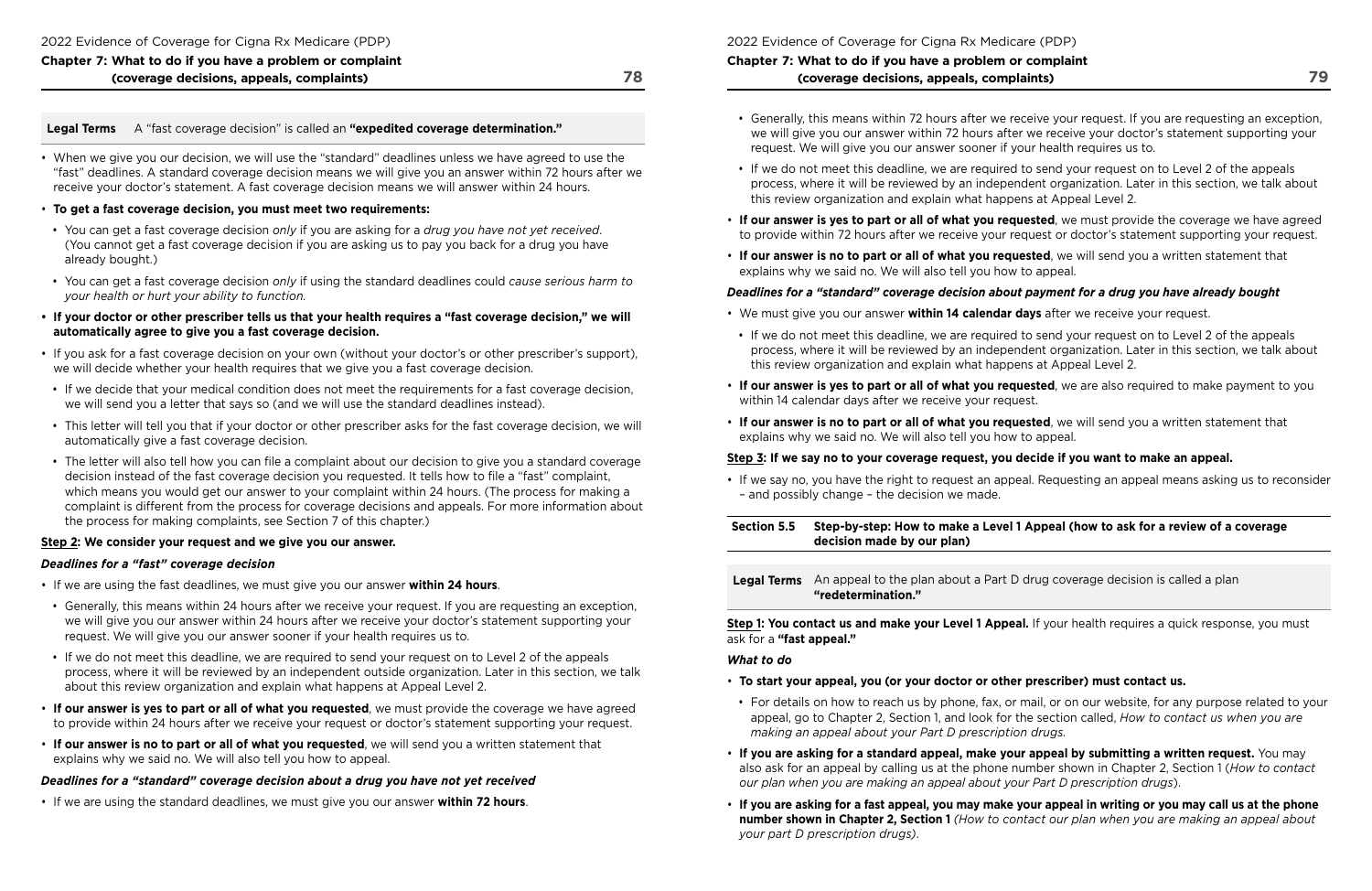## **Legal Terms** A "fast coverage decision" is called an **"expedited coverage determination."**

• When we give you our decision, we will use the "standard" deadlines unless we have agreed to use the "fast" deadlines. A standard coverage decision means we will give you an answer within 72 hours after we receive your doctor's statement. A fast coverage decision means we will answer within 24 hours.

### • **To get a fast coverage decision, you must meet two requirements:**

- You can get a fast coverage decision *only* if you are asking for a *drug you have not yet received*. (You cannot get a fast coverage decision if you are asking us to pay you back for a drug you have already bought.)
- You can get a fast coverage decision *only* if using the standard deadlines could *cause serious harm to your health or hurt your ability to function.*
- **If your doctor or other prescriber tells us that your health requires a "fast coverage decision," we will automatically agree to give you a fast coverage decision.**
- If you ask for a fast coverage decision on your own (without your doctor's or other prescriber's support), we will decide whether your health requires that we give you a fast coverage decision.
- If we decide that your medical condition does not meet the requirements for a fast coverage decision, we will send you a letter that says so (and we will use the standard deadlines instead).
- This letter will tell you that if your doctor or other prescriber asks for the fast coverage decision, we will automatically give a fast coverage decision.
- the process for making complaints, see Section 7 of this chapter.) • The letter will also tell how you can fle a complaint about our decision to give you a standard coverage decision instead of the fast coverage decision you requested. It tells how to fle a "fast" complaint, which means you would get our answer to your complaint within 24 hours. (The process for making a complaint is different from the process for coverage decisions and appeals. For more information about

### **Step 2: We consider your request and we give you our answer.**

### *Deadlines for a "fast" coverage decision*

- If we are using the fast deadlines, we must give you our answer **within 24 hours**.
- Generally, this means within 24 hours after we receive your request. If you are requesting an exception, we will give you our answer within 24 hours after we receive your doctor's statement supporting your request. We will give you our answer sooner if your health requires us to.
- If we do not meet this deadline, we are required to send your request on to Level 2 of the appeals process, where it will be reviewed by an independent outside organization. Later in this section, we talk about this review organization and explain what happens at Appeal Level 2.
- **If our answer is yes to part or all of what you requested**, we must provide the coverage we have agreed to provide within 24 hours after we receive your request or doctor's statement supporting your request.
- **If our answer is no to part or all of what you requested**, we will send you a written statement that explains why we said no. We will also tell you how to appeal.

**Step 1: You contact us and make your Level 1 Appeal.** If your health requires a quick response, you must ask for a **"fast appeal."** 

 appeal, go to Chapter 2, Section 1, and look for the section called, *How to contact us when you are*  • For details on how to reach us by phone, fax, or mail, or on our website, for any purpose related to your

also ask for an appeal by calling us at the phone number shown in Chapter 2, Section 1 (*How to contact* 

### *Deadlines for a "standard" coverage decision about a drug you have not yet received*

 **number shown in Chapter 2, Section 1** *(How to contact our plan when you are making an appeal about* 

• If we are using the standard deadlines, we must give you our answer **within 72 hours**.

2022 Evidence of Coverage for Cigna Rx Medicare (PDP)

## **Chapter 7: What to do if you have a problem or complaint (coverage decisions, appeals, complaints)**

• Generally, this means within 72 hours after we receive your request. If you are requesting an exception, we will give you our answer within 72 hours after we receive your doctor's statement supporting your

process, where it will be reviewed by an independent organization. Later in this section, we talk about

- request. We will give you our answer sooner if your health requires us to.
- If we do not meet this deadline, we are required to send your request on to Level 2 of the appeals this review organization and explain what happens at Appeal Level 2.
- 
- **If our answer is no to part or all of what you requested**, we will send you a written statement that explains why we said no. We will also tell you how to appeal.

• **If our answer is yes to part or all of what you requested**, we must provide the coverage we have agreed to provide within 72 hours after we receive your request or doctor's statement supporting your request.

## *Deadlines for a "standard" coverage decision about payment for a drug you have already bought*

process, where it will be reviewed by an independent organization. Later in this section, we talk about

- We must give you our answer **within 14 calendar days** after we receive your request.
- If we do not meet this deadline, we are required to send your request on to Level 2 of the appeals this review organization and explain what happens at Appeal Level 2.
- **If our answer is yes to part or all of what you requested**, we are also required to make payment to you within 14 calendar days after we receive your request.
- **If our answer is no to part or all of what you requested**, we will send you a written statement that explains why we said no. We will also tell you how to appeal.

## **Step 3: If we say no to your coverage request, you decide if you want to make an appeal.**

• If we say no, you have the right to request an appeal. Requesting an appeal means asking us to reconsider

– and possibly change – the decision we made.

**Section 5.5 Step‑by‑step: How to make a Level 1 Appeal (how to ask for a review of a coverage decision made by our plan)** 

**Legal Terms** An appeal to the plan about a Part D drug coverage decision is called a plan **"redetermination."** 

## *What to do*

- **To start your appeal, you (or your doctor or other prescriber) must contact us.**
- *making an appeal about your Part D prescription drugs.*
- **If you are asking for a standard appeal, make your appeal by submitting a written request.** You may *our plan when you are making an appeal about your Part D prescription drugs*).
- **If you are asking for a fast appeal, you may make your appeal in writing or you may call us at the phone**  *your part D prescription drugs)*.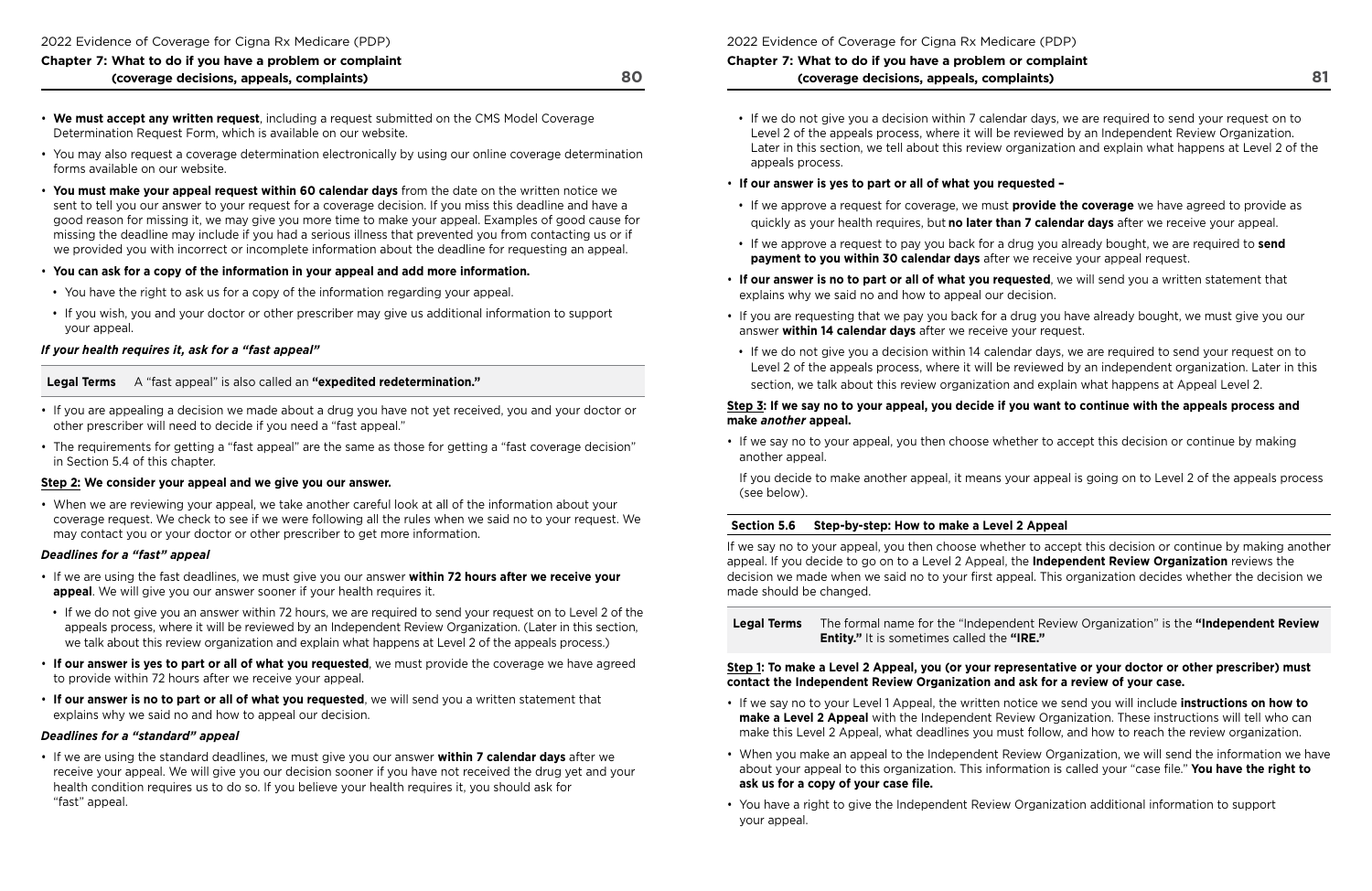- **We must accept any written request**, including a request submitted on the CMS Model Coverage Determination Request Form, which is available on our website.
- You may also request a coverage determination electronically by using our online coverage determination forms available on our website.
- **You must make your appeal request within 60 calendar days** from the date on the written notice we sent to tell you our answer to your request for a coverage decision. If you miss this deadline and have a good reason for missing it, we may give you more time to make your appeal. Examples of good cause for missing the deadline may include if you had a serious illness that prevented you from contacting us or if we provided you with incorrect or incomplete information about the deadline for requesting an appeal.
- **You can ask for a copy of the information in your appeal and add more information.**
- You have the right to ask us for a copy of the information regarding your appeal.
- If you wish, you and your doctor or other prescriber may give us additional information to support your appeal.

## *If your health requires it, ask for a "fast appeal"*

**Legal Terms** A "fast appeal" is also called an **"expedited redetermination."** 

- If you are appealing a decision we made about a drug you have not yet received, you and your doctor or other prescriber will need to decide if you need a "fast appeal."
- The requirements for getting a "fast appeal" are the same as those for getting a "fast coverage decision" in Section 5.4 of this chapter.

## **Step 2: We consider your appeal and we give you our answer.**

• When we are reviewing your appeal, we take another careful look at all of the information about your coverage request. We check to see if we were following all the rules when we said no to your request. We may contact you or your doctor or other prescriber to get more information.

## *Deadlines for a "fast" appeal*

- If we are using the fast deadlines, we must give you our answer **within 72 hours after we receive your appeal**. We will give you our answer sooner if your health requires it.
- • If we do not give you an answer within 72 hours, we are required to send your request on to Level 2 of the appeals process, where it will be reviewed by an Independent Review Organization. (Later in this section, we talk about this review organization and explain what happens at Level 2 of the appeals process.)
- **If our answer is yes to part or all of what you requested**, we must provide the coverage we have agreed to provide within 72 hours after we receive your appeal.
- **If our answer is no to part or all of what you requested**, we will send you a written statement that explains why we said no and how to appeal our decision.

## *Deadlines for a "standard" appeal*

• If we are using the standard deadlines, we must give you our answer **within 7 calendar days** after we receive your appeal. We will give you our decision sooner if you have not received the drug yet and your health condition requires us to do so. If you believe your health requires it, you should ask for "fast" appeal.

2022 Evidence of Coverage for Cigna Rx Medicare (PDP)

## **Chapter 7: What to do if you have a problem or complaint (coverage decisions, appeals, complaints)**

Later in this section, we tell about this review organization and explain what happens at Level 2 of the

- If we do not give you a decision within 7 calendar days, we are required to send your request on to Level 2 of the appeals process, where it will be reviewed by an Independent Review Organization. appeals process.
- **If our answer is yes to part or all of what you requested**
- If we approve a request for coverage, we must **provide the coverage** we have agreed to provide as quickly as your health requires, but **no later than 7 calendar days** after we receive your appeal.
- If we approve a request to pay you back for a drug you already bought, we are required to **send payment to you within 30 calendar days** after we receive your appeal request.
- **If our answer is no to part or all of what you requested**, we will send you a written statement that explains why we said no and how to appeal our decision.
- If you are requesting that we pay you back for a drug you have already bought, we must give you our answer **within 14 calendar days** after we receive your request.
- If we do not give you a decision within 14 calendar days, we are required to send your request on to

Level 2 of the appeals process, where it will be reviewed by an independent organization. Later in this section, we talk about this review organization and explain what happens at Appeal Level 2.

### **Step 3: If we say no to your appeal, you decide if you want to continue with the appeals process and make** *another* **appeal.**

• If we say no to your appeal, you then choose whether to accept this decision or continue by making another appeal.

If you decide to make another appeal, it means your appeal is going on to Level 2 of the appeals process (see below).

## **Section 5.6 Step‑by‑step: How to make a Level 2 Appeal**

If we say no to your appeal, you then choose whether to accept this decision or continue by making another appeal. If you decide to go on to a Level 2 Appeal, the **Independent Review Organization** reviews the decision we made when we said no to your frst appeal. This organization decides whether the decision we made should be changed.

**Legal Terms** The formal name for the "Independent Review Organization" is the **"Independent Review Entity."** It is sometimes called the **"IRE."** 

## **Step 1: To make a Level 2 Appeal, you (or your representative or your doctor or other prescriber) must contact the Independent Review Organization and ask for a review of your case.**

- If we say no to your Level 1 Appeal, the written notice we send you will include **instructions on how to make a Level 2 Appeal** with the Independent Review Organization. These instructions will tell who can make this Level 2 Appeal, what deadlines you must follow, and how to reach the review organization.
- about your appeal to this organization. This information is called your "case fle." **You have the right to ask us for a copy of your case fle.**
- You have a right to give the Independent Review Organization additional information to support your appeal.

• When you make an appeal to the Independent Review Organization, we will send the information we have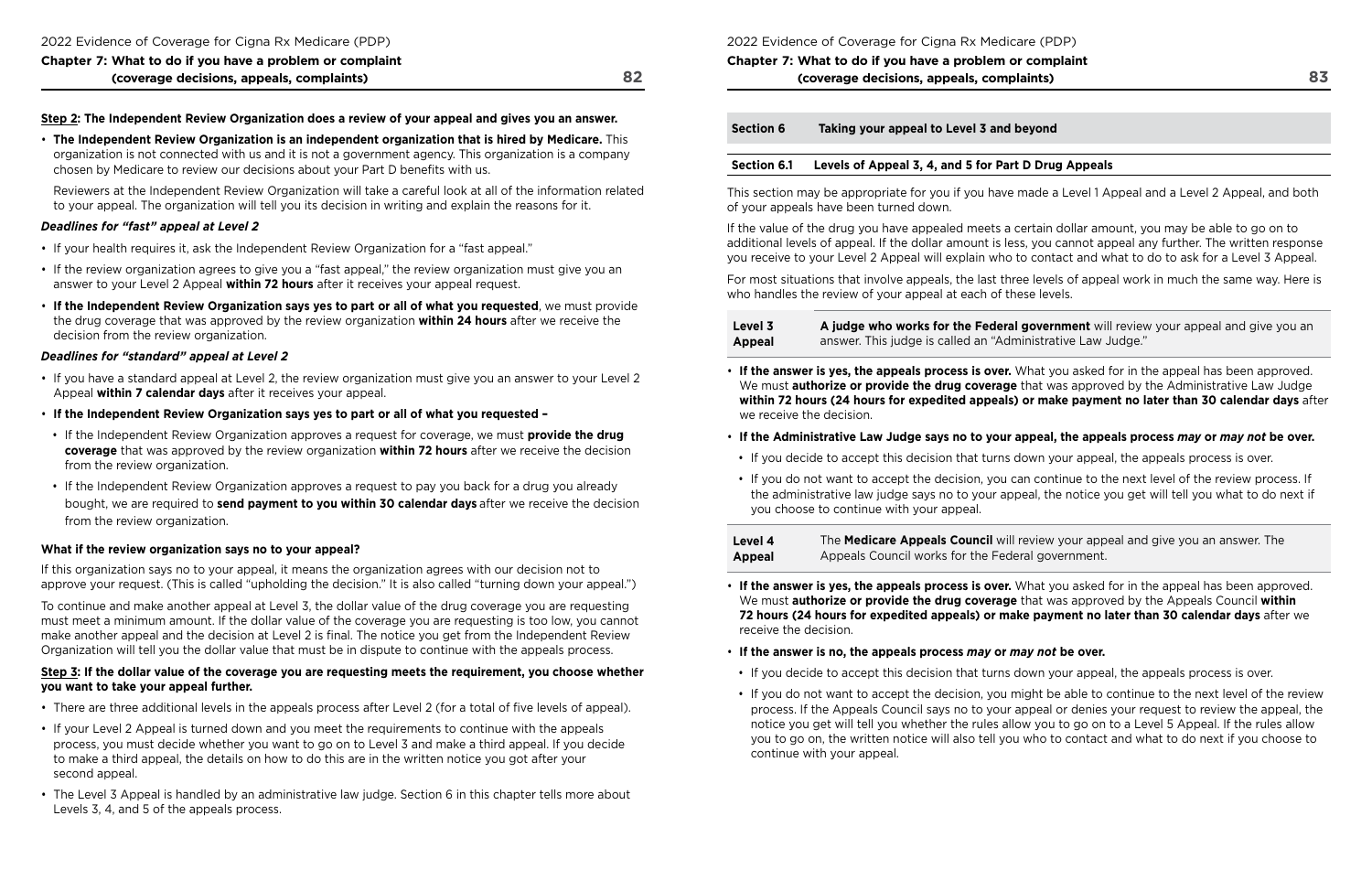#### **Step 2: The Independent Review Organization does a review of your appeal and gives you an answer.**

• **The Independent Review Organization is an independent organization that is hired by Medicare.** This organization is not connected with us and it is not a government agency. This organization is a company chosen by Medicare to review our decisions about your Part D benefts with us.

Reviewers at the Independent Review Organization will take a careful look at all of the information related to your appeal. The organization will tell you its decision in writing and explain the reasons for it.

#### *Deadlines for "fast" appeal at Level 2*

- If your health requires it, ask the Independent Review Organization for a "fast appeal."
- If the review organization agrees to give you a "fast appeal," the review organization must give you an answer to your Level 2 Appeal **within 72 hours** after it receives your appeal request.
- **If the Independent Review Organization says yes to part or all of what you requested**, we must provide the drug coverage that was approved by the review organization **within 24 hours** after we receive the decision from the review organization.

#### *Deadlines for "standard" appeal at Level 2*

- If you have a standard appeal at Level 2, the review organization must give you an answer to your Level 2 Appeal **within 7 calendar days** after it receives your appeal.
- **If the Independent Review Organization says yes to part or all of what you requested**
- If the Independent Review Organization approves a request for coverage, we must **provide the drug coverage** that was approved by the review organization **within 72 hours** after we receive the decision from the review organization.
- If the Independent Review Organization approves a request to pay you back for a drug you already bought, we are required to **send payment to you within 30 calendar days** after we receive the decision from the review organization.

- There are three additional levels in the appeals process after Level 2 (for a total of five levels of appeal).
- If your Level 2 Appeal is turned down and you meet the requirements to continue with the appeals process, you must decide whether you want to go on to Level 3 and make a third appeal. If you decide to make a third appeal, the details on how to do this are in the written notice you got after your second appeal.
- The Level 3 Appeal is handled by an administrative law judge. Section 6 in this chapter tells more about Levels 3, 4, and 5 of the appeals process.

### **What if the review organization says no to your appeal?**

If this organization says no to your appeal, it means the organization agrees with our decision not to approve your request. (This is called "upholding the decision." It is also called "turning down your appeal.")

To continue and make another appeal at Level 3, the dollar value of the drug coverage you are requesting must meet a minimum amount. If the dollar value of the coverage you are requesting is too low, you cannot make another appeal and the decision at Level 2 is final. The notice you get from the Independent Review Organization will tell you the dollar value that must be in dispute to continue with the appeals process.

#### **Step 3: If the dollar value of the coverage you are requesting meets the requirement, you choose whether you want to take your appeal further.**

2022 Evidence of Coverage for Cigna Rx Medicare (PDP)

## **Chapter 7: What to do if you have a problem or complaint (coverage decisions, appeals, complaints)**

**Section 6 Taking your appeal to Level 3 and beyond** 

## **Section 6.1 Levels of Appeal 3, 4, and 5 for Part D Drug Appeals**

This section may be appropriate for you if you have made a Level 1 Appeal and a Level 2 Appeal, and both of your appeals have been turned down.

If the value of the drug you have appealed meets a certain dollar amount, you may be able to go on to additional levels of appeal. If the dollar amount is less, you cannot appeal any further. The written response you receive to your Level 2 Appeal will explain who to contact and what to do to ask for a Level 3 Appeal.

For most situations that involve appeals, the last three levels of appeal work in much the same way. Here is who handles the review of your appeal at each of these levels.

| Level 3 | A judge who works for the Federal     |
|---------|---------------------------------------|
| Appeal  | answer. This judge is called an "Adm" |

We must **authorize or provide the drug coverage** that was approved by the Administrative Law Judge **within 72 hours (24 hours for expedited appeals) or make payment no later than 30 calendar days** after

- **If the answer is yes, the appeals process is over.** What you asked for in the appeal has been approved. we receive the decision.
- **If the Administrative Law Judge says no to your appeal, the appeals process** *may* **or** *may not* **be over.**
- If you decide to accept this decision that turns down your appeal, the appeals process is over.
- you choose to continue with your appeal.

| Level 4       | The Medicare Appeals Council will r |
|---------------|-------------------------------------|
| <b>Appeal</b> | Appeals Council works for the Feder |

• If you do not want to accept the decision, you can continue to the next level of the review process. If the administrative law judge says no to your appeal, the notice you get will tell you what to do next if

> review your appeal and give you an answer. The ral government.

- **If the answer is yes, the appeals process is over.** What you asked for in the appeal has been approved. We must **authorize or provide the drug coverage** that was approved by the Appeals Council **within 72 hours (24 hours for expedited appeals) or make payment no later than 30 calendar days** after we receive the decision.
- **If the answer is no, the appeals process** *may* **or** *may not* **be over.**
- If you decide to accept this decision that turns down your appeal, the appeals process is over.
- continue with your appeal.

**government** will review your appeal and give you an **Appeal in antige is calced an** industrative Law Judge."

• If you do not want to accept the decision, you might be able to continue to the next level of the review process. If the Appeals Council says no to your appeal or denies your request to review the appeal, the notice you get will tell you whether the rules allow you to go on to a Level 5 Appeal. If the rules allow you to go on, the written notice will also tell you who to contact and what to do next if you choose to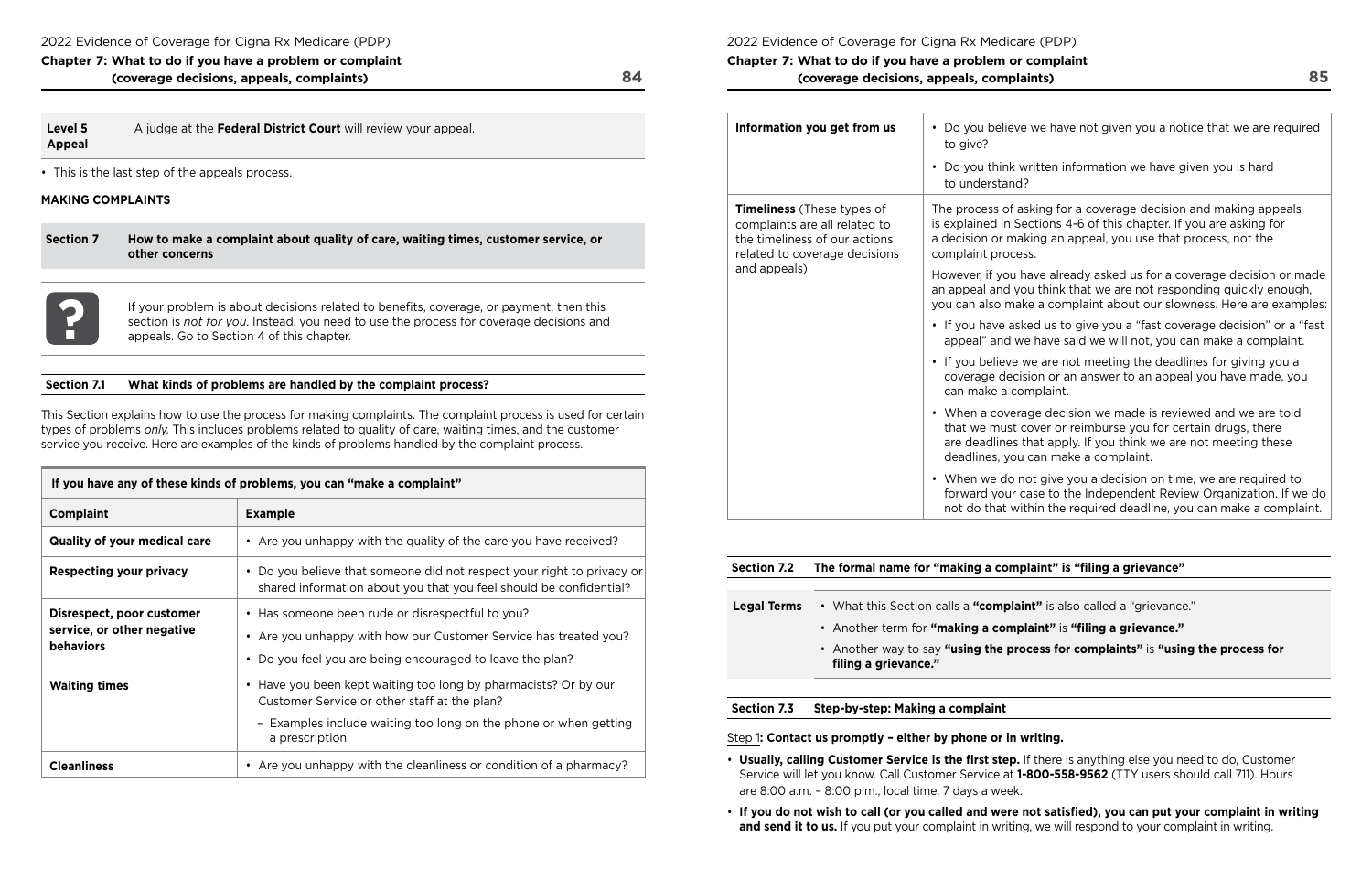| Chapter 7: What to do if you have a problem or complaint |    |
|----------------------------------------------------------|----|
| (coverage decisions, appeals, complaints)                | 84 |

## **Level 5** A judge at the **Federal District Court** will review your appeal. **Appeal**

• This is the last step of the appeals process.

 appeals. Go to Section 4 of this chapter. If your problem is about decisions related to benefits, coverage, or payment, then this section is *not for you*. Instead, you need to use the process for coverage decisions and appeals. Go to Section 4 of this chapter. section is *not for you*. Instead, you need to use the process for coverage decisions and

## **MAKING COMPLAINTS**

**Section 7 How to make a complaint about quality of care, waiting times, customer service, or other concerns** 



### **Section 7.1 What kinds of problems are handled by the complaint process?**

This Section explains how to use the process for making complaints. The complaint process is used for certain types of problems *only.* This includes problems related to quality of care, waiting times, and the customer service you receive. Here are examples of the kinds of problems handled by the complaint process.

| If you have any of these kinds of problems, you can "make a complaint"      |                                                                                                                                                                                                        |  |
|-----------------------------------------------------------------------------|--------------------------------------------------------------------------------------------------------------------------------------------------------------------------------------------------------|--|
| <b>Complaint</b>                                                            | <b>Example</b>                                                                                                                                                                                         |  |
| <b>Quality of your medical care</b>                                         | • Are you unhappy with the quality of the care you have received?                                                                                                                                      |  |
| <b>Respecting your privacy</b>                                              | • Do you believe that someone did not respect your right to privacy or<br>shared information about you that you feel should be confidential?                                                           |  |
| Disrespect, poor customer<br>service, or other negative<br><b>behaviors</b> | • Has someone been rude or disrespectful to you?<br>• Are you unhappy with how our Customer Service has treated you?<br>• Do you feel you are being encouraged to leave the plan?                      |  |
| <b>Waiting times</b>                                                        | • Have you been kept waiting too long by pharmacists? Or by our<br>Customer Service or other staff at the plan?<br>- Examples include waiting too long on the phone or when getting<br>a prescription. |  |
| <b>Cleanliness</b>                                                          | • Are you unhappy with the cleanliness or condition of a pharmacy?                                                                                                                                     |  |

2022 Evidence of Coverage for Cigna Rx Medicare (PDP)

**Chapter 7: What to do if you have a problem or complaint (coverage decisions, appeals, complaints)** 

| Information you get from us                                                                                                                          | Do you believe w<br>to give?<br>Do you think writ<br>to understand?                      |
|------------------------------------------------------------------------------------------------------------------------------------------------------|------------------------------------------------------------------------------------------|
| <b>Timeliness</b> (These types of<br>complaints are all related to<br>the timeliness of our actions<br>related to coverage decisions<br>and appeals) | The process of aski<br>is explained in Sect<br>a decision or makin<br>complaint process. |
|                                                                                                                                                      | However, if you hav<br>an appeal and you t<br>you can also make a                        |
|                                                                                                                                                      | • If you have asked<br>appeal" and we h                                                  |
|                                                                                                                                                      | If you believe we<br>coverage decisio<br>can make a comp                                 |
|                                                                                                                                                      | When a coverage<br>that we must cov<br>are deadlines tha<br>deadlines, you ca            |
|                                                                                                                                                      | When we do not<br>forward your case<br>not do that withir                                |

### **Section 7.2 The formal name for "making a complaint" is "fling a grievance"**

**Int"** is also called a "grievance."

**Haint"** is "filing a grievance."

**bcess for complaints"** is "using the process for

|                    | Section 7.2 The formal name for "making a comp              |
|--------------------|-------------------------------------------------------------|
| <b>Legal Terms</b> | • What this Section calls a "complai                        |
|                    | • Another term for "making a comp                           |
|                    | • Another way to say "using the pro<br>filing a grievance." |
|                    |                                                             |

**Section 7.3 Step‑by‑step: Making a complaint** 

Step 1**: Contact us promptly – either by phone or in writing.** 

- **Usually, calling Customer Service is the frst step.** If there is anything else you need to do, Customer Service will let you know. Call Customer Service at **1‑800‑558‑9562** (TTY users should call 711). Hours are 8:00 a.m. – 8:00 p.m., local time, 7 days a week.
- **If you do not wish to call (or you called and were not satisfed), you can put your complaint in writing and send it to us.** If you put your complaint in writing, we will respond to your complaint in writing.

we have not given you a notice that we are required

ritten information we have given you is hard

king for a coverage decision and making appeals ctions 4-6 of this chapter. If you are asking for ing an appeal, you use that process, not the

ave already asked us for a coverage decision or made u think that we are not responding quickly enough, e a complaint about our slowness. Here are examples:

ed us to give you a "fast coverage decision" or a "fast have said we will not, you can make a complaint.

e are not meeting the deadlines for giving you a ion or an answer to an appeal you have made, you nplaint.

qe decision we made is reviewed and we are told over or reimburse you for certain drugs, there at apply. If you think we are not meeting these can make a complaint.

ot give you a decision on time, we are required to ase to the Independent Review Organization. If we do hin the required deadline, you can make a complaint.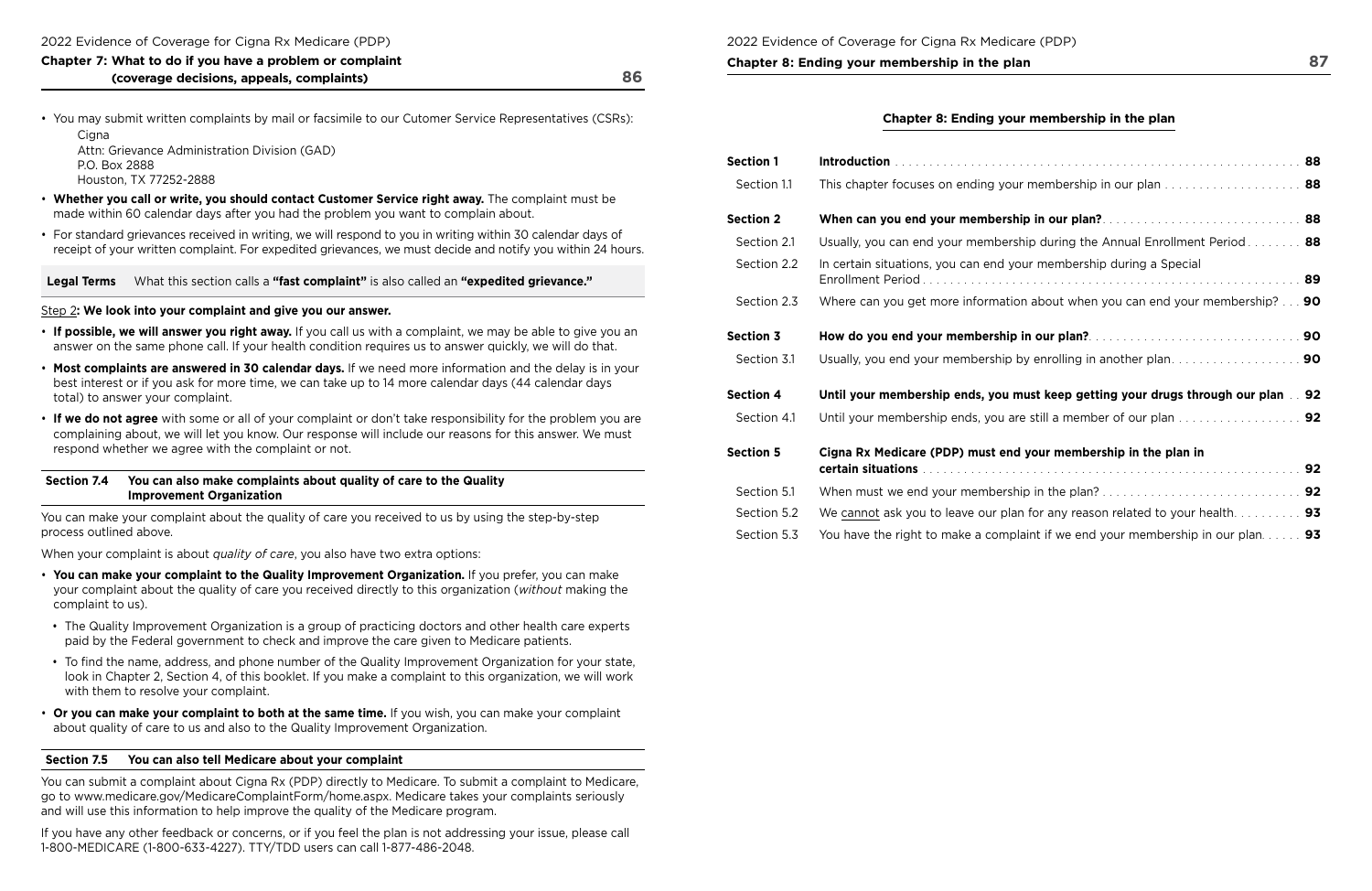# **Chapter 8: Ending your membership in the plan 87 and 87 and 87 and 87 and 87 and 87 and 87 and 87 and 87 and 87 and 87 and 87 and 87 and 87 and 87 and 87 and 87 and 87 and 87 and 87 and 87 and 87 and 87 and 87 and 87 and**

| Chapter 7: What to do if you have a problem or complaint |    |
|----------------------------------------------------------|----|
| (coverage decisions, appeals, complaints)                | 86 |

• You may submit written complaints by mail or facsimile to our Cutomer Service Representatives (CSRs):

Cigna Attn: Grievance Administration Division (GAD) P.O. Box 2888 Houston, TX 77252-2888

- **Whether you call or write, you should contact Customer Service right away.** The complaint must be made within 60 calendar days after you had the problem you want to complain about.
- For standard grievances received in writing, we will respond to you in writing within 30 calendar days of receipt of your written complaint. For expedited grievances, we must decide and notify you within 24 hours.

**Legal Terms** What this section calls a **"fast complaint"** is also called an **"expedited grievance."** 

### Step 2**: We look into your complaint and give you our answer.**

- **If possible, we will answer you right away.** If you call us with a complaint, we may be able to give you an answer on the same phone call. If your health condition requires us to answer quickly, we will do that.
- **Most complaints are answered in 30 calendar days.** If we need more information and the delay is in your best interest or if you ask for more time, we can take up to 14 more calendar days (44 calendar days total) to answer your complaint.
- **If we do not agree** with some or all of your complaint or don't take responsibility for the problem you are complaining about, we will let you know. Our response will include our reasons for this answer. We must respond whether we agree with the complaint or not.

## **Chapter 8: Ending your membership in the plan**

### **Section 7.4 You can also make complaints about quality of care to the Quality Improvement Organization**

You can make your complaint about the quality of care you received to us by using the step-by-step process outlined above.

When your complaint is about *quality of care*, you also have two extra options:

- **You can make your complaint to the Quality Improvement Organization.** If you prefer, you can make your complaint about the quality of care you received directly to this organization (*without* making the complaint to us).
- The Quality Improvement Organization is a group of practicing doctors and other health care experts paid by the Federal government to check and improve the care given to Medicare patients.
- look in Chapter 2, Section 4, of this booklet. If you make a complaint to this organization, we will work • To find the name, address, and phone number of the Quality Improvement Organization for your state, with them to resolve your complaint.
- **Or you can make your complaint to both at the same time.** If you wish, you can make your complaint about quality of care to us and also to the Quality Improvement Organization.

### **Section 7.5 You can also tell Medicare about your complaint**

You can submit a complaint about Cigna Rx (PDP) directly to Medicare. To submit a complaint to Medicare, go to<www.medicare.gov/MedicareComplaintForm/home.aspx>. Medicare takes your complaints seriously and will use this information to help improve the quality of the Medicare program.

If you have any other feedback or concerns, or if you feel the plan is not addressing your issue, please call 1-800-MEDICARE (1-800-633-4227). TTY/TDD users can call 1-877-486-2048.

| <b>Section 1</b> |                                                                                            |  |
|------------------|--------------------------------------------------------------------------------------------|--|
| Section 1.1      |                                                                                            |  |
| <b>Section 2</b> |                                                                                            |  |
| Section 2.1      | Usually, you can end your membership during the Annual Enrollment Period 88                |  |
| Section 2.2      | In certain situations, you can end your membership during a Special                        |  |
| Section 2.3      | Where can you get more information about when you can end your membership? $\ldots$ 90     |  |
| <b>Section 3</b> |                                                                                            |  |
| Section 3.1      |                                                                                            |  |
| <b>Section 4</b> | Until your membership ends, you must keep getting your drugs through our plan 92           |  |
| Section 4.1      |                                                                                            |  |
| <b>Section 5</b> | Cigna Rx Medicare (PDP) must end your membership in the plan in                            |  |
| Section 5.1      |                                                                                            |  |
| Section 5.2      | We cannot ask you to leave our plan for any reason related to your health 93               |  |
| Section 5.3      | You have the right to make a complaint if we end your membership in our plan. $\dots$ . 93 |  |

| ection 1    |                                                                                                |  |
|-------------|------------------------------------------------------------------------------------------------|--|
| Section 1.1 | This chapter focuses on ending your membership in our plan  88                                 |  |
| ection 2    |                                                                                                |  |
| Section 2.1 | Usually, you can end your membership during the Annual Enrollment Period 88                    |  |
| Section 2.2 | In certain situations, you can end your membership during a Special                            |  |
| Section 2.3 | Where can you get more information about when you can end your membership? $\ldots$ 90         |  |
| ection 3    |                                                                                                |  |
| Section 3.1 | Usually, you end your membership by enrolling in another plan90                                |  |
| ection 4    | Until your membership ends, you must keep getting your drugs through our plan 92               |  |
| Section 4.1 |                                                                                                |  |
| ection 5    | Cigna Rx Medicare (PDP) must end your membership in the plan in                                |  |
| Section 5.1 |                                                                                                |  |
| Section 5.2 | We cannot ask you to leave our plan for any reason related to your health. $\dots \dots \dots$ |  |
| Section 5.3 | You have the right to make a complaint if we end your membership in our plan. $\dots$ . 93     |  |
|             |                                                                                                |  |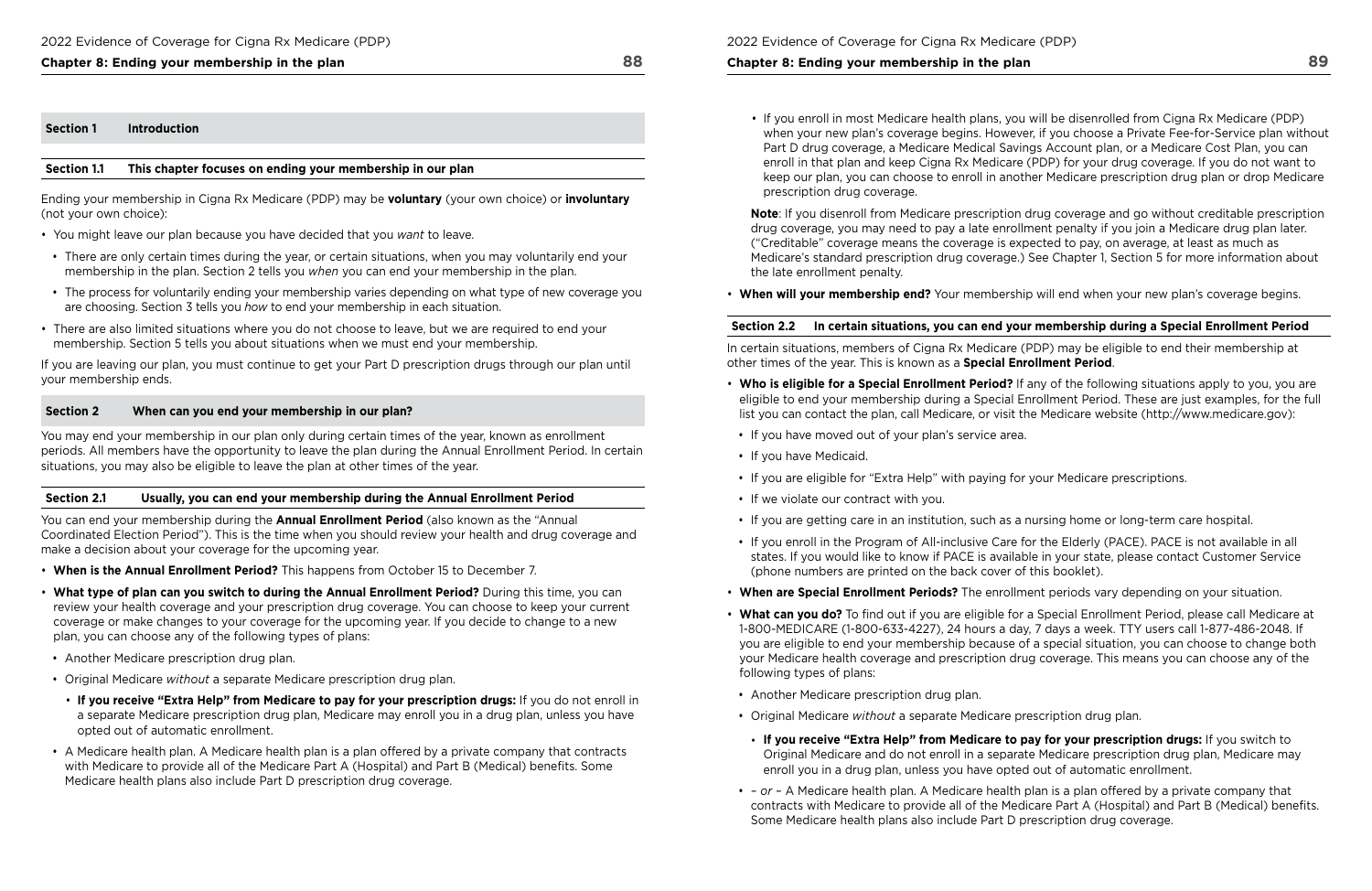### **Chapter 8: Ending your membership in the plan 88**

#### **Section 1 Introduction**

#### **Section 1.1 This chapter focuses on ending your membership in our plan**

Ending your membership in Cigna Rx Medicare (PDP) may be **voluntary** (your own choice) or **involuntary**  (not your own choice):

- You might leave our plan because you have decided that you *want* to leave.
- There are only certain times during the year, or certain situations, when you may voluntarily end your membership in the plan. Section 2 tells you *when* you can end your membership in the plan.
- The process for voluntarily ending your membership varies depending on what type of new coverage you are choosing. Section 3 tells you *how* to end your membership in each situation.
- There are also limited situations where you do not choose to leave, but we are required to end your membership. Section 5 tells you about situations when we must end your membership.

If you are leaving our plan, you must continue to get your Part D prescription drugs through our plan until your membership ends.

#### **Section 2 When can you end your membership in our plan?**

You may end your membership in our plan only during certain times of the year, known as enrollment periods. All members have the opportunity to leave the plan during the Annual Enrollment Period. In certain situations, you may also be eligible to leave the plan at other times of the year.

#### **Section 2.1 Usually, you can end your membership during the Annual Enrollment Period**

You can end your membership during the **Annual Enrollment Period** (also known as the "Annual Coordinated Election Period"). This is the time when you should review your health and drug coverage and make a decision about your coverage for the upcoming year.

 Medicare's standard prescription drug coverage.) See Chapter 1, Section 5 for more information about **Note**: If you disenroll from Medicare prescription drug coverage and go without creditable prescription drug coverage, you may need to pay a late enrollment penalty if you join a Medicare drug plan later. ("Creditable" coverage means the coverage is expected to pay, on average, at least as much as the late enrollment penalty.

- **When is the Annual Enrollment Period?** This happens from October 15 to December 7.
- **What type of plan can you switch to during the Annual Enrollment Period?** During this time, you can review your health coverage and your prescription drug coverage. You can choose to keep your current coverage or make changes to your coverage for the upcoming year. If you decide to change to a new plan, you can choose any of the following types of plans:
- Another Medicare prescription drug plan.
- Original Medicare *without* a separate Medicare prescription drug plan.
- **If you receive "Extra Help" from Medicare to pay for your prescription drugs:** If you do not enroll in a separate Medicare prescription drug plan, Medicare may enroll you in a drug plan, unless you have opted out of automatic enrollment.
- A Medicare health plan. A Medicare health plan is a plan offered by a private company that contracts with Medicare to provide all of the Medicare Part A (Hospital) and Part B (Medical) benefts. Some Medicare health plans also include Part D prescription drug coverage.

2022 Evidence of Coverage for Cigna Rx Medicare (PDP)

### **Chapter 8: Ending your membership in the plan**

- list you can contact the plan, call Medicare, or visit the Medicare website [\(http://www.medicare.gov\)](http://www.medicare.gov): • **Who is eligible for a Special Enrollment Period?** If any of the following situations apply to you, you are
- If you have moved out of your plan's service area.
- If you have Medicaid.
- If you are eligible for "Extra Help" with paying for your Medicare prescriptions.
- If we violate our contract with you.
- If you are getting care in an institution, such as a nursing home or long-term care hospital.
- If you enroll in the Program of All-inclusive Care for the Elderly (PACE). PACE is not available in all (phone numbers are printed on the back cover of this booklet).
- **When are Special Enrollment Periods?** The enrollment periods vary depending on your situation.
- **What can you do?** To fnd out if you are eligible for a Special Enrollment Period, please call Medicare at 1-800-MEDICARE (1-800-633-4227), 24 hours a day, 7 days a week. TTY users call 1-877-486-2048. If your Medicare health coverage and prescription drug coverage. This means you can choose any of the following types of plans:
- Another Medicare prescription drug plan.
- Original Medicare *without* a separate Medicare prescription drug plan.
- **If you receive "Extra Help" from Medicare to pay for your prescription drugs:** If you switch to enroll you in a drug plan, unless you have opted out of automatic enrollment.
- *or* A Medicare health plan. A Medicare health plan is a plan offered by a private company that Some Medicare health plans also include Part D prescription drug coverage.

• If you enroll in most Medicare health plans, you will be disenrolled from Cigna Rx Medicare (PDP) when your new plan's coverage begins. However, if you choose a Private Fee-for-Service plan without Part D drug coverage, a Medicare Medical Savings Account plan, or a Medicare Cost Plan, you can enroll in that plan and keep Cigna Rx Medicare (PDP) for your drug coverage. If you do not want to keep our plan, you can choose to enroll in another Medicare prescription drug plan or drop Medicare

prescription drug coverage.

• **When will your membership end?** Your membership will end when your new plan's coverage begins.

## **Section 2.2 In certain situations, you can end your membership during a Special Enrollment Period**

In certain situations, members of Cigna Rx Medicare (PDP) may be eligible to end their membership at other times of the year. This is known as a **Special Enrollment Period**.

eligible to end your membership during a Special Enrollment Period. These are just examples, for the full

states. If you would like to know if PACE is available in your state, please contact Customer Service

you are eligible to end your membership because of a special situation, you can choose to change both

Original Medicare and do not enroll in a separate Medicare prescription drug plan, Medicare may

contracts with Medicare to provide all of the Medicare Part A (Hospital) and Part B (Medical) benefts.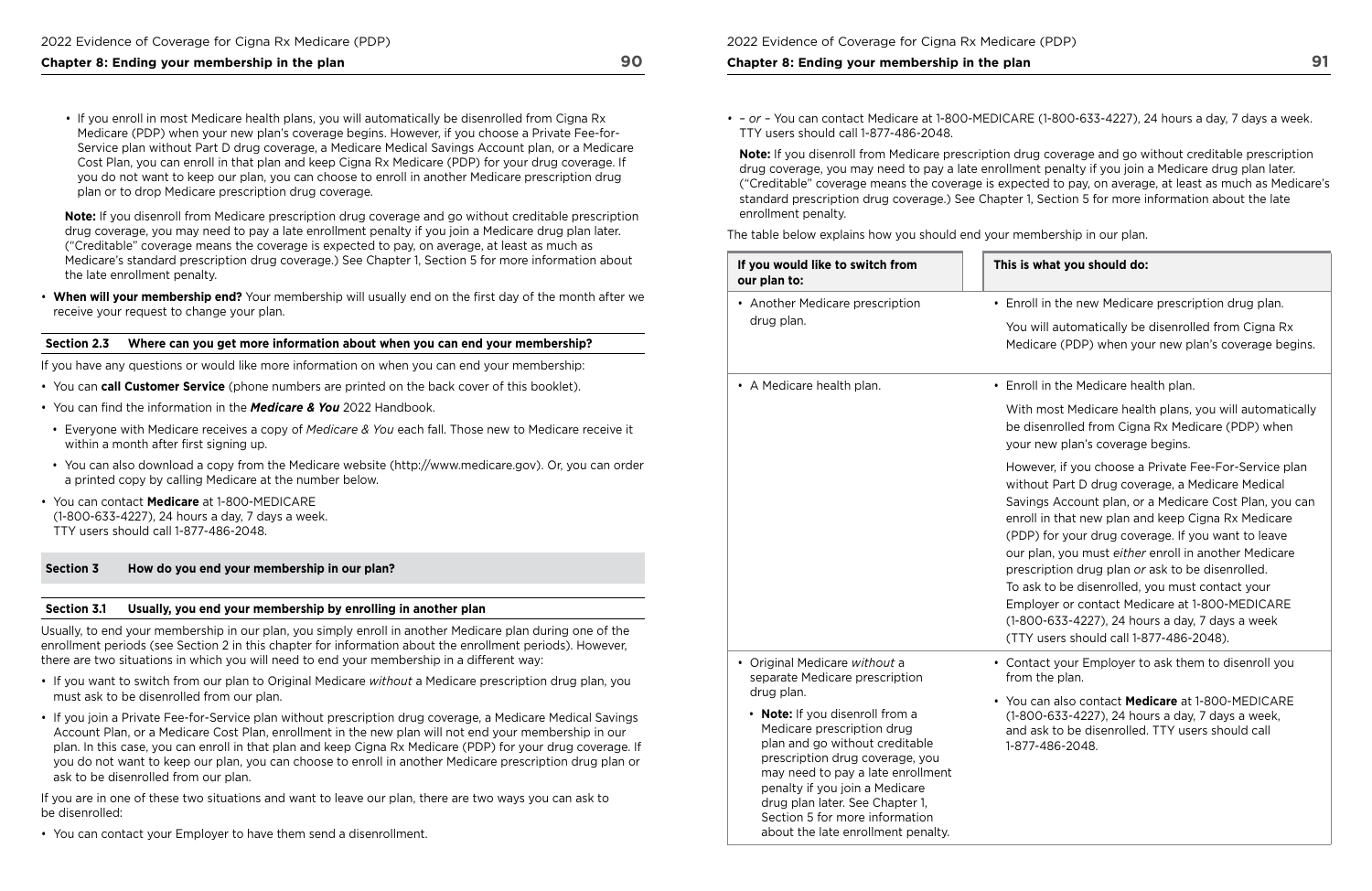## **Chapter 8: Ending your membership in the plan 90**

• If you enroll in most Medicare health plans, you will automatically be disenrolled from Cigna Rx Medicare (PDP) when your new plan's coverage begins. However, if you choose a Private Fee-for-Service plan without Part D drug coverage, a Medicare Medical Savings Account plan, or a Medicare Cost Plan, you can enroll in that plan and keep Cigna Rx Medicare (PDP) for your drug coverage. If you do not want to keep our plan, you can choose to enroll in another Medicare prescription drug plan or to drop Medicare prescription drug coverage.

 Medicare's standard prescription drug coverage.) See Chapter 1, Section 5 for more information about **Note:** If you disenroll from Medicare prescription drug coverage and go without creditable prescription drug coverage, you may need to pay a late enrollment penalty if you join a Medicare drug plan later. ("Creditable" coverage means the coverage is expected to pay, on average, at least as much as the late enrollment penalty.

 • **When will your membership end?** Your membership will usually end on the frst day of the month after we receive your request to change your plan.

#### **Section 2.3 Where can you get more information about when you can end your membership?**

If you have any questions or would like more information on when you can end your membership:

- You can **call Customer Service** (phone numbers are printed on the back cover of this booklet).
- You can fnd the information in the *Medicare & You* 2022 Handbook.
- Everyone with Medicare receives a copy of *Medicare & You* each fall. Those new to Medicare receive it within a month after first signing up.
- You can also download a copy from the Medicare website (<http://www.medicare.gov>). Or, you can order a printed copy by calling Medicare at the number below.
- You can contact **Medicare** at 1-800-MEDICARE (1-800-633-4227), 24 hours a day, 7 days a week. TTY users should call 1-877-486-2048.

 standard prescription drug coverage.) See Chapter 1, Section 5 for more information about the late **Note:** If you disenroll from Medicare prescription drug coverage and go without creditable prescription drug coverage, you may need to pay a late enrollment penalty if you join a Medicare drug plan later. ("Creditable" coverage means the coverage is expected to pay, on average, at least as much as Medicare's enrollment penalty.

### **Section 3 How do you end your membership in our plan?**

#### **Section 3.1 Usually, you end your membership by enrolling in another plan**

Usually, to end your membership in our plan, you simply enroll in another Medicare plan during one of the enrollment periods (see Section 2 in this chapter for information about the enrollment periods). However, there are two situations in which you will need to end your membership in a different way:

- If you want to switch from our plan to Original Medicare *without* a Medicare prescription drug plan, you must ask to be disenrolled from our plan.
- If you join a Private Fee-for-Service plan without prescription drug coverage, a Medicare Medical Savings Account Plan, or a Medicare Cost Plan, enrollment in the new plan will not end your membership in our plan. In this case, you can enroll in that plan and keep Cigna Rx Medicare (PDP) for your drug coverage. If you do not want to keep our plan, you can choose to enroll in another Medicare prescription drug plan or ask to be disenrolled from our plan.

If you are in one of these two situations and want to leave our plan, there are two ways you can ask to be disenrolled:

• You can contact your Employer to have them send a disenrollment.

#### **Chapter 8: Ending your membership in the plan**

*• – or –* You can contact Medicare at 1-800-MEDICARE (1-800-633-4227), 24 hours a day, 7 days a week.

TTY users should call 1-877-486-2048.

The table below explains how you should end your membership in our plan.

### **This is what you should do:**

roll in the new Medicare prescription drug plan.

ou will automatically be disenrolled from Cigna Rx edicare (PDP) when your new plan's coverage begins.

• A Medicare health plan. • Enroll in the Medicare health plan.

ith most Medicare health plans, you will automatically disenrolled from Cigna Rx Medicare (PDP) when ur new plan's coverage begins.

owever, if you choose a Private Fee-For-Service plan thout Part D drug coverage, a Medicare Medical ivings Account plan, or a Medicare Cost Plan, you can roll in that new plan and keep Cigna Rx Medicare DP) for your drug coverage. If you want to leave Ir plan, you must *either* enroll in another Medicare escription drug plan or ask to be disenrolled. ask to be disenrolled, you must contact your nployer or contact Medicare at 1-800-MEDICARE (1-800-633-4227), 24 hours a day, 7 days a week TY users should call 1-877-486-2048).

entact your Employer to ask them to disenroll you om the plan.

vu can also contact **Medicare** at 1-800-MEDICARE (1-800-633-4227), 24 hours a day, 7 days a week, d ask to be disenrolled. TTY users should call 877-486-2048.

| If you would like to switch from<br>our plan to:                  | <b>This</b>  |
|-------------------------------------------------------------------|--------------|
| Another Medicare prescription<br>drug plan.                       | En<br>Yo     |
|                                                                   | Me           |
| A Medicare health plan.                                           | En           |
|                                                                   | Wi           |
|                                                                   | be           |
|                                                                   | yo           |
|                                                                   | Ho           |
|                                                                   | wil          |
|                                                                   | Sa<br>en     |
|                                                                   | (PI)         |
|                                                                   | ou           |
|                                                                   | pre          |
|                                                                   | To           |
|                                                                   | Em<br>$(1 -$ |
|                                                                   | (T)          |
| Original Medicare without a<br>separate Medicare prescription     | Co<br>fro    |
| drug plan.                                                        |              |
| <b>Note:</b> If you disenroll from a                              | Yo<br>$(1 -$ |
| Medicare prescription drug                                        | an           |
| plan and go without creditable<br>prescription drug coverage, you | $1 - 8$      |
| may need to pay a late enrollment                                 |              |
| penalty if you join a Medicare                                    |              |
| drug plan later. See Chapter 1,<br>Section 5 for more information |              |
| about the late enrollment penalty.                                |              |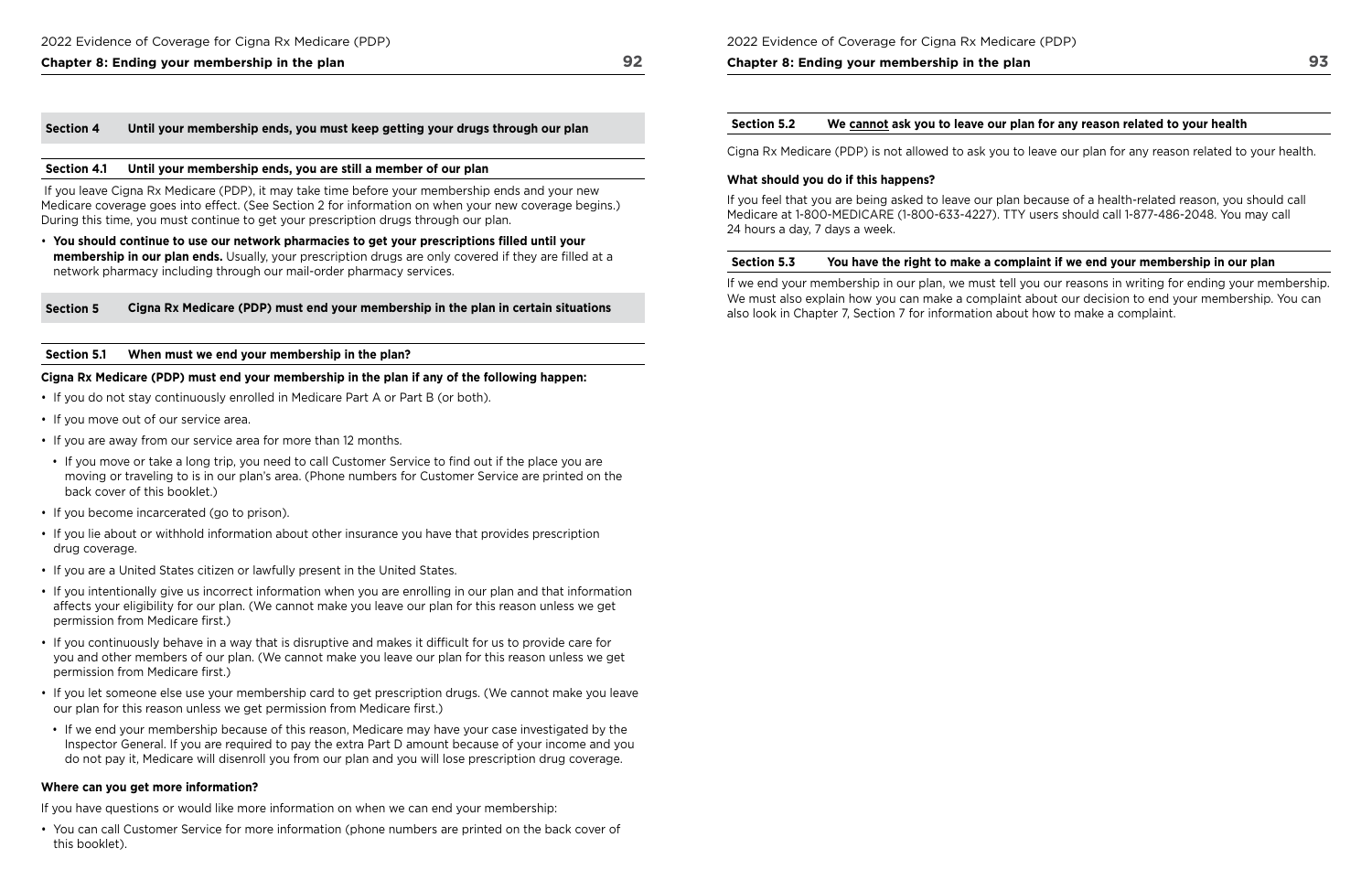## **Chapter 8: Ending your membership in the plan 92**

#### **Section 4 Until your membership ends, you must keep getting your drugs through our plan**

#### **Section 4.1 Until your membership ends, you are still a member of our plan**

 If you leave Cigna Rx Medicare (PDP), it may take time before your membership ends and your new Medicare coverage goes into effect. (See Section 2 for information on when your new coverage begins.) During this time, you must continue to get your prescription drugs through our plan.

• **You should continue to use our network pharmacies to get your prescriptions flled until your membership in our plan ends.** Usually, your prescription drugs are only covered if they are flled at a network pharmacy including through our mail-order pharmacy services.

#### **Section 5 Cigna Rx Medicare (PDP) must end your membership in the plan in certain situations**

#### **Section 5.1 When must we end your membership in the plan?**

#### **Cigna Rx Medicare (PDP) must end your membership in the plan if any of the following happen:**

Cigna Rx Medicare (PDP) is not allowed to ask you to leave our plan for any reason related to your health.

- If you do not stay continuously enrolled in Medicare Part A or Part B (or both).
- If you move out of our service area.
- If you are away from our service area for more than 12 months.
- If you move or take a long trip, you need to call Customer Service to find out if the place you are moving or traveling to is in our plan's area. (Phone numbers for Customer Service are printed on the back cover of this booklet.)
- If you become incarcerated (go to prison).
- If you lie about or withhold information about other insurance you have that provides prescription drug coverage.
- If you are a United States citizen or lawfully present in the United States.
- If you intentionally give us incorrect information when you are enrolling in our plan and that information affects your eligibility for our plan. (We cannot make you leave our plan for this reason unless we get permission from Medicare first.)
- If you continuously behave in a way that is disruptive and makes it difficult for us to provide care for you and other members of our plan. (We cannot make you leave our plan for this reason unless we get permission from Medicare first.)
- If you let someone else use your membership card to get prescription drugs. (We cannot make you leave our plan for this reason unless we get permission from Medicare first.)
- If we end your membership because of this reason, Medicare may have your case investigated by the Inspector General. If you are required to pay the extra Part D amount because of your income and you do not pay it, Medicare will disenroll you from our plan and you will lose prescription drug coverage.

 also look in Chapter 7, Section 7 for information about how to make a complaint. If we end your membership in our plan, we must tell you our reasons in writing for ending your membership. We must also explain how you can make a complaint about our decision to end your membership. You can

#### **Where can you get more information?**

If you have questions or would like more information on when we can end your membership:

• You can call Customer Service for more information (phone numbers are printed on the back cover of this booklet).

2022 Evidence of Coverage for Cigna Rx Medicare (PDP)

#### **Chapter 8: Ending your membership in the plan**

**Section 5.2 We cannot ask you to leave our plan for any reason related to your health** 

#### **What should you do if this happens?**

If you feel that you are being asked to leave our plan because of a health-related reason, you should call Medicare at 1-800-MEDICARE (1-800-633-4227). TTY users should call 1-877-486-2048. You may call 24 hours a day, 7 days a week.

#### **Section 5.3 You have the right to make a complaint if we end your membership in our plan**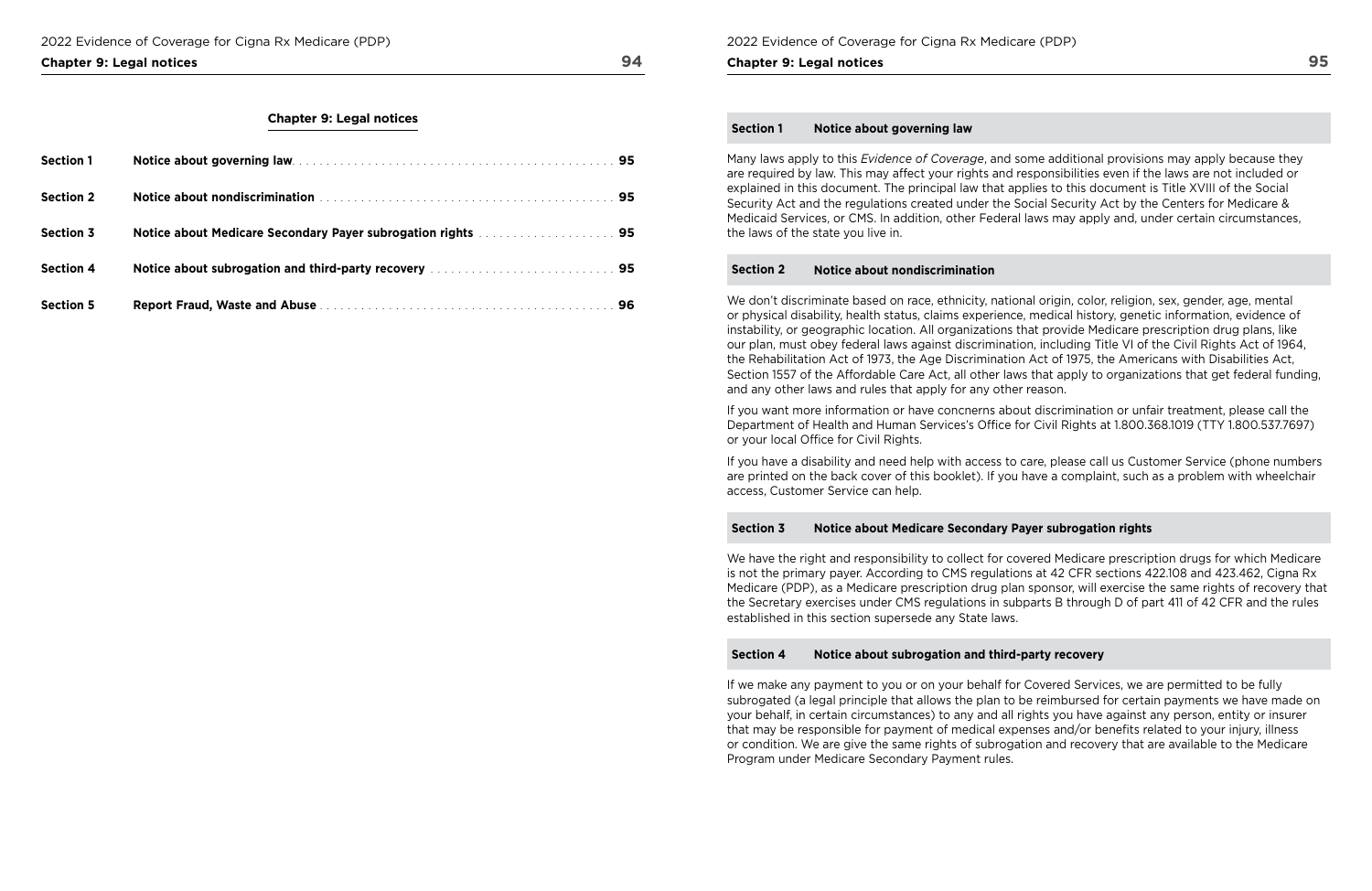#### **Chapter 9: Legal notices** 94

### **Chapter 9: Legal notices**

| <b>Section 1</b> |                                                                                                                                                                                                                                      |  |
|------------------|--------------------------------------------------------------------------------------------------------------------------------------------------------------------------------------------------------------------------------------|--|
| <b>Section 2</b> | Notice about nondiscrimination <b>container and the contact of the contact of the set of the set of the set of the set of the set of the set of the set of the set of the set of the set of the set of the set of the set of the</b> |  |
| <b>Section 3</b> | Notice about Medicare Secondary Payer subrogation rights manufacturers and 195                                                                                                                                                       |  |
| <b>Section 4</b> | Notice about subrogation and third-party recovery manuscript and containing a 95                                                                                                                                                     |  |
| <b>Section 5</b> |                                                                                                                                                                                                                                      |  |

2022 Evidence of Coverage for Cigna Rx Medicare (PDP)

**Chapter 9: Legal notices** 

#### **Section 1 Notice about governing law**

If you want more information or have concnerns about discrimination or unfair treatment, please call the Department of Health and Human Services's Office for Civil Rights at 1.800.368.1019 (TTY 1.800.537.7697) or your local Office for Civil Rights.

Many laws apply to this *Evidence of Coverage*, and some additional provisions may apply because they are required by law. This may affect your rights and responsibilities even if the laws are not included or explained in this document. The principal law that applies to this document is Title XVIII of the Social Security Act and the regulations created under the Social Security Act by the Centers for Medicare & Medicaid Services, or CMS. In addition, other Federal laws may apply and, under certain circumstances, the laws of the state you live in.

#### **Section 2 Notice about nondiscrimination**

We don't discriminate based on race, ethnicity, national origin, color, religion, sex, gender, age, mental or physical disability, health status, claims experience, medical history, genetic information, evidence of instability, or geographic location. All organizations that provide Medicare prescription drug plans, like our plan, must obey federal laws against discrimination, including Title VI of the Civil Rights Act of 1964, the Rehabilitation Act of 1973, the Age Discrimination Act of 1975, the Americans with Disabilities Act, Section 1557 of the Affordable Care Act, all other laws that apply to organizations that get federal funding, and any other laws and rules that apply for any other reason.

If you have a disability and need help with access to care, please call us Customer Service (phone numbers are printed on the back cover of this booklet). If you have a complaint, such as a problem with wheelchair access, Customer Service can help.

## **Section 3 Notice about Medicare Secondary Payer subrogation rights**

We have the right and responsibility to collect for covered Medicare prescription drugs for which Medicare is not the primary payer. According to CMS regulations at 42 CFR sections 422.108 and 423.462, Cigna Rx Medicare (PDP), as a Medicare prescription drug plan sponsor, will exercise the same rights of recovery that the Secretary exercises under CMS regulations in subparts B through D of part 411 of 42 CFR and the rules established in this section supersede any State laws.

### **Section 4 Notice about subrogation and third‑party recovery**

If we make any payment to you or on your behalf for Covered Services, we are permitted to be fully subrogated (a legal principle that allows the plan to be reimbursed for certain payments we have made on your behalf, in certain circumstances) to any and all rights you have against any person, entity or insurer that may be responsible for payment of medical expenses and/or benefts related to your injury, illness or condition. We are give the same rights of subrogation and recovery that are available to the Medicare Program under Medicare Secondary Payment rules.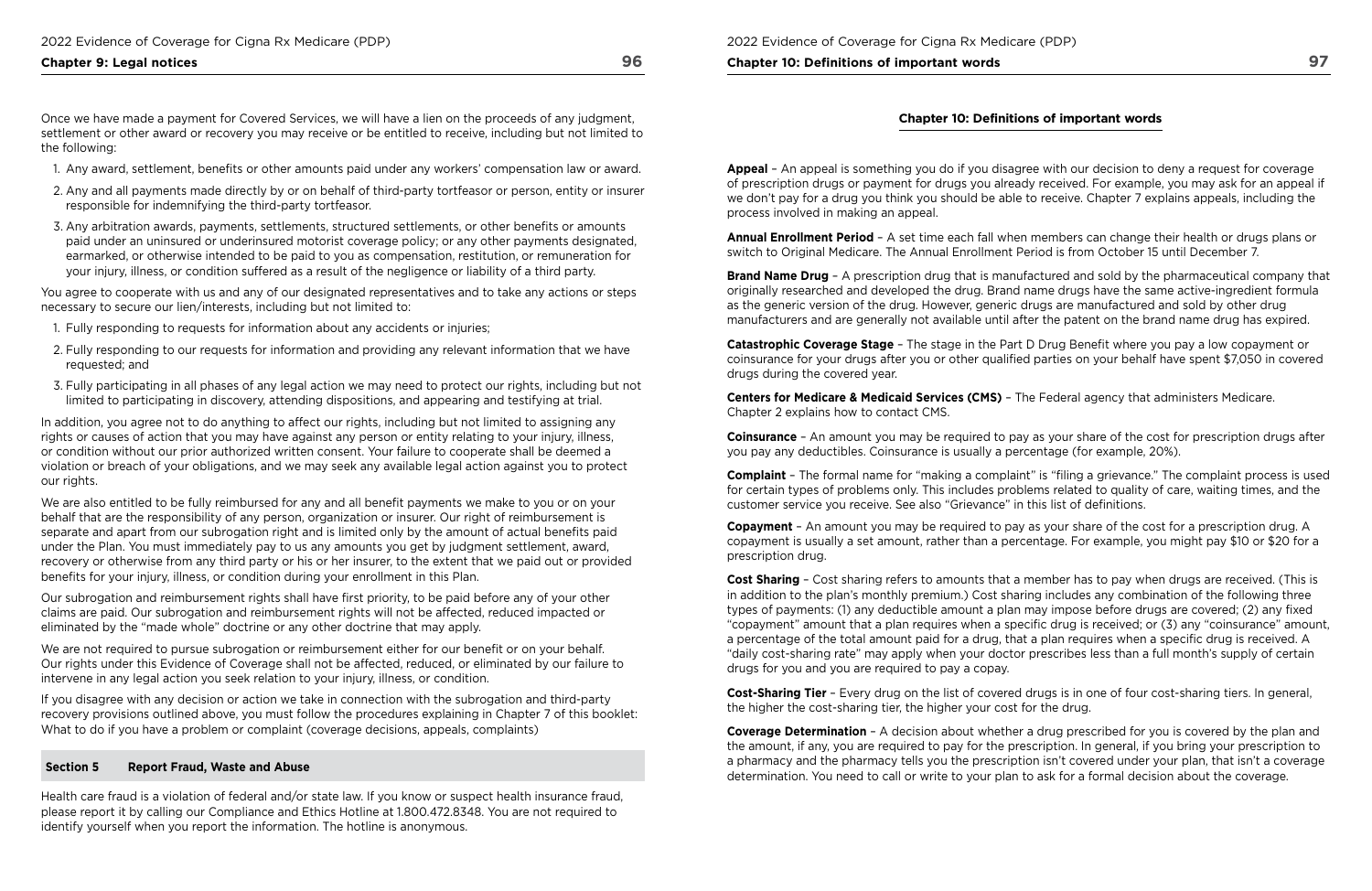## **Chapter 9: Legal notices** 96

Once we have made a payment for Covered Services, we will have a lien on the proceeds of any judgment, settlement or other award or recovery you may receive or be entitled to receive, including but not limited to the following:

- 1. Any award, settlement, benefts or other amounts paid under any workers' compensation law or award.
- 2. Any and all payments made directly by or on behalf of third-party tortfeasor or person, entity or insurer responsible for indemnifying the third-party tortfeasor.
- 3. Any arbitration awards, payments, settlements, structured settlements, or other benefts or amounts paid under an uninsured or underinsured motorist coverage policy; or any other payments designated, earmarked, or otherwise intended to be paid to you as compensation, restitution, or remuneration for your injury, illness, or condition suffered as a result of the negligence or liability of a third party.

You agree to cooperate with us and any of our designated representatives and to take any actions or steps necessary to secure our lien/interests, including but not limited to:

We are also entitled to be fully reimbursed for any and all benefit payments we make to you or on your behalf that are the responsibility of any person, organization or insurer. Our right of reimbursement is separate and apart from our subrogation right and is limited only by the amount of actual benefts paid under the Plan. You must immediately pay to us any amounts you get by judgment settlement, award, recovery or otherwise from any third party or his or her insurer, to the extent that we paid out or provided benefts for your injury, illness, or condition during your enrollment in this Plan.

- 1. Fully responding to requests for information about any accidents or injuries;
- 2. Fully responding to our requests for information and providing any relevant information that we have requested; and
- 3. Fully participating in all phases of any legal action we may need to protect our rights, including but not limited to participating in discovery, attending dispositions, and appearing and testifying at trial.

Our subrogation and reimbursement rights shall have first priority, to be paid before any of your other claims are paid. Our subrogation and reimbursement rights will not be affected, reduced impacted or eliminated by the "made whole" doctrine or any other doctrine that may apply.

We are not required to pursue subrogation or reimbursement either for our benefit or on your behalf. Our rights under this Evidence of Coverage shall not be affected, reduced, or eliminated by our failure to intervene in any legal action you seek relation to your injury, illness, or condition.

In addition, you agree not to do anything to affect our rights, including but not limited to assigning any rights or causes of action that you may have against any person or entity relating to your injury, illness, or condition without our prior authorized written consent. Your failure to cooperate shall be deemed a violation or breach of your obligations, and we may seek any available legal action against you to protect our rights.

**Brand Name Drug** - A prescription drug that is manufactured and sold by the pharmaceutical company that originally researched and developed the drug. Brand name drugs have the same active-ingredient formula as the generic version of the drug. However, generic drugs are manufactured and sold by other drug manufacturers and are generally not available until after the patent on the brand name drug has expired.

If you disagree with any decision or action we take in connection with the subrogation and third-party recovery provisions outlined above, you must follow the procedures explaining in Chapter 7 of this booklet: What to do if you have a problem or complaint (coverage decisions, appeals, complaints)

### **Section 5 Report Fraud, Waste and Abuse**

Health care fraud is a violation of federal and/or state law. If you know or suspect health insurance fraud, please report it by calling our Compliance and Ethics Hotline at 1.800.472.8348. You are not required to identify yourself when you report the information. The hotline is anonymous.

**Chapter 10: Definitions of important words** 

## **Chapter 10: Definitions of important words**

**Appeal** – An appeal is something you do if you disagree with our decision to deny a request for coverage of prescription drugs or payment for drugs you already received. For example, you may ask for an appeal if we don't pay for a drug you think you should be able to receive. Chapter 7 explains appeals, including the process involved in making an appeal.

**Annual Enrollment Period** – A set time each fall when members can change their health or drugs plans or switch to Original Medicare. The Annual Enrollment Period is from October 15 until December 7.

**Catastrophic Coverage Stage** – The stage in the Part D Drug Beneft where you pay a low copayment or coinsurance for your drugs after you or other qualifed parties on your behalf have spent \$7,050 in covered drugs during the covered year.

**Centers for Medicare & Medicaid Services (CMS)** – The Federal agency that administers Medicare. Chapter 2 explains how to contact CMS.

**Coinsurance** – An amount you may be required to pay as your share of the cost for prescription drugs after you pay any deductibles. Coinsurance is usually a percentage (for example, 20%).

**Complaint** – The formal name for "making a complaint" is "fling a grievance." The complaint process is used for certain types of problems only. This includes problems related to quality of care, waiting times, and the customer service you receive. See also "Grievance" in this list of defnitions.

**Copayment** – An amount you may be required to pay as your share of the cost for a prescription drug. A copayment is usually a set amount, rather than a percentage. For example, you might pay \$10 or \$20 for a prescription drug.

**Cost Sharing** – Cost sharing refers to amounts that a member has to pay when drugs are received. (This is in addition to the plan's monthly premium.) Cost sharing includes any combination of the following three types of payments: (1) any deductible amount a plan may impose before drugs are covered; (2) any fxed "copayment" amount that a plan requires when a specifc drug is received; or (3) any "coinsurance" amount, a percentage of the total amount paid for a drug, that a plan requires when a specific drug is received. A "daily cost-sharing rate" may apply when your doctor prescribes less than a full month's supply of certain drugs for you and you are required to pay a copay.

**Cost‑Sharing Tier** – Every drug on the list of covered drugs is in one of four cost-sharing tiers. In general, the higher the cost-sharing tier, the higher your cost for the drug.

**Coverage Determination** – A decision about whether a drug prescribed for you is covered by the plan and the amount, if any, you are required to pay for the prescription. In general, if you bring your prescription to a pharmacy and the pharmacy tells you the prescription isn't covered under your plan, that isn't a coverage determination. You need to call or write to your plan to ask for a formal decision about the coverage.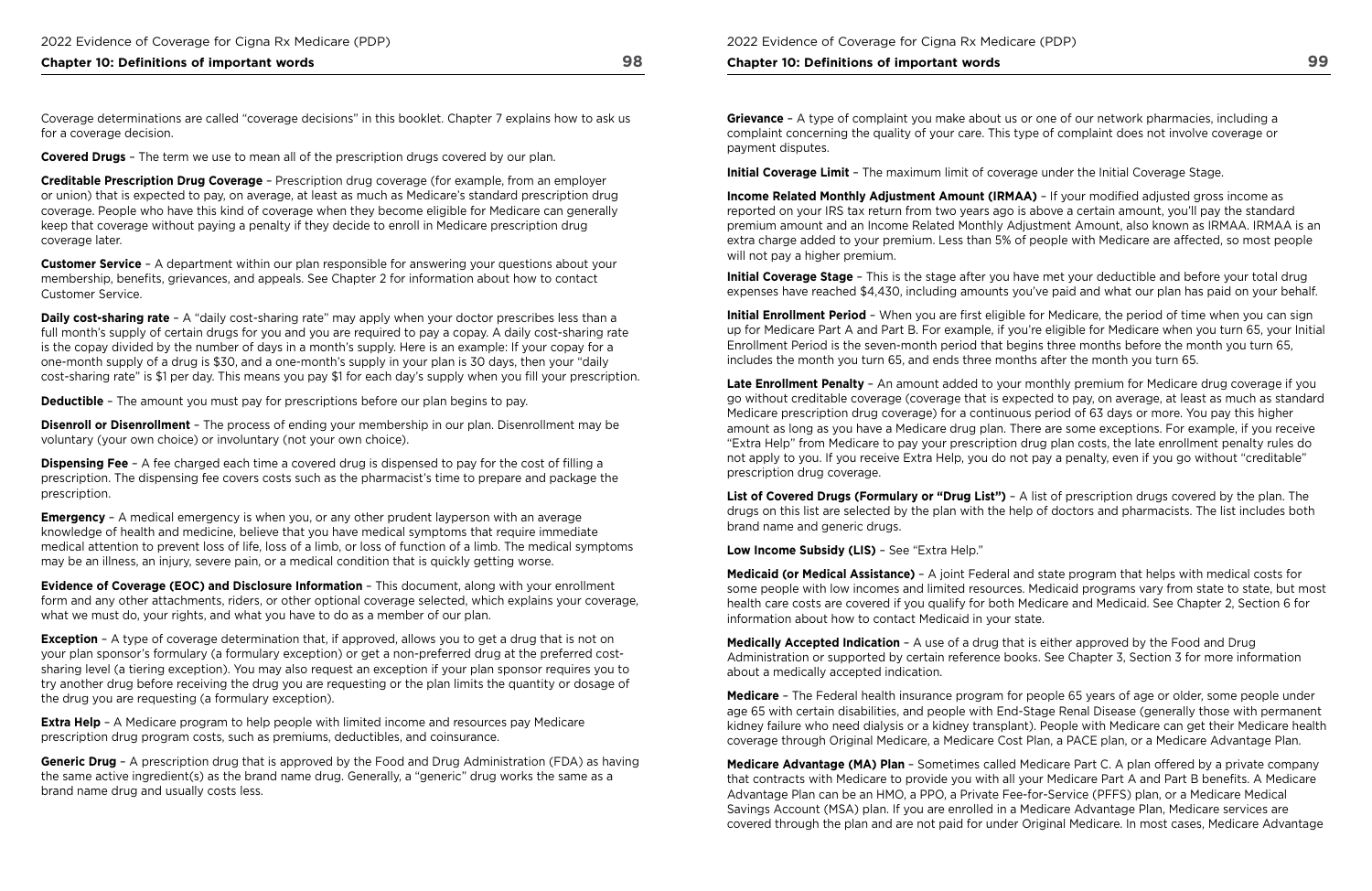## **Chapter 10: Definitions of important words 98**

Coverage determinations are called "coverage decisions" in this booklet. Chapter 7 explains how to ask us for a coverage decision.

**Covered Drugs** – The term we use to mean all of the prescription drugs covered by our plan.

**Creditable Prescription Drug Coverage** – Prescription drug coverage (for example, from an employer or union) that is expected to pay, on average, at least as much as Medicare's standard prescription drug coverage. People who have this kind of coverage when they become eligible for Medicare can generally keep that coverage without paying a penalty if they decide to enroll in Medicare prescription drug coverage later.

**Daily cost-sharing rate** – A "daily cost-sharing rate" may apply when your doctor prescribes less than a full month's supply of certain drugs for you and you are required to pay a copay. A daily cost-sharing rate is the copay divided by the number of days in a month's supply. Here is an example: If your copay for a one-month supply of a drug is \$30, and a one-month's supply in your plan is 30 days, then your "daily cost-sharing rate" is \$1 per day. This means you pay \$1 for each day's supply when you fll your prescription.

**Customer Service** – A department within our plan responsible for answering your questions about your membership, benefts, grievances, and appeals. See Chapter 2 for information about how to contact Customer Service.

**Emergency** – A medical emergency is when you, or any other prudent layperson with an average knowledge of health and medicine, believe that you have medical symptoms that require immediate medical attention to prevent loss of life, loss of a limb, or loss of function of a limb. The medical symptoms may be an illness, an injury, severe pain, or a medical condition that is quickly getting worse.

**Deductible** – The amount you must pay for prescriptions before our plan begins to pay.

**Exception** - A type of coverage determination that, if approved, allows you to get a drug that is not on your plan sponsor's formulary (a formulary exception) or get a non-preferred drug at the preferred costsharing level (a tiering exception). You may also request an exception if your plan sponsor requires you to try another drug before receiving the drug you are requesting or the plan limits the quantity or dosage of the drug you are requesting (a formulary exception).

**Extra Help** - A Medicare program to help people with limited income and resources pay Medicare prescription drug program costs, such as premiums, deductibles, and coinsurance.

**Disenroll or Disenrollment** – The process of ending your membership in our plan. Disenrollment may be voluntary (your own choice) or involuntary (not your own choice).

**Dispensing Fee** – A fee charged each time a covered drug is dispensed to pay for the cost of flling a prescription. The dispensing fee covers costs such as the pharmacist's time to prepare and package the prescription.

**Income Related Monthly Adjustment Amount (IRMAA)** – If your modified adjusted gross income as reported on your IRS tax return from two years ago is above a certain amount, you'll pay the standard premium amount and an Income Related Monthly Adjustment Amount, also known as IRMAA. IRMAA is an extra charge added to your premium. Less than 5% of people with Medicare are affected, so most people will not pay a higher premium.

 includes the month you turn 65, and ends three months after the month you turn 65. **Initial Enrollment Period** – When you are first eligible for Medicare, the period of time when you can sign up for Medicare Part A and Part B. For example, if you're eligible for Medicare when you turn 65, your Initial Enrollment Period is the seven-month period that begins three months before the month you turn 65,

**Evidence of Coverage (EOC) and Disclosure Information** – This document, along with your enrollment form and any other attachments, riders, or other optional coverage selected, which explains your coverage, what we must do, your rights, and what you have to do as a member of our plan.

 health care costs are covered if you qualify for both Medicare and Medicaid. See Chapter 2, Section 6 for **Medicaid (or Medical Assistance)** – A joint Federal and state program that helps with medical costs for some people with low incomes and limited resources. Medicaid programs vary from state to state, but most information about how to contact Medicaid in your state.

 Administration or supported by certain reference books. See Chapter 3, Section 3 for more information **Medically Accepted Indication** – A use of a drug that is either approved by the Food and Drug about a medically accepted indication.

**Generic Drug** – A prescription drug that is approved by the Food and Drug Administration (FDA) as having the same active ingredient(s) as the brand name drug. Generally, a "generic" drug works the same as a brand name drug and usually costs less.

#### **Chapter 10: Definitions of important words**

**Grievance** – A type of complaint you make about us or one of our network pharmacies, including a complaint concerning the quality of your care. This type of complaint does not involve coverage or payment disputes.

**Initial Coverage Limit** – The maximum limit of coverage under the Initial Coverage Stage.

**Initial Coverage Stage** – This is the stage after you have met your deductible and before your total drug expenses have reached \$4,430, including amounts you've paid and what our plan has paid on your behalf.

**Late Enrollment Penalty** – An amount added to your monthly premium for Medicare drug coverage if you go without creditable coverage (coverage that is expected to pay, on average, at least as much as standard Medicare prescription drug coverage) for a continuous period of 63 days or more. You pay this higher amount as long as you have a Medicare drug plan. There are some exceptions. For example, if you receive "Extra Help" from Medicare to pay your prescription drug plan costs, the late enrollment penalty rules do not apply to you. If you receive Extra Help, you do not pay a penalty, even if you go without "creditable" prescription drug coverage.

**List of Covered Drugs (Formulary or "Drug List")** – A list of prescription drugs covered by the plan. The drugs on this list are selected by the plan with the help of doctors and pharmacists. The list includes both brand name and generic drugs.

**Low Income Subsidy (LIS)** – See "Extra Help."

**Medicare** – The Federal health insurance program for people 65 years of age or older, some people under age 65 with certain disabilities, and people with End-Stage Renal Disease (generally those with permanent kidney failure who need dialysis or a kidney transplant). People with Medicare can get their Medicare health coverage through Original Medicare, a Medicare Cost Plan, a PACE plan, or a Medicare Advantage Plan.

**Medicare Advantage (MA) Plan** – Sometimes called Medicare Part C. A plan offered by a private company that contracts with Medicare to provide you with all your Medicare Part A and Part B benefts. A Medicare Advantage Plan can be an HMO, a PPO, a Private Fee-for-Service (PFFS) plan, or a Medicare Medical Savings Account (MSA) plan. If you are enrolled in a Medicare Advantage Plan, Medicare services are covered through the plan and are not paid for under Original Medicare. In most cases, Medicare Advantage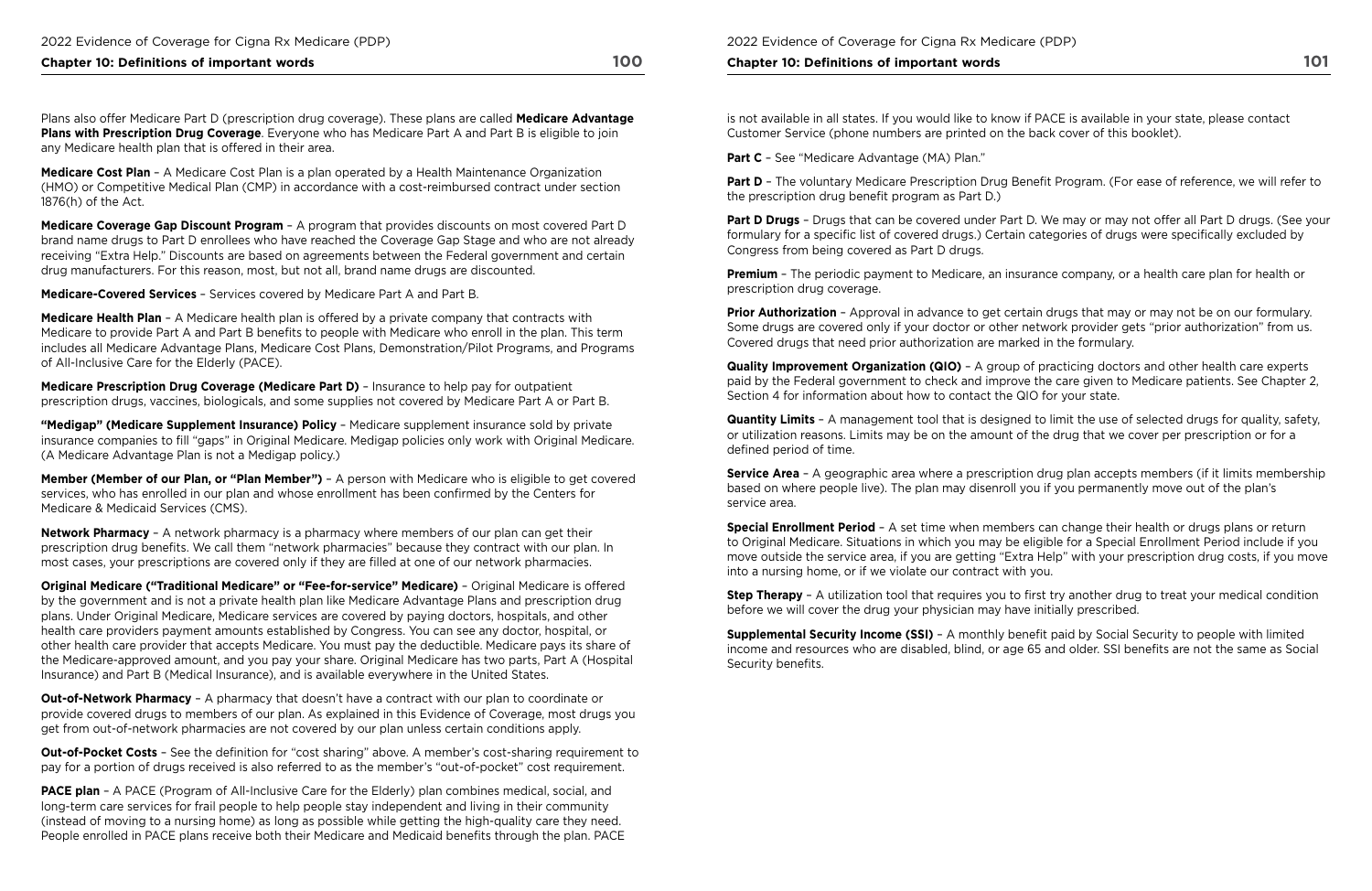### **Chapter 10: Definitions of important words** 100 **100**

Plans also offer Medicare Part D (prescription drug coverage). These plans are called **Medicare Advantage Plans with Prescription Drug Coverage**. Everyone who has Medicare Part A and Part B is eligible to join any Medicare health plan that is offered in their area.

**Medicare Cost Plan** – A Medicare Cost Plan is a plan operated by a Health Maintenance Organization (HMO) or Competitive Medical Plan (CMP) in accordance with a cost-reimbursed contract under section 1876(h) of the Act.

**Medicare Coverage Gap Discount Program** – A program that provides discounts on most covered Part D brand name drugs to Part D enrollees who have reached the Coverage Gap Stage and who are not already receiving "Extra Help." Discounts are based on agreements between the Federal government and certain drug manufacturers. For this reason, most, but not all, brand name drugs are discounted.

**Medicare‑Covered Services** – Services covered by Medicare Part A and Part B.

**Medicare Health Plan** – A Medicare health plan is offered by a private company that contracts with Medicare to provide Part A and Part B benefits to people with Medicare who enroll in the plan. This term includes all Medicare Advantage Plans, Medicare Cost Plans, Demonstration/Pilot Programs, and Programs of All-Inclusive Care for the Elderly (PACE).

**Medicare Prescription Drug Coverage (Medicare Part D)** – Insurance to help pay for outpatient prescription drugs, vaccines, biologicals, and some supplies not covered by Medicare Part A or Part B.

**Out-of-Network Pharmacy** - A pharmacy that doesn't have a contract with our plan to coordinate or provide covered drugs to members of our plan. As explained in this Evidence of Coverage, most drugs you get from out-of-network pharmacies are not covered by our plan unless certain conditions apply.

**"Medigap" (Medicare Supplement Insurance) Policy** – Medicare supplement insurance sold by private insurance companies to fll "gaps" in Original Medicare. Medigap policies only work with Original Medicare. (A Medicare Advantage Plan is not a Medigap policy.)

**Out-of-Pocket Costs** – See the definition for "cost sharing" above. A member's cost-sharing requirement to pay for a portion of drugs received is also referred to as the member's "out-of-pocket" cost requirement.

**Member (Member of our Plan, or "Plan Member")** – A person with Medicare who is eligible to get covered services, who has enrolled in our plan and whose enrollment has been confrmed by the Centers for Medicare & Medicaid Services (CMS).

**PACE plan** - A PACE (Program of All-Inclusive Care for the Elderly) plan combines medical, social, and long-term care services for frail people to help people stay independent and living in their community (instead of moving to a nursing home) as long as possible while getting the high-quality care they need. People enrolled in PACE plans receive both their Medicare and Medicaid benefts through the plan. PACE

**Network Pharmacy** – A network pharmacy is a pharmacy where members of our plan can get their prescription drug benefts. We call them "network pharmacies" because they contract with our plan. In most cases, your prescriptions are covered only if they are flled at one of our network pharmacies.

**Part D Drugs** - Drugs that can be covered under Part D. We may or may not offer all Part D drugs. (See your formulary for a specific list of covered drugs.) Certain categories of drugs were specifically excluded by Congress from being covered as Part D drugs.

**Quantity Limits** – A management tool that is designed to limit the use of selected drugs for quality, safety, or utilization reasons. Limits may be on the amount of the drug that we cover per prescription or for a defined period of time.

**Original Medicare ("Traditional Medicare" or "Fee‑for‑service" Medicare)** – Original Medicare is offered by the government and is not a private health plan like Medicare Advantage Plans and prescription drug plans. Under Original Medicare, Medicare services are covered by paying doctors, hospitals, and other health care providers payment amounts established by Congress. You can see any doctor, hospital, or other health care provider that accepts Medicare. You must pay the deductible. Medicare pays its share of the Medicare-approved amount, and you pay your share. Original Medicare has two parts, Part A (Hospital Insurance) and Part B (Medical Insurance), and is available everywhere in the United States.

**Service Area** - A geographic area where a prescription drug plan accepts members (if it limits membership based on where people live). The plan may disenroll you if you permanently move out of the plan's service area.

**Step Therapy** – A utilization tool that requires you to first try another drug to treat your medical condition before we will cover the drug your physician may have initially prescribed.

**Supplemental Security Income (SSI)** - A monthly benefit paid by Social Security to people with limited income and resources who are disabled, blind, or age 65 and older. SSI benefts are not the same as Social Security benefits.

2022 Evidence of Coverage for Cigna Rx Medicare (PDP)

#### **Chapter 10: Definitions of important words**

is not available in all states. If you would like to know if PACE is available in your state, please contact Customer Service (phone numbers are printed on the back cover of this booklet).

**Part C** – See "Medicare Advantage (MA) Plan."

**Part D** - The voluntary Medicare Prescription Drug Benefit Program. (For ease of reference, we will refer to the prescription drug benefit program as Part D.)

**Premium** – The periodic payment to Medicare, an insurance company, or a health care plan for health or prescription drug coverage.

**Prior Authorization** – Approval in advance to get certain drugs that may or may not be on our formulary. Some drugs are covered only if your doctor or other network provider gets "prior authorization" from us. Covered drugs that need prior authorization are marked in the formulary.

**Quality Improvement Organization (QIO)** – A group of practicing doctors and other health care experts paid by the Federal government to check and improve the care given to Medicare patients. See Chapter 2, Section 4 for information about how to contact the QIO for your state.

**Special Enrollment Period** – A set time when members can change their health or drugs plans or return to Original Medicare. Situations in which you may be eligible for a Special Enrollment Period include if you move outside the service area, if you are getting "Extra Help" with your prescription drug costs, if you move into a nursing home, or if we violate our contract with you.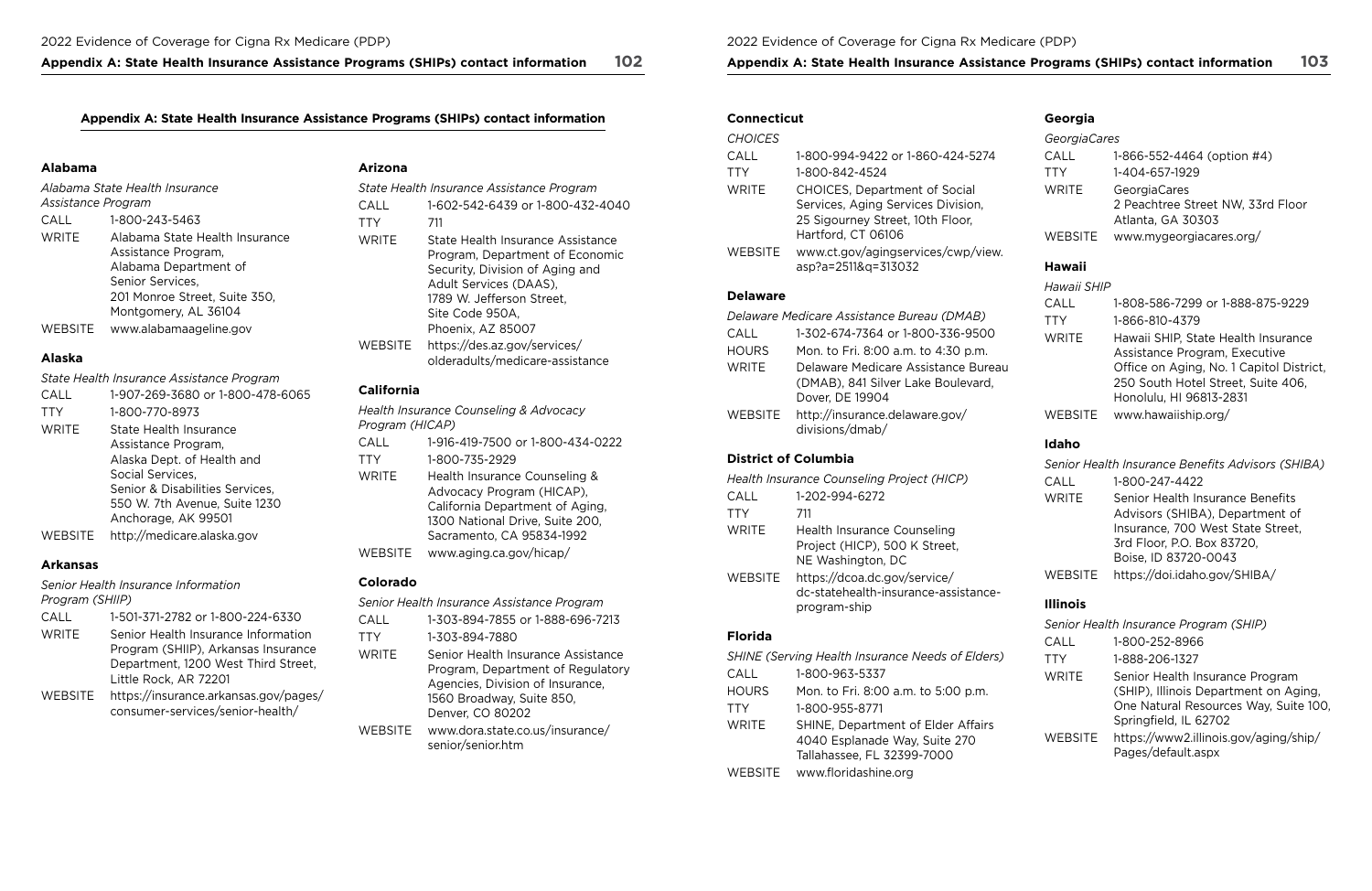## **Appendix A: State Health Insurance Assistance Programs (SHIPs) contact information 102 Appendix A: State Health Insurance Assistance Programs (SHIPs) contact information 103**

## Appendix A: State Health Insurance Assistance Programs (SHIPs) contact information **Connecticut** Connecticut Georgia

|              |                                              | <b>CHOICES</b> |                                                                    | GeorgiaCares |                                                           |                |                             |
|--------------|----------------------------------------------|----------------|--------------------------------------------------------------------|--------------|-----------------------------------------------------------|----------------|-----------------------------|
|              |                                              |                |                                                                    | CALL         | 1-800-994-9422 or 1-860-424-5274                          | CALL           | 1-866-552-4464 (option #4)  |
| Alabama      |                                              | <b>Arizona</b> |                                                                    | TTY          | 1-800-842-4524                                            | TTY            | 1-404-657-1929              |
|              | Alabama State Health Insurance               |                | State Health Insurance Assistance Program                          | <b>WRITE</b> | <b>CHOICES, Department of Social</b>                      | <b>WRITE</b>   | GeorgiaCares                |
|              | Assistance Program                           | CALL           | 1-602-542-6439 or 1-800-432-4040                                   |              | Services, Aging Services Division,                        |                | 2 Peachtree Street NW, 33rd |
| CALL         | 1-800-243-5463                               | TTY            | 711                                                                |              | 25 Sigourney Street, 10th Floor,                          |                | Atlanta, GA 30303           |
| <b>WRITE</b> | Alabama State Health Insurance               | <b>WRITE</b>   | State Health Insurance Assistance                                  |              | Hartford, CT 06106                                        | <b>WEBSITE</b> | www.mygeorgiacares.org/     |
|              | Assistance Program,<br>Alabama Department of |                | Program, Department of Economic<br>Security, Division of Aging and | WEBSITE      | www.ct.gov/agingservices/cwp/view.<br>asp?a=2511&q=313032 | <b>Hawaii</b>  |                             |

Assistance Program **CALL** 1-602-542-6439 or 1-800-432-4040 WRITE Alabama State Health Insurance WRITE State Health Insurance Assistance Assistance Program, Program, Program, Department of Economic website was entered with the Program, Department of Economic Alabama Department of **Security, Division of Aging and** Security, Division of Aging and [asp?a=2511&q=313032](www.ct.gov/agingservices/cwp/view.asp?a=2511&q=313032) **Hawaii**<br>Senior Services. Adult Services (DAAS) Adult Services (DAAS), WEBSITE [https://des.az.gov/services/](https://des.az.gov/services/olderadults/medicare-assistance)  1789 W. Jefferson Street, Site Code 950A, Phoenix, AZ 85007 [olderadults/medicare-assistance](https://des.az.gov/services/olderadults/medicare-assistance)

*Alabama State Health Insurance State Health Insurance Assistance Program* WRITE CHOICES, Department of Social WRITE GeorgiaCares 201 Monroe Street, Suite 350, Montgomery, AL 36104 WEBSITE <www.alabamaageline.gov>

### **Alaska**

*State Health Insurance Assistance Program* 

### **California**

### **Delaware**

| Delaware Medicare Assistance Bureau (DMAB) |                                                   |  |
|--------------------------------------------|---------------------------------------------------|--|
| CALL                                       | 1-302-674-7364 or 1-800-336-9500                  |  |
| <b>HOURS</b>                               | Mon. to Fri. 8:00 a.m. to 4:30 p.m.               |  |
| <b>WRITE</b>                               | Delaware Medicare Assistance Bureau               |  |
|                                            | (DMAB), 841 Silver Lake Boulevard,                |  |
|                                            | Dover, DE 19904                                   |  |
| WEBSITE                                    | http://insurance.delaware.gov/<br>divisions/dmab/ |  |

| CALL           | 1-907-269-3680 or 1-800-478-6065 |
|----------------|----------------------------------|
| <b>TTY</b>     | 1-800-770-8973                   |
| <b>WRITE</b>   | State Health Insurance           |
|                | Assistance Program,              |
|                | Alaska Dept. of Health and       |
|                | Social Services,                 |
|                | Senior & Disabilities Services,  |
|                | 550 W. 7th Avenue, Suite 1230    |
|                | Anchorage, AK 99501              |
| <b>WEBSITE</b> | http://medicare.alaska.gov       |

| Hawaii SHIP  |                                                                                                                                                                                   |
|--------------|-----------------------------------------------------------------------------------------------------------------------------------------------------------------------------------|
| CALL         | 1-808-586-7299 or 1-888-875-9229                                                                                                                                                  |
| <b>TTY</b>   | 1-866-810-4379                                                                                                                                                                    |
| <b>WRITE</b> | Hawaii SHIP, State Health Insurance<br>Assistance Program, Executive<br>Office on Aging, No. 1 Capitol District,<br>250 South Hotel Street, Suite 406,<br>Honolulu, HI 96813-2831 |
| WEBSITE      | www.hawaiiship.org/                                                                                                                                                               |

### **Arkansas**

*Health Insurance Counseling & Advocacy Program (HICAP)*  Assistance Program, CALL 1-916-419-7500 or 1-800-434-0222 **Idaho**  TTY WRITE WEBSITE 1-800-735-2929 Health Insurance Counseling & Advocacy Program (HICAP), California Department of Aging, 1300 National Drive, Suite 200, Sacramento, CA 95834-1992 <www.aging.ca.gov/hicap/>

## **District of Columbia**

*Senior Health Insurance Information Program (SHIIP)* 

|                | Health Insurance Counseling Project (HICP)                                               |
|----------------|------------------------------------------------------------------------------------------|
| CALL           | 1-202-994-6272                                                                           |
| <b>TTY</b>     | 711                                                                                      |
| <b>WRITE</b>   | <b>Health Insurance Counseling</b><br>Project (HICP), 500 K Street,<br>NE Washington, DC |
| <b>WEBSITE</b> | https://dcoa.dc.gov/service/<br>dc-statehealth-insurance-assistance-<br>program-ship     |

| <b>CALL</b> | 1-501-371-2782 or 1-800-224-6330      |
|-------------|---------------------------------------|
| WRITE       | Senior Health Insurance Information   |
|             | Program (SHIIP), Arkansas Insurance   |
|             | Department, 1200 West Third Street,   |
|             | Little Rock, AR 72201                 |
| WEBSITE     | https://insurance.arkansas.gov/pages/ |
|             | consumer-services/senior-health/      |

## **Colorado**

|         | Senior Health Insurance Benefits Advisors (SHIBA) |
|---------|---------------------------------------------------|
| CALL    | 1-800-247-4422                                    |
| WRITE   | Senior Health Insurance Benefits                  |
|         | Advisors (SHIBA), Department of                   |
|         | Insurance, 700 West State Street,                 |
|         | 3rd Floor, P.O. Box 83720,                        |
|         | Boise, ID 83720-0043                              |
| WEBSITE | https://doi.idaho.gov/SHIBA/                      |
|         |                                                   |

*Senior Health Insurance Assistance Program*  CALL 1-303-894-7855 or 1-888-696-7213 TTY 1-303-894-7880 WRITE Senior Health Insurance Assistance Program, Department of Regulatory Agencies, Division of Insurance, 1560 Broadway, Suite 850, Denver, CO 80202 WEBSITE [www.dora.state.co.us/insurance/](www.dora.state.co.us/insurance/senior/senior.htm) [senior/senior.htm](www.dora.state.co.us/insurance/senior/senior.htm)

## **Florida**

## **Illinois**

|              | <b>SHINE (Serving Health Insurance Needs of Elders)</b>                                           |
|--------------|---------------------------------------------------------------------------------------------------|
| CALL         | 1-800-963-5337                                                                                    |
| <b>HOURS</b> | Mon. to Fri. 8:00 a.m. to 5:00 p.m.                                                               |
| TTY          | 1-800-955-8771                                                                                    |
| <b>WRITE</b> | SHINE, Department of Elder Affairs<br>4040 Esplanade Way, Suite 270<br>Tallahassee, FL 32399-7000 |
| WEBSITE      | www.floridashine.org                                                                              |

| <b>GeorgiaCares</b> |                                                                        |
|---------------------|------------------------------------------------------------------------|
| CALL                | 1-866-552-4464 (option #4)                                             |
| <b>TTY</b>          | 1-404-657-1929                                                         |
| WRITE               | GeorgiaCares<br>2 Peachtree Street NW, 33rd Floor<br>Atlanta, GA 30303 |
| WEBSITE             | www.mygeorgiacares.org/                                                |

|                | Senior Health Insurance Program (SHIP)                                                                                                     |
|----------------|--------------------------------------------------------------------------------------------------------------------------------------------|
| CALL           | 1-800-252-8966                                                                                                                             |
| <b>TTY</b>     | 1-888-206-1327                                                                                                                             |
| <b>WRITE</b>   | Senior Health Insurance Program<br>(SHIP), Illinois Department on Aging,<br>One Natural Resources Way, Suite 100,<br>Springfield, IL 62702 |
| <b>WEBSITE</b> | https://www2.illinois.gov/aging/ship/<br>Pages/default.aspx                                                                                |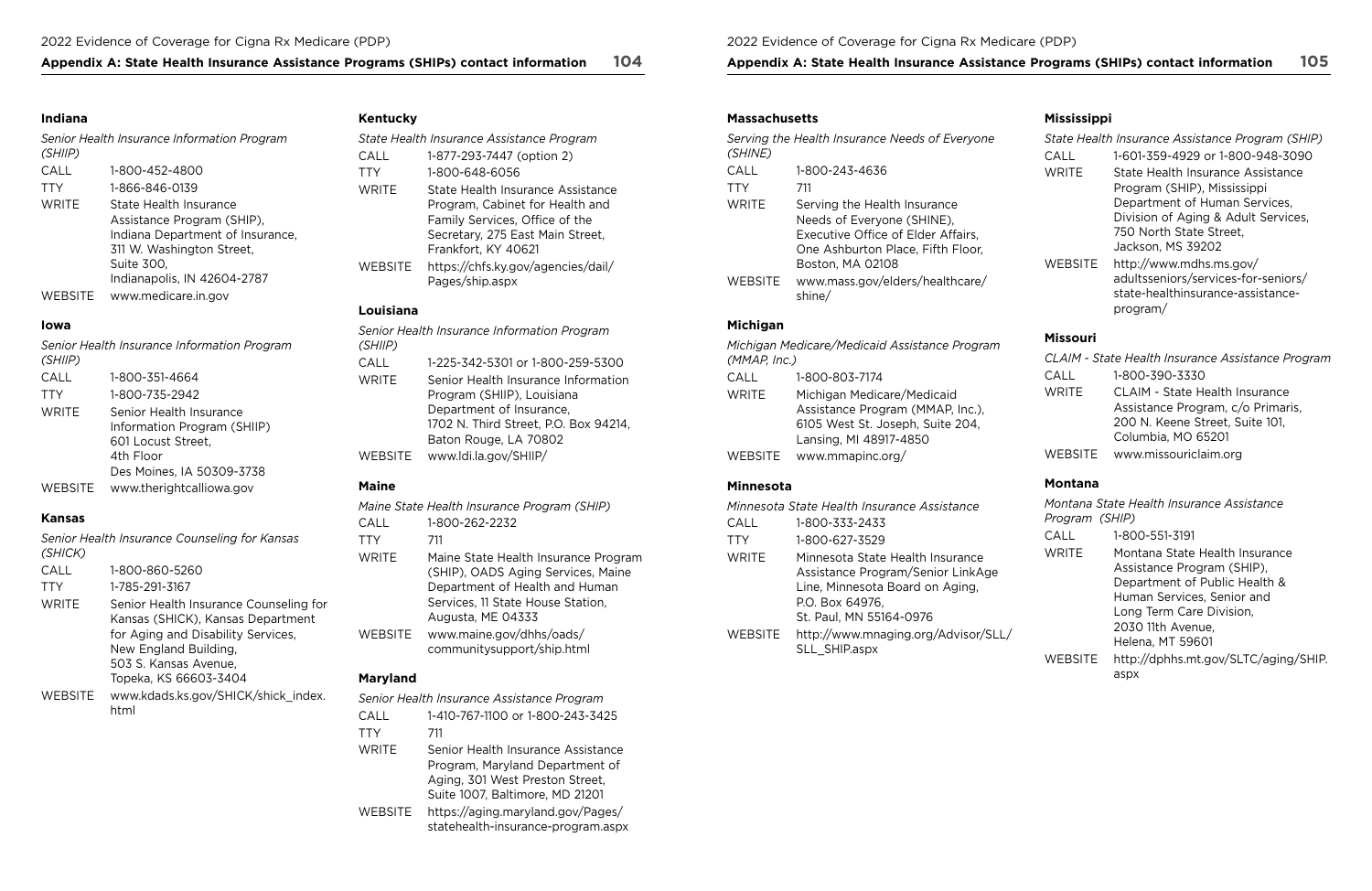## Appendix A: State Health Insurance Assistance Programs (SHIPs) contact information 104 Appendix A: State Health Insurance Assistance Programs (SHIPs) contact information 105

## **Indiana**

| (SHIIP)      | Senior Health Insurance Information Program                                                                                                                        |
|--------------|--------------------------------------------------------------------------------------------------------------------------------------------------------------------|
| CALL         | 1-800-452-4800                                                                                                                                                     |
| <b>TTY</b>   | 1-866-846-0139                                                                                                                                                     |
| <b>WRITE</b> | State Health Insurance<br>Assistance Program (SHIP),<br>Indiana Department of Insurance,<br>311 W. Washington Street,<br>Suite 300,<br>Indianapolis, IN 42604-2787 |
| WEBSITE      | www.medicare.in.gov                                                                                                                                                |

## **Iowa**

| (SHIIP)        | Senior Health Insurance Information Program                                                                            |
|----------------|------------------------------------------------------------------------------------------------------------------------|
| CALL           | 1-800-351-4664                                                                                                         |
| <b>TTY</b>     | 1-800-735-2942                                                                                                         |
| <b>WRITE</b>   | Senior Health Insurance<br>Information Program (SHIIP)<br>601 Locust Street,<br>4th Floor<br>Des Moines, IA 50309-3738 |
| <b>WEBSITE</b> | www.therightcalliowa.gov                                                                                               |

## **Kansas**

| (SHICK) | Senior Health Insurance Counseling for Kansas                                                                                                                                                |
|---------|----------------------------------------------------------------------------------------------------------------------------------------------------------------------------------------------|
| CALL    | 1-800-860-5260                                                                                                                                                                               |
| TTY     | 1-785-291-3167                                                                                                                                                                               |
| WRITE   | Senior Health Insurance Counseling for<br>Kansas (SHICK), Kansas Department<br>for Aging and Disability Services,<br>New England Building,<br>503 S. Kansas Avenue,<br>Topeka, KS 66603-3404 |
| WEBSITE | www.kdads.ks.gov/SHICK/shick index.<br>html                                                                                                                                                  |

## **Kentucky**

|                | State Health Insurance Assistance Program                                                                                                                         |
|----------------|-------------------------------------------------------------------------------------------------------------------------------------------------------------------|
| CALL           | 1-877-293-7447 (option 2)                                                                                                                                         |
| <b>TTY</b>     | 1-800-648-6056                                                                                                                                                    |
| <b>WRITE</b>   | State Health Insurance Assistance<br>Program, Cabinet for Health and<br>Family Services, Office of the<br>Secretary, 275 East Main Street,<br>Frankfort, KY 40621 |
| <b>WEBSITE</b> | https://chfs.ky.gov/agencies/dail/<br>Pages/ship.aspx                                                                                                             |
| Louisiana      |                                                                                                                                                                   |
|                | Senior Health Insurance Information Program                                                                                                                       |

| (SHIIP)      | senior Flealth insurance information Frogram                      |
|--------------|-------------------------------------------------------------------|
| CALL         | 1-225-342-5301 or 1-800-259-5300                                  |
| <b>WRITE</b> | Senior Health Insurance Information<br>Program (SHIIP), Louisiana |
|              | Department of Insurance,<br>1702 N. Third Street, P.O. Box 94214, |
|              | Baton Rouge, LA 70802                                             |
| WEBSITE      | www.ldi.la.gov/SHIIP/                                             |

## **Maine**

|                | Maine State Health Insurance Program (SHIP)                                                                                                                            |
|----------------|------------------------------------------------------------------------------------------------------------------------------------------------------------------------|
| CALL           | 1-800-262-2232                                                                                                                                                         |
| TTY            | 711                                                                                                                                                                    |
| WRITE          | Maine State Health Insurance Program<br>(SHIP), OADS Aging Services, Maine<br>Department of Health and Human<br>Services, 11 State House Station,<br>Augusta, ME 04333 |
| <b>WEBSITE</b> | www.maine.gov/dhhs/oads/<br>communitysupport/ship.html                                                                                                                 |

## **Maryland**

|            | Senior Health Insurance Assistance Program                                                                                                  |
|------------|---------------------------------------------------------------------------------------------------------------------------------------------|
| CALL       | 1-410-767-1100 or 1-800-243-3425                                                                                                            |
| <b>TTY</b> | 711                                                                                                                                         |
| WRITE      | Senior Health Insurance Assistance<br>Program, Maryland Department of<br>Aging, 301 West Preston Street,<br>Suite 1007, Baltimore, MD 21201 |
| WEBSITE    | https://aging.maryland.gov/Pages/<br>statehealth-insurance-program.aspx                                                                     |

## **Massachusetts**

| (SHINE)        | Serving the Health Insurance Needs of Everyone                                                                                                            |
|----------------|-----------------------------------------------------------------------------------------------------------------------------------------------------------|
| CALL           | 1-800-243-4636                                                                                                                                            |
| TTY            | 711                                                                                                                                                       |
| WRITE          | Serving the Health Insurance<br>Needs of Everyone (SHINE),<br>Executive Office of Elder Affairs,<br>One Ashburton Place, Fifth Floor,<br>Boston, MA 02108 |
| <b>WEBSITE</b> | www.mass.gov/elders/healthcare/<br>shine/                                                                                                                 |

## **Michigan**

| (MMAP, Inc.) | Michigan Medicare/Medicaid Assistance Program                                                                                |
|--------------|------------------------------------------------------------------------------------------------------------------------------|
| CALL         | 1-800-803-7174                                                                                                               |
| <b>WRITE</b> | Michigan Medicare/Medicaid<br>Assistance Program (MMAP, Inc.),<br>6105 West St. Joseph, Suite 204,<br>Lansing, MI 48917-4850 |
| WFRSITF      | www.mmapinc.org/                                                                                                             |

## **Minnesota**

|              | Minnesota State Health Insurance Assistance                                                                                                            |
|--------------|--------------------------------------------------------------------------------------------------------------------------------------------------------|
| CALL         | 1-800-333-2433                                                                                                                                         |
| <b>TTY</b>   | 1-800-627-3529                                                                                                                                         |
| <b>WRITE</b> | Minnesota State Health Insurance<br>Assistance Program/Senior LinkAge<br>Line, Minnesota Board on Aging,<br>P.O. Box 64976,<br>St. Paul, MN 55164-0976 |
| WEBSITE      | http://www.mnaging.org/Advisor/SLL/<br>SLL SHIP.aspx                                                                                                   |

## **Mississippi**

|                | State Health Insurance Assistance Program (SHIP)                                                                |
|----------------|-----------------------------------------------------------------------------------------------------------------|
| CALL           | 1-601-359-4929 or 1-800-948-3090                                                                                |
| <b>WRITE</b>   | State Health Insurance Assistance<br>Program (SHIP), Mississippi<br>Department of Human Services,               |
|                | Division of Aging & Adult Services,<br>750 North State Street,<br>Jackson, MS 39202                             |
| <b>WEBSITE</b> | http://www.mdhs.ms.gov/<br>adultsseniors/services-for-seniors/<br>state-healthinsurance-assistance-<br>program/ |

## **Missouri**

|              | CLAIM - State Health Insurance Assistance Program |
|--------------|---------------------------------------------------|
| CALL         | 1-800-390-3330                                    |
| <b>WRITE</b> | <b>CLAIM - State Health Insurance</b>             |
|              | Assistance Program, c/o Primaris,                 |
|              | 200 N. Keene Street, Suite 101,                   |
|              | Columbia, MO 65201                                |
| WEBSITE      | www.missouriclaim.org                             |

## **Montana**

|                | Montana State Health Insurance Assistance |
|----------------|-------------------------------------------|
| Program (SHIP) |                                           |
| CALL           | 1-800-551-3191                            |
| <b>WRITE</b>   | Montana State Health Insurance            |
|                | Assistance Program (SHIP),                |
|                | Department of Public Health &             |
|                | Human Services, Senior and                |
|                | Long Term Care Division,                  |
|                | 2030 11th Avenue,                         |
|                | Helena, MT 59601                          |
| WEBSITE        | http://dphhs.mt.gov/SLTC/aging/SHIP.      |
|                | aspx                                      |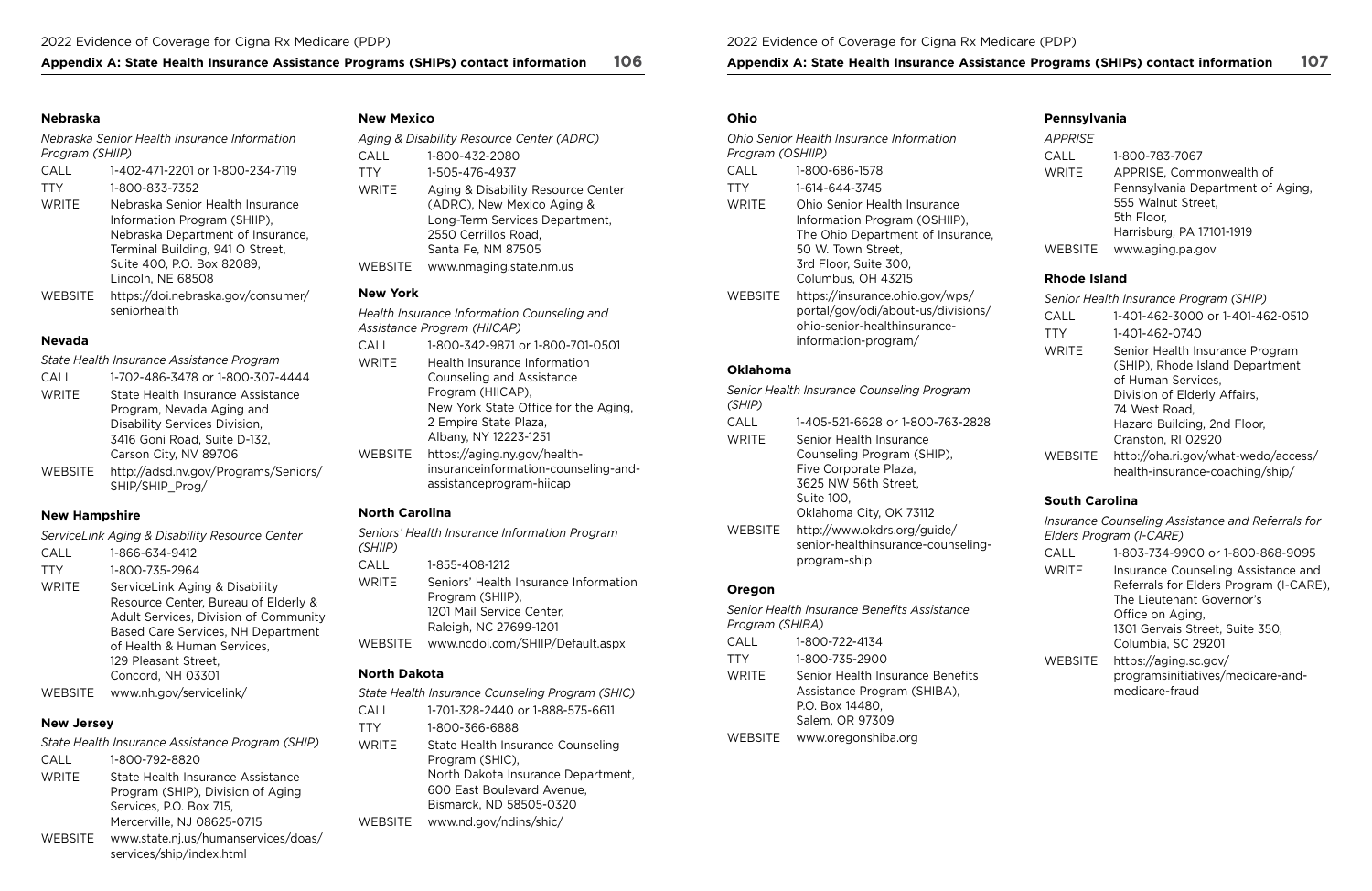### Appendix A: State Health Insurance Assistance Programs (SHIPs) contact information 106 Appendix A: State Health Insurance Assistance Programs (SHIPs) contact information 107

### **Nebraska**

*Nebraska Senior Health Insurance Information Program (SHIIP)* 

| CALL         | 1-402-471-2201 or 1-800-234-7119                                                                                                                                                             |
|--------------|----------------------------------------------------------------------------------------------------------------------------------------------------------------------------------------------|
| <b>TTY</b>   | 1-800-833-7352                                                                                                                                                                               |
| <b>WRITE</b> | Nebraska Senior Health Insurance<br>Information Program (SHIIP),<br>Nebraska Department of Insurance,<br>Terminal Building, 941 O Street,<br>Suite 400, P.O. Box 82089,<br>Lincoln, NE 68508 |
| WEBSITE      | https://doi.nebraska.gov/consumer/<br>seniorhealth                                                                                                                                           |

## **Nevada**

*State Health Insurance Assistance Program* 

| CALL         | 1-702-486-3478 or 1-800-307-4444    |
|--------------|-------------------------------------|
| <b>WRITE</b> | State Health Insurance Assistance   |
|              | Program, Nevada Aging and           |
|              | Disability Services Division,       |
|              | 3416 Goni Road, Suite D-132,        |
|              | Carson City, NV 89706               |
| WERSITE      | http://adsd.ny.gov/Programs/Seniors |

WEBSITE [http://adsd.nv.gov/Programs/Seniors/](http://adsd.nv.gov/Programs/Seniors/SHIP/SHIP_Prog/) [SHIP/SHIP\\_Prog/](http://adsd.nv.gov/Programs/Seniors/SHIP/SHIP_Prog/)

## **New Hampshire**

*ServiceLink Aging & Disability Resource Center* 

- CALL 1-866-634-9412
- TTY 1-800-735-2964
- WRITE ServiceLink Aging & Disability Resource Center, Bureau of Elderly & Adult Services, Division of Community Based Care Services, NH Department of Health & Human Services, 129 Pleasant Street, Concord, NH 03301

WEBSITE <www.nh.gov/servicelink/>

## **New Jersey**

| State Health Insurance Assistance Program (SHIP) |                                                                 |  |
|--------------------------------------------------|-----------------------------------------------------------------|--|
| CALL                                             | 1-800-792-8820                                                  |  |
| <b>WRITE</b>                                     | State Health Insurance Assistance                               |  |
|                                                  | Program (SHIP), Division of Aging                               |  |
|                                                  | Services, P.O. Box 715,                                         |  |
|                                                  | Mercerville, NJ 08625-0715                                      |  |
| WEBSITE                                          | www.state.nj.us/humanservices/doas/<br>services/ship/index.html |  |

## **New Mexico**

| <b>New York</b> |                                           |
|-----------------|-------------------------------------------|
| WEBSITE         | www.nmaging.state.nm.us                   |
|                 | Santa Fe, NM 87505                        |
|                 | 2550 Cerrillos Road,                      |
|                 | Long-Term Services Department,            |
|                 | (ADRC), New Mexico Aging &                |
| <b>WRITE</b>    | Aging & Disability Resource Center        |
| <b>TTY</b>      | 1-505-476-4937                            |
| CALL            | 1-800-432-2080                            |
|                 | Aging & Disability Resource Center (ADRC) |
|                 |                                           |

*Health Insurance Information Counseling and Assistance Program (HIICAP)*  CALL 1-800-342-9871 or 1-800-701-0501 WRITE Health Insurance Information Counseling and Assistance Program (HIICAP), New York State Office for the Aging, 2 Empire State Plaza, Albany, NY 12223-1251 WEBSITE [https://aging.ny.gov/health](https://aging.ny.gov/health-insuranceinformation-counseling-and-assistanceprogram-hiicap)[insuranceinformation-counseling-and](https://aging.ny.gov/health-insuranceinformation-counseling-and-assistanceprogram-hiicap)[assistanceprogram-hiicap](https://aging.ny.gov/health-insuranceinformation-counseling-and-assistanceprogram-hiicap) 

## **North Carolina**

*Seniors' Health Insurance Information Program (SHIIP)*  CALL 1-855-408-1212 WRITE Seniors' Health Insurance Information Program (SHIIP), 1201 Mail Service Center, Raleigh, NC 27699-1201 WEBSITE <www.ncdoi.com/SHIIP/Default.aspx> **North Dakota** 

|              | State Health Insurance Counseling Program (SHIC)     |
|--------------|------------------------------------------------------|
| CALL         | 1-701-328-2440 or 1-888-575-6611                     |
| <b>TTY</b>   | 1-800-366-6888                                       |
| <b>WRITE</b> | State Health Insurance Counseling<br>Program (SHIC), |
|              | North Dakota Insurance Department,                   |
|              | 600 East Boulevard Avenue,                           |
|              | Bismarck, ND 58505-0320                              |
| WEBSITE      | www.nd.gov/ndins/shic/                               |

### **Ohio**

| Program (OSHIIP) | Ohio Senior Health Insurance Information                                                                                                                                |
|------------------|-------------------------------------------------------------------------------------------------------------------------------------------------------------------------|
| CALL             | 1-800-686-1578                                                                                                                                                          |
| TTY              | 1-614-644-3745                                                                                                                                                          |
| WRITE            | Ohio Senior Health Insurance<br>Information Program (OSHIIP),<br>The Ohio Department of Insurance,<br>50 W. Town Street,<br>3rd Floor, Suite 300,<br>Columbus, OH 43215 |
| WEBSITE          | https://insurance.ohio.gov/wps/<br>portal/gov/odi/about-us/divisions/<br>ohio-senior-healthinsurance-<br>information-program/                                           |

## **Oklahoma**

| (SHIP)  | Senior Health Insurance Counseling Program                                        |
|---------|-----------------------------------------------------------------------------------|
| CALL    | 1-405-521-6628 or 1-800-763-2828                                                  |
| WRITE   | Senior Health Insurance                                                           |
|         | Counseling Program (SHIP),                                                        |
|         | Five Corporate Plaza,                                                             |
|         | 3625 NW 56th Street,                                                              |
|         | Suite 100,                                                                        |
|         | Oklahoma City, OK 73112                                                           |
| WEBSITE | http://www.okdrs.org/guide/<br>senior-healthinsurance-counseling-<br>program-ship |
|         |                                                                                   |

## **Oregon**

|                 | Senior Health Insurance Benefits Assistance                                                           |
|-----------------|-------------------------------------------------------------------------------------------------------|
| Program (SHIBA) |                                                                                                       |
| CALL            | 1-800-722-4134                                                                                        |
| TTY             | 1-800-735-2900                                                                                        |
| WRITE           | Senior Health Insurance Benefits<br>Assistance Program (SHIBA),<br>P.O. Box 14480,<br>Salem, OR 97309 |
| WEBSITE         | www.oregonshiba.org                                                                                   |

## **Pennsylvania**

| <b>APPRISE</b> |                                   |
|----------------|-----------------------------------|
| CALL           | 1-800-783-7067                    |
| <b>WRITE</b>   | APPRISE, Commonwealth of          |
|                | Pennsylvania Department of Aging, |
|                | 555 Walnut Street,                |
|                | 5th Floor,                        |
|                | Harrisburg, PA 17101-1919         |
| WEBSITE        | www.aging.pa.gov                  |

## **Rhode Island**

|              | Senior Health Insurance Program (SHIP)                                                                                                                                                         |
|--------------|------------------------------------------------------------------------------------------------------------------------------------------------------------------------------------------------|
| CALL         | 1-401-462-3000 or 1-401-462-0510                                                                                                                                                               |
| <b>TTY</b>   | 1-401-462-0740                                                                                                                                                                                 |
| <b>WRITE</b> | Senior Health Insurance Program<br>(SHIP), Rhode Island Department<br>of Human Services,<br>Division of Elderly Affairs,<br>74 West Road,<br>Hazard Building, 2nd Floor,<br>Cranston, RI 02920 |
| WEBSITE      | http://oha.ri.gov/what-wedo/access/<br>health-insurance-coaching/ship/                                                                                                                         |

## **South Carolina**

*Insurance Counseling Assistance and Referrals for Elders Program (I‑CARE)* 

| CALL         | 1-803-734-9900 or 1-800-868-9095                                                                           |
|--------------|------------------------------------------------------------------------------------------------------------|
| <b>WRITE</b> | Insurance Counseling Assistance and<br>Referrals for Elders Program (I-CARE),<br>The Lieutenant Governor's |
|              | Office on Aging,<br>1301 Gervais Street, Suite 350,<br>Columbia, SC 29201                                  |
| WEBSITE      | https://aging.sc.gov/<br>programsinitiatives/medicare-and-<br>medicare-fraud                               |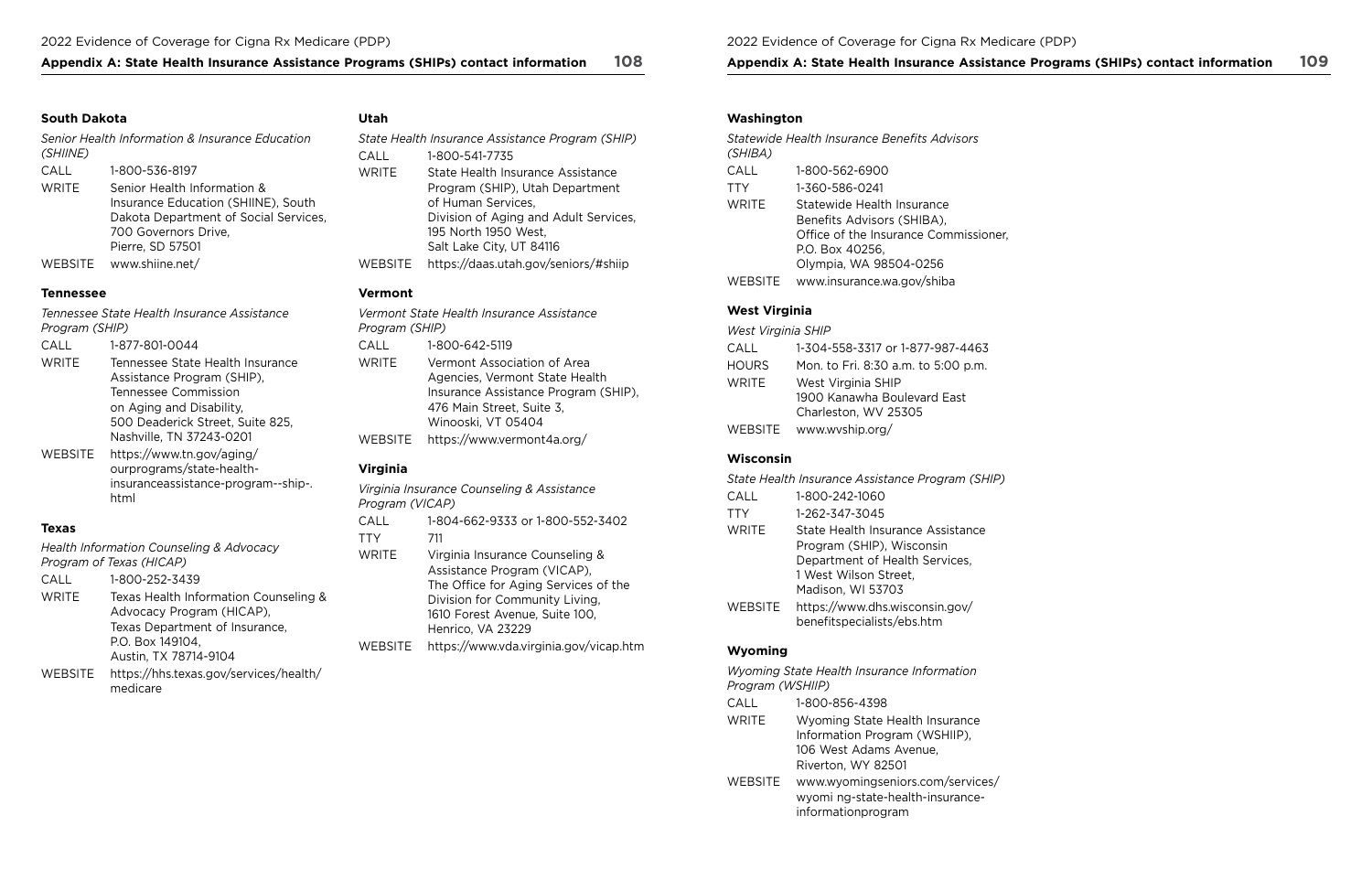## **Appendix A: State Health Insurance Assistance Programs (SHIPs) contact information 108 Appendix A: State Health Insurance Assistance Programs (SHIPs) contact information 109**

### **South Dakota**

*Senior Health Information & Insurance Education (SHIINE)*  CALL 1-800-536-8197 WRITE Senior Health Information & Insurance Education (SHIINE), South

Dakota Department of Social Services, 700 Governors Drive, Pierre, SD 57501 WEBSITE <www.shiine.net/>

### **Tennessee**

*Health Information Counseling & Advocacy Program of Texas (HICAP)* 

CALL 1-800-252-3439

WRITE Texas Health Information Counseling & Advocacy Program (HICAP), Texas Department of Insurance, P.O. Box 149104, Austin, TX 78714-9104

## *Tennessee State Health Insurance Assistance Program (SHIP)*  CALL 1-877-801-0044 WRITE Tennessee State Health Insurance Assistance Program (SHIP), Tennessee Commission on Aging and Disability, 500 Deaderick Street, Suite 825, Nashville, TN 37243-0201 WEBSITE [https://www.tn.gov/aging/](https://www.tn.gov/aging/ourprograms/state-health-insuranceassistance-program--ship-.html) [ourprograms/state-health](https://www.tn.gov/aging/ourprograms/state-health-insuranceassistance-program--ship-.html)[insuranceassistance-program--ship-.](https://www.tn.gov/aging/ourprograms/state-health-insuranceassistance-program--ship-.html)  [html](https://www.tn.gov/aging/ourprograms/state-health-insuranceassistance-program--ship-.html) **Texas Virginia**

WEBSITE [https://hhs.texas.gov/services/health/](https://hhs.texas.gov/services/health/medicare)  [medicare](https://hhs.texas.gov/services/health/medicare)

## **Utah**

|                | State Health Insurance Assistance Program (SHIP)                                           |
|----------------|--------------------------------------------------------------------------------------------|
| CALL           | 1-800-541-7735                                                                             |
| <b>WRITE</b>   | State Health Insurance Assistance<br>Program (SHIP), Utah Department<br>of Human Services, |
|                | Division of Aging and Adult Services,<br>195 North 1950 West,<br>Salt Lake City, UT 84116  |
| <b>WEBSITE</b> | https://daas.utah.gov/seniors/#shiip                                                       |

## **Vermont**

| Program (SHIP) | Vermont State Health Insurance Assistance                                                                                                                |
|----------------|----------------------------------------------------------------------------------------------------------------------------------------------------------|
| CALL           | 1-800-642-5119                                                                                                                                           |
| WRITE          | Vermont Association of Area<br>Agencies, Vermont State Health<br>Insurance Assistance Program (SHIP),<br>476 Main Street, Suite 3,<br>Winooski, VT 05404 |
| WEBSITE        | https://www.vermont4a.org/                                                                                                                               |
|                |                                                                                                                                                          |

*Virginia Insurance Counseling & Assistance Program (VICAP)*  CALL 1-804-662-9333 or 1-800-552-3402 TTY 711 WRITE Virginia Insurance Counseling & Assistance Program (VICAP), The Office for Aging Services of the Division for Community Living, 1610 Forest Avenue, Suite 100, Henrico, VA 23229 WEBSITE <https://www.vda.virginia.gov/vicap.htm>

## **Washington**

| (SHIBA) | <i><b>Statewide Health Insurance Benefits Advisors</b></i>                                                                                     |
|---------|------------------------------------------------------------------------------------------------------------------------------------------------|
| CALL    | 1-800-562-6900                                                                                                                                 |
| TTY     | 1-360-586-0241                                                                                                                                 |
| WRITE   | Statewide Health Insurance<br>Benefits Advisors (SHIBA),<br>Office of the Insurance Commissioner,<br>P.O. Box 40256,<br>Olympia, WA 98504-0256 |
| WEBSITE | www.insurance.wa.gov/shiba                                                                                                                     |

## **West Virginia**

## *West Virginia SHIP*

| $\cap$ $\Delta$ | 1-304-558-3317 or 1-877-987-4463    |
|-----------------|-------------------------------------|
| <b>HOURS</b>    | Mon. to Fri. 8:30 a.m. to 5:00 p.m. |
| <b>WRITE</b>    | West Virginia SHIP                  |
|                 | 1900 Kanawha Boulevard East         |
|                 | Charleston, WV 25305                |
| WEBSITE         | www.wyship.org/                     |

## **Wisconsin**

*State Health Insurance Assistance Program (SHIP)*  CALL 1-800-242-1060 TTY 1-262-347-3045 WRITE State Health Insurance Assistance Program (SHIP), Wisconsin Department of Health Services, 1 West Wilson Street, Madison, WI 53703 WEBSITE [https://www.dhs.wisconsin.gov/](https://www.dhs.wisconsin.gov/benefitspecialists/ebs.htm) [benefitspecialists/ebs.htm](https://www.dhs.wisconsin.gov/benefitspecialists/ebs.htm)

## **Wyoming**

*Wyoming State Health Insurance Information Program (WSHIIP)*  CALL 1-800-856-4398 WRITE Wyoming State Health Insurance Information Program (WSHIIP), 106 West Adams Avenue, Riverton, WY 82501

WEBSITE [www.wyomingseniors.com/services/](www.wyomingseniors.com/services/wyomi ng-state-health-insurance-informationprogram)  [wyomi ng-state-health-insurance](www.wyomingseniors.com/services/wyomi ng-state-health-insurance-informationprogram)[informationprogram](www.wyomingseniors.com/services/wyomi ng-state-health-insurance-informationprogram)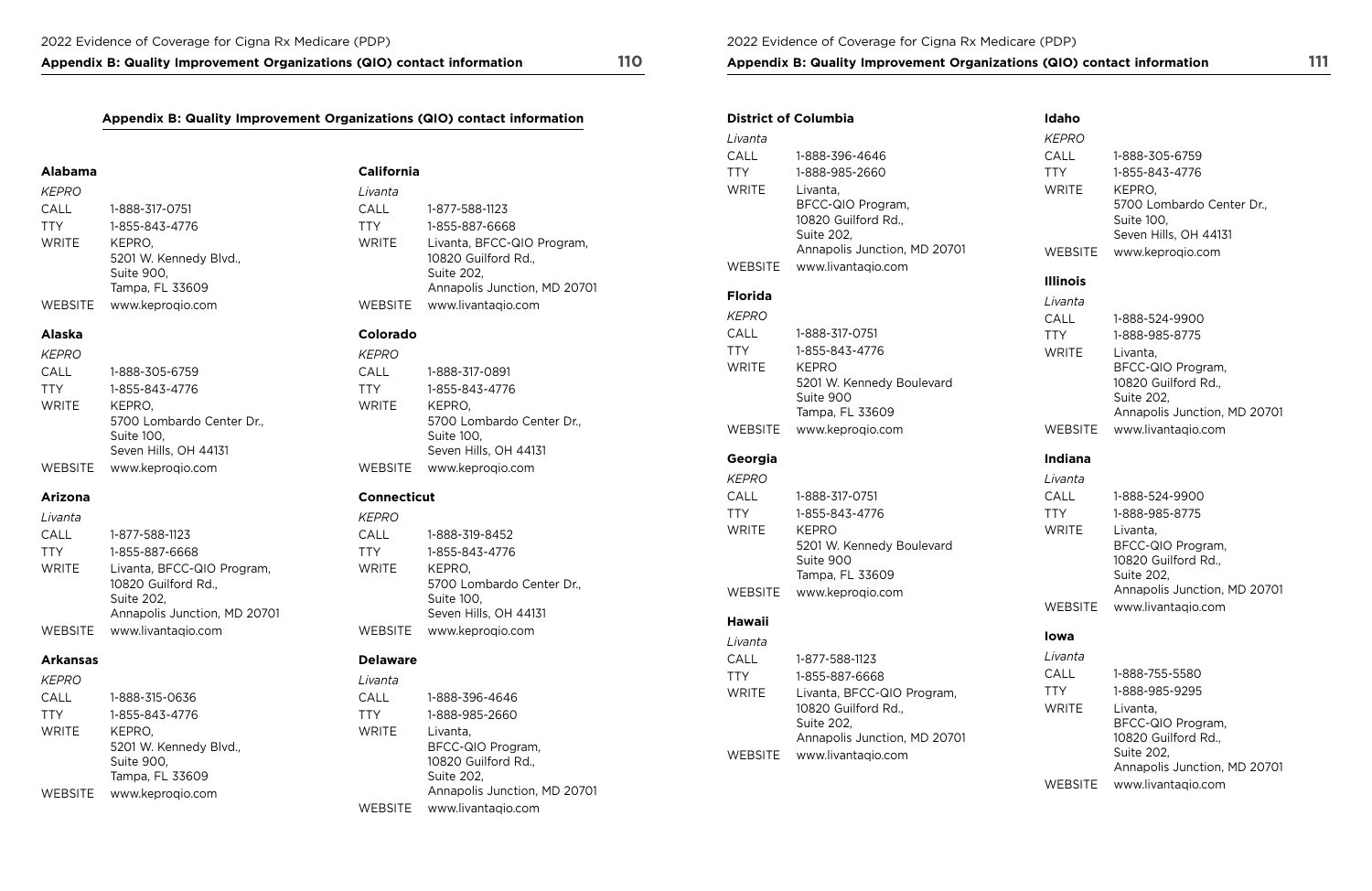**Appendix B: Quality Improvement Organizations (QIO) contact information 110** 

## **Appendix B: Quality Improvement Organizations (QIO) contact information**

### **Alabama**

| <b>KEPRO</b>   |                        |
|----------------|------------------------|
| CALL           | 1-888-317-0751         |
| <b>TTY</b>     | 1-855-843-4776         |
| <b>WRITE</b>   | KEPRO.                 |
|                | 5201 W. Kennedy Blvd., |
|                | Suite 900,             |
|                | Tampa, FL 33609        |
| <b>WEBSITE</b> | www.keprogio.com       |

## **Alaska**

| <b>KEPRO</b> |                           |
|--------------|---------------------------|
| CALL         | 1-888-305-6759            |
| <b>TTY</b>   | 1-855-843-4776            |
| <b>WRITE</b> | KEPRO.                    |
|              | 5700 Lombardo Center Dr., |
|              | Suite 100,                |
|              | Seven Hills, OH 44131     |
| WEBSITE      | www.keproqio.com          |

## **Arizona**

| Livanta    |                                                   |
|------------|---------------------------------------------------|
| CALL       | 1-877-588-1123                                    |
| <b>TTY</b> | 1-855-887-6668                                    |
| WRITE      | Livanta, BFCC-QIO Program,<br>10820 Guilford Rd., |
|            | Suite 202,<br>Annapolis Junction, MD 20701        |
| WEBSITE    | www.livantaqio.com                                |

## **Arkansas**

| KEPRO        |                        |
|--------------|------------------------|
| CALL         | 1-888-315-0636         |
| <b>TTY</b>   | 1-855-843-4776         |
| <b>WRITE</b> | KEPRO.                 |
|              | 5201 W. Kennedy Blvd., |
|              | Suite 900,             |
|              | Tampa, FL 33609        |
| WEBSITE      | www.keprogio.com       |

## **California**

## **Colorado**

| Livanta        |                                                                                                 |
|----------------|-------------------------------------------------------------------------------------------------|
| CALL           | 1-877-588-1123                                                                                  |
| <b>TTY</b>     | 1-855-887-6668                                                                                  |
| <b>WRITE</b>   | Livanta, BFCC-QIO Program,<br>10820 Guilford Rd.,<br>Suite 202,<br>Annapolis Junction, MD 20701 |
| <b>WEBSITE</b> | www.livantaqio.com                                                                              |

| <b>KEPRO</b>   |                           |
|----------------|---------------------------|
| CALL           | 1-888-317-0891            |
| <b>TTY</b>     | 1-855-843-4776            |
| <b>WRITE</b>   | KEPRO.                    |
|                | 5700 Lombardo Center Dr., |
|                | Suite 100,                |
|                | Seven Hills, OH 44131     |
| <b>WEBSITE</b> | www.keprogio.com          |

## **Connecticut**

### **Delaware**

| KEPRO          |                           |
|----------------|---------------------------|
| CALL           | 1-888-319-8452            |
| <b>TTY</b>     | 1-855-843-4776            |
| <b>WRITE</b>   | KEPRO,                    |
|                | 5700 Lombardo Center Dr., |
|                | Suite 100,                |
|                | Seven Hills, OH 44131     |
| <b>WEBSITE</b> | www.keproqio.com          |

| Livanta      |                                                                                                    |
|--------------|----------------------------------------------------------------------------------------------------|
| CALL         | 1-888-396-4646                                                                                     |
| <b>TTY</b>   | 1-888-985-2660                                                                                     |
| <b>WRITE</b> | Livanta,<br>BFCC-QIO Program,<br>10820 Guilford Rd.,<br>Suite 202,<br>Annapolis Junction, MD 20701 |
| WEBSITE      | www.livantagio.com                                                                                 |

### 2022 Evidence of Coverage for Cigna Rx Medicare (PDP)

## **Appendix B: Quality Improvement Organizations (QIO) contact information**

| <b>District of Columbia</b> |                                            |
|-----------------------------|--------------------------------------------|
| Livanta                     |                                            |
| CALL                        | 1-888-396-4646                             |
| <b>TTY</b>                  | 1-888-985-2660                             |
| <b>WRITE</b>                | Livanta,                                   |
|                             | BFCC-QIO Program,                          |
|                             | 10820 Guilford Rd.,                        |
|                             | Suite 202,<br>Annapolis Junction, MD 20701 |
| <b>WEBSITE</b>              | www.livantaqio.com                         |
|                             |                                            |
| <b>Florida</b>              |                                            |
| <b>KEPRO</b>                |                                            |
| CALL                        | 1-888-317-0751                             |
| <b>TTY</b>                  | 1-855-843-4776                             |
| <b>WRITE</b>                | KEPRO                                      |
|                             | 5201 W. Kennedy Boulevard<br>Suite 900     |
|                             | Tampa, FL 33609                            |
| <b>WEBSITE</b>              | www.keproqio.com                           |
|                             |                                            |
| Georgia                     |                                            |
| <b>KEPRO</b>                |                                            |
| CALL                        | 1-888-317-0751                             |
| <b>TTY</b>                  | 1-855-843-4776                             |
| <b>WRITE</b>                | KEPRO                                      |
|                             | 5201 W. Kennedy Boulevard<br>Suite 900     |
|                             | Tampa, FL 33609                            |
| WEBSITE                     | www.keprogio.com                           |
| Hawaii                      |                                            |
| Livanta                     |                                            |
| CALL                        | 1-877-588-1123                             |
| <b>TTY</b>                  | 1-855-887-6668                             |
| <b>WRITE</b>                | Livanta, BFCC-QIO Program,                 |
|                             | 10820 Guilford Rd.,                        |
|                             | Suite 202,                                 |
|                             | Annapolis Junction, MD 20701               |
| <b>WEBSITE</b>              | www.livantaqio.com                         |

## **Idaho**

## **Illinois**

## **Indiana**

## **Iowa**

| 1-888-305-6759            |
|---------------------------|
| 1-855-843-4776            |
| KEPRO.                    |
| 5700 Lombardo Center Dr., |
| Suite 100,                |
| Seven Hills, OH 44131     |
| www.keproqio.com          |
|                           |

| Livanta      |                                                                                                    |
|--------------|----------------------------------------------------------------------------------------------------|
| CALL         | 1-888-524-9900                                                                                     |
| <b>TTY</b>   | 1-888-985-8775                                                                                     |
| <b>WRITE</b> | Livanta,<br>BFCC-QIO Program,<br>10820 Guilford Rd.,<br>Suite 202,<br>Annapolis Junction, MD 20701 |
| WEBSITE      | www.livantagio.com                                                                                 |

| Livanta        |                                                                                                    |
|----------------|----------------------------------------------------------------------------------------------------|
| CALL           | 1-888-524-9900                                                                                     |
| <b>TTY</b>     | 1-888-985-8775                                                                                     |
| <b>WRITE</b>   | Livanta,<br>BFCC-QIO Program,<br>10820 Guilford Rd.,<br>Suite 202,<br>Annapolis Junction, MD 20701 |
| <b>WEBSITE</b> | www.livantagio.com                                                                                 |

| Livanta        |                                                                                                    |
|----------------|----------------------------------------------------------------------------------------------------|
| CALL           | 1-888-755-5580                                                                                     |
| <b>TTY</b>     | 1-888-985-9295                                                                                     |
| <b>WRITE</b>   | Livanta,<br>BFCC-QIO Program,<br>10820 Guilford Rd.,<br>Suite 202,<br>Annapolis Junction, MD 20701 |
| <b>WEBSITE</b> | www.livantagio.com                                                                                 |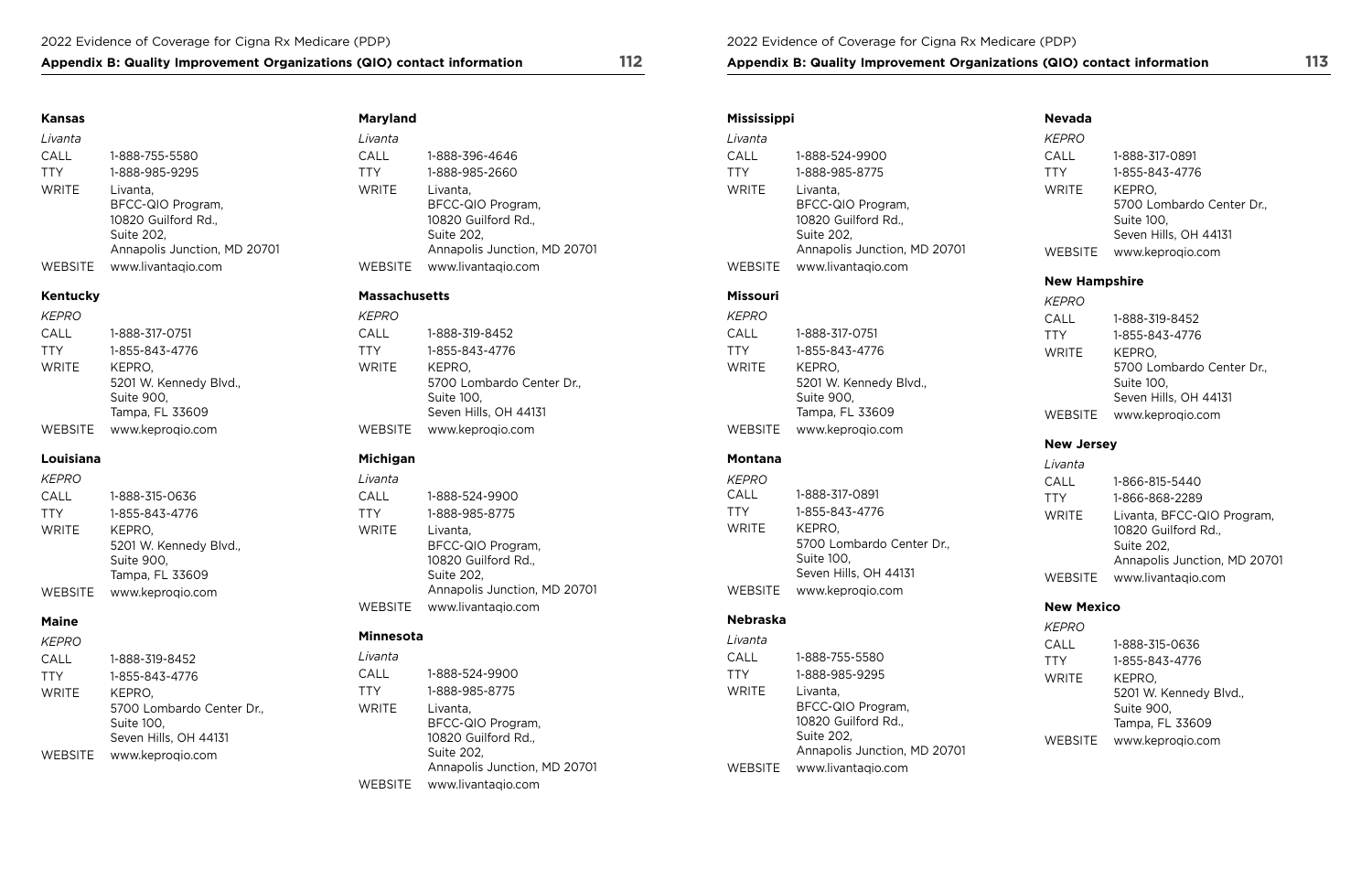## Appendix B: Quality Improvement Organizations (QIO) contact information 112 **Appendix B: Quality Improvement Organizations (QIO) contact information** 113

## **Kansas Maryland Mississippi Nevada**

| ivanta         |                                                                    |
|----------------|--------------------------------------------------------------------|
| ALL:           | 1-888-524-9900                                                     |
| TY             | 1-888-985-8775                                                     |
| VRITE          | Livanta,<br>BFCC-QIO Program,<br>10820 Guilford Rd.,<br>Suite 202, |
|                | Annapolis Junction, MD 20701                                       |
| <b>VEBSITE</b> | www.livantagio.com                                                 |

| :PRO          |                        |
|---------------|------------------------|
| YLT           | 1-888-317-0751         |
| 'Y            | 1-855-843-4776         |
| RITE          | KEPRO.                 |
|               | 5201 W. Kennedy Blvd., |
|               | Suite 900,             |
|               | Tampa, FL 33609        |
| <b>EBSITE</b> | www.keproqio.com       |

| Livanta        |                                                                                                    | Livanta      |                                                                                                    | Livanta        |                                                                                                    | <b>KEPRO</b>                   |                                                                               |
|----------------|----------------------------------------------------------------------------------------------------|--------------|----------------------------------------------------------------------------------------------------|----------------|----------------------------------------------------------------------------------------------------|--------------------------------|-------------------------------------------------------------------------------|
| CALL           | 1-888-755-5580                                                                                     | CALL         | 1-888-396-4646                                                                                     | CALL           | 1-888-524-9900                                                                                     | CALL                           | 1-888-317-0891                                                                |
| <b>TTY</b>     | 1-888-985-9295                                                                                     | ⊤тү          | 1-888-985-2660                                                                                     | TTY            | 1-888-985-8775                                                                                     | TTY                            | 1-855-843-4776                                                                |
| <b>WRITE</b>   | .ivanta.<br>BFCC-QIO Program,<br>10820 Guilford Rd.,<br>Suite 202,<br>Annapolis Junction, MD 20701 | <b>WRITE</b> | Livanta,<br>BFCC-QIO Program,<br>10820 Guilford Rd.,<br>Suite 202,<br>Annapolis Junction, MD 20701 | <b>WRITE</b>   | Livanta.<br>BFCC-QIO Program,<br>10820 Guilford Rd.,<br>Suite 202,<br>Annapolis Junction, MD 20701 | <b>WRITE</b><br><b>WEBSITE</b> | KEPRO.<br>5700 Lombardo<br>Suite 100,<br>Seven Hills, OH 4<br>www.keprogio.co |
| <b>WEBSITE</b> | www.livantagio.com                                                                                 | WEBSITE      | www.livantagio.com                                                                                 | <b>WEBSITE</b> | www.livantagio.com                                                                                 |                                |                                                                               |

| <b>KEPRO</b> |                        |
|--------------|------------------------|
| CALL         | 1-888-317-0751         |
| <b>TTY</b>   | 1-855-843-4776         |
| <b>WRITE</b> | KEPRO.                 |
|              | 5201 W. Kennedy Blvd., |
|              | Suite 900,             |
|              | Tampa, FL 33609        |
| WEBSITE      | www.keprogio.com       |

| Livanta        |                                                                    | Livanta        |                                                                    | Livanta        |                                                                    | <b>KEPRO</b>   |                                                                            |
|----------------|--------------------------------------------------------------------|----------------|--------------------------------------------------------------------|----------------|--------------------------------------------------------------------|----------------|----------------------------------------------------------------------------|
| CALL           | 1-888-755-5580                                                     | CALL           | 1-888-396-4646                                                     | CALL           | 1-888-524-9900                                                     | CALL           | 1-888-317-0891                                                             |
| <b>TTY</b>     | 1-888-985-9295                                                     | TTY            | 1-888-985-2660                                                     | TTY            | 1-888-985-8775                                                     | <b>TTY</b>     | 1-855-843-4776                                                             |
| WRITE          | Livanta.<br>BFCC-QIO Program,<br>10820 Guilford Rd.,<br>Suite 202, | <b>WRITE</b>   | Livanta,<br>BFCC-QIO Program,<br>10820 Guilford Rd.,<br>Suite 202, | <b>WRITE</b>   | Livanta,<br>BFCC-QIO Program,<br>10820 Guilford Rd.,<br>Suite 202, | <b>WRITE</b>   | KEPRO.<br>5700 Lombardo Center Dr.,<br>Suite 100,<br>Seven Hills, OH 44131 |
|                | Annapolis Junction, MD 20701                                       |                | Annapolis Junction, MD 20701                                       |                | Annapolis Junction, MD 20701                                       | <b>WEBSITE</b> | www.keprogio.com                                                           |
| <b>WEBSITE</b> | www.livantagio.com                                                 | <b>WEBSITE</b> | www.livantagio.com                                                 | <b>WEBSITE</b> | www.livantagio.com                                                 |                |                                                                            |

## **New Hampshire**

## **Kentucky Massachusetts Missouri** *KEPRO*

| кептиску     |                        | massacnusetts |                           | MISSOUri     |                        | <b>KEPRO</b> |                           |
|--------------|------------------------|---------------|---------------------------|--------------|------------------------|--------------|---------------------------|
| <b>KEPRO</b> |                        | <b>KEPRO</b>  |                           | <b>KEPRO</b> |                        | CALL         | 1-888-319-8452            |
| CALL         | 1-888-317-0751         | CALL          | 1-888-319-8452            | CALL         | 1-888-317-0751         | <b>TTY</b>   | 1-855-843-4776            |
| <b>TTY</b>   | 1-855-843-4776         | TTY           | 1-855-843-4776            | TTY          | 1-855-843-4776         | WRITE        | KEPRO.                    |
| WRITE        | KEPRO.                 | <b>WRITE</b>  | KEPRO.                    | WRITE        | KEPRO.                 |              | 5700 Lombardo Center Dr., |
|              | 5201 W. Kennedy Blvd., |               | 5700 Lombardo Center Dr., |              | 5201 W. Kennedy Blvd., |              | Suite 100,                |
|              | Suite 900,             |               | Suite 100,                |              | Suite 900,             |              | Seven Hills, OH 44131     |
|              | Tampa, FL 33609        |               | Seven Hills, OH 44131     |              | Tampa, FL 33609        | WEBSITE      | www.keproqio.com          |

| <b>KEPRO</b> |                        | <b>KEPRO</b> |                           | <b>KEPRO</b> |                        | CALL         | 1-888-319-8452        |
|--------------|------------------------|--------------|---------------------------|--------------|------------------------|--------------|-----------------------|
| CALL         | 1-888-317-0751         | CALL         | 1-888-319-8452            | CALL         | 1-888-317-0751         | <b>TTY</b>   | 1-855-843-4776        |
| <b>TTY</b>   | 1-855-843-4776         | TTY          | 1-855-843-4776            | <b>TTY</b>   | 1-855-843-4776         | <b>WRITE</b> | KEPRO.                |
| WRITE        | KEPRO.                 | <b>WRITE</b> | KEPRO.                    | <b>WRITE</b> | KEPRO.                 |              | 5700 Lombardo Cent    |
|              | 5201 W. Kennedy Blvd., |              | 5700 Lombardo Center Dr., |              | 5201 W. Kennedy Blvd., |              | Suite 100,            |
|              | Suite 900,             |              | Suite 100,                |              | Suite 900,             |              | Seven Hills, OH 44131 |
|              | Tampa, FL 33609        |              | Seven Hills, OH 44131     |              | Tampa, FL 33609        | WEBSITE      | www.keprogio.com      |
| WEBSITE      | www.keprogio.com       | WEBSITE      | www.keprogio.com          | WEBSITE      | www.keproqio.com       |              |                       |
|              |                        |              |                           |              |                        |              |                       |

## **New Jersey**

| Livanta |                                                                                                 |
|---------|-------------------------------------------------------------------------------------------------|
| CALL    | 1-866-815-5440                                                                                  |
| TTY     | 1-866-868-2289                                                                                  |
| WRITE   | Livanta, BFCC-QIO Program,<br>10820 Guilford Rd.,<br>Suite 202,<br>Annapolis Junction, MD 20701 |
| WEBSITE | www.livantaqio.com                                                                              |

## **Louisiana Michigan Montana** *Livanta*

| <b>KEPRO</b>   |                        |
|----------------|------------------------|
| CALL           | 1-888-315-0636         |
| <b>TTY</b>     | 1-855-843-4776         |
| <b>WRITE</b>   | KEPRO.                 |
|                | 5201 W. Kennedy Blvd., |
|                | Suite 900,             |
|                | Tampa, FL 33609        |
| <b>WERSITE</b> | www.kenrogio.com       |

| <b>Maine</b> |                        |                |                              | <b>Nebraska</b> |                           | 1/2222            |                              |
|--------------|------------------------|----------------|------------------------------|-----------------|---------------------------|-------------------|------------------------------|
|              |                        | <b>WEBSITE</b> | www.livantagio.com           |                 |                           | <b>New Mexico</b> |                              |
| WEBSITE      | www.keprogio.com       |                | Annapolis Junction, MD 20701 | <b>WEBSITE</b>  | www.keprogio.com          |                   |                              |
|              | Tampa, FL 33609        |                | Suite 202,                   |                 | Seven Hills, OH 44131     | WEBSITE           | www.livantagio.com           |
|              | Suite 900,             |                | 10820 Guilford Rd.,          |                 | Suite 100,                |                   | Annapolis Junction, MD 20701 |
|              | 5201 W. Kennedy Blvd., |                | BFCC-QIO Program,            |                 | 5700 Lombardo Center Dr., |                   | Suite 202,                   |
| <b>WRITE</b> | KEPRO.                 | <b>WRITE</b>   | Livanta,                     | <b>WRITE</b>    | KEPRO.                    |                   | 10820 Guilford Rd.,          |
| <b>TTY</b>   | 1-855-843-4776         | TTY            | 1-888-985-8775               | <b>TTY</b>      | 1-855-843-4776            | <b>WRITE</b>      | Livanta, BFCC-QIO Program,   |
| CALL         | 1-888-315-0636         | CALL           | 1-888-524-9900               | CALL            | 1-888-317-0891            | <b>TTY</b>        | 1-866-868-2289               |
| <b>KEPRO</b> |                        | Livanta        |                              | <b>KEPRO</b>    |                           | CALL              | 1-866-815-5440               |

## **Maine Nebraska** *KEPRO*

| CALL<br>Livanta<br>CALL<br>1-888-755-5580<br>CALL<br>1-888-319-8452<br><b>TTY</b>                      | 1-888-315-0636<br>1-855-843-4776<br>KEPRO. |
|--------------------------------------------------------------------------------------------------------|--------------------------------------------|
|                                                                                                        |                                            |
| 1-888-524-9900<br>CALL<br><b>TTY</b><br>1-888-985-9295<br><b>TTY</b><br>1-855-843-4776<br><b>WRITE</b> |                                            |
| 1-888-985-8775<br>TTY<br><b>WRITE</b><br>Livanta.<br><b>WRITE</b><br>KEPRO.                            | 5201 W. Kenned                             |
| BFCC-QIO Program,<br>5700 Lombardo Center Dr.,<br><b>WRITE</b><br>Livanta,                             | Suite 900,                                 |
| 10820 Guilford Rd.,<br>Suite 100,<br>BFCC-QIO Program,                                                 | Tampa, FL 336C                             |
| Suite 202,<br>10820 Guilford Rd.,<br>Seven Hills, OH 44131<br><b>WEBSITE</b>                           | www.keprogio.c                             |
| Annapolis Junction, MD 20701<br>Suite 202,<br>WEBSITE<br>www.keprogio.com                              |                                            |
| Annapolis Junction, MD 20701<br>www.livantagio.com<br>WEBSITE<br>. . <i>.</i>                          |                                            |

| <b>KEPRO</b>   |                           |
|----------------|---------------------------|
| CALL           | 1-888-317-0891            |
| <b>TTY</b>     | 1-855-843-4776            |
| <b>WRITE</b>   | KEPRO.                    |
|                | 5700 Lombardo Center Dr., |
|                | Suite 100,                |
|                | Seven Hills, OH 44131     |
| <b>WEBSITE</b> | www.keproqio.com          |

| CALL         | 1-888-319-8452            | Livanta        |                              | CALL           | 1-888-755-5580               | <b>TTY</b>   | 1-855-843-4776         |
|--------------|---------------------------|----------------|------------------------------|----------------|------------------------------|--------------|------------------------|
| <b>TTY</b>   | 1-855-843-4776            | CALL           | 1-888-524-9900               | TTY            | 1-888-985-9295               | <b>WRITE</b> | KEPRO.                 |
| <b>WRITE</b> | KEPRO,                    | TTY            | 1-888-985-8775               | <b>WRITE</b>   | Livanta,                     |              | 5201 W. Kennedy Blvd., |
|              | 5700 Lombardo Center Dr., | <b>WRITE</b>   | Livanta.                     |                | BFCC-QIO Program,            |              | Suite 900,             |
|              | Suite 100,                |                | BFCC-QIO Program,            |                | 10820 Guilford Rd.,          |              | Tampa, FL 33609        |
|              | Seven Hills, OH 44131     |                | 10820 Guilford Rd.,          |                | Suite 202,                   | WEBSITE      | www.keprogio.com       |
| WEBSITE      | www.keprogio.com          |                | Suite 202,                   |                | Annapolis Junction, MD 20701 |              |                        |
|              |                           |                | Annapolis Junction, MD 20701 | <b>WEBSITE</b> | www.livantagio.com           |              |                        |
|              |                           | <b>WEBSITE</b> | www.livantagio.com           |                |                              |              |                        |

| <b>KEPRO</b> |                          |
|--------------|--------------------------|
| CALL         | 1-888-319-8452           |
| <b>TTY</b>   | 1-855-843-4776           |
| <b>WRITE</b> | KEPRO.                   |
|              | 5700 Lombardo Center Dr. |
|              | Suite 100,               |
|              | Seven Hills, OH 44131    |
| WEBSITE      | www.keproqio.com         |

| <b>KEPRO</b> |                        |
|--------------|------------------------|
| CALL         | 1-888-315-0636         |
| TTY          | 1-855-843-4776         |
| <b>WRITE</b> | KEPRO.                 |
|              | 5201 W. Kennedy Blvd., |
|              | Suite 900,             |
|              | Tampa, FL 33609        |
| WEBSITE      | www.keproqio.com       |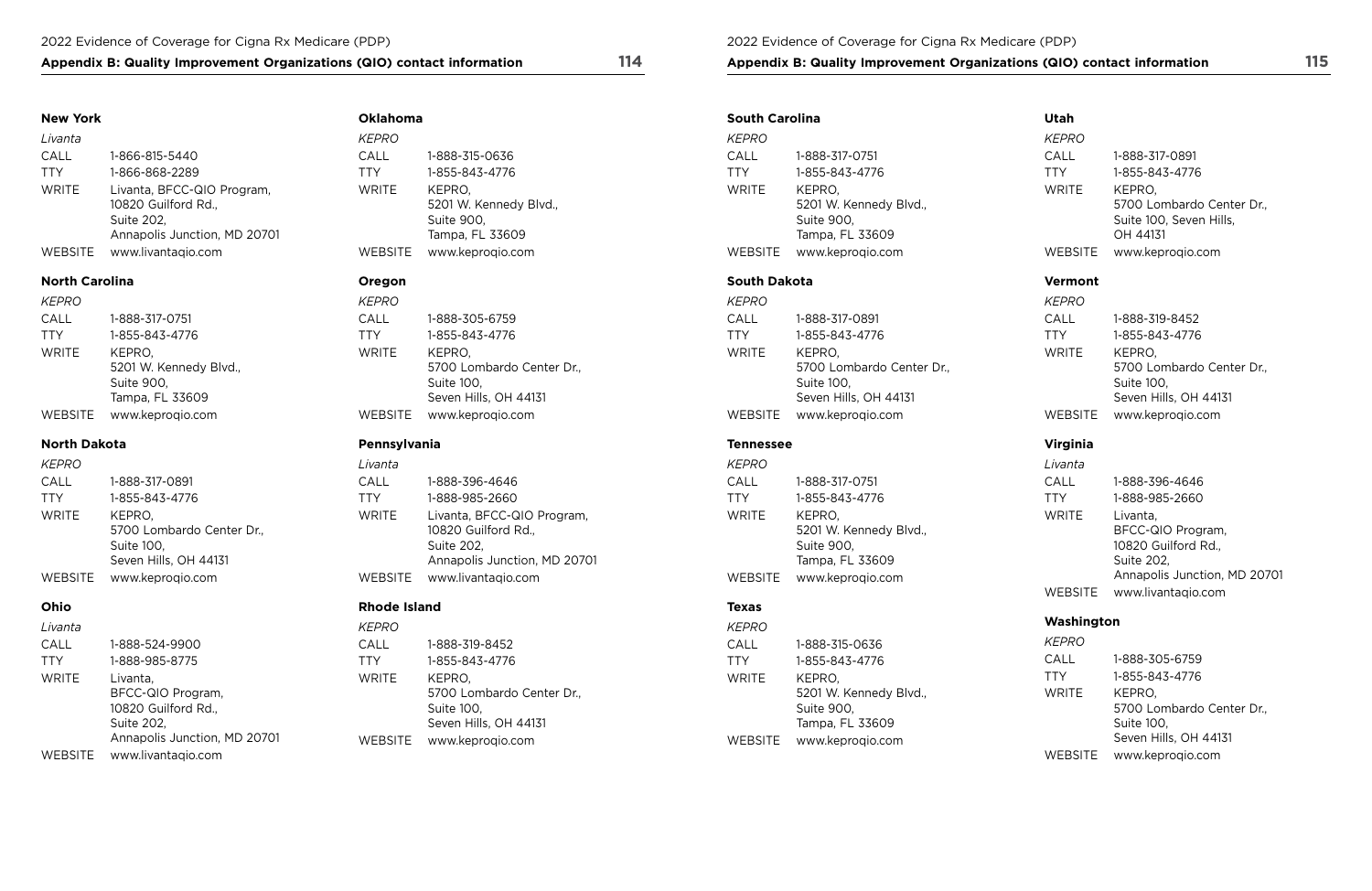## Appendix B: Quality Improvement Organizations (QIO) contact information 114 **Appendix B: Quality Improvement Organizations (QIO)** contact information 115

## **New York**

| Livanta        |                                                                                                 |
|----------------|-------------------------------------------------------------------------------------------------|
| CALL           | 1-866-815-5440                                                                                  |
| <b>TTY</b>     | 1-866-868-2289                                                                                  |
| <b>WRITE</b>   | Livanta, BFCC-QIO Program,<br>10820 Guilford Rd.,<br>Suite 202,<br>Annapolis Junction, MD 20701 |
| <b>WEBSITE</b> | www.livantagio.com                                                                              |

## **North Carolina**

| <i>KEPRO</i> |                        |
|--------------|------------------------|
| CALL         | 1-888-317-0751         |
| <b>TTY</b>   | 1-855-843-4776         |
| <b>WRITE</b> | KEPRO.                 |
|              | 5201 W. Kennedy Blvd., |
|              | Suite 900,             |
|              | Tampa, FL 33609        |
| WEBSITE      | www.keproqio.com       |

## **North Dakota**

| KEPRO        |                           |
|--------------|---------------------------|
| CALL         | 1-888-317-0891            |
| <b>TTY</b>   | 1-855-843-4776            |
| <b>WRITE</b> | KEPRO.                    |
|              | 5700 Lombardo Center Dr., |
|              | Suite 100,                |
|              | Seven Hills, OH 44131     |
| WEBSITE      | www.keproqio.com          |

## **Ohio**

| Livanta      |                                                                                                    |
|--------------|----------------------------------------------------------------------------------------------------|
| CALL         | 1-888-524-9900                                                                                     |
| <b>TTY</b>   | 1-888-985-8775                                                                                     |
| <b>WRITE</b> | Livanta,<br>BFCC-QIO Program,<br>10820 Guilford Rd.,<br>Suite 202,<br>Annapolis Junction, MD 20701 |
| WEBSITE      | www.livantagio.com                                                                                 |

**Oklahoma** 

| <i>KEPRO</i> |                        |
|--------------|------------------------|
| CALL         | 1-888-315-0636         |
| TTY          | 1-855-843-4776         |
| WRITE        | KEPRO.                 |
|              | 5201 W. Kennedy Blvd., |
|              | Suite 900,             |
|              | Tampa, FL 33609        |
| WEBSITE      | www.keproqio.com       |

## **Oregon**

| <b>KEPRO</b>   |                           |
|----------------|---------------------------|
| CALL           | 1-888-305-6759            |
| <b>TTY</b>     | 1-855-843-4776            |
| <b>WRITE</b>   | KEPRO.                    |
|                | 5700 Lombardo Center Dr., |
|                | Suite 100,                |
|                | Seven Hills, OH 44131     |
| <b>WEBSITE</b> | www.keproqio.com          |

## **Pennsylvania**

| Livanta      |                                                                                                 |
|--------------|-------------------------------------------------------------------------------------------------|
| CALL         | 1-888-396-4646                                                                                  |
| <b>TTY</b>   | 1-888-985-2660                                                                                  |
| <b>WRITE</b> | Livanta, BFCC-QIO Program,<br>10820 Guilford Rd.,<br>Suite 202,<br>Annapolis Junction, MD 20701 |
| WEBSITE      | www.livantaqio.com                                                                              |

## **Rhode Island**

| KEPRO        |                           |
|--------------|---------------------------|
| CALL         | 1-888-319-8452            |
| <b>TTY</b>   | 1-855-843-4776            |
| <b>WRITE</b> | KEPRO,                    |
|              | 5700 Lombardo Center Dr., |
|              | Suite 100,                |
|              | Seven Hills, OH 44131     |
| WEBSITE      | www.keprogio.com          |

| <b>South Carolina</b> |                        |
|-----------------------|------------------------|
| KEPRO                 |                        |
| CALL                  | 1-888-317-0751         |
| <b>TTY</b>            | 1-855-843-4776         |
| WRITF                 | KEPRO.                 |
|                       | 5201 W. Kennedy Blvd., |
|                       | Suite 900,             |
|                       | Tampa, FL 33609        |
| WFRSITF               | www.keprogio.com       |

## **South Dakota**

| <b>KEPRO</b>   |                           |
|----------------|---------------------------|
| CALL           | 1-888-317-0891            |
| <b>TTY</b>     | 1-855-843-4776            |
| <b>WRITE</b>   | KEPRO.                    |
|                | 5700 Lombardo Center Dr., |
|                | Suite 100,                |
|                | Seven Hills, OH 44131     |
| <b>WEBSITE</b> | www.keprogio.com          |

## **Tennessee**

*KEPRO*  CALL 1-888-317-0751 TTY 1-855-843-4776 WRITE KEPRO, 5201 W. Kennedy Blvd., Suite 900, Tampa, FL 33609 WEBSITE [www.keproqio.com](http://www.keproqio.com)

## **Texas**

| KEPRO          |                        |
|----------------|------------------------|
| CALL           | 1-888-315-0636         |
| <b>TTY</b>     | 1-855-843-4776         |
| <b>WRITE</b>   | KEPRO.                 |
|                | 5201 W. Kennedy Blvd., |
|                | Suite 900,             |
|                | Tampa, FL 33609        |
| <b>WEBSITE</b> | www.keprogio.com       |

## **Utah**

| <b>KEPRO</b>   |                                                                            |
|----------------|----------------------------------------------------------------------------|
| CALL           | 1-888-317-0891                                                             |
| <b>TTY</b>     | 1-855-843-4776                                                             |
| <b>WRITE</b>   | KEPRO.<br>5700 Lombardo Center Dr.,<br>Suite 100, Seven Hills,<br>OH 44131 |
| <b>WEBSITE</b> | www.keproqio.com                                                           |

## **Vermont**

| <b>KEPRO</b> |                           |
|--------------|---------------------------|
| CALL         | 1-888-319-8452            |
| <b>TTY</b>   | 1-855-843-4776            |
| <b>WRITE</b> | KEPRO.                    |
|              | 5700 Lombardo Center Dr., |
|              | Suite 100,                |
|              | Seven Hills, OH 44131     |
| WEBSITE      | www.keproqio.com          |

## **Virginia**

| Livanta        |                                                                                                    |
|----------------|----------------------------------------------------------------------------------------------------|
| CALL           | 1-888-396-4646                                                                                     |
| <b>TTY</b>     | 1-888-985-2660                                                                                     |
| <b>WRITE</b>   | Livanta,<br>BFCC-QIO Program,<br>10820 Guilford Rd.,<br>Suite 202,<br>Annapolis Junction, MD 20701 |
| <b>WEBSITE</b> | www.livantagio.com                                                                                 |

## **Washington**

| <i>KEPRO</i> |                           |
|--------------|---------------------------|
| CALL         | 1-888-305-6759            |
| <b>TTY</b>   | 1-855-843-4776            |
| <b>WRITE</b> | KEPRO,                    |
|              | 5700 Lombardo Center Dr., |
|              | Suite 100,                |
|              | Seven Hills, OH 44131     |
| WEBSITE      | www.keproqio.com          |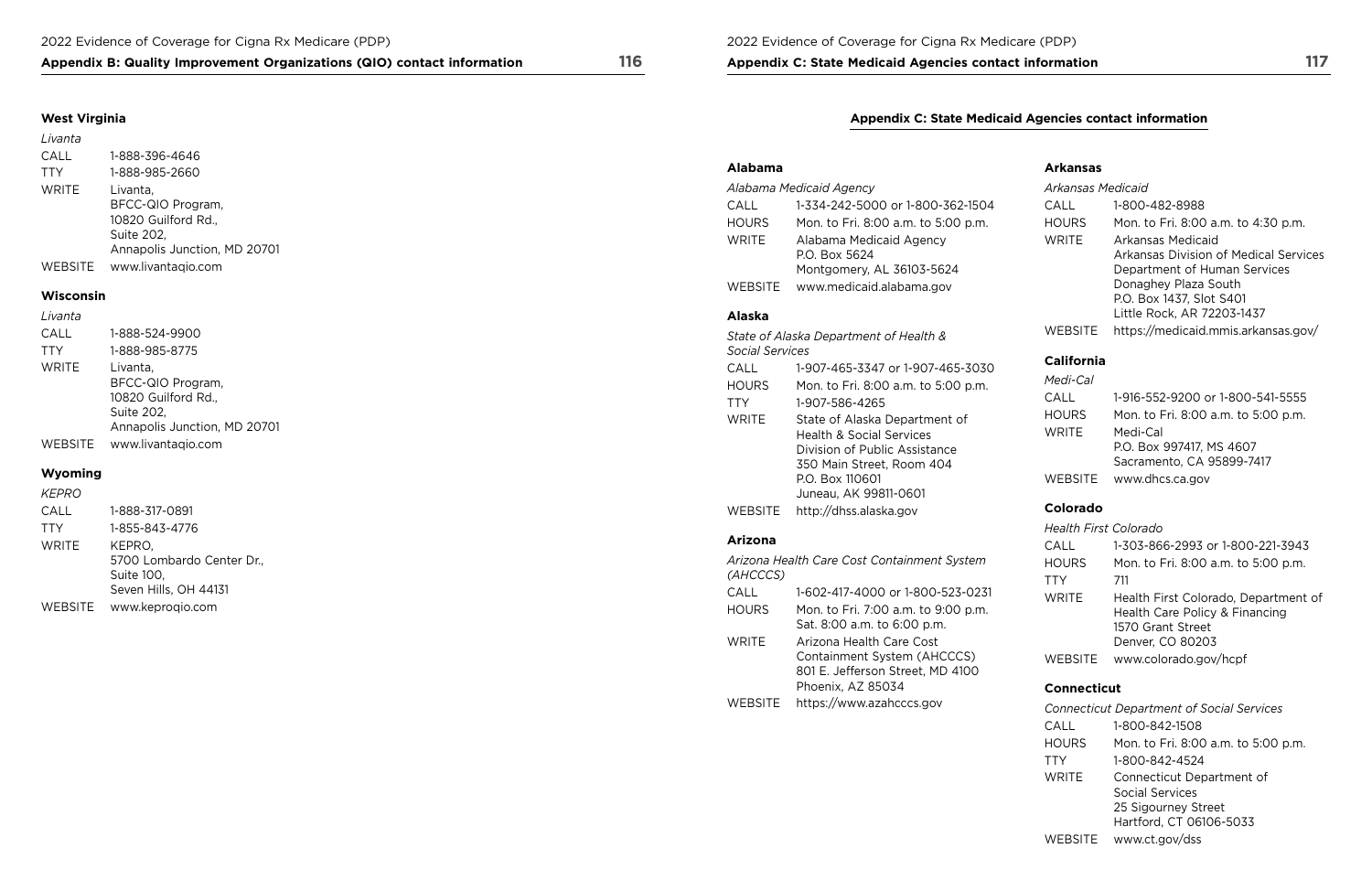**Appendix C: State Medicaid Agencies contact information 117** 

## **Appendix B: Quality Improvement Organizations (QIO) contact information 116**

## **West Virginia**

| Livanta        |                                                                                                    |
|----------------|----------------------------------------------------------------------------------------------------|
| CALL           | 1-888-396-4646                                                                                     |
| <b>TTY</b>     | 1-888-985-2660                                                                                     |
| <b>WRITE</b>   | Livanta,<br>BFCC-QIO Program,<br>10820 Guilford Rd.,<br>Suite 202,<br>Annapolis Junction, MD 20701 |
| <b>WEBSITE</b> | www.livantagio.com                                                                                 |

### **Wisconsin**

| Livanta      |                                                                                                    |
|--------------|----------------------------------------------------------------------------------------------------|
| CALL         | 1-888-524-9900                                                                                     |
| <b>TTY</b>   | 1-888-985-8775                                                                                     |
| <b>WRITE</b> | Livanta,<br>BFCC-QIO Program,<br>10820 Guilford Rd.,<br>Suite 202,<br>Annapolis Junction, MD 20701 |
| WEBSITE      | www.livantaqio.com                                                                                 |

### **Wyoming**

| <i>KEPRO</i> |                                                                            |
|--------------|----------------------------------------------------------------------------|
| CALL         | 1-888-317-0891                                                             |
| <b>TTY</b>   | 1-855-843-4776                                                             |
| <b>WRITE</b> | KEPRO.<br>5700 Lombardo Center Dr.,<br>Suite 100,<br>Seven Hills, OH 44131 |
|              |                                                                            |

WEBSITE [www.keproqio.com](http://www.keproqio.com)

## **Appendix C: State Medicaid Agencies contact information**

## **Alabama Arkansas**

| Alabama Medicaid Agency |                                                                       |              | Arkansas Medicaid                                                                               |  |
|-------------------------|-----------------------------------------------------------------------|--------------|-------------------------------------------------------------------------------------------------|--|
| CALL                    | 1-334-242-5000 or 1-800-362-1504                                      | CALL         | 1-800-482-8988                                                                                  |  |
| <b>HOURS</b>            | Mon. to Fri. 8:00 a.m. to 5:00 p.m.                                   | <b>HOURS</b> | Mon. to Fri. 8:00 a.m. to 4:30 p.m.                                                             |  |
| <b>WRITE</b>            | Alabama Medicaid Agency<br>P.O. Box 5624<br>Montgomery, AL 36103-5624 | WRITE        | <b>Arkansas Medicaid</b><br>Arkansas Division of Medical Servic<br>Department of Human Services |  |
| <b>WEBSITE</b>          | www.medicaid.alabama.gov                                              |              | Donaghey Plaza South                                                                            |  |

|                                                         |                                                                    | <b>Health First Colorado</b> |                                                     |
|---------------------------------------------------------|--------------------------------------------------------------------|------------------------------|-----------------------------------------------------|
| <b>Arizona</b>                                          |                                                                    | CALL                         | 1-303-866-2993 or 1-800-221-3943                    |
| Arizona Health Care Cost Containment System<br>(AHCCCS) |                                                                    | <b>HOURS</b><br>TTY          | Mon. to Fri. 8:00 a.m. to 5:00 p.m.<br>711          |
| <b>CALL</b>                                             | 1-602-417-4000 or 1-800-523-0231                                   | <b>WRITE</b>                 | Health First Colorado, Department of                |
| <b>HOURS</b>                                            | Mon. to Fri. 7:00 a.m. to 9:00 p.m.<br>Sat. 8:00 a.m. to 6:00 p.m. |                              | Health Care Policy & Financing<br>1570 Grant Street |
| <b>WRITE</b>                                            | Arizona Health Care Cost<br>Containment System (AHCCCS)            | <b>WEBSITE</b>               | Denver, CO 80203<br>www.colorado.gov/hcpf           |

## **Connecticut**

| Alabama Medicaid Agency             |                                                                       |                                                                                | <b>Arkansas Medicaid</b>                                                                   |  |
|-------------------------------------|-----------------------------------------------------------------------|--------------------------------------------------------------------------------|--------------------------------------------------------------------------------------------|--|
| CALL                                | 1-334-242-5000 or 1-800-362-1504                                      | CALL                                                                           | 1-800-482-8988                                                                             |  |
| <b>HOURS</b>                        | Mon. to Fri. 8:00 a.m. to 5:00 p.m.                                   | <b>HOURS</b>                                                                   | Mon. to Fri. 8:00 a.m. to 4:30 p.m.                                                        |  |
| <b>WRITE</b>                        | Alabama Medicaid Agency<br>P.O. Box 5624<br>Montgomery, AL 36103-5624 | WRITE                                                                          | Arkansas Medicaid<br>Arkansas Division of Medical Services<br>Department of Human Services |  |
| www.medicaid.alabama.gov<br>WEBSITE |                                                                       | Donaghey Plaza South<br>P.O. Box 1437, Slot S401<br>Little Rock, AR 72203-1437 |                                                                                            |  |
| <b>Alaska</b>                       |                                                                       |                                                                                |                                                                                            |  |
|                                     | State of Alaska Denartment of Health &                                | <b>WEBSITE</b>                                                                 | https://medicaid.mmis.arkansas.gov/                                                        |  |

## $California$

|              | <b>Connecticut Department of Social Services</b>                                               |
|--------------|------------------------------------------------------------------------------------------------|
| CALL         | 1-800-842-1508                                                                                 |
| <b>HOURS</b> | Mon. to Fri. 8:00 a.m. to 5:00 p.m.                                                            |
| <b>TTY</b>   | 1-800-842-4524                                                                                 |
| <b>WRITE</b> | Connecticut Department of<br>Social Services<br>25 Sigourney Street<br>Hartford, CT 06106-5033 |
| WEBSITE      | www.ct.gov/dss                                                                                 |

|                                                     | State of Alaska Department of Health &   | WEBSILE           | https://medicald.mmls.arkansas.gov  |
|-----------------------------------------------------|------------------------------------------|-------------------|-------------------------------------|
| <b>Social Services</b>                              |                                          |                   |                                     |
| CALL                                                | 1-907-465-3347 or 1-907-465-3030         | <b>California</b> |                                     |
| <b>HOURS</b><br>Mon. to Fri. 8:00 a.m. to 5:00 p.m. |                                          | Medi-Cal          |                                     |
| <b>TTY</b>                                          | 1-907-586-4265                           | CALL              | 1-916-552-9200 or 1-800-541-5555    |
| <b>WRITE</b>                                        | State of Alaska Department of            | <b>HOURS</b>      | Mon. to Fri. 8:00 a.m. to 5:00 p.m. |
|                                                     | <b>Health &amp; Social Services</b>      | <b>WRITE</b>      | Medi-Cal                            |
|                                                     | Division of Public Assistance            |                   | P.O. Box 997417, MS 4607            |
|                                                     | 350 Main Street, Room 404                |                   | Sacramento, CA 95899-7417           |
|                                                     | P.O. Box 110601<br>Juneau, AK 99811-0601 | <b>WEBSITE</b>    | www.dhcs.ca.gov                     |
| <b>WEBSITE</b>                                      | http://dhss.alaska.gov                   | Colorado          |                                     |
|                                                     |                                          |                   |                                     |

| Mon. to Fri. 8:00 a.m. to 5:00 p.m. | Medi-Cal     |                                     |
|-------------------------------------|--------------|-------------------------------------|
| 1-907-586-4265                      | CALL         | 1-916-552-9200 or 1-800-541-5555    |
| State of Alaska Department of       | <b>HOURS</b> | Mon. to Fri. 8:00 a.m. to 5:00 p.m. |
| <b>Health &amp; Social Services</b> | WRITE        | Medi-Cal                            |
| Division of Public Assistance       |              | P.O. Box 997417, MS 4607            |
| 350 Main Street, Room 404           |              | Sacramento, CA 95899-7417           |
| P.O. Box 110601                     |              | WEBSITE www.dhcs.ca.gov             |

## **Colorado**

| Arizona Health Care Cost Containment System<br>(AHCCCS) |                                                                    | <b>HOURS</b><br>TTY | Mon. to Fri. 8:00 a.m. to 5:00 p.m.<br>711          |
|---------------------------------------------------------|--------------------------------------------------------------------|---------------------|-----------------------------------------------------|
| CALL                                                    | 1-602-417-4000 or 1-800-523-0231                                   | <b>WRITE</b>        | Health First Colorado, Department                   |
| <b>HOURS</b>                                            | Mon. to Fri. 7:00 a.m. to 9:00 p.m.<br>Sat. 8:00 a.m. to 6:00 p.m. |                     | Health Care Policy & Financing<br>1570 Grant Street |
| <b>WRITE</b>                                            | Arizona Health Care Cost                                           |                     | Denver, CO 80203                                    |
|                                                         | Containment System (AHCCCS)<br>801 E. Jefferson Street, MD 4100    | <b>WEBSITE</b>      | www.colorado.gov/hcpf                               |
|                                                         | Phoenix, AZ 85034                                                  | <b>Connecticut</b>  |                                                     |
| <b>WEBSITE</b>                                          | https://www.azahcccs.gov                                           |                     | <b>Connecticut Department of Social Services</b>    |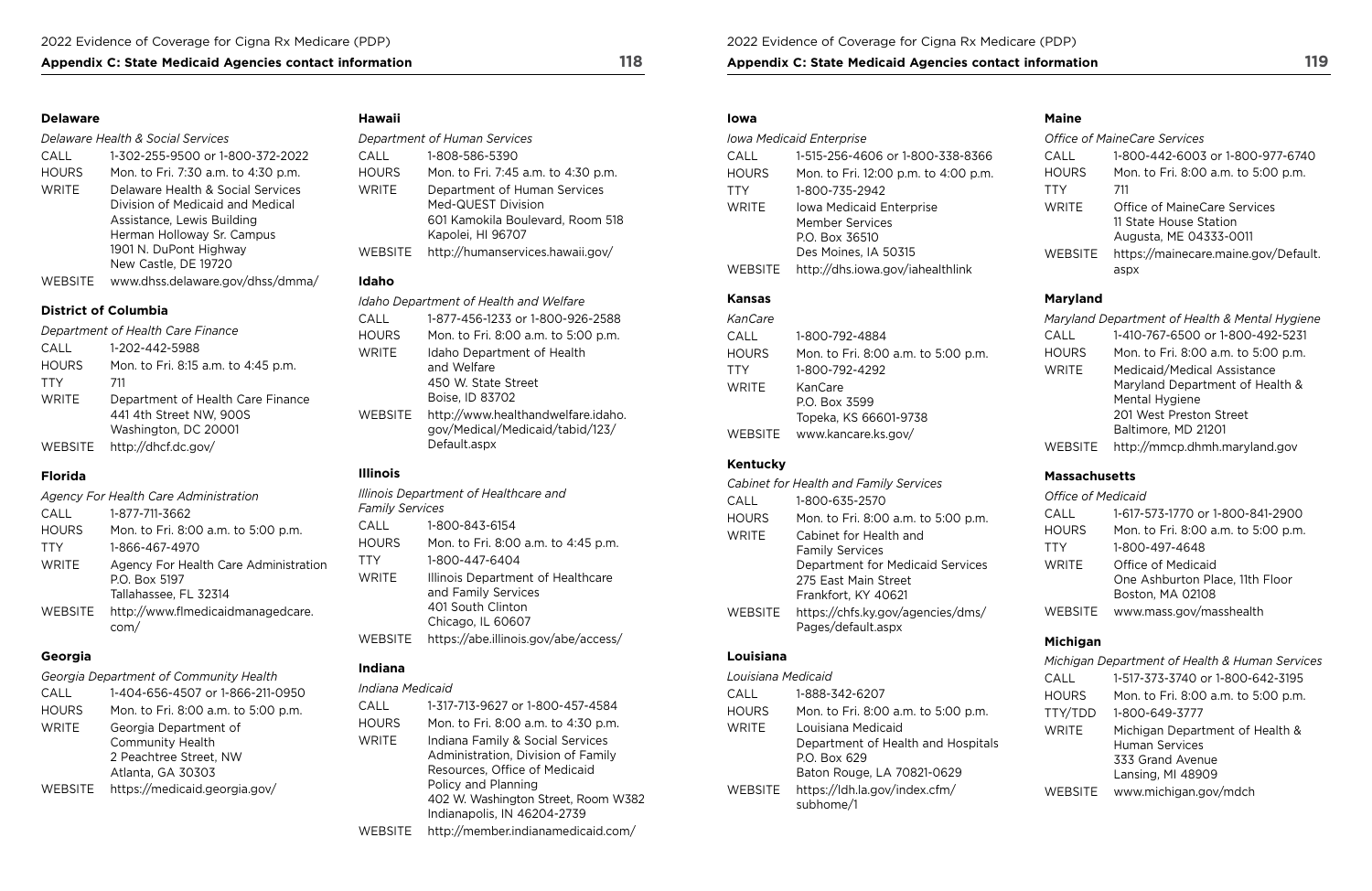## Appendix C: State Medicaid Agencies contact information 118 **Appendix C: State Medicaid Agencies contact information** 119

### **Delaware**

#### *Delaware Health & Social Services*

| CALL         | 1-302-255-9500 or 1-800-372-2022    |
|--------------|-------------------------------------|
| <b>HOURS</b> | Mon. to Fri. 7:30 a.m. to 4:30 p.m. |
| <b>WRITE</b> | Delaware Health & Social Services   |
|              | Division of Medicaid and Medical    |
|              | Assistance, Lewis Building          |
|              | Herman Holloway Sr. Campus          |
|              | 1901 N. DuPont Highway              |
|              | New Castle, DE 19720                |
| WEBSITE      | www.dhss.delaware.gov/dhss/dmma/    |

## **District of Columbia**

|              | Department of Health Care Finance                                                    |
|--------------|--------------------------------------------------------------------------------------|
| CALL         | 1-202-442-5988                                                                       |
| <b>HOURS</b> | Mon. to Fri. 8:15 a.m. to 4:45 p.m.                                                  |
| <b>TTY</b>   | 711                                                                                  |
| WRITE        | Department of Health Care Finance<br>441 4th Street NW, 900S<br>Washington, DC 20001 |
| WEBSITE      | http://dhcf.dc.gov/                                                                  |

## **Florida**

|              | Agency For Health Care Administration                                           |
|--------------|---------------------------------------------------------------------------------|
| CALL         | 1-877-711-3662                                                                  |
| <b>HOURS</b> | Mon. to Fri. 8:00 a.m. to 5:00 p.m.                                             |
| <b>TTY</b>   | 1-866-467-4970                                                                  |
| <b>WRITE</b> | Agency For Health Care Administration<br>P.O. Box 5197<br>Tallahassee, FL 32314 |
| WEBSITE      | http://www.flmedicaidmanagedcare.<br>com/                                       |

## **Georgia**

*Georgia Department of Community Health* 

| CALL         | 1-404-656-4507 or 1-866-211-0950                  |
|--------------|---------------------------------------------------|
| <b>HOURS</b> | Mon. to Fri. 8:00 a.m. to 5:00 p.m.               |
| <b>WRITE</b> | Georgia Department of                             |
|              | <b>Community Health</b><br>2 Peachtree Street, NW |
|              | Atlanta, GA 30303                                 |
| WEBSITE      | https://medicaid.georgia.gov/                     |

## **Hawaii**

|              | Department of Human Services                                                                                |
|--------------|-------------------------------------------------------------------------------------------------------------|
| CALL         | 1-808-586-5390                                                                                              |
| <b>HOURS</b> | Mon. to Fri. 7:45 a.m. to 4:30 p.m.                                                                         |
| <b>WRITE</b> | Department of Human Services<br>Med-QUEST Division<br>601 Kamokila Boulevard, Room 518<br>Kapolei, HI 96707 |
| WEBSITE      | http://humanservices.hawaii.gov/                                                                            |

## **Idaho**

|              | Idaho Department of Health and Welfare                                                |
|--------------|---------------------------------------------------------------------------------------|
| CALL         | 1-877-456-1233 or 1-800-926-2588                                                      |
| <b>HOURS</b> | Mon. to Fri. 8:00 a.m. to 5:00 p.m.                                                   |
| WRITE        | Idaho Department of Health<br>and Welfare<br>450 W. State Street<br>Boise, ID 83702   |
| WEBSITE      | http://www.healthandwelfare.idaho.<br>gov/Medical/Medicaid/tabid/123/<br>Default.aspx |

## **Illinois**

|                        | Illinois Department of Healthcare and                                                              |
|------------------------|----------------------------------------------------------------------------------------------------|
| <b>Family Services</b> |                                                                                                    |
| CALL                   | 1-800-843-6154                                                                                     |
| HOURS                  | Mon. to Fri. 8:00 a.m. to 4:45 p.m.                                                                |
| TTY                    | 1-800-447-6404                                                                                     |
| <b>WRITE</b>           | Illinois Department of Healthcare<br>and Family Services<br>401 South Clinton<br>Chicago, IL 60607 |
| <b>WEBSITE</b>         | https://abe.illinois.gov/abe/access/                                                               |
|                        |                                                                                                    |

## **Indiana**

| Indiana Medicaid |                                     |
|------------------|-------------------------------------|
| CALL             | 1-317-713-9627 or 1-800-457-4584    |
| <b>HOURS</b>     | Mon. to Fri. 8:00 a.m. to 4:30 p.m. |
| WRITE            | Indiana Family & Social Services    |
|                  | Administration, Division of Family  |
|                  | Resources, Office of Medicaid       |
|                  | Policy and Planning                 |
|                  | 402 W. Washington Street, Room W382 |
|                  | Indianapolis, IN 46204-2739         |
| WEBSITE          | http://member.indianamedicaid.com/  |

#### **Iowa**

|              | <b>Iowa Medicaid Enterprise</b>      |
|--------------|--------------------------------------|
| <b>CALL</b>  | 1-515-256-4606 or 1-800-338-8366     |
| <b>HOURS</b> | Mon. to Fri. 12:00 p.m. to 4:00 p.m. |
| <b>TTY</b>   | 1-800-735-2942                       |
| <b>WRITE</b> | Iowa Medicaid Enterprise             |
|              | <b>Member Services</b>               |
|              | P.O. Box 36510                       |
|              | Des Moines, IA 50315                 |
| WEBSITE      | http://dhs.iowa.gov/iahealthlink     |

## **Kansas**

| KanCare      |                                     |
|--------------|-------------------------------------|
| CALL         | 1-800-792-4884                      |
| <b>HOURS</b> | Mon. to Fri. 8:00 a.m. to 5:00 p.m. |
| <b>TTY</b>   | 1-800-792-4292                      |
| <b>WRITE</b> | KanCare                             |
|              | P.O. Box 3599                       |
|              | Topeka, KS 66601-9738               |
| WEBSITE      | www.kancare.ks.gov/                 |

## **Kentucky**

|                | Cabinet for Health and Family Services                  |
|----------------|---------------------------------------------------------|
| CALL           | 1-800-635-2570                                          |
| <b>HOURS</b>   | Mon. to Fri. 8:00 a.m. to 5:00 p.m.                     |
| WRITE          | Cabinet for Health and                                  |
|                | <b>Family Services</b>                                  |
|                | Department for Medicaid Services                        |
|                | 275 East Main Street                                    |
|                | Frankfort, KY 40621                                     |
| <b>WEBSITE</b> | https://chfs.ky.gov/agencies/dms/<br>Pages/default.aspx |

## **Louisiana**

| Louisiana Medicaid |                                                                          |
|--------------------|--------------------------------------------------------------------------|
| CALL               | 1-888-342-6207                                                           |
| HOURS              | Mon. to Fri. 8:00 a.m. to 5:00 p.m.                                      |
| WRITE              | Louisiana Medicaid<br>Department of Health and Hospitals<br>P.O. Box 629 |
| WEBSITE            | Baton Rouge, LA 70821-0629<br>https://ldh.la.gov/index.cfm/<br>subhome/1 |
|                    |                                                                          |

## **Maine**

|              | <b>Office of MaineCare Services</b>                                              |
|--------------|----------------------------------------------------------------------------------|
| CALL         | 1-800-442-6003 or 1-800-977-6740                                                 |
| <b>HOURS</b> | Mon. to Fri. 8:00 a.m. to 5:00 p.m.                                              |
| <b>TTY</b>   | 711                                                                              |
| <b>WRITE</b> | Office of MaineCare Services<br>11 State House Station<br>Augusta, ME 04333-0011 |
| WEBSITE      | https://mainecare.maine.gov/Default.<br>aspx                                     |

## **Maryland**

|                | Maryland Department of Health & Mental Hygiene |
|----------------|------------------------------------------------|
| CALL           | 1-410-767-6500 or 1-800-492-5231               |
| <b>HOURS</b>   | Mon. to Fri. 8:00 a.m. to 5:00 p.m.            |
| <b>WRITE</b>   | Medicaid/Medical Assistance                    |
|                | Maryland Department of Health &                |
|                | Mental Hygiene                                 |
|                | 201 West Preston Street                        |
|                | Baltimore, MD 21201                            |
| <b>WEBSITE</b> | http://mmcp.dhmh.maryland.gov                  |

## **Massachusetts**

### **Office of Medicaid**

| CALL         | 1-617-573-1770 or 1-800-841-2900    |
|--------------|-------------------------------------|
| <b>HOURS</b> | Mon. to Fri. 8:00 a.m. to 5:00 p.m. |
| <b>TTY</b>   | 1-800-497-4648                      |
| <b>WRITE</b> | Office of Medicaid                  |
|              | One Ashburton Place, 11th Floor     |
|              | Boston, MA 02108                    |
| WEBSITE      | www.mass.gov/masshealth             |

## **Michigan**

|                | Michigan Department of Health & Human Services                                                    |
|----------------|---------------------------------------------------------------------------------------------------|
| CALL           | 1-517-373-3740 or 1-800-642-3195                                                                  |
| <b>HOURS</b>   | Mon. to Fri. 8:00 a.m. to 5:00 p.m.                                                               |
| TTY/TDD        | 1-800-649-3777                                                                                    |
| <b>WRITE</b>   | Michigan Department of Health &<br><b>Human Services</b><br>333 Grand Avenue<br>Lansing, MI 48909 |
| <b>WEBSITE</b> | www.michigan.gov/mdch                                                                             |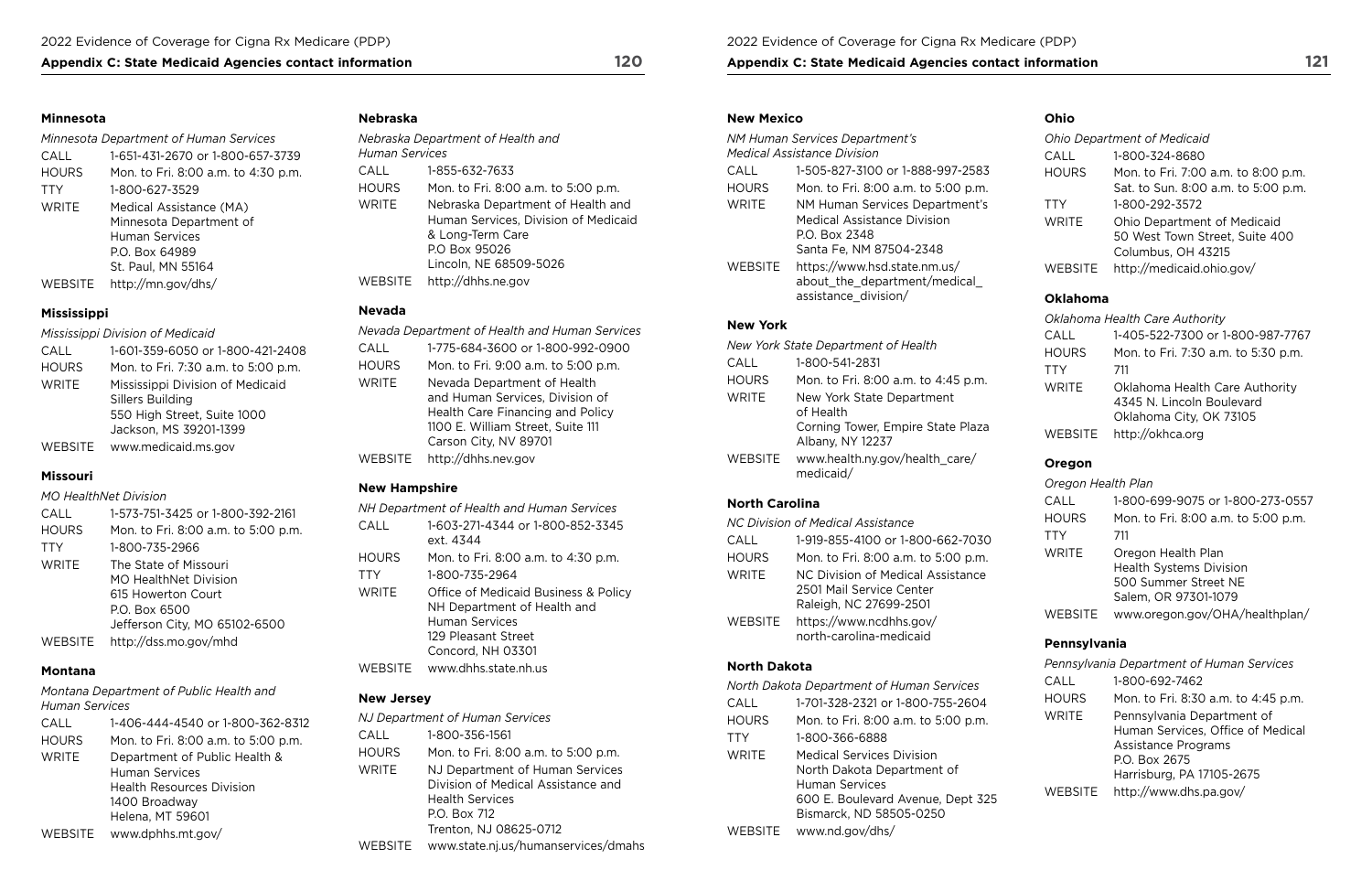## Appendix C: State Medicaid Agencies contact information 120 **Appendix C: State Medicaid Agencies contact information** 121

### **Minnesota**

| <b>Minnesota Department of Human Services</b> |                                     |  |
|-----------------------------------------------|-------------------------------------|--|
| CALL                                          | 1-651-431-2670 or 1-800-657-3739    |  |
| <b>HOURS</b>                                  | Mon. to Fri. 8:00 a.m. to 4:30 p.m. |  |
| <b>TTY</b>                                    | 1-800-627-3529                      |  |
| WRITE                                         | Medical Assistance (MA)             |  |
|                                               | Minnesota Department of             |  |
|                                               | Human Services                      |  |
|                                               | P.O. Box 64989                      |  |
|                                               | St. Paul, MN 55164                  |  |
| <b>WEBSITE</b>                                | http://mn.gov/dhs/                  |  |

## **Mississippi**

*Mississippi Division of Medicaid* 

| CALL           | 1-601-359-6050 or 1-800-421-2408    |
|----------------|-------------------------------------|
| <b>HOURS</b>   | Mon. to Fri. 7:30 a.m. to 5:00 p.m. |
| <b>WRITE</b>   | Mississippi Division of Medicaid    |
|                | Sillers Building                    |
|                | 550 High Street, Suite 1000         |
|                | Jackson, MS 39201-1399              |
| <b>WEBSITE</b> | www.medicaid.ms.gov                 |

## **Missouri**

## *MO HealthNet Division*

| CALL         | 1-573-751-3425 or 1-800-392-2161                                                                                       |
|--------------|------------------------------------------------------------------------------------------------------------------------|
| <b>HOURS</b> | Mon. to Fri. 8:00 a.m. to 5:00 p.m.                                                                                    |
| <b>TTY</b>   | 1-800-735-2966                                                                                                         |
| <b>WRITE</b> | The State of Missouri<br>MO HealthNet Division<br>615 Howerton Court<br>P.O. Box 6500<br>Jefferson City, MO 65102-6500 |
| WEBSITE      | http://dss.mo.gov/mhd                                                                                                  |

## **Montana**

*Montana Department of Public Health and Human Services* 

| CALL         | 1-406-444-4540 or 1-800-362-8312    |
|--------------|-------------------------------------|
| <b>HOURS</b> | Mon. to Fri. 8:00 a.m. to 5:00 p.m. |
| <b>WRITE</b> | Department of Public Health &       |
|              | <b>Human Services</b>               |
|              | <b>Health Resources Division</b>    |
|              | 1400 Broadway                       |
|              | Helena, MT 59601                    |
| WEBSITE      | www.dphhs.mt.gov/                   |

## **Nebraska**

| <b>Human Services</b> | Nebraska Department of Health and                                                                                                        |
|-----------------------|------------------------------------------------------------------------------------------------------------------------------------------|
| CALL                  | 1-855-632-7633                                                                                                                           |
| <b>HOURS</b>          | Mon. to Fri. 8:00 a.m. to 5:00 p.m.                                                                                                      |
| WRITE                 | Nebraska Department of Health and<br>Human Services, Division of Medicaid<br>& Long-Term Care<br>P.O Box 95026<br>Lincoln, NE 68509-5026 |
| WEBSITE               | http://dhhs.ne.gov                                                                                                                       |

## **Nevada**

| Nevada Department of Health and Human Services |                                                                                                                                                                  |  |
|------------------------------------------------|------------------------------------------------------------------------------------------------------------------------------------------------------------------|--|
| CALL                                           | 1-775-684-3600 or 1-800-992-0900                                                                                                                                 |  |
| <b>HOURS</b>                                   | Mon. to Fri. 9:00 a.m. to 5:00 p.m.                                                                                                                              |  |
| <b>WRITE</b>                                   | Nevada Department of Health<br>and Human Services, Division of<br>Health Care Financing and Policy<br>1100 E. William Street, Suite 111<br>Carson City, NV 89701 |  |
| WEBSITE                                        | http://dhhs.nev.gov                                                                                                                                              |  |

## **New Hampshire**

|              | NH Department of Health and Human Services                                                                                                   |
|--------------|----------------------------------------------------------------------------------------------------------------------------------------------|
| CALL         | 1-603-271-4344 or 1-800-852-3345<br>ext. 4344                                                                                                |
| <b>HOURS</b> | Mon. to Fri. 8:00 a.m. to 4:30 p.m.                                                                                                          |
| TTY          | 1-800-735-2964                                                                                                                               |
| WRITE        | <b>Office of Medicaid Business &amp; Policy</b><br>NH Department of Health and<br>Human Services<br>129 Pleasant Street<br>Concord, NH 03301 |
| WEBSITE      | www.dhhs.state.nh.us                                                                                                                         |

## **New Jersey**

|         | NJ Department of Human Services                                                                                                           |
|---------|-------------------------------------------------------------------------------------------------------------------------------------------|
| CALL    | 1-800-356-1561                                                                                                                            |
| HOURS   | Mon. to Fri. 8:00 a.m. to 5:00 p.m.                                                                                                       |
| WRITE   | NJ Department of Human Services<br>Division of Medical Assistance and<br><b>Health Services</b><br>P.O. Box 712<br>Trenton, NJ 08625-0712 |
| WEBSITE | www.state.nj.us/humanservices/dmahs                                                                                                       |

### **New Mexico**

|                | NM Human Services Department's<br><i>Medical Assistance Division</i>                  |
|----------------|---------------------------------------------------------------------------------------|
| CALL           | 1-505-827-3100 or 1-888-997-2583                                                      |
| HOURS          | Mon. to Fri. 8:00 a.m. to 5:00 p.m.                                                   |
| WRITE          | NM Human Services Department's<br><b>Medical Assistance Division</b><br>P.O. Box 2348 |
|                | Santa Fe, NM 87504-2348                                                               |
| <b>WEBSITE</b> | https://www.hsd.state.nm.us/<br>about the department/medical<br>assistance division/  |

## **New York**

|                | New York State Department of Health                                                             |
|----------------|-------------------------------------------------------------------------------------------------|
| CALL           | 1-800-541-2831                                                                                  |
| <b>HOURS</b>   | Mon. to Fri. 8:00 a.m. to 4:45 p.m.                                                             |
| <b>WRITE</b>   | New York State Department<br>of Health<br>Corning Tower, Empire State Plaza<br>Albany, NY 12237 |
| <b>WEBSITE</b> | www.health.ny.gov/health care/<br>medicaid/                                                     |

## **North Carolina**

| NC Division of Medical Assistance |                                                    |  |
|-----------------------------------|----------------------------------------------------|--|
| CALL                              | 1-919-855-4100 or 1-800-662-7030                   |  |
| <b>HOURS</b>                      | Mon. to Fri. 8:00 a.m. to 5:00 p.m.                |  |
| <b>WRITE</b>                      | NC Division of Medical Assistance                  |  |
|                                   | 2501 Mail Service Center                           |  |
|                                   | Raleigh, NC 27699-2501                             |  |
| WEBSITE                           | https://www.ncdhhs.gov/<br>north-carolina-medicaid |  |

## **North Dakota**

|              | North Dakota Department of Human Services |
|--------------|-------------------------------------------|
| CALL         | 1-701-328-2321 or 1-800-755-2604          |
| <b>HOURS</b> | Mon. to Fri. 8:00 a.m. to 5:00 p.m.       |
| <b>TTY</b>   | 1-800-366-6888                            |
| WRITE        | Medical Services Division                 |
|              | North Dakota Department of                |
|              | Human Services                            |
|              | 600 E. Boulevard Avenue, Dept 325         |
|              | Bismarck, ND 58505-0250                   |
| WEBSITE      | www.nd.gov/dhs/                           |
|              |                                           |

## **Ohio**

|              | <b>Ohio Department of Medicaid</b>  |
|--------------|-------------------------------------|
| CALL         | 1-800-324-8680                      |
| <b>HOURS</b> | Mon. to Fri. 7:00 a.m. to 8:00 p.m. |
|              | Sat. to Sun. 8:00 a.m. to 5:00 p.m. |
| <b>TTY</b>   | 1-800-292-3572                      |
| <b>WRITE</b> | <b>Ohio Department of Medicaid</b>  |
|              | 50 West Town Street, Suite 400      |
|              | Columbus, OH 43215                  |
| WEBSITE      | http://medicaid.ohio.gov/           |

## **Oklahoma**

|              | Oklahoma Health Care Authority                                                         |
|--------------|----------------------------------------------------------------------------------------|
| CALL         | 1-405-522-7300 or 1-800-987-7767                                                       |
| <b>HOURS</b> | Mon. to Fri. 7:30 a.m. to 5:30 p.m.                                                    |
| TTY          | 711                                                                                    |
| <b>WRITE</b> | Oklahoma Health Care Authority<br>4345 N. Lincoln Boulevard<br>Oklahoma City, OK 73105 |
| WEBSITE      | http://okhca.org                                                                       |

## **Oregon**

*Oregon Health Plan* 

| CALL           | 1-800-699-9075 or 1-800-273-0557    |
|----------------|-------------------------------------|
| <b>HOURS</b>   | Mon. to Fri. 8:00 a.m. to 5:00 p.m. |
| <b>TTY</b>     | 711                                 |
| <b>WRITE</b>   | Oregon Health Plan                  |
|                | <b>Health Systems Division</b>      |
|                | 500 Summer Street NE                |
|                | Salem, OR 97301-1079                |
| <b>WEBSITE</b> | www.oregon.gov/OHA/healthplan/      |

## **Pennsylvania**

|              | Pennsylvania Department of Human Services                                                                                                   |
|--------------|---------------------------------------------------------------------------------------------------------------------------------------------|
| CALL         | 1-800-692-7462                                                                                                                              |
| <b>HOURS</b> | Mon. to Fri. 8:30 a.m. to 4:45 p.m.                                                                                                         |
| <b>WRITE</b> | Pennsylvania Department of<br>Human Services, Office of Medical<br><b>Assistance Programs</b><br>P.O. Box 2675<br>Harrisburg, PA 17105-2675 |
| WEBSITE      | http://www.dhs.pa.gov/                                                                                                                      |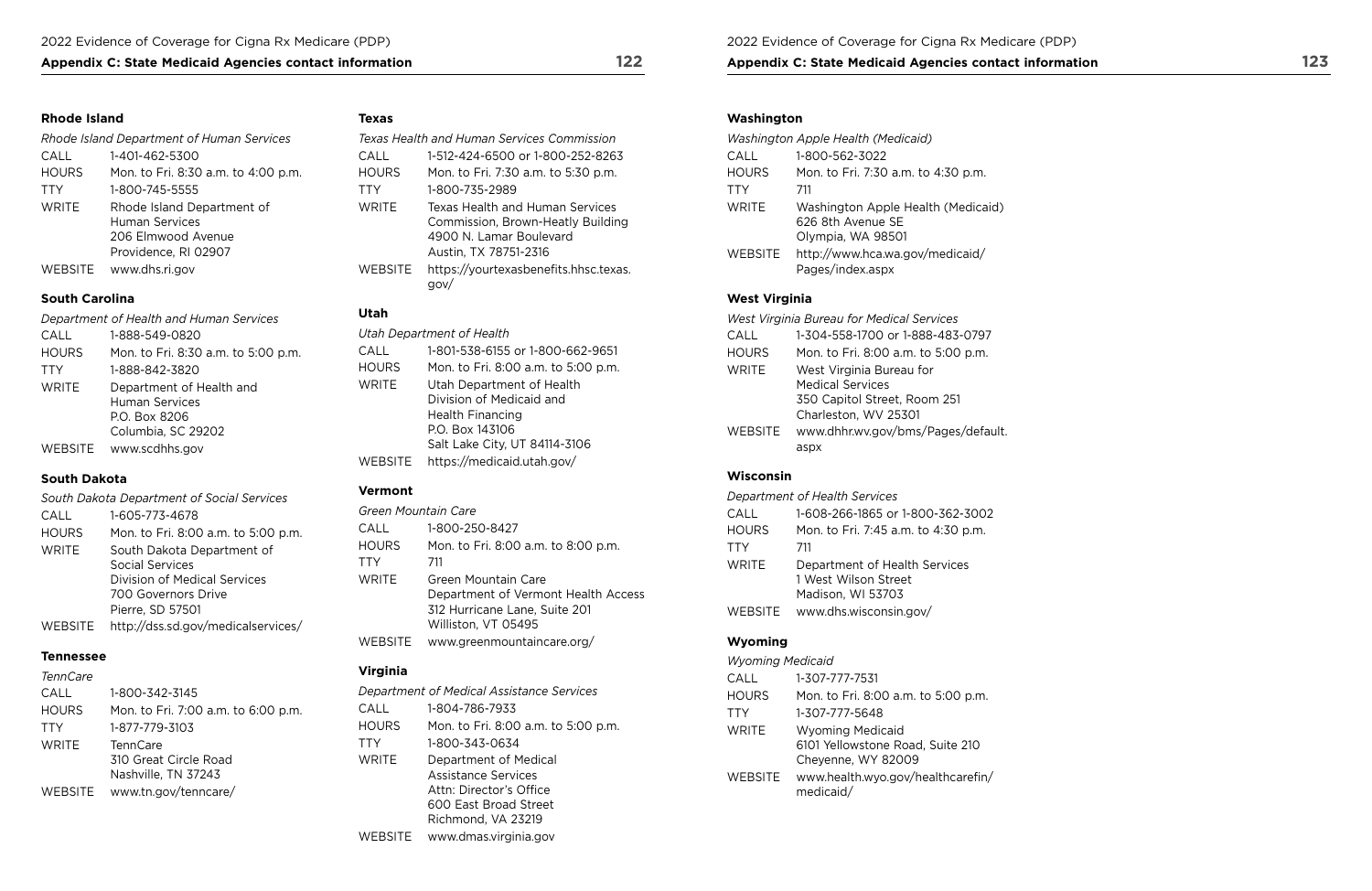## Appendix C: State Medicaid Agencies contact information 122 Appendix C: State Medicaid Agencies contact information 123

## **Rhode Island Washington CONSULTER TEXAS TEXAS ARE SERVER TEXAS WASHINGTON WASHINGTON WASHINGTON WASHINGTON WASHINGTON WASHINGTON WASHINGTON WASHINGTON WASHINGTON WASHINGTON WASHINGTON WASHINGTON WASHINGTON WASHINGTON WASH**

|              | Rhode Island Department of Human Services                                                  |
|--------------|--------------------------------------------------------------------------------------------|
| CALL         | 1-401-462-5300                                                                             |
| <b>HOURS</b> | Mon. to Fri. 8:30 a.m. to 4:00 p.m.                                                        |
| <b>TTY</b>   | 1-800-745-5555                                                                             |
| <b>WRITE</b> | Rhode Island Department of<br>Human Services<br>206 Elmwood Avenue<br>Providence, RI 02907 |
| WEBSITE      | www.dhs.ri.gov                                                                             |

## *Department of Health and Human Services* **Utah** *West Virginia Bureau for Medical Services*  HOURS Mon. to Fri. 8:30 a.m. to 5:00 p.m. C TTY 1-888-842-3820 **H** WRITE Department of Health and WRITE Human Services Columbia, SC 29202 WEBSITE [www.scdhhs.gov](http://www.scdhhs.gov)<br>V

| <b>South Carolina</b> |                                                     | Utah           |                                                                             | <b>West Virginia</b> |                                                         |
|-----------------------|-----------------------------------------------------|----------------|-----------------------------------------------------------------------------|----------------------|---------------------------------------------------------|
| WEBSITE               | www.dhs.ri.gov                                      | <b>WEBSITE</b> | https://yourtexasbenefits.hhsc.texas.<br>gov/                               |                      | Pages/index.aspx                                        |
|                       | 206 Elmwood Avenue<br>Providence, RI 02907          |                | 4900 N. Lamar Boulevard<br>Austin, TX 78751-2316                            | <b>WEBSITE</b>       | Olympia, WA 98501<br>http://www.hca.wa.gov/medicaid/    |
| WRITE                 | Rhode Island Department of<br><b>Human Services</b> | WRITE          | <b>Texas Health and Human Services</b><br>Commission, Brown-Heatly Building | WRITE                | Washington Apple Health (Medicaid)<br>626 8th Avenue SE |
| <b>TTY</b>            | 1-800-745-5555                                      | TTY            | 1-800-735-2989                                                              | TTY                  | 711                                                     |
| <b>HOURS</b>          | Mon. to Fri. 8:30 a.m. to 4:00 p.m.                 | <b>HOURS</b>   | Mon. to Fri. 7:30 a.m. to 5:30 p.m.                                         | <b>HOURS</b>         | Mon. to Fri. 7:30 a.m. to 4:30 p.m.                     |
| CALL                  | 1-401-462-5300                                      | CALL           | 1-512-424-6500 or 1-800-252-8263                                            | CALL                 | 1-800-562-3022                                          |
|                       | Rhode Island Department of Human Services           |                | Texas Health and Human Services Commission                                  |                      | Washington Apple Health (Medicaid)                      |

| Department of Health and Human Services |                                                                    | utan.        |                                                                                  |              | West Virginia Bureau for Medical Services                                       |  |
|-----------------------------------------|--------------------------------------------------------------------|--------------|----------------------------------------------------------------------------------|--------------|---------------------------------------------------------------------------------|--|
| CALL                                    | 1-888-549-0820                                                     |              | Utah Department of Health                                                        | CALL         | 1-304-558-1700 or 1-888-483-0797                                                |  |
| <b>HOURS</b>                            | Mon. to Fri. 8:30 a.m. to 5:00 p.m.                                | CALL         | 1-801-538-6155 or 1-800-662-9651                                                 | <b>HOURS</b> | Mon. to Fri. 8:00 a.m. to 5:00 p.m.                                             |  |
| <b>TTY</b>                              | 1-888-842-3820                                                     | <b>HOURS</b> | Mon. to Fri. 8:00 a.m. to 5:00 p.m.                                              | <b>WRITE</b> | West Virginia Bureau for                                                        |  |
| <b>WRITE</b>                            | Department of Health and<br><b>Human Services</b><br>P.O. Box 8206 | WRITE        | Utah Department of Health<br>Division of Medicaid and<br><b>Health Financing</b> |              | <b>Medical Services</b><br>350 Capitol Street, Room 251<br>Charleston, WV 25301 |  |
| WEBSITE                                 | Columbia, SC 29202<br>www.scdhhs.gov                               |              | P.O. Box 143106<br>Salt Lake City, UT 84114-3106                                 | WEBSITE      | www.dhhr.wv.gov/bms/Pages/default.<br>aspx                                      |  |

| 1-888-549-0820                                                                                      | Utah Department of Health |                                                                                                                                      | CALL         | 1-304-558-1700 or 1-88                                                                                    |
|-----------------------------------------------------------------------------------------------------|---------------------------|--------------------------------------------------------------------------------------------------------------------------------------|--------------|-----------------------------------------------------------------------------------------------------------|
| Mon. to Fri. 8:30 a.m. to 5:00 p.m.                                                                 | CALL                      | 1-801-538-6155 or 1-800-662-9651                                                                                                     | <b>HOURS</b> | Mon. to Fri. 8:00 a.m. t                                                                                  |
| 1-888-842-3820                                                                                      | <b>HOURS</b>              | Mon. to Fri. 8:00 a.m. to 5:00 p.m.                                                                                                  | WRITE        | West Virginia Bureau f                                                                                    |
| Department of Health and<br>Human Services<br>P.O. Box 8206<br>Columbia, SC 29202<br>www.scdhhs.gov | WRITE                     | Utah Department of Health<br>Division of Medicaid and<br><b>Health Financing</b><br>P.O. Box 143106<br>Salt Lake City, UT 84114-3106 | WEBSITE      | <b>Medical Services</b><br>350 Capitol Street, Ro<br>Charleston, WV 25301<br>www.dhhr.wv.gov/bms.<br>aspx |
|                                                                                                     | <b>WEBSITE</b>            | https://medicaid.utah.gov/                                                                                                           |              |                                                                                                           |

## **South Dakota Wisconsin**

## **Vermont**

|              | Department of Health Services                         |
|--------------|-------------------------------------------------------|
| CALL         | 1-608-266-1865 or 1-800-362-3002                      |
| <b>HOURS</b> | Mon. to Fri. 7:45 a.m. to 4:30 p.m.                   |
| <b>TTY</b>   | 711                                                   |
| <b>WRITE</b> | Department of Health Services<br>1 West Wilson Street |
|              | Madison, WI 53703                                     |
| WEBSITE      | www.dhs.wisconsin.gov/                                |

|              | South Dakota Department of Social Services | ,,,,,,,,,,   |                       |
|--------------|--------------------------------------------|--------------|-----------------------|
| CALL         | 1-605-773-4678                             |              | Green Mountain Care   |
| <b>HOURS</b> | Mon. to Fri. 8:00 a.m. to 5:00 p.m.        | CALL         | 1-800-250-8427        |
| <b>WRITE</b> | South Dakota Department of                 | <b>HOURS</b> | Mon. to Fri. 8:00 a.m |
|              | <b>Social Services</b>                     | <b>TTY</b>   | 711                   |
|              | Division of Medical Services               | <b>WRITE</b> | Green Mountain Care   |
|              | 700 Governors Drive                        |              | Department of Verm    |
|              | Pierre, SD 57501                           |              | 312 Hurricane Lane,   |
| WEBSITE      | http://dss.sd.gov/medicalservices/         |              | Williston, VT 05495   |

| CALL         | 1-605-773-4678                      | Green Mountain Care |                                     | CALL           | 1-608-266-1865 or 1-800-362-300.    |
|--------------|-------------------------------------|---------------------|-------------------------------------|----------------|-------------------------------------|
| <b>HOURS</b> | Mon. to Fri. 8:00 a.m. to 5:00 p.m. | CALL                | 1-800-250-8427                      | <b>HOURS</b>   | Mon. to Fri. 7:45 a.m. to 4:30 p.m. |
| WRITE        | South Dakota Department of          | <b>HOURS</b>        | Mon. to Fri. 8:00 a.m. to 8:00 p.m. | TTY            | 711                                 |
|              | <b>Social Services</b>              | TTY                 | 711                                 | WRITE          | Department of Health Services       |
|              | <b>Division of Medical Services</b> | WRITE               | Green Mountain Care                 |                | 1 West Wilson Street                |
|              | 700 Governors Drive                 |                     | Department of Vermont Health Access |                | Madison, WI 53703                   |
|              | Pierre, SD 57501                    |                     | 312 Hurricane Lane, Suite 201       | <b>WEBSITE</b> | www.dhs.wisconsin.gov/              |
| WEBSITE      | http://dss.sd.gov/medicalservices/  |                     | Williston, VT 05495                 |                |                                     |
|              |                                     | <b>WEBSITE</b>      | www.greenmountaincare.org/          | <b>Wyoming</b> |                                     |
| Tannassaa    |                                     |                     |                                     |                |                                     |

## **Tennessee**

| Terincare    |                                                                 |
|--------------|-----------------------------------------------------------------|
| CALL         | 1-800-342-3145                                                  |
| <b>HOURS</b> | Mon. to Fri. 7:00 a.m. to 6:00 p.m.                             |
| <b>TTY</b>   | 1-877-779-3103                                                  |
| <b>WRITE</b> | <b>TennCare</b><br>310 Great Circle Road<br>Nashville, TN 37243 |
| WEBSITE      | www.tn.gov/tenncare/                                            |
|              |                                                                 |

| <b>Tennessee</b> |                                     |                 |                                           | <b>Wyoming Medicaid</b> |                                     |  |
|------------------|-------------------------------------|-----------------|-------------------------------------------|-------------------------|-------------------------------------|--|
| <b>TennCare</b>  |                                     | <b>Virginia</b> |                                           | CALL                    | 1-307-777-7531                      |  |
| CALL             | 1-800-342-3145                      |                 | Department of Medical Assistance Services | <b>HOURS</b>            | Mon. to Fri. 8:00 a.m. to 5:00 p.m. |  |
| <b>HOURS</b>     | Mon. to Fri. 7:00 a.m. to 6:00 p.m. | CALL            | 1-804-786-7933                            | TTY                     | 1-307-777-5648                      |  |
| TTY              | 1-877-779-3103                      | <b>HOURS</b>    | Mon. to Fri. 8:00 a.m. to 5:00 p.m.       | WRITE                   | <b>Wyoming Medicaid</b>             |  |
| <b>WRITE</b>     | <b>TennCare</b>                     | TTY             | 1-800-343-0634                            |                         | 6101 Yellowstone Road, Suite 210    |  |
|                  | 310 Great Circle Road               | <b>WRITE</b>    | Department of Medical                     |                         | Cheyenne, WY 82009                  |  |
|                  | Nashville, TN 37243                 |                 | <b>Assistance Services</b>                | <b>WEBSITE</b>          | www.health.wyo.gov/healthcarefin/   |  |
| WEBSITE          | www.tn.gov/tenncare/                |                 | Attn: Director's Office                   |                         | medicaid/                           |  |
|                  |                                     |                 | $CON$ East Draad Ctrast                   |                         |                                     |  |

| CALL                       | 1-800-342-3145                                        |                      | Department of Medical Assistance Services                              | <b>HOURS</b>   | Mon. to Fri. 8:00 a.m. to 5:00 p.m                          |
|----------------------------|-------------------------------------------------------|----------------------|------------------------------------------------------------------------|----------------|-------------------------------------------------------------|
| <b>HOURS</b><br><b>TTY</b> | Mon. to Fri. 7:00 a.m. to 6:00 p.m.<br>1-877-779-3103 | CALL<br><b>HOURS</b> | 1-804-786-7933<br>Mon. to Fri. 8:00 a.m. to 5:00 p.m.                  | TTY            | 1-307-777-5648                                              |
| WRITE                      | <b>TennCare</b>                                       | TTY                  | 1-800-343-0634                                                         | WRITE          | <b>Wyoming Medicaid</b><br>6101 Yellowstone Road, Suite 210 |
|                            | 310 Great Circle Road<br>Nashville, TN 37243          | WRITE                | Department of Medical<br><b>Assistance Services</b>                    | <b>WEBSITE</b> | Cheyenne, WY 82009<br>www.health.wyo.gov/healthcarefi       |
| WEBSITE                    | www.tn.gov/tenncare/                                  |                      | Attn: Director's Office<br>600 East Broad Street<br>Richmond, VA 23219 |                | medicaid/                                                   |
|                            |                                                       | <b>WEBSITE</b>       | www.dmas.virginia.gov                                                  |                |                                                             |

|                | <b>Washington Apple Health (Medicaid)</b>                                    |
|----------------|------------------------------------------------------------------------------|
| CALL           | 1-800-562-3022                                                               |
| <b>HOURS</b>   | Mon. to Fri. 7:30 a.m. to 4:30 p.m.                                          |
| <b>TTY</b>     | 711                                                                          |
| <b>WRITE</b>   | Washington Apple Health (Medicaid)<br>626 8th Avenue SE<br>Olympia, WA 98501 |
| <b>WEBSITE</b> | http://www.hca.wa.gov/medicaid/<br>Pages/index.aspx                          |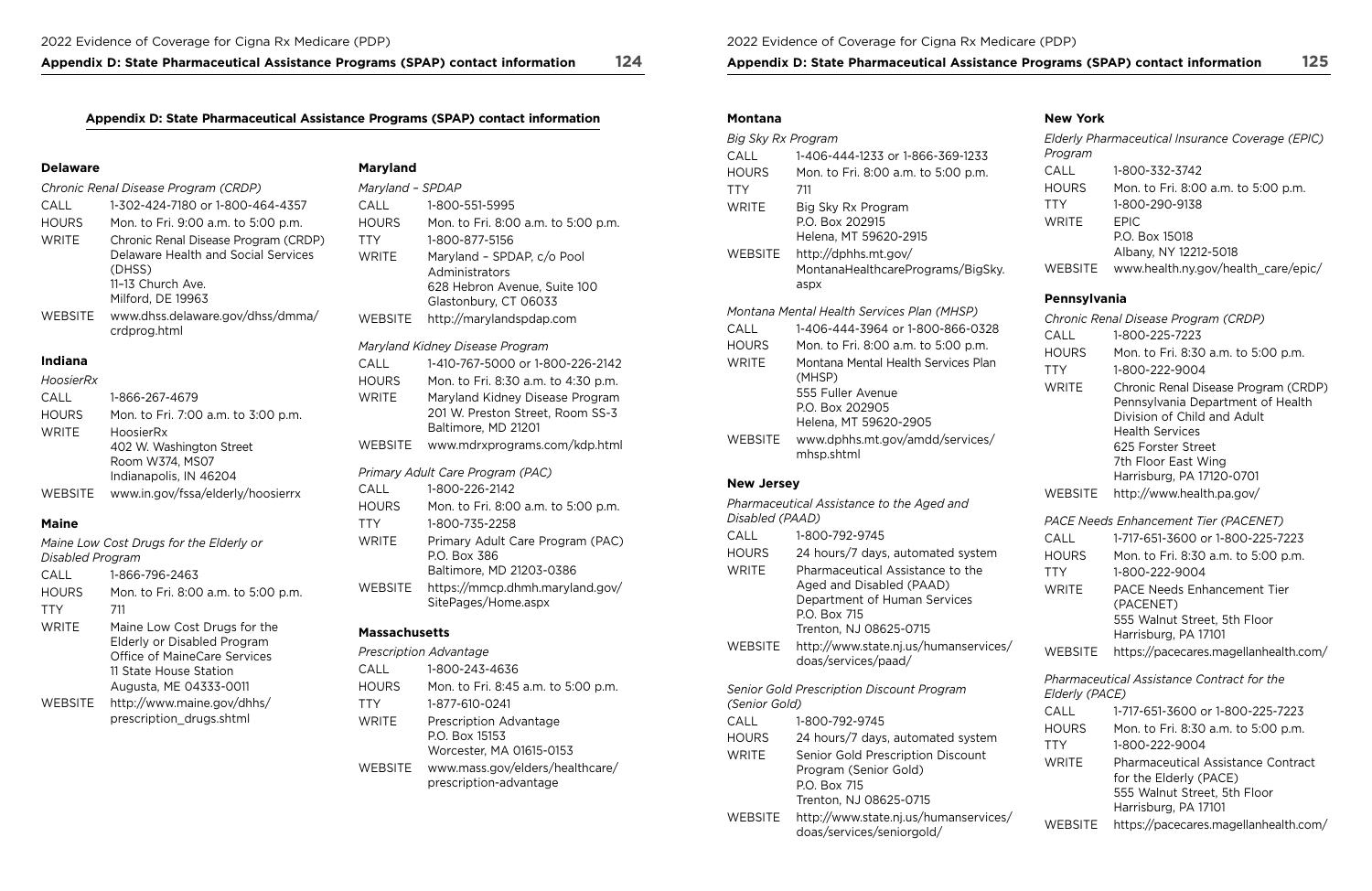## **Appendix D: State Pharmaceutical Assistance Programs (SPAP) contact information 124**

## **Appendix D: State Pharmaceutical Assistance Programs (SPAP) contact information**

### **Delaware**

|                | Chronic Renal Disease Program (CRDP)                                                                                            |
|----------------|---------------------------------------------------------------------------------------------------------------------------------|
| CALL           | 1-302-424-7180 or 1-800-464-4357                                                                                                |
| <b>HOURS</b>   | Mon. to Fri. 9:00 a.m. to 5:00 p.m.                                                                                             |
| <b>WRITE</b>   | Chronic Renal Disease Program (CRDP)<br>Delaware Health and Social Services<br>(DHSS)<br>11-13 Church Ave.<br>Milford, DE 19963 |
| <b>WEBSITE</b> | www.dhss.delaware.gov/dhss/dmma/<br>crdprog.html                                                                                |

## **Indiana**

#### *HoosierRx*

| CALL         | 1-866-267-4679                                                                     |
|--------------|------------------------------------------------------------------------------------|
| <b>HOURS</b> | Mon. to Fri. 7:00 a.m. to 3:00 p.m.                                                |
| <b>WRITE</b> | HoosierRx<br>402 W. Washington Street<br>Room W374, MS07<br>Indianapolis, IN 46204 |
| WEBSITE      | www.in.gov/fssa/elderly/hoosierrx                                                  |

## **Maine**

|                         | Maine Low Cost Drugs for the Elderly or                                                                                                         |
|-------------------------|-------------------------------------------------------------------------------------------------------------------------------------------------|
| <b>Disabled Program</b> |                                                                                                                                                 |
| CALL                    | 1-866-796-2463                                                                                                                                  |
| <b>HOURS</b>            | Mon. to Fri. 8:00 a.m. to 5:00 p.m.                                                                                                             |
| <b>TTY</b>              | 711                                                                                                                                             |
| <b>WRITE</b>            | Maine Low Cost Drugs for the<br>Elderly or Disabled Program<br>Office of MaineCare Services<br>11 State House Station<br>Augusta, ME 04333-0011 |
| <b>WEBSITE</b>          | http://www.maine.gov/dhhs/<br>prescription_drugs.shtml                                                                                          |

## **Maryland**

| Maryland - SPDAP |                                                                     |  |
|------------------|---------------------------------------------------------------------|--|
| CALL             | 1-800-551-5995                                                      |  |
| <b>HOURS</b>     | Mon. to Fri. 8:00 a.m. to 5:00 p.m.                                 |  |
| <b>TTY</b>       | 1-800-877-5156                                                      |  |
| <b>WRITE</b>     | Maryland - SPDAP, c/o Pool                                          |  |
|                  | Administrators                                                      |  |
|                  | 628 Hebron Avenue, Suite 100<br>Glastonbury, CT 06033               |  |
| <b>WEBSITE</b>   | http://marylandspdap.com                                            |  |
|                  |                                                                     |  |
|                  | Maryland Kidney Disease Program                                     |  |
| CALL             | 1-410-767-5000 or 1-800-226-2142                                    |  |
| <b>HOURS</b>     | Mon. to Fri. 8:30 a.m. to 4:30 p.m.                                 |  |
| <b>WRITE</b>     | Maryland Kidney Disease Program<br>201 W. Preston Street, Room SS-3 |  |
|                  | Baltimore, MD 21201                                                 |  |
| <b>WEBSITE</b>   | www.mdrxprograms.com/kdp.html                                       |  |
|                  | Primary Adult Care Program (PAC)                                    |  |
| CALL             | 1-800-226-2142                                                      |  |
| <b>HOURS</b>     | Mon. to Fri. 8:00 a.m. to 5:00 p.m.                                 |  |
| <b>TTY</b>       | 1-800-735-2258                                                      |  |
| <b>WRITE</b>     | Primary Adult Care Program (PAC)                                    |  |
|                  | P.O. Box 386                                                        |  |
|                  | Baltimore, MD 21203-0386                                            |  |
| <b>WEBSITE</b>   | https://mmcp.dhmh.maryland.gov/                                     |  |
|                  | SitePages/Home.aspx                                                 |  |
|                  |                                                                     |  |

## **Massachusetts**

| <b>Prescription Advantage</b> |                                                                      |
|-------------------------------|----------------------------------------------------------------------|
| CALL                          | 1-800-243-4636                                                       |
| <b>HOURS</b>                  | Mon. to Fri. 8:45 a.m. to 5:00 p.m.                                  |
| <b>TTY</b>                    | 1-877-610-0241                                                       |
| <b>WRITE</b>                  | Prescription Advantage<br>P.O. Box 15153<br>Worcester, MA 01615-0153 |
| WEBSITE                       | www.mass.gov/elders/healthcare/<br>prescription-advantage            |

2022 Evidence of Coverage for Cigna Rx Medicare (PDP)

## **Appendix D: State Pharmaceutical Assistance Programs (SPAP) contact information 125**

#### **Montana**

| Big Sky Rx Program   |                                                                    |
|----------------------|--------------------------------------------------------------------|
| CALL                 | 1-406-444-1233 or 1-866-369-1233                                   |
| <b>HOURS</b>         | Mon. to Fri. 8:00 a.m. to 5:00 p.m.                                |
| TTY                  | 711                                                                |
| <b>WRITE</b>         | Big Sky Rx Program<br>P.O. Box 202915                              |
|                      | Helena, MT 59620-2915                                              |
| <b>WEBSITE</b>       | http://dphhs.mt.gov/                                               |
|                      | MontanaHealthcarePrograms/BigSky.                                  |
|                      | aspx                                                               |
|                      | Montana Mental Health Services Plan (MHSP)                         |
| CALL                 | 1-406-444-3964 or 1-800-866-0328                                   |
| <b>HOURS</b>         | Mon. to Fri. 8:00 a.m. to 5:00 p.m.                                |
| <b>WRITE</b>         | Montana Mental Health Services Plan<br>(MHSP)                      |
|                      | 555 Fuller Avenue                                                  |
|                      | P.O. Box 202905                                                    |
| <b>WEBSITE</b>       | Helena, MT 59620-2905<br>www.dphhs.mt.gov/amdd/services/           |
|                      | mhsp.shtml                                                         |
|                      |                                                                    |
| <b>New Jersey</b>    |                                                                    |
| Disabled (PAAD)      | Pharmaceutical Assistance to the Aged and                          |
| CALL                 | 1-800-792-9745                                                     |
| <b>HOURS</b>         | 24 hours/7 days, automated system                                  |
| <b>WRITE</b>         | Pharmaceutical Assistance to the                                   |
|                      | Aged and Disabled (PAAD)<br>Department of Human Services           |
|                      | P.O. Box 715                                                       |
|                      | Trenton, NJ 08625-0715                                             |
| <b>WEBSITE</b>       | http://www.state.nj.us/humanservices/                              |
|                      | doas/services/paad/                                                |
|                      | <b>Senior Gold Prescription Discount Program</b>                   |
| (Senior Gold)        |                                                                    |
| CALL<br><b>HOURS</b> | 1-800-792-9745<br>24 hours/7 days, automated system                |
| <b>WRITE</b>         | Senior Gold Prescription Discount                                  |
|                      | Program (Senior Gold)                                              |
|                      | P.O. Box 715                                                       |
|                      | Trenton, NJ 08625-0715                                             |
| <b>WEBSITE</b>       | http://www.state.nj.us/humanservices/<br>doas/services/seniorgold/ |

## **New York**

| Program        | Elderly Pharmaceutical Insurance Coverage (EPIC) |
|----------------|--------------------------------------------------|
| CALL           | 1-800-332-3742                                   |
| <b>HOURS</b>   | Mon. to Fri. 8:00 a.m. to 5:00 p.m.              |
| <b>TTY</b>     | 1-800-290-9138                                   |
| <b>WRITE</b>   | EPIC.                                            |
|                | P.O. Box 15018                                   |
|                | Albany, NY 12212-5018                            |
| <b>WEBSITE</b> | www.health.ny.gov/health care/epic/              |

## **Pennsylvania**

| 1-800-225-7223<br>CALL<br><b>HOURS</b><br>Mon. to Fri. 8:30 a.m. to 5:00 p.m.<br><b>TTY</b><br>1-800-222-9004<br><b>WRITE</b><br>Pennsylvania Department of Health<br>Division of Child and Adult<br><b>Health Services</b><br>625 Forster Street<br>7th Floor East Wing<br>Harrisburg, PA 17120-0701<br>http://www.health.pa.gov/<br><b>WEBSITE</b><br><b>PACE Needs Enhancement Tier (PACENET)</b><br>1-717-651-3600 or 1-800-225-7223<br>CALL<br><b>HOURS</b><br>Mon. to Fri. 8:30 a.m. to 5:00 p.m.<br><b>TTY</b><br>1-800-222-9004<br><b>WRITE</b><br><b>PACE Needs Enhancement Tier</b><br>(PACENET)<br>555 Walnut Street, 5th Floor<br>Harrisburg, PA 17101<br><b>WEBSITE</b><br>Pharmaceutical Assistance Contract for the<br>Elderly (PACE)<br>1-717-651-3600 or 1-800-225-7223<br>CALL<br><b>HOURS</b><br>Mon. to Fri. 8:30 a.m. to 5:00 p.m.<br><b>TTY</b><br>1-800-222-9004<br><b>WRITE</b><br><b>Pharmaceutical Assistance Contract</b><br>for the Elderly (PACE)<br>555 Walnut Street, 5th Floor<br>Harrisburg, PA 17101 |                | Chronic Renal Disease Program (CRDP)  |
|----------------------------------------------------------------------------------------------------------------------------------------------------------------------------------------------------------------------------------------------------------------------------------------------------------------------------------------------------------------------------------------------------------------------------------------------------------------------------------------------------------------------------------------------------------------------------------------------------------------------------------------------------------------------------------------------------------------------------------------------------------------------------------------------------------------------------------------------------------------------------------------------------------------------------------------------------------------------------------------------------------------------------------------|----------------|---------------------------------------|
|                                                                                                                                                                                                                                                                                                                                                                                                                                                                                                                                                                                                                                                                                                                                                                                                                                                                                                                                                                                                                                        |                |                                       |
|                                                                                                                                                                                                                                                                                                                                                                                                                                                                                                                                                                                                                                                                                                                                                                                                                                                                                                                                                                                                                                        |                |                                       |
|                                                                                                                                                                                                                                                                                                                                                                                                                                                                                                                                                                                                                                                                                                                                                                                                                                                                                                                                                                                                                                        |                | Chronic Renal Disease Program (CRDP)  |
|                                                                                                                                                                                                                                                                                                                                                                                                                                                                                                                                                                                                                                                                                                                                                                                                                                                                                                                                                                                                                                        |                |                                       |
|                                                                                                                                                                                                                                                                                                                                                                                                                                                                                                                                                                                                                                                                                                                                                                                                                                                                                                                                                                                                                                        |                |                                       |
|                                                                                                                                                                                                                                                                                                                                                                                                                                                                                                                                                                                                                                                                                                                                                                                                                                                                                                                                                                                                                                        |                |                                       |
|                                                                                                                                                                                                                                                                                                                                                                                                                                                                                                                                                                                                                                                                                                                                                                                                                                                                                                                                                                                                                                        |                |                                       |
|                                                                                                                                                                                                                                                                                                                                                                                                                                                                                                                                                                                                                                                                                                                                                                                                                                                                                                                                                                                                                                        |                |                                       |
|                                                                                                                                                                                                                                                                                                                                                                                                                                                                                                                                                                                                                                                                                                                                                                                                                                                                                                                                                                                                                                        |                |                                       |
|                                                                                                                                                                                                                                                                                                                                                                                                                                                                                                                                                                                                                                                                                                                                                                                                                                                                                                                                                                                                                                        |                |                                       |
|                                                                                                                                                                                                                                                                                                                                                                                                                                                                                                                                                                                                                                                                                                                                                                                                                                                                                                                                                                                                                                        |                | https://pacecares.magellanhealth.com/ |
|                                                                                                                                                                                                                                                                                                                                                                                                                                                                                                                                                                                                                                                                                                                                                                                                                                                                                                                                                                                                                                        |                |                                       |
|                                                                                                                                                                                                                                                                                                                                                                                                                                                                                                                                                                                                                                                                                                                                                                                                                                                                                                                                                                                                                                        |                |                                       |
|                                                                                                                                                                                                                                                                                                                                                                                                                                                                                                                                                                                                                                                                                                                                                                                                                                                                                                                                                                                                                                        |                |                                       |
|                                                                                                                                                                                                                                                                                                                                                                                                                                                                                                                                                                                                                                                                                                                                                                                                                                                                                                                                                                                                                                        |                |                                       |
|                                                                                                                                                                                                                                                                                                                                                                                                                                                                                                                                                                                                                                                                                                                                                                                                                                                                                                                                                                                                                                        | <b>WEBSITE</b> | https://pacecares.magellanhealth.com/ |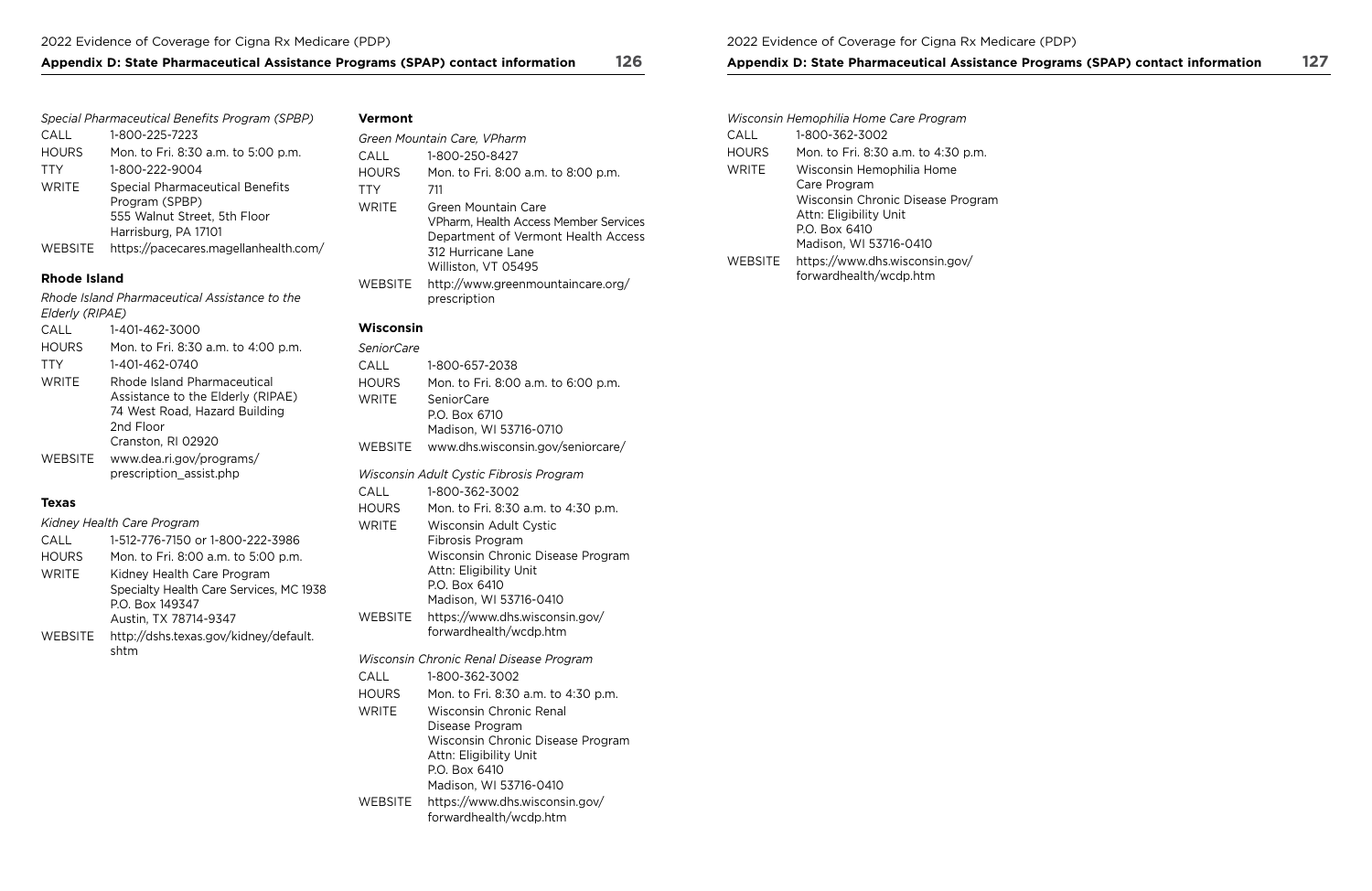## Appendix D: State Pharmaceutical Assistance Programs (SPAP) contact information 126 Appendix D: State Pharmaceutical Assistance Programs (SPAP) contact information 127

|                | Special Pharmaceutical Benefits Program (SPBP)                                           |
|----------------|------------------------------------------------------------------------------------------|
| CALL           | 1-800-225-7223                                                                           |
| <b>HOURS</b>   | Mon. to Fri. 8:30 a.m. to 5:00 p.m.                                                      |
| <b>TTY</b>     | 1-800-222-9004                                                                           |
| <b>WRITE</b>   | <b>Special Pharmaceutical Benefits</b><br>Program (SPBP)<br>555 Walnut Street, 5th Floor |
|                | Harrisburg, PA 17101                                                                     |
| <b>WEBSITE</b> | https://pacecares.magellanhealth.com/                                                    |

## **Rhode Island**

*Rhode Island Pharmaceutical Assistance to the Elderly (RIPAE)* 

| CALL         | 1-401-462-3000                                                                                                                       |
|--------------|--------------------------------------------------------------------------------------------------------------------------------------|
| <b>HOURS</b> | Mon. to Fri. 8:30 a.m. to 4:00 p.m.                                                                                                  |
| <b>TTY</b>   | 1-401-462-0740                                                                                                                       |
| <b>WRITE</b> | Rhode Island Pharmaceutical<br>Assistance to the Elderly (RIPAE)<br>74 West Road, Hazard Building<br>2nd Floor<br>Cranston, RI 02920 |
| WEBSITE      | www.dea.ri.gov/programs/<br>prescription assist.php                                                                                  |

### **Texas**

|              | Kidney Health Care Program                                                                                        |
|--------------|-------------------------------------------------------------------------------------------------------------------|
| CALL         | 1-512-776-7150 or 1-800-222-3986                                                                                  |
| <b>HOURS</b> | Mon. to Fri. 8:00 a.m. to 5:00 p.m.                                                                               |
| <b>WRITE</b> | Kidney Health Care Program<br>Specialty Health Care Services, MC 1938<br>P.O. Box 149347<br>Austin, TX 78714-9347 |
| WEBSITE      | http://dshs.texas.gov/kidney/default.                                                                             |

## **Vermont**

|         | Green Mountain Care, VPharm                                                                                                                      |
|---------|--------------------------------------------------------------------------------------------------------------------------------------------------|
| CALL    | 1-800-250-8427                                                                                                                                   |
| HOURS   | Mon. to Fri. 8:00 a.m. to 8:00 p.m.                                                                                                              |
| TTY     | 711                                                                                                                                              |
| WRITE   | Green Mountain Care<br>VPharm, Health Access Member Services<br>Department of Vermont Health Access<br>312 Hurricane Lane<br>Williston, VT 05495 |
| WEBSITE | http://www.greenmountaincare.org/<br>prescription                                                                                                |

### **Wisconsin**

| SeniorCare     |                                                             |
|----------------|-------------------------------------------------------------|
| CALL           | 1-800-657-2038                                              |
| <b>HOURS</b>   | Mon. to Fri. 8:00 a.m. to 6:00 p.m.                         |
| <b>WRITE</b>   | <b>SeniorCare</b>                                           |
|                | P.O. Box 6710                                               |
|                | Madison, WI 53716-0710                                      |
| <b>WEBSITE</b> | www.dhs.wisconsin.gov/seniorcare/                           |
|                | Wisconsin Adult Cystic Fibrosis Program                     |
| CALL           | 1-800-362-3002                                              |
| <b>HOURS</b>   | Mon. to Fri. 8:30 a.m. to 4:30 p.m.                         |
| <b>WRITE</b>   | Wisconsin Adult Cystic                                      |
|                | Fibrosis Program                                            |
|                | Wisconsin Chronic Disease Program<br>Attn: Eligibility Unit |
|                | P.O. Box 6410                                               |
|                | Madison, WI 53716-0410                                      |
| <b>WEBSITE</b> | https://www.dhs.wisconsin.gov/                              |
|                | forwardhealth/wcdp.htm                                      |
|                | Wisconsin Chronic Renal Disease Program                     |
| CALL           | 1-800-362-3002                                              |
| <b>HOURS</b>   | Mon. to Fri. 8:30 a.m. to 4:30 p.m.                         |
| <b>WRITE</b>   | <b>Wisconsin Chronic Renal</b>                              |
|                | Disease Program                                             |
|                | Wisconsin Chronic Disease Program                           |
|                | Attn: Eligibility Unit<br>P.O. Box 6410                     |
|                | Madison, WI 53716-0410                                      |
| <b>WEBSITE</b> | https://www.dhs.wisconsin.gov/                              |
|                | forwardhealth/wcdp.htm                                      |

|         | Wisconsin Hemophilia Home Care Program                      |
|---------|-------------------------------------------------------------|
| CALL    | 1-800-362-3002                                              |
| HOURS   | Mon. to Fri. 8:30 a.m. to 4:30 p.m.                         |
| WRITE   | Wisconsin Hemophilia Home<br>Care Program                   |
|         | Wisconsin Chronic Disease Program<br>Attn: Eligibility Unit |
|         | P.O. Box 6410                                               |
|         | Madison, WI 53716-0410                                      |
| WEBSITE | https://www.dhs.wisconsin.gov/<br>forwardhealth/wcdp.htm    |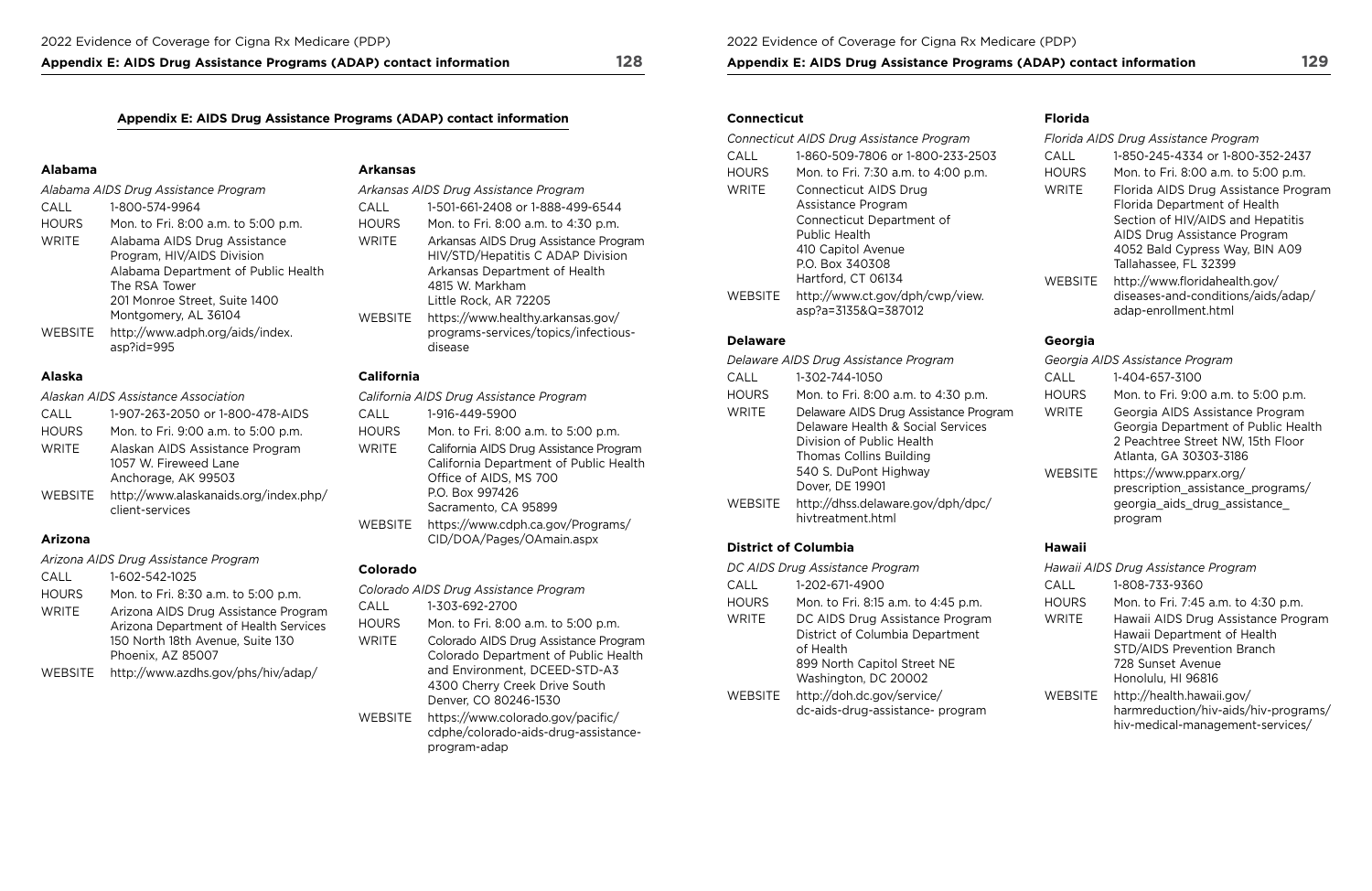Appendix E: AIDS Drug Assistance Programs (ADAP) contact information 128 Appendix E: AIDS Drug Assistance Programs (ADAP) contact information 129

## Appendix E: AIDS Drug Assistance Programs (ADAP) contact information **Connecticut** Connecticut **Florida**

|                                      |                                                                                                   |                                       |                                                                                                             | Connecticut AIDS Drug Assistance Program |                                                                         | Florida AIDS Drug Assistance Program |                                                                                         |
|--------------------------------------|---------------------------------------------------------------------------------------------------|---------------------------------------|-------------------------------------------------------------------------------------------------------------|------------------------------------------|-------------------------------------------------------------------------|--------------------------------------|-----------------------------------------------------------------------------------------|
| Alabama<br>Arkansas                  |                                                                                                   |                                       |                                                                                                             | CALL<br><b>HOURS</b>                     | 1-860-509-7806 or 1-800-233-2503<br>Mon. to Fri. 7:30 a.m. to 4:00 p.m. | CALL<br><b>HOURS</b>                 | 1-850-245-4334 or 1-800-352-2437<br>Mon. to Fri. 8:00 a.m. to 5:00 p.m.                 |
| Alabama AIDS Drug Assistance Program |                                                                                                   | Arkansas AIDS Drug Assistance Program |                                                                                                             | WRITE                                    | Connecticut AIDS Drug                                                   | WRITE                                | Florida AIDS Drug Assistance Prog                                                       |
| CALL                                 | 1-800-574-9964                                                                                    | CALL                                  | 1-501-661-2408 or 1-888-499-6544                                                                            |                                          | Assistance Program                                                      |                                      | Florida Department of Health                                                            |
| <b>HOURS</b>                         | Mon. to Fri. 8:00 a.m. to 5:00 p.m.                                                               | <b>HOURS</b>                          | Mon. to Fri. 8:00 a.m. to 4:30 p.m.                                                                         |                                          | Connecticut Department of                                               |                                      | Section of HIV/AIDS and Hepatitis                                                       |
| WRITE                                | Alabama AIDS Drug Assistance<br>Program, HIV/AIDS Division<br>Alabama Department of Public Health | <b>WRITE</b>                          | Arkansas AIDS Drug Assistance Program<br>HIV/STD/Hepatitis C ADAP Division<br>Arkansas Department of Health |                                          | Public Health<br>410 Capitol Avenue<br>P.O. Box 340308                  |                                      | AIDS Drug Assistance Program<br>4052 Bald Cypress Way, BIN A09<br>Tallahassee, FL 32399 |
|                                      | The RSA Tower                                                                                     |                                       | 4815 W. Markham                                                                                             |                                          | Hartford, CT 06134                                                      | WEBSITE                              | http://www.floridahealth.gov/                                                           |
|                                      | 201 Monroe Street, Suite 1400                                                                     |                                       | Little Rock, AR 72205                                                                                       | WEBSITE                                  | http://www.ct.gov/dph/cwp/view.                                         |                                      | diseases-and-conditions/aids/adap                                                       |
|                                      | Montgomery, AL 36104                                                                              | <b>WERSITE</b>                        | https://www.healthy.arkansas.gov/                                                                           |                                          | asp?a=3135&Q=387012                                                     |                                      | adap-enrollment.html                                                                    |

|                                      |                                                                                                   |                |                                                                                                             | Connecticut AIDS Drug Assistance Program |                                                        | Florida AIDS Drug Assistance Program |                                                                                         |
|--------------------------------------|---------------------------------------------------------------------------------------------------|----------------|-------------------------------------------------------------------------------------------------------------|------------------------------------------|--------------------------------------------------------|--------------------------------------|-----------------------------------------------------------------------------------------|
|                                      |                                                                                                   |                |                                                                                                             | CALL                                     | 1-860-509-7806 or 1-800-233-2503                       | CALL                                 | 1-850-245-4334 or 1-800-352-2437                                                        |
| Alabama                              |                                                                                                   | Arkansas       | <b>HOURS</b>                                                                                                |                                          | Mon. to Fri. 7:30 a.m. to 4:00 p.m.                    | <b>HOURS</b><br><b>WRITE</b>         | Mon. to Fri. 8:00 a.m. to 5:00 p.m.<br>Florida AIDS Drug Assistance Program             |
| Alabama AIDS Drug Assistance Program |                                                                                                   |                | Arkansas AIDS Drug Assistance Program<br><b>WRITE</b>                                                       |                                          | Connecticut AIDS Drug                                  |                                      |                                                                                         |
| <b>CALL</b>                          | 1-800-574-9964                                                                                    | CALL           | 1-501-661-2408 or 1-888-499-6544                                                                            |                                          | Assistance Program                                     |                                      | Florida Department of Health                                                            |
| <b>HOURS</b>                         | Mon. to Fri. 8:00 a.m. to 5:00 p.m.                                                               | <b>HOURS</b>   | Mon. to Fri. 8:00 a.m. to 4:30 p.m.                                                                         |                                          | Connecticut Department of                              |                                      | Section of HIV/AIDS and Hepatitis                                                       |
| WRITE                                | Alabama AIDS Drug Assistance<br>Program, HIV/AIDS Division<br>Alabama Department of Public Health | WRITE          | Arkansas AIDS Drug Assistance Program<br>HIV/STD/Hepatitis C ADAP Division<br>Arkansas Department of Health |                                          | Public Health<br>410 Capitol Avenue<br>P.O. Box 340308 |                                      | AIDS Drug Assistance Program<br>4052 Bald Cypress Way, BIN A09<br>Tallahassee, FL 32399 |
|                                      | The RSA Tower                                                                                     |                | 4815 W. Markham                                                                                             |                                          | Hartford, CT 06134                                     | WEBSITE                              | http://www.floridahealth.gov/                                                           |
|                                      | 201 Monroe Street, Suite 1400                                                                     |                | Little Rock, AR 72205                                                                                       | WEBSITE                                  | http://www.ct.gov/dph/cwp/view.                        |                                      | diseases-and-conditions/aids/adap/                                                      |
|                                      | Montgomery AL 36104                                                                               | <i>WERCITE</i> | $http://www.hoslthVarkancesc0$                                                                              |                                          | asp?a=3135&Q=387012                                    |                                      | adap-enrollment.html                                                                    |

| Alabama AIDS Drug Assistance Program |                                                                                                                                                                                                                                      | Arkansas AIDS Drug Assistance Program           |                                                                                                                                                                                                                                                                         | <b>WRITE</b>                          | <b>Connecticut AIDS Drug</b>                                                                                                                                                                     | <b>WRITE</b>                    | Florida AIDS Drug Assistance                                                                                                                                                                                                                    |
|--------------------------------------|--------------------------------------------------------------------------------------------------------------------------------------------------------------------------------------------------------------------------------------|-------------------------------------------------|-------------------------------------------------------------------------------------------------------------------------------------------------------------------------------------------------------------------------------------------------------------------------|---------------------------------------|--------------------------------------------------------------------------------------------------------------------------------------------------------------------------------------------------|---------------------------------|-------------------------------------------------------------------------------------------------------------------------------------------------------------------------------------------------------------------------------------------------|
| <b>CALL</b><br><b>HOURS</b><br>WRITE | 1-800-574-9964<br>Mon. to Fri. 8:00 a.m. to 5:00 p.m.<br>Alabama AIDS Drug Assistance<br>Program, HIV/AIDS Division<br>Alabama Department of Public Health<br>The RSA Tower<br>201 Monroe Street, Suite 1400<br>Montgomery, AL 36104 | CALL<br><b>HOURS</b><br><b>WRITE</b><br>WEBSITE | 1-501-661-2408 or 1-888-499-6544<br>Mon. to Fri. 8:00 a.m. to 4:30 p.m.<br>Arkansas AIDS Drug Assistance Program<br>HIV/STD/Hepatitis C ADAP Division<br>Arkansas Department of Health<br>4815 W. Markham<br>Little Rock, AR 72205<br>https://www.healthy.arkansas.gov/ | <b>WEBSITE</b>                        | Assistance Program<br>Connecticut Department of<br><b>Public Health</b><br>410 Capitol Avenue<br>P.O. Box 340308<br>Hartford, CT 06134<br>http://www.ct.gov/dph/cwp/view.<br>asp?a=3135&Q=387012 | WEBSITE                         | Florida Department of Health<br>Section of HIV/AIDS and Hepa<br>AIDS Drug Assistance Prograr<br>4052 Bald Cypress Way, BIN A<br>Tallahassee, FL 32399<br>http://www.floridahealth.gov/<br>diseases-and-conditions/aids/<br>adap-enrollment.html |
| WEBSITE                              | http://www.adph.org/aids/index.<br>asp?id=995                                                                                                                                                                                        |                                                 | programs-services/topics/infectious-<br>disease                                                                                                                                                                                                                         | <b>Delaware</b>                       |                                                                                                                                                                                                  | Georgia                         |                                                                                                                                                                                                                                                 |
|                                      |                                                                                                                                                                                                                                      |                                                 |                                                                                                                                                                                                                                                                         | Delaware AIDS Drug Assistance Program |                                                                                                                                                                                                  | Georgia AIDS Assistance Program |                                                                                                                                                                                                                                                 |

*California AIDS Drug Assistance Program* HOURS WRITE WEBSITE [https://www.cdph.ca.gov/Programs/](https://www.cdph.ca.gov/Programs/CID/DOA/Pages/OAmain.aspx)  Mon. to Fri. 8:00 a.m. to 5:00 p.m. California AIDS Drug Assistance Program California Department of Public Health Office of AIDS, MS 700 P.O. Box 997426 Sacramento, CA 95899 **Arizona [CID/DOA/Pages/OAmain.aspx](https://www.cdph.ca.gov/Programs/CID/DOA/Pages/OAmain.aspx) District of Columbia Hawaii** 

|              | Alabama AIDS Drug Assistance Program                                                                               | Arkansas       |
|--------------|--------------------------------------------------------------------------------------------------------------------|----------------|
| <b>CALL</b>  | 1-800-574-9964                                                                                                     | CALL           |
| <b>HOURS</b> | Mon. to Fri. 8:00 a.m. to 5:00 p.m.                                                                                | <b>HOURS</b>   |
| <b>WRITE</b> | Alabama AIDS Drug Assistance<br>Program, HIV/AIDS Division<br>Alabama Department of Public Health<br>The RSA Tower | WRITE          |
|              | 201 Monroe Street, Suite 1400<br>Montgomery, AL 36104                                                              | <b>WEBSITE</b> |
| WEBSITE      | http://www.adph.org/aids/index.<br>asp?id=995                                                                      |                |

| Alaskan AIDS Assistance Association |                                                                                 |  |  |  |
|-------------------------------------|---------------------------------------------------------------------------------|--|--|--|
| CALL                                | 1-907-263-2050 or 1-800-478-AIDS                                                |  |  |  |
| <b>HOURS</b>                        | Mon. to Fri. 9:00 a.m. to 5:00 p.m.                                             |  |  |  |
| <b>WRITE</b>                        | Alaskan AIDS Assistance Program<br>1057 W. Fireweed Lane<br>Anchorage, AK 99503 |  |  |  |
| WEBSITE                             | http://www.alaskanaids.org/index.php/<br>client-services                        |  |  |  |

|                                     |                                                                                                                                                               |                                         |                                                                                                        | Delaware AIDS Drug Assistance Program                                                                                           |                                                                                                         | Georgia AIDS Assistance Program |                                                                     |
|-------------------------------------|---------------------------------------------------------------------------------------------------------------------------------------------------------------|-----------------------------------------|--------------------------------------------------------------------------------------------------------|---------------------------------------------------------------------------------------------------------------------------------|---------------------------------------------------------------------------------------------------------|---------------------------------|---------------------------------------------------------------------|
| <b>Alaska</b>                       |                                                                                                                                                               | California                              |                                                                                                        | CALL                                                                                                                            | 1-302-744-1050                                                                                          | CALL                            | 1-404-657-3100                                                      |
| Alaskan AIDS Assistance Association |                                                                                                                                                               | California AIDS Drug Assistance Program |                                                                                                        | <b>HOURS</b>                                                                                                                    | Mon. to Fri. 8:00 a.m. to 4:30 p.m.                                                                     | <b>HOURS</b>                    | Mon. to Fri. 9:00 a.m. to 5:00 p.m.                                 |
| CALL<br><b>HOURS</b>                | 1-907-263-2050 or 1-800-478-AIDS<br>Mon. to Fri. 9:00 a.m. to 5:00 p.m.                                                                                       | CALL<br><b>HOURS</b>                    | 1-916-449-5900<br>Mon. to Fri. 8:00 a.m. to 5:00 p.m.                                                  | WRITE                                                                                                                           | Delaware AIDS Drug Assistance Program<br>Delaware Health & Social Services                              | WRITE                           | Georgia AIDS Assistance Program<br>Georgia Department of Public Hea |
| WRITE                               | California AIDS Drug Assistance Program<br>Alaskan AIDS Assistance Program<br><b>WRITE</b><br>California Department of Public Health<br>1057 W. Fireweed Lane |                                         | Division of Public Health<br>Thomas Collins Building                                                   |                                                                                                                                 | 2 Peachtree Street NW, 15th Floor<br>Atlanta, GA 30303-3186                                             |                                 |                                                                     |
| WEBSITE                             | Anchorage, AK 99503<br>http://www.alaskanaids.org/index.php/<br>client-services                                                                               | <b>WEBSITE</b>                          | Office of AIDS, MS 700<br>P.O. Box 997426<br>Sacramento, CA 95899<br>https://www.cdph.ca.gov/Programs/ | 540 S. DuPont Highway<br><b>WEBSITE</b><br>Dover, DE 19901<br>http://dhss.delaware.gov/dph/dpc/<br>WEBSITE<br>hivtreatment.html | https://www.pparx.org/<br>prescription_assistance_programs/<br>georgia_aids_drug_assistance_<br>program |                                 |                                                                     |
|                                     |                                                                                                                                                               |                                         |                                                                                                        |                                                                                                                                 |                                                                                                         |                                 |                                                                     |

|                | Georgia AIDS Assistance Program                                                                                                       |
|----------------|---------------------------------------------------------------------------------------------------------------------------------------|
| CALL           | 1-404-657-3100                                                                                                                        |
| <b>HOURS</b>   | Mon. to Fri. 9:00 a.m. to 5:00 p.m.                                                                                                   |
| <b>WRITE</b>   | Georgia AIDS Assistance Program<br>Georgia Department of Public Health<br>2 Peachtree Street NW, 15th Floor<br>Atlanta, GA 30303-3186 |
| <b>WEBSITE</b> | https://www.pparx.org/<br>prescription assistance programs/<br>georgia_aids_drug_assistance_<br>program                               |

|              | Arizona AIDS Drug Assistance Program                                                                                                   |
|--------------|----------------------------------------------------------------------------------------------------------------------------------------|
| CALL         | 1-602-542-1025                                                                                                                         |
| <b>HOURS</b> | Mon. to Fri. 8:30 a.m. to 5:00 p.m.                                                                                                    |
| <b>WRITE</b> | Arizona AIDS Drug Assistance Program<br>Arizona Department of Health Services<br>150 North 18th Avenue, Suite 130<br>Phoenix, AZ 85007 |
| WEBSITE      | http://www.azdhs.gov/phs/hiv/adap/                                                                                                     |

## **Colorado**

|                | Colorado AIDS Drug Assistance Program                                                                                                                                    |
|----------------|--------------------------------------------------------------------------------------------------------------------------------------------------------------------------|
| <b>CALL</b>    | 1-303-692-2700                                                                                                                                                           |
| <b>HOURS</b>   | Mon. to Fri. 8:00 a.m. to 5:00 p.m.                                                                                                                                      |
| <b>WRITE</b>   | Colorado AIDS Drug Assistance Program<br>Colorado Department of Public Health<br>and Environment, DCEED-STD-A3<br>4300 Cherry Creek Drive South<br>Denver, CO 80246-1530 |
| <b>WEBSITE</b> | https://www.colorado.gov/pacific/<br>cdphe/colorado-aids-drug-assistance-                                                                                                |

| DC AIDS Drug Assistance Program                                                 |
|---------------------------------------------------------------------------------|
| 1-202-671-4900                                                                  |
| Mon. to Fri. 8:15 a.m. to 4:45 p.m.                                             |
| DC AIDS Drug Assistance Program<br>District of Columbia Department<br>of Health |
| 899 North Capitol Street NE<br>Washington, DC 20002                             |
| http://doh.dc.gov/service/<br>dc-aids-drug-assistance- program                  |
|                                                                                 |

|                | Hawaii AIDS Drug Assistance Program                                                                                                         |
|----------------|---------------------------------------------------------------------------------------------------------------------------------------------|
| CALL           | 1-808-733-9360                                                                                                                              |
| <b>HOURS</b>   | Mon. to Fri. 7:45 a.m. to 4:30 p.m.                                                                                                         |
| <b>WRITE</b>   | Hawaii AIDS Drug Assistance Program<br>Hawaii Department of Health<br>STD/AIDS Prevention Branch<br>728 Sunset Avenue<br>Honolulu, HI 96816 |
| <b>WEBSITE</b> | http://health.hawaii.gov/<br>harmreduction/hiv-aids/hiv-programs/<br>hiv-medical-management-services/                                       |

[program-adap](https://www.colorado.gov/pacific/cdphe/colorado‑aids‑drug‑assistance‑program‑adap)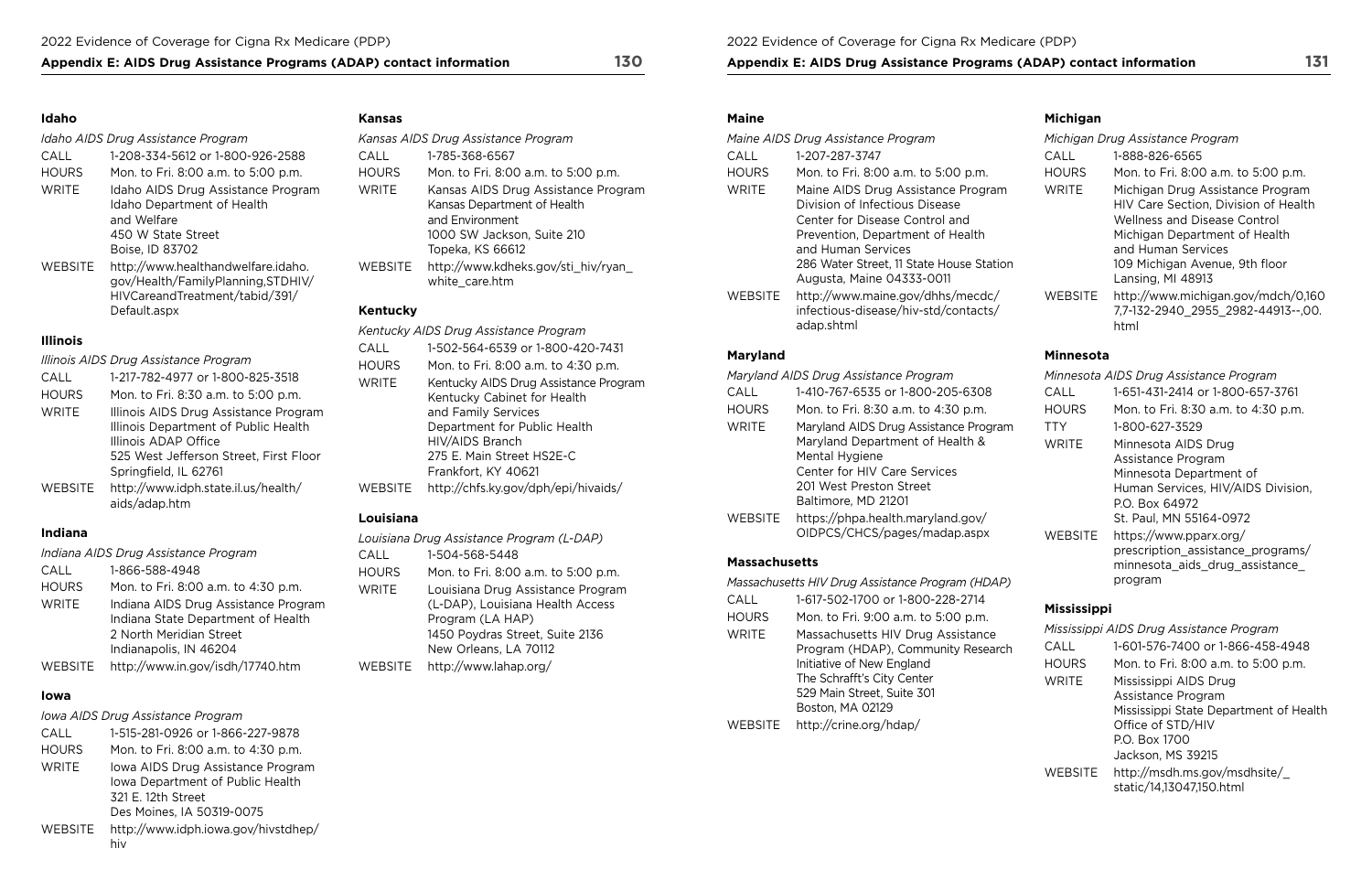## Appendix E: AIDS Drug Assistance Programs (ADAP) contact information 130 Appendix E: AIDS Drug Assistance Programs (ADAP) contact information 131

## **Idaho**

### *Idaho AIDS Drug Assistance Program*

| CALL           | 1-208-334-5612 or 1-800-926-2588                                        |
|----------------|-------------------------------------------------------------------------|
| <b>HOURS</b>   | Mon. to Fri. 8:00 a.m. to 5:00 p.m.                                     |
| <b>WRITE</b>   | Idaho AIDS Drug Assistance Program                                      |
|                | Idaho Department of Health                                              |
|                | and Welfare                                                             |
|                | 450 W State Street                                                      |
|                | Boise, ID 83702                                                         |
| <b>WEBSITE</b> | http://www.healthandwelfare.idaho.<br>gov/Health/FamilyPlanning,STDHIV/ |
|                | HIVCareandTreatment/tabid/391/                                          |

# [Default.aspx](http://www.healthandwelfare.idaho.gov/Health/FamilyPlanning,STDHIV/HIVCareandTreatment/tabid/391/Default.aspx)

## **Illinois**

|                | Illinois AIDS Drug Assistance Program                                                                                                                                    |
|----------------|--------------------------------------------------------------------------------------------------------------------------------------------------------------------------|
| CALL           | 1-217-782-4977 or 1-800-825-3518                                                                                                                                         |
| <b>HOURS</b>   | Mon. to Fri. 8:30 a.m. to 5:00 p.m.                                                                                                                                      |
| <b>WRITE</b>   | Illinois AIDS Drug Assistance Program<br>Illinois Department of Public Health<br>Illinois ADAP Office<br>525 West Jefferson Street, First Floor<br>Springfield, IL 62761 |
| <b>WEBSITE</b> | http://www.idph.state.il.us/health/<br>aids/adap.htm                                                                                                                     |

## **Indiana**

|              | Indiana AIDS Drug Assistance Program |
|--------------|--------------------------------------|
| CALL         | 1-866-588-4948                       |
| <b>HOURS</b> | Mon. to Fri. 8:00 a.m. to 4:30 p.m.  |
| <b>WRITE</b> | Indiana AIDS Drug Assistance Program |
|              | Indiana State Department of Health   |
|              | 2 North Meridian Street              |
|              | Indianapolis, IN 46204               |
| WEBSITE      | http://www.in.gov/isdh/17740.htm     |

## **Iowa**

## *Iowa AIDS Drug Assistance Program*

| CALL           | 1-515-281-0926 or 1-866-227-9878                                                            |
|----------------|---------------------------------------------------------------------------------------------|
| <b>HOURS</b>   | Mon. to Fri. 8:00 a.m. to 4:30 p.m.                                                         |
| <b>WRITE</b>   | Iowa AIDS Drug Assistance Program<br>Iowa Department of Public Health<br>321 E. 12th Street |
|                | Des Moines, IA 50319-0075                                                                   |
| <b>WEBSITE</b> | http://www.idph.iowa.gov/hivstdhep/<br>hiv                                                  |

## **Kansas**

|                | Kansas AIDS Drug Assistance Program                                                                                                                                                                |  |  |
|----------------|----------------------------------------------------------------------------------------------------------------------------------------------------------------------------------------------------|--|--|
| CALL           | 1-785-368-6567                                                                                                                                                                                     |  |  |
| <b>HOURS</b>   | Mon. to Fri. 8:00 a.m. to 5:00 p.m.                                                                                                                                                                |  |  |
| <b>WRITE</b>   | Kansas AIDS Drug Assistance Program<br>Kansas Department of Health<br>and Environment<br>1000 SW Jackson, Suite 210<br>Topeka, KS 66612                                                            |  |  |
| <b>WEBSITE</b> | http://www.kdheks.gov/sti_hiv/ryan_<br>white_care.htm                                                                                                                                              |  |  |
| Kentucky       |                                                                                                                                                                                                    |  |  |
|                | Kentucky AIDS Drug Assistance Program                                                                                                                                                              |  |  |
| CALL           | 1-502-564-6539 or 1-800-420-7431                                                                                                                                                                   |  |  |
| <b>HOURS</b>   | Mon. to Fri. 8:00 a.m. to 4:30 p.m.                                                                                                                                                                |  |  |
| <b>WRITE</b>   | Kentucky AIDS Drug Assistance Program<br>Kentucky Cabinet for Health<br>and Family Services<br>Department for Public Health<br>HIV/AIDS Branch<br>275 E. Main Street HS2E-C<br>Frankfort, KY 40621 |  |  |

WEBSITE <http://chfs.ky.gov/dph/epi/hivaids/>

## **Louisiana**

| Louisiana Drug Assistance Program (L-DAP) |                                                                                                                                                       |
|-------------------------------------------|-------------------------------------------------------------------------------------------------------------------------------------------------------|
| CALL                                      | 1-504-568-5448                                                                                                                                        |
| <b>HOURS</b>                              | Mon. to Fri. 8:00 a.m. to 5:00 p.m.                                                                                                                   |
| <b>WRITE</b>                              | Louisiana Drug Assistance Program<br>(L-DAP), Louisiana Health Access<br>Program (LA HAP)<br>1450 Poydras Street, Suite 2136<br>New Orleans, LA 70112 |
| WEBSITE                                   | http://www.lahap.org/                                                                                                                                 |

### **Maine**

|          | <i>Maine AIDS Drug Assistance Program</i>                                              |
|----------|----------------------------------------------------------------------------------------|
| CALL     | 1-207-287-3747                                                                         |
| HOURS    | Mon. to Fri. 8:00 a.m. to 5:00 p.m.                                                    |
| WRITE    | Maine AIDS Drug Assistance Program                                                     |
|          | Division of Infectious Disease                                                         |
|          | Center for Disease Control and                                                         |
|          | Prevention, Department of Health                                                       |
|          | and Human Services                                                                     |
|          | 286 Water Street, 11 State House Station<br>Augusta, Maine 04333-0011                  |
| WEBSITE  | http://www.maine.gov/dhhs/mecdc/<br>infectious-disease/hiv-std/contacts/<br>adap.shtml |
| Marviand |                                                                                        |

## **Maryland**

| Maryland AIDS Drug Assistance Program |                                                                                            |  |
|---------------------------------------|--------------------------------------------------------------------------------------------|--|
| CALL                                  | 1-410-767-6535 or 1-800-205-6308                                                           |  |
| HOURS                                 | Mon. to Fri. 8:30 a.m. to 4:30 p.m.                                                        |  |
| WRITE                                 | Maryland AIDS Drug Assistance Program<br>Maryland Department of Health &<br>Mental Hygiene |  |
|                                       | <b>Center for HIV Care Services</b><br>201 West Preston Street<br>Baltimore, MD 21201      |  |
| WEBSITE                               | https://phpa.health.maryland.gov/<br>OIDPCS/CHCS/pages/madap.aspx                          |  |

## **Massachusetts**

| Massachusetts HIV Drug Assistance Program (HDAP) |                                                                                                                                                                                      |
|--------------------------------------------------|--------------------------------------------------------------------------------------------------------------------------------------------------------------------------------------|
| CALL                                             | 1-617-502-1700 or 1-800-228-2714                                                                                                                                                     |
| <b>HOURS</b>                                     | Mon. to Fri. 9:00 a.m. to 5:00 p.m.                                                                                                                                                  |
| WRITE                                            | Massachusetts HIV Drug Assistance<br>Program (HDAP), Community Research<br>Initiative of New England<br>The Schrafft's City Center<br>529 Main Street, Suite 301<br>Boston, MA 02129 |
| <b>WEBSITE</b>                                   | http://crine.org/hdap/                                                                                                                                                               |

## **Michigan**

| Michigan Drug Assistance Program |                                                                                  |
|----------------------------------|----------------------------------------------------------------------------------|
| CALL                             | 1-888-826-6565                                                                   |
| <b>HOURS</b>                     | Mon. to Fri. 8:00 a.m. to 5:00 p.m.                                              |
| <b>WRITE</b>                     | Michigan Drug Assistance Program                                                 |
|                                  | HIV Care Section, Division of Health                                             |
|                                  | Wellness and Disease Control                                                     |
|                                  | Michigan Department of Health                                                    |
|                                  | and Human Services                                                               |
|                                  | 109 Michigan Avenue, 9th floor                                                   |
|                                  | Lansing, MI 48913                                                                |
| <b>WEBSITE</b>                   | http://www.michigan.gov/mdch/0,160<br>7,7-132-2940 2955 2982-44913--,00.<br>html |

## **Minnesota**

|                | Minnesota AIDS Drug Assistance Program |
|----------------|----------------------------------------|
| CALL           | 1-651-431-2414 or 1-800-657-3761       |
| <b>HOURS</b>   | Mon. to Fri. 8:30 a.m. to 4:30 p.m.    |
| <b>TTY</b>     | 1-800-627-3529                         |
| <b>WRITE</b>   | Minnesota AIDS Drug                    |
|                | Assistance Program                     |
|                | Minnesota Department of                |
|                | Human Services, HIV/AIDS Division,     |
|                | P.O. Box 64972                         |
|                | St. Paul, MN 55164-0972                |
| <b>WEBSITE</b> | https://www.pparx.org/                 |
|                | prescription_assistance_programs/      |
|                | minnesota aids drug assistance         |
|                | program                                |

## **Mississippi**

|                | Mississippi AIDS Drug Assistance Program                 |
|----------------|----------------------------------------------------------|
| CALL           | 1-601-576-7400 or 1-866-458-4948                         |
| <b>HOURS</b>   | Mon. to Fri. 8:00 a.m. to 5:00 p.m.                      |
| <b>WRITE</b>   | Mississippi AIDS Drug                                    |
|                | Assistance Program                                       |
|                | Mississippi State Department of Health                   |
|                | Office of STD/HIV                                        |
|                | P.O. Box 1700                                            |
|                | Jackson, MS 39215                                        |
| <b>WEBSITE</b> | http://msdh.ms.gov/msdhsite/<br>static/14,13047,150.html |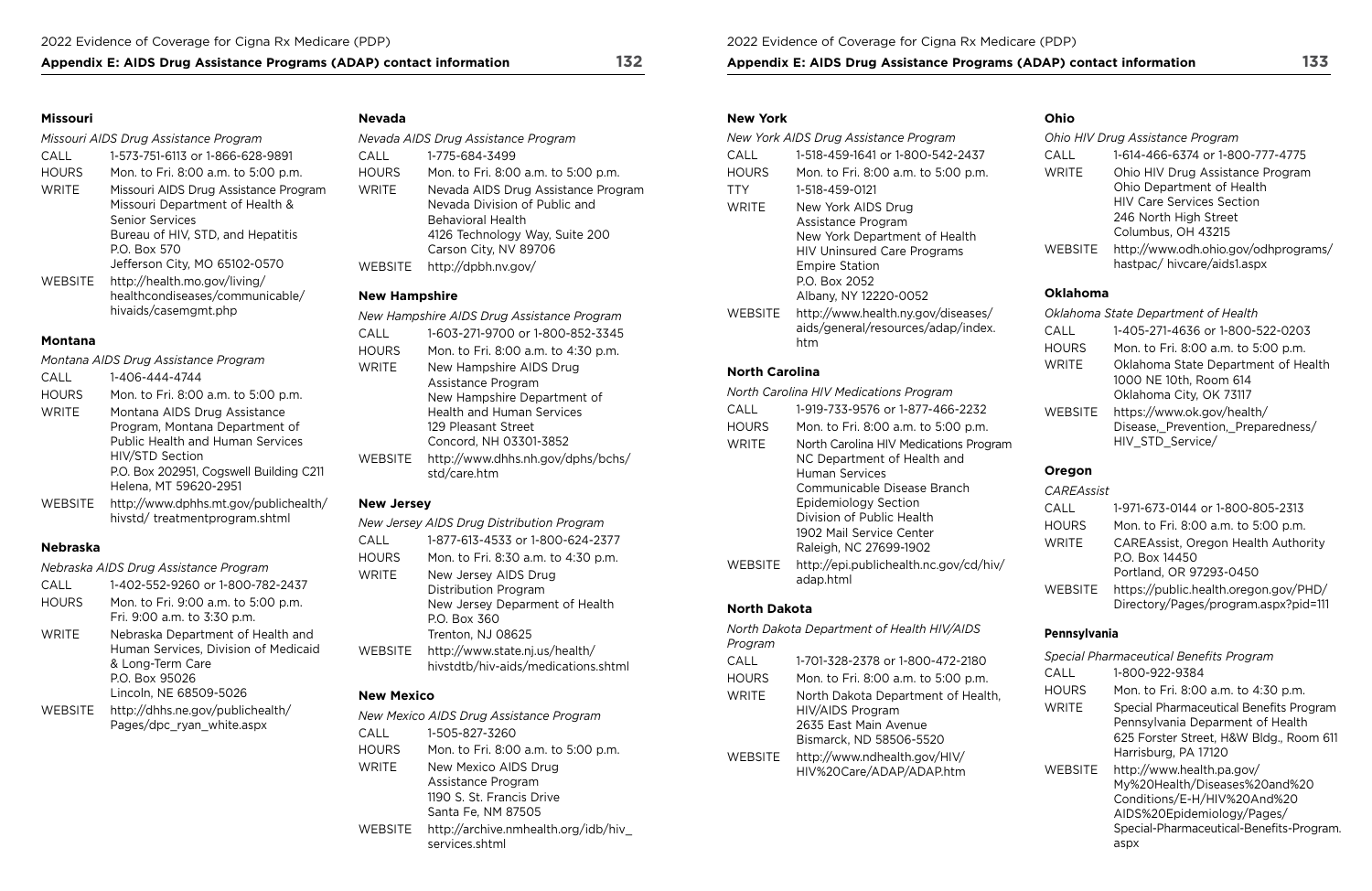## Appendix E: AIDS Drug Assistance Programs (ADAP) contact information 132 Appendix E: AIDS Drug Assistance Programs (ADAP) contact information 133

### **Missouri**

### *Missouri AIDS Drug Assistance Program*

| CALL           | 1-573-751-6113 or 1-866-628-9891      |
|----------------|---------------------------------------|
| <b>HOURS</b>   | Mon. to Fri. 8:00 a.m. to 5:00 p.m.   |
| <b>WRITE</b>   | Missouri AIDS Drug Assistance Program |
|                | Missouri Department of Health &       |
|                | <b>Senior Services</b>                |
|                | Bureau of HIV, STD, and Hepatitis     |
|                | P.O. Box 570                          |
|                | Jefferson City, MO 65102-0570         |
| <b>WEBSITE</b> | http://health.mo.gov/living/          |
|                | healthcondiseases/communicable/       |
|                | hivaids/casemgmt.php                  |
|                |                                       |

### **Montana**

| Montana AIDS Drug Assistance Program |                                                                        |
|--------------------------------------|------------------------------------------------------------------------|
| CALL                                 | 1-406-444-4744                                                         |
| <b>HOURS</b>                         | Mon. to Fri. 8:00 a.m. to 5:00 p.m.                                    |
| <b>WRITE</b>                         | Montana AIDS Drug Assistance                                           |
|                                      | Program, Montana Department of                                         |
|                                      | <b>Public Health and Human Services</b>                                |
|                                      | HIV/STD Section                                                        |
|                                      | P.O. Box 202951, Cogswell Building C211                                |
|                                      | Helena, MT 59620-2951                                                  |
| WEBSITE                              | http://www.dphhs.mt.gov/publichealth/<br>hivstd/treatmentprogram.shtml |

## **Nebraska**

*Nebraska AIDS Drug Assistance Program* 

| CALL         | 1-402-552-9260 or 1-800-782-2437                                                                                                          |
|--------------|-------------------------------------------------------------------------------------------------------------------------------------------|
| <b>HOURS</b> | Mon. to Fri. 9:00 a.m. to 5:00 p.m.<br>Fri. 9:00 a.m. to 3:30 p.m.                                                                        |
| <b>WRITE</b> | Nebraska Department of Health and<br>Human Services, Division of Medicaid<br>& Long-Term Care<br>P.O. Box 95026<br>Lincoln, NE 68509-5026 |
| WEBSITE      | http://dhhs.ne.gov/publichealth/<br>Pages/dpc_ryan_white.aspx                                                                             |

## **Nevada**

| Nevada AIDS Drug Assistance Program |                                                                                                                                                      |
|-------------------------------------|------------------------------------------------------------------------------------------------------------------------------------------------------|
| CALL                                | 1-775-684-3499                                                                                                                                       |
| <b>HOURS</b>                        | Mon. to Fri. 8:00 a.m. to 5:00 p.m.                                                                                                                  |
| WRITE                               | Nevada AIDS Drug Assistance Program<br>Nevada Division of Public and<br>Behavioral Health<br>4126 Technology Way, Suite 200<br>Carson City, NV 89706 |
| WEBSITE                             | http://dpbh.nv.gov/                                                                                                                                  |
|                                     |                                                                                                                                                      |

## **New Hampshire**

|         | New Hampshire AIDS Drug Assistance Program        |
|---------|---------------------------------------------------|
| CALL    | 1-603-271-9700 or 1-800-852-3345                  |
| HOURS   | Mon. to Fri. 8:00 a.m. to 4:30 p.m.               |
| WRITE   | New Hampshire AIDS Drug                           |
|         | Assistance Program                                |
|         | New Hampshire Department of                       |
|         | <b>Health and Human Services</b>                  |
|         | 129 Pleasant Street                               |
|         | Concord, NH 03301-3852                            |
| WEBSITE | http://www.dhhs.nh.gov/dphs/bchs/<br>std/care.htm |

### **New Jersey**

|              | New Jersey AIDS Drug Distribution Program                             |
|--------------|-----------------------------------------------------------------------|
| CALL         | 1-877-613-4533 or 1-800-624-2377                                      |
| <b>HOURS</b> | Mon. to Fri. 8:30 a.m. to 4:30 p.m.                                   |
| WRITE        | New Jersey AIDS Drug                                                  |
|              | Distribution Program                                                  |
|              | New Jersey Deparment of Health                                        |
|              | P.O. Box 360                                                          |
|              | Trenton, NJ 08625                                                     |
| WEBSITE      | http://www.state.nj.us/health/<br>hivstdtb/hiv-aids/medications.shtml |
|              |                                                                       |

## **New Mexico**

|                | New Mexico AIDS Drug Assistance Program                                                       |
|----------------|-----------------------------------------------------------------------------------------------|
| CALL           | 1-505-827-3260                                                                                |
| <b>HOURS</b>   | Mon. to Fri. 8:00 a.m. to 5:00 p.m.                                                           |
| <b>WRITE</b>   | New Mexico AIDS Drug<br>Assistance Program<br>1190 S. St. Francis Drive<br>Santa Fe, NM 87505 |
| <b>WEBSITE</b> | http://archive.nmhealth.org/idb/hiv<br>services.shtml                                         |

### **New York**

| New York AIDS Drug Assistance Program                                           |
|---------------------------------------------------------------------------------|
| 1-518-459-1641 or 1-800-542-2437                                                |
| Mon. to Fri. 8:00 a.m. to 5:00 p.m.                                             |
| 1-518-459-0121                                                                  |
| New York AIDS Drug                                                              |
| Assistance Program                                                              |
| New York Department of Health                                                   |
| <b>HIV Uninsured Care Programs</b>                                              |
| <b>Empire Station</b>                                                           |
| P.O. Box 2052                                                                   |
| Albany, NY 12220-0052                                                           |
| http://www.health.ny.gov/diseases/<br>aids/general/resources/adap/index.<br>htm |
|                                                                                 |

## **North Carolina**

|                | North Carolina HIV Medications Program                                |
|----------------|-----------------------------------------------------------------------|
| CALL           | 1-919-733-9576 or 1-877-466-2232                                      |
| HOURS          | Mon. to Fri. 8:00 a.m. to 5:00 p.m.                                   |
| WRITE          | North Carolina HIV Medications Program<br>NC Department of Health and |
|                | Human Services                                                        |
|                | Communicable Disease Branch                                           |
|                | <b>Epidemiology Section</b>                                           |
|                | Division of Public Health                                             |
|                | 1902 Mail Service Center                                              |
|                | Raleigh, NC 27699-1902                                                |
| <b>WEBSITE</b> | http://epi.publichealth.nc.gov/cd/hiv/<br>adap.html                   |
|                |                                                                       |

## **North Dakota**

| Program      | North Dakota Department of Health HIV/AIDS                                                                 |
|--------------|------------------------------------------------------------------------------------------------------------|
| CALL         | 1-701-328-2378 or 1-800-472-2180                                                                           |
| <b>HOURS</b> | Mon. to Fri. 8:00 a.m. to 5:00 p.m.                                                                        |
| <b>WRITE</b> | North Dakota Department of Health,<br>HIV/AIDS Program<br>2635 East Main Avenue<br>Bismarck, ND 58506-5520 |
| WEBSITE      | http://www.ndhealth.gov/HIV/<br>HIV%20Care/ADAP/ADAP.htm                                                   |

## **Ohio**

| Ohio HIV Drug Assistance Program |                                                                    |
|----------------------------------|--------------------------------------------------------------------|
| CALL                             | 1-614-466-6374 or 1-800-777-4775                                   |
| <b>WRITE</b>                     | Ohio HIV Drug Assistance Program                                   |
|                                  | Ohio Department of Health                                          |
|                                  | <b>HIV Care Services Section</b>                                   |
|                                  | 246 North High Street                                              |
|                                  | Columbus, OH 43215                                                 |
| <b>WEBSITE</b>                   | http://www.odh.ohio.gov/odhprograms/<br>hastpac/hivcare/aids1.aspx |

## **Oklahoma**

|                | Oklahoma State Department of Health                                                      |
|----------------|------------------------------------------------------------------------------------------|
| CALL           | 1-405-271-4636 or 1-800-522-0203                                                         |
| <b>HOURS</b>   | Mon. to Fri. 8:00 a.m. to 5:00 p.m.                                                      |
| <b>WRITE</b>   | Oklahoma State Department of Health<br>1000 NE 10th, Room 614<br>Oklahoma City, OK 73117 |
| <b>WEBSITE</b> | https://www.ok.gov/health/<br>Disease, Prevention, Preparedness/<br>HIV_STD_Service/     |

## **Oregon**

| <b>CAREAssist</b> |                                                                               |
|-------------------|-------------------------------------------------------------------------------|
| CALL              | 1-971-673-0144 or 1-800-805-2313                                              |
| <b>HOURS</b>      | Mon. to Fri. 8:00 a.m. to 5:00 p.m.                                           |
| <b>WRITE</b>      | <b>CAREAssist, Oregon Health Authority</b>                                    |
|                   | P.O. Box 14450                                                                |
|                   | Portland, OR 97293-0450                                                       |
| <b>WEBSITE</b>    | https://public.health.oregon.gov/PHD/<br>Directory/Pages/program.aspx?pid=111 |

## **Pennsylvania**

| Special Pharmaceutical Benefits Program |                                                                                                                                                                             |  |
|-----------------------------------------|-----------------------------------------------------------------------------------------------------------------------------------------------------------------------------|--|
| CALL                                    | 1-800-922-9384                                                                                                                                                              |  |
| <b>HOURS</b>                            | Mon. to Fri. 8:00 a.m. to 4:30 p.m.                                                                                                                                         |  |
| <b>WRITE</b>                            | Special Pharmaceutical Benefits Program<br>Pennsylvania Deparment of Health<br>625 Forster Street, H&W Bldg., Room 611<br>Harrisburg, PA 17120                              |  |
| <b>WEBSITE</b>                          | http://www.health.pa.gov/<br>My%20Health/Diseases%20and%20<br>Conditions/E-H/HIV%20And%20<br>AIDS%20Epidemiology/Pages/<br>Special-Pharmaceutical-Benefits-Program.<br>aspx |  |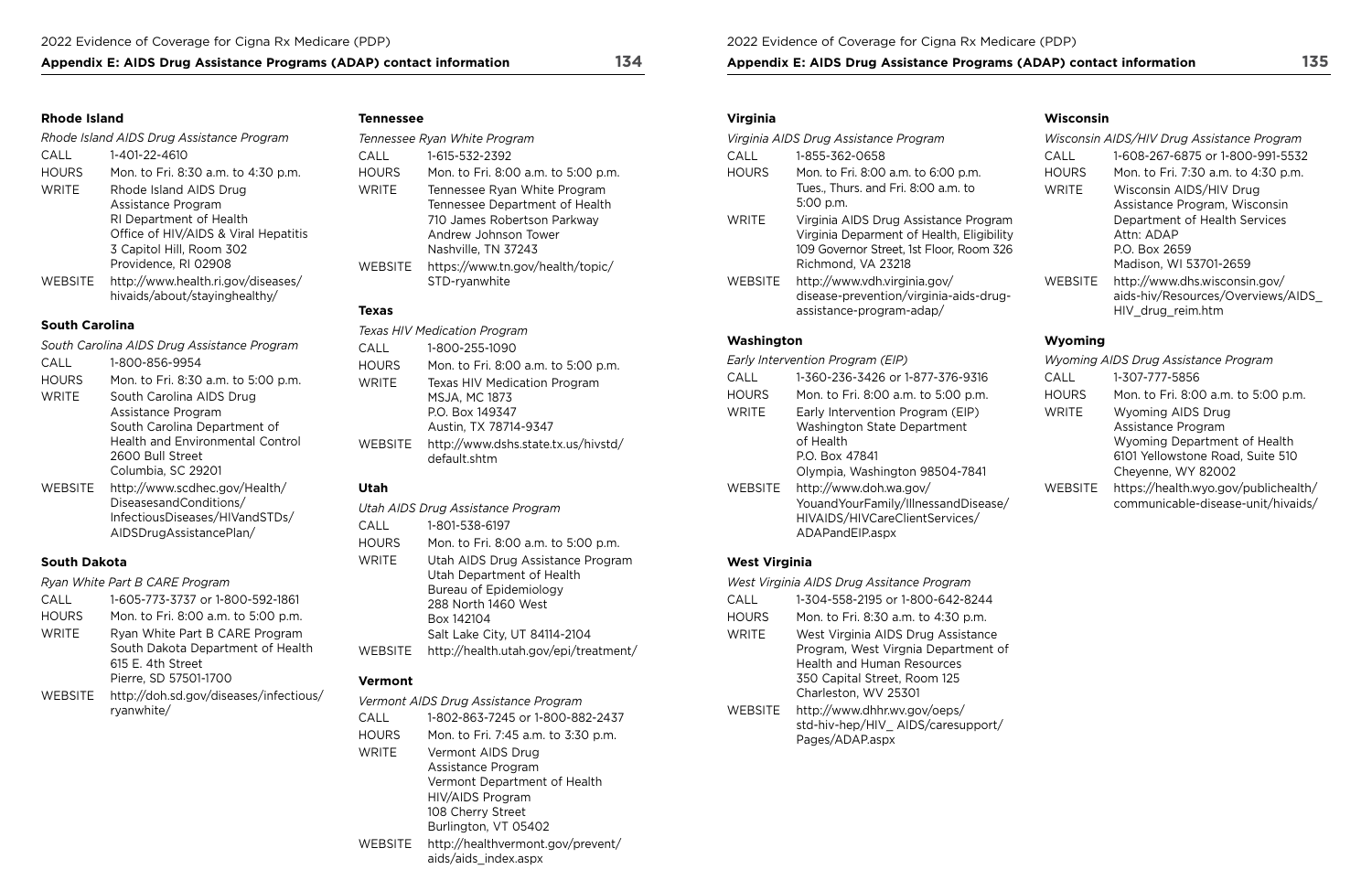## **Appendix E: AIDS Drug Assistance Programs (ADAP) contact information 134**

### **Rhode Island**

| Rhode Island AIDS Drug Assistance Program |                                                                     |  |
|-------------------------------------------|---------------------------------------------------------------------|--|
| CALL                                      | 1-401-22-4610                                                       |  |
| <b>HOURS</b>                              | Mon. to Fri. 8:30 a.m. to 4:30 p.m.                                 |  |
| <b>WRITE</b>                              | Rhode Island AIDS Drug                                              |  |
|                                           | Assistance Program                                                  |  |
|                                           | RI Department of Health                                             |  |
|                                           | Office of HIV/AIDS & Viral Hepatitis                                |  |
|                                           | 3 Capitol Hill, Room 302                                            |  |
|                                           | Providence, RI 02908                                                |  |
| <b>WEBSITE</b>                            | http://www.health.ri.gov/diseases/<br>hivaids/about/stayinghealthy/ |  |

## **South Carolina**

| South Carolina AIDS Drug Assistance Program |                                         |
|---------------------------------------------|-----------------------------------------|
| CALL                                        | 1-800-856-9954                          |
| <b>HOURS</b>                                | Mon. to Fri. 8:30 a.m. to 5:00 p.m.     |
| WRITE                                       | South Carolina AIDS Drug                |
|                                             | Assistance Program                      |
|                                             | South Carolina Department of            |
|                                             | <b>Health and Environmental Control</b> |
|                                             | 2600 Bull Street                        |
|                                             | Columbia, SC 29201                      |
| WEBSITE                                     | http://www.scdhec.gov/Health/           |
|                                             | DiseasesandConditions/                  |
|                                             | InfectiousDiseases/HIVandSTDs/          |

[AIDSDrugAssistancePlan/](http://www.scdhec.gov/Health/DiseasesandConditions/InfectiousDiseases/HIVandSTDs/AIDSDrugAssistancePlan/)

## **South Dakota**

|              | Ryan White Part B CARE Program                                                                                    |
|--------------|-------------------------------------------------------------------------------------------------------------------|
| CALL         | 1-605-773-3737 or 1-800-592-1861                                                                                  |
| <b>HOURS</b> | Mon. to Fri. 8:00 a.m. to 5:00 p.m.                                                                               |
| WRITE        | Ryan White Part B CARE Program<br>South Dakota Department of Health<br>615 E. 4th Street<br>Pierre, SD 57501-1700 |
| WEBSITE      | http://doh.sd.gov/diseases/infectious/<br>ryanwhite/                                                              |

### **Tennessee**

|                | Tennessee Ryan White Program                                                                                                                 |
|----------------|----------------------------------------------------------------------------------------------------------------------------------------------|
| CALL           | 1-615-532-2392                                                                                                                               |
| <b>HOURS</b>   | Mon. to Fri. 8:00 a.m. to 5:00 p.m.                                                                                                          |
| <b>WRITE</b>   | Tennessee Ryan White Program<br>Tennessee Department of Health<br>710 James Robertson Parkway<br>Andrew Johnson Tower<br>Nashville, TN 37243 |
| <b>WEBSITE</b> | https://www.tn.gov/health/topic/<br>STD-ryanwhite                                                                                            |
| Тауэс          |                                                                                                                                              |

## **Texas**

|                | <b>Texas HIV Medication Program</b>                                                                     |
|----------------|---------------------------------------------------------------------------------------------------------|
| CALL           | 1-800-255-1090                                                                                          |
| <b>HOURS</b>   | Mon. to Fri. 8:00 a.m. to 5:00 p.m.                                                                     |
| <b>WRITE</b>   | <b>Texas HIV Medication Program</b><br><b>MSJA, MC 1873</b><br>P.O. Box 149347<br>Austin, TX 78714-9347 |
| <b>WEBSITE</b> | http://www.dshs.state.tx.us/hivstd/<br>default.shtm                                                     |

## **Utah**

|              | Utah AIDS Drug Assistance Program     |
|--------------|---------------------------------------|
| CALL         | 1-801-538-6197                        |
| <b>HOURS</b> | Mon. to Fri. 8:00 a.m. to 5:00 p.m.   |
| WRITE        | Utah AIDS Drug Assistance Program     |
|              | Utah Department of Health             |
|              | Bureau of Epidemiology                |
|              | 288 North 1460 West                   |
|              | Box 142104                            |
|              | Salt Lake City, UT 84114-2104         |
| WEBSITE      | http://health.utah.gov/epi/treatment/ |
|              |                                       |

## **Vermont**

| Vermont AIDS Drug Assistance Program |                                                           |
|--------------------------------------|-----------------------------------------------------------|
| CALL                                 | 1-802-863-7245 or 1-800-882-2437                          |
| <b>HOURS</b>                         | Mon. to Fri. 7:45 a.m. to 3:30 p.m.                       |
| <b>WRITE</b>                         | Vermont AIDS Drug                                         |
|                                      | Assistance Program                                        |
|                                      | Vermont Department of Health                              |
|                                      | HIV/AIDS Program                                          |
|                                      | 108 Cherry Street                                         |
|                                      | Burlington, VT 05402                                      |
| WEBSITE                              | http://healthvermont.gov/prevent/<br>aids/aids_index.aspx |

2022 Evidence of Coverage for Cigna Rx Medicare (PDP)

## **Appendix E: AIDS Drug Assistance Programs (ADAP) contact information**

## **Virginia**

| Virginia AIDS Drug Assistance Program |                                                                                                                                                      |  |
|---------------------------------------|------------------------------------------------------------------------------------------------------------------------------------------------------|--|
| CALL                                  | 1-855-362-0658                                                                                                                                       |  |
| <b>HOURS</b>                          | Mon. to Fri. 8:00 a.m. to 6:00 p.m.<br>Tues., Thurs. and Fri. 8:00 a.m. to<br>5:00 p.m.                                                              |  |
| <b>WRITE</b>                          | Virginia AIDS Drug Assistance Program<br>Virginia Deparment of Health, Eligibility<br>109 Governor Street, 1st Floor, Room 326<br>Richmond, VA 23218 |  |
| WEBSITE                               | http://www.vdh.virginia.gov/<br>disease-prevention/virginia-aids-drug-<br>assistance-program-adap/                                                   |  |
| Washington                            |                                                                                                                                                      |  |

| Early Intervention Program (EIP) |                                                                                                                        |  |
|----------------------------------|------------------------------------------------------------------------------------------------------------------------|--|
| CALL                             | 1-360-236-3426 or 1-877-376-9316                                                                                       |  |
| <b>HOURS</b>                     | Mon. to Fri. 8:00 a.m. to 5:00 p.m.                                                                                    |  |
| <b>WRITE</b>                     | Early Intervention Program (EIP)                                                                                       |  |
| WEBSITE                          | Washington State Department<br>of Health<br>P.O. Box 47841<br>Olympia, Washington 98504-7841<br>http://www.doh.wa.gov/ |  |
|                                  | Youand Your Family/Illnessand Disease/<br>HIVAIDS/HIVCareClientServices/<br>ADAPandEIP.aspx                            |  |

## **West Virginia**

| West Virginia AIDS Drug Assitance Program |                                                                                                                                                                        |  |
|-------------------------------------------|------------------------------------------------------------------------------------------------------------------------------------------------------------------------|--|
| CALL                                      | 1-304-558-2195 or 1-800-642-8244                                                                                                                                       |  |
| <b>HOURS</b>                              | Mon. to Fri. 8:30 a.m. to 4:30 p.m.                                                                                                                                    |  |
| <b>WRITE</b>                              | West Virginia AIDS Drug Assistance<br>Program, West Virgnia Department of<br><b>Health and Human Resources</b><br>350 Capital Street, Room 125<br>Charleston, WV 25301 |  |
| WEBSITE                                   | http://www.dhhr.wv.gov/oeps/<br>std-hiv-hep/HIV AIDS/caresupport/<br>Pages/ADAP.aspx                                                                                   |  |

### **Wisconsin**

|                | Wisconsin AIDS/HIV Drug Assistance Program |
|----------------|--------------------------------------------|
| CALL           | 1-608-267-6875 or 1-800-991-5532           |
| <b>HOURS</b>   | Mon. to Fri. 7:30 a.m. to 4:30 p.m.        |
| <b>WRITE</b>   | Wisconsin AIDS/HIV Drug                    |
|                | Assistance Program, Wisconsin              |
|                | Department of Health Services              |
|                | Attn: ADAP                                 |
|                | P.O. Box 2659                              |
|                | Madison, WI 53701-2659                     |
| <b>WEBSITE</b> | http://www.dhs.wisconsin.gov/              |
|                | aids-hiv/Resources/Overviews/AIDS          |
|                | HIV drug reim.htm                          |

## **Wyoming**

|                | Wyoming AIDS Drug Assistance Program                                                                                                     |
|----------------|------------------------------------------------------------------------------------------------------------------------------------------|
| CALL           | 1-307-777-5856                                                                                                                           |
| <b>HOURS</b>   | Mon. to Fri. 8:00 a.m. to 5:00 p.m.                                                                                                      |
| <b>WRITE</b>   | <b>Wyoming AIDS Drug</b><br>Assistance Program<br>Wyoming Department of Health<br>6101 Yellowstone Road, Suite 510<br>Cheyenne, WY 82002 |
| <b>WEBSITE</b> | https://health.wyo.gov/publichealth/<br>communicable-disease-unit/hivaids/                                                               |